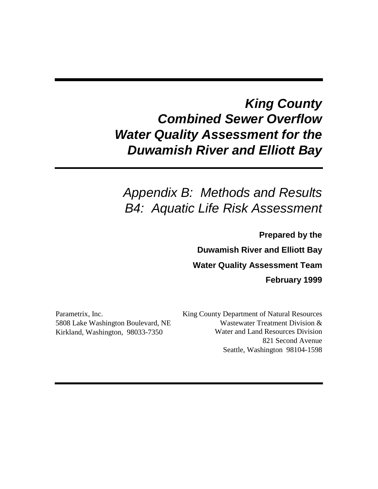# *King County Combined Sewer Overflow Water Quality Assessment for the Duwamish River and Elliott Bay*

# *Appendix B: Methods and Results B4: Aquatic Life Risk Assessment*

**Prepared by the Duwamish River and Elliott Bay Water Quality Assessment Team February 1999**

Parametrix, Inc. 5808 Lake Washington Boulevard, NE Kirkland, Washington, 98033-7350

King County Department of Natural Resources Wastewater Treatment Division & Water and Land Resources Division 821 Second Avenue Seattle, Washington 98104-1598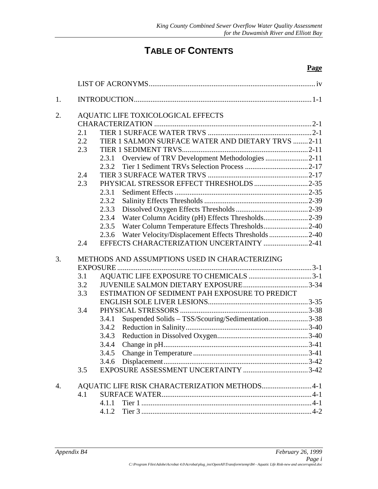## **TABLE OF CONTENTS**

| 1. |     |       |                                                        |  |
|----|-----|-------|--------------------------------------------------------|--|
| 2. |     |       | AQUATIC LIFE TOXICOLOGICAL EFFECTS                     |  |
|    |     |       |                                                        |  |
|    | 2.1 |       |                                                        |  |
|    | 2.2 |       | TIER 1 SALMON SURFACE WATER AND DIETARY TRVS 2-11      |  |
|    | 2.3 |       |                                                        |  |
|    |     |       | 2.3.1 Overview of TRV Development Methodologies 2-11   |  |
|    |     |       |                                                        |  |
|    | 2.4 |       |                                                        |  |
|    | 2.3 |       | PHYSICAL STRESSOR EFFECT THRESHOLDS 2-35               |  |
|    |     | 2.3.1 |                                                        |  |
|    |     | 2.3.2 |                                                        |  |
|    |     | 2.3.3 |                                                        |  |
|    |     |       | 2.3.4 Water Column Acidity (pH) Effects Thresholds2-39 |  |
|    |     |       | 2.3.5 Water Column Temperature Effects Thresholds2-40  |  |
|    |     | 2.3.6 | Water Velocity/Displacement Effects Thresholds 2-40    |  |
|    | 2.4 |       | EFFECTS CHARACTERIZATION UNCERTAINTY 2-41              |  |
| 3. |     |       | METHODS AND ASSUMPTIONS USED IN CHARACTERIZING         |  |
|    |     |       |                                                        |  |
|    | 3.1 |       |                                                        |  |
|    | 3.2 |       |                                                        |  |
|    | 3.3 |       | ESTIMATION OF SEDIMENT PAH EXPOSURE TO PREDICT         |  |
|    |     |       |                                                        |  |
|    | 3.4 |       |                                                        |  |
|    |     | 3.4.1 | Suspended Solids - TSS/Scouring/Sedimentation3-38      |  |
|    |     |       |                                                        |  |
|    |     |       |                                                        |  |
|    |     | 3.4.4 |                                                        |  |
|    |     |       |                                                        |  |
|    |     |       |                                                        |  |
|    | 3.5 |       |                                                        |  |
| 4. |     |       | AQUATIC LIFE RISK CHARACTERIZATION METHODS4-1          |  |
|    | 4.1 |       |                                                        |  |
|    |     |       |                                                        |  |
|    |     |       |                                                        |  |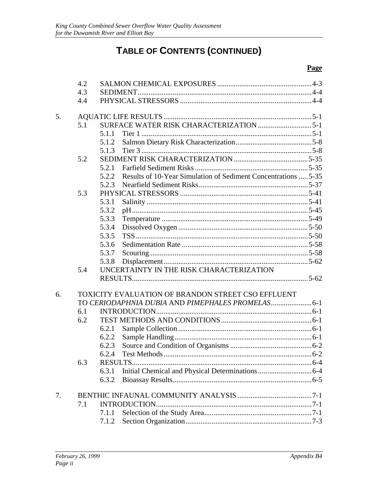## TABLE OF CONTENTS (CONTINUED)

|    | 4.2 |                                                                         |  |
|----|-----|-------------------------------------------------------------------------|--|
|    | 4.3 |                                                                         |  |
|    | 4.4 |                                                                         |  |
| 5. |     |                                                                         |  |
|    | 5.1 |                                                                         |  |
|    |     | 5.1.1                                                                   |  |
|    |     | 5.1.2                                                                   |  |
|    |     |                                                                         |  |
|    | 5.2 |                                                                         |  |
|    |     | 5.2.1                                                                   |  |
|    |     | Results of 10-Year Simulation of Sediment Concentrations  5-35<br>5.2.2 |  |
|    |     | 5.2.3                                                                   |  |
|    | 5.3 |                                                                         |  |
|    |     | 5.3.1                                                                   |  |
|    |     | 5.3.2                                                                   |  |
|    |     | 5.3.3                                                                   |  |
|    |     | 5.3.4                                                                   |  |
|    |     | 5.3.5                                                                   |  |
|    |     | 5.3.6                                                                   |  |
|    |     | 5.3.7                                                                   |  |
|    |     | 5.3.8                                                                   |  |
|    | 5.4 | UNCERTAINTY IN THE RISK CHARACTERIZATION                                |  |
|    |     |                                                                         |  |
| 6. |     | TOXICITY EVALUATION OF BRANDON STREET CSO EFFLUENT                      |  |
|    |     |                                                                         |  |
|    | 6.1 |                                                                         |  |
|    | 6.2 |                                                                         |  |
|    |     | 6.2.1                                                                   |  |
|    |     | 6.2.2                                                                   |  |
|    |     | 6.2.3                                                                   |  |
|    |     | 6.2.4                                                                   |  |
|    | 6.3 | <b>RESULTS.</b>                                                         |  |
|    |     | 6.3.1                                                                   |  |
|    |     | 6.3.2                                                                   |  |
| 7. |     |                                                                         |  |
|    | 7.1 |                                                                         |  |
|    |     | 7.1.1                                                                   |  |
|    |     | 7.1.2                                                                   |  |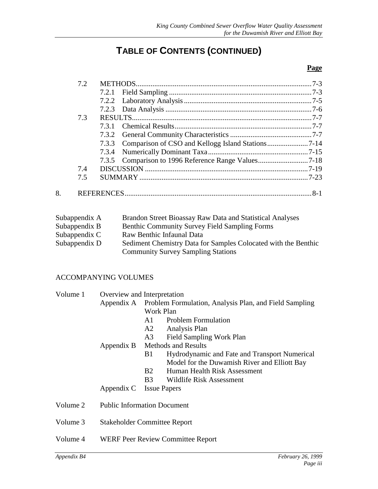## **TABLE OF CONTENTS (CONTINUED)**

#### **Page**

|    | 7.2   |  |
|----|-------|--|
|    | 7.2.1 |  |
|    |       |  |
|    |       |  |
|    | 7.3   |  |
|    | 731   |  |
|    |       |  |
|    |       |  |
|    |       |  |
|    |       |  |
|    | 7.4   |  |
|    | 7.5   |  |
| 8. |       |  |

| Subappendix A | Brandon Street Bioassay Raw Data and Statistical Analyses      |
|---------------|----------------------------------------------------------------|
| Subappendix B | <b>Benthic Community Survey Field Sampling Forms</b>           |
| Subappendix C | Raw Benthic Infaunal Data                                      |
| Subappendix D | Sediment Chemistry Data for Samples Colocated with the Benthic |
|               | <b>Community Survey Sampling Stations</b>                      |

### ACCOMPANYING VOLUMES

| Volume 1 | Overview and Interpretation |                                                                   |  |  |
|----------|-----------------------------|-------------------------------------------------------------------|--|--|
|          |                             | Appendix A Problem Formulation, Analysis Plan, and Field Sampling |  |  |
|          |                             | Work Plan                                                         |  |  |
|          |                             | <b>Problem Formulation</b><br>A1                                  |  |  |
|          |                             | A2 Analysis Plan                                                  |  |  |
|          |                             | Field Sampling Work Plan<br>A3                                    |  |  |
|          |                             | Appendix B Methods and Results                                    |  |  |
|          |                             | Hydrodynamic and Fate and Transport Numerical<br>B1               |  |  |
|          |                             | Model for the Duwamish River and Elliott Bay                      |  |  |
|          |                             | <b>B2</b><br>Human Health Risk Assessment                         |  |  |
|          |                             | Wildlife Risk Assessment<br><b>B</b> 3                            |  |  |
|          | Appendix C Issue Papers     |                                                                   |  |  |
| Volume 2 |                             | <b>Public Information Document</b>                                |  |  |
| Volume 3 |                             | <b>Stakeholder Committee Report</b>                               |  |  |
| Volume 4 |                             | <b>WERF Peer Review Committee Report</b>                          |  |  |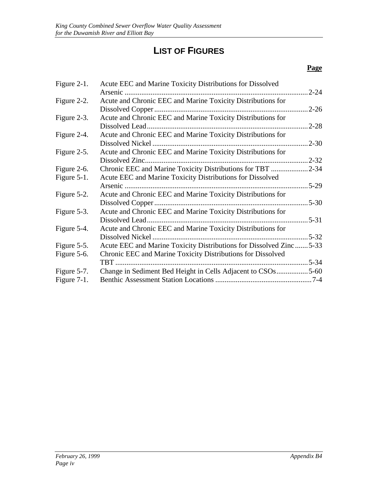## **LIST OF FIGURES**

| Figure 2-1.    | Acute EEC and Marine Toxicity Distributions for Dissolved          |           |
|----------------|--------------------------------------------------------------------|-----------|
|                | Arsenic                                                            | $2 - 24$  |
| Figure 2-2.    | Acute and Chronic EEC and Marine Toxicity Distributions for        |           |
|                |                                                                    | .2-26     |
| Figure 2-3.    | Acute and Chronic EEC and Marine Toxicity Distributions for        |           |
|                | Dissolved Lead                                                     | $2 - 28$  |
| Figure 2-4.    | Acute and Chronic EEC and Marine Toxicity Distributions for        |           |
|                |                                                                    | $2 - 30$  |
| Figure 2-5.    | Acute and Chronic EEC and Marine Toxicity Distributions for        |           |
|                |                                                                    | $2 - 32$  |
| Figure 2-6.    | Chronic EEC and Marine Toxicity Distributions for TBT              | $.2 - 34$ |
| Figure 5-1.    | Acute EEC and Marine Toxicity Distributions for Dissolved          |           |
|                | Arsenic                                                            | $5-29$    |
| Figure 5-2.    | Acute and Chronic EEC and Marine Toxicity Distributions for        |           |
|                |                                                                    | $5 - 30$  |
| Figure 5-3.    | Acute and Chronic EEC and Marine Toxicity Distributions for        |           |
|                |                                                                    | $.5 - 31$ |
| Figure 5-4.    | Acute and Chronic EEC and Marine Toxicity Distributions for        |           |
|                |                                                                    | $5 - 32$  |
| Figure 5-5.    | Acute EEC and Marine Toxicity Distributions for Dissolved Zinc5-33 |           |
| Figure 5-6.    | Chronic EEC and Marine Toxicity Distributions for Dissolved        |           |
|                | TBT                                                                | $.5 - 34$ |
| Figure 5-7.    | Change in Sediment Bed Height in Cells Adjacent to CSOs5-60        |           |
| Figure $7-1$ . |                                                                    |           |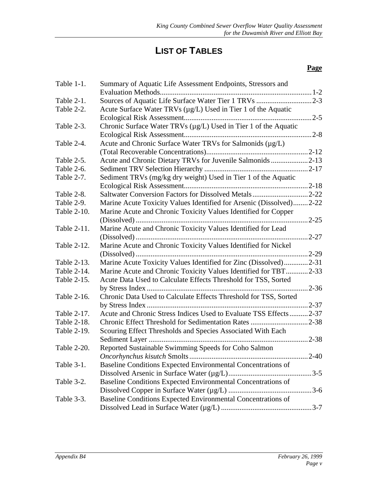## **LIST OF TABLES**

| Table 1-1.  | Summary of Aquatic Life Assessment Endpoints, Stressors and         |               |
|-------------|---------------------------------------------------------------------|---------------|
|             |                                                                     |               |
| Table 2-1.  | Sources of Aquatic Life Surface Water Tier 1 TRVs 2-3               |               |
| Table 2-2.  | Acute Surface Water TRVs (µg/L) Used in Tier 1 of the Aquatic       |               |
|             |                                                                     |               |
| Table 2-3.  | Chronic Surface Water TRVs (µg/L) Used in Tier 1 of the Aquatic     |               |
|             |                                                                     | $.2 - 8$      |
| Table 2-4.  | Acute and Chronic Surface Water TRVs for Salmonids (µg/L)           |               |
|             |                                                                     |               |
| Table 2-5.  | Acute and Chronic Dietary TRVs for Juvenile Salmonids 2-13          |               |
| Table 2-6.  |                                                                     |               |
| Table 2-7.  | Sediment TRVs (mg/kg dry weight) Used in Tier 1 of the Aquatic      |               |
|             |                                                                     |               |
| Table 2-8.  | Saltwater Conversion Factors for Dissolved Metals2-22               |               |
| Table 2-9.  | Marine Acute Toxicity Values Identified for Arsenic (Dissolved)2-22 |               |
| Table 2-10. | Marine Acute and Chronic Toxicity Values Identified for Copper      |               |
|             |                                                                     | $.2 - 25$     |
| Table 2-11. | Marine Acute and Chronic Toxicity Values Identified for Lead        |               |
|             |                                                                     | $.2 - 27$     |
| Table 2-12. | Marine Acute and Chronic Toxicity Values Identified for Nickel      |               |
|             |                                                                     | $.2 - 29$     |
| Table 2-13. | Marine Acute Toxicity Values Identified for Zinc (Dissolved)2-31    |               |
| Table 2-14. | Marine Acute and Chronic Toxicity Values Identified for TBT2-33     |               |
| Table 2-15. | Acute Data Used to Calculate Effects Threshold for TSS, Sorted      |               |
|             |                                                                     |               |
| Table 2-16. | Chronic Data Used to Calculate Effects Threshold for TSS, Sorted    |               |
|             |                                                                     | $.2 - 37$     |
| Table 2-17. | Acute and Chronic Stress Indices Used to Evaluate TSS Effects2-37   |               |
| Table 2-18. |                                                                     |               |
| Table 2-19. | Scouring Effect Thresholds and Species Associated With Each         |               |
|             |                                                                     |               |
| Table 2-20. | Reported Sustainable Swimming Speeds for Coho Salmon                |               |
|             |                                                                     | $\ldots$ 2-40 |
| Table 3-1.  | Baseline Conditions Expected Environmental Concentrations of        |               |
|             |                                                                     |               |
| Table 3-2.  | Baseline Conditions Expected Environmental Concentrations of        |               |
|             |                                                                     |               |
| Table 3-3.  | Baseline Conditions Expected Environmental Concentrations of        |               |
|             |                                                                     |               |
|             |                                                                     |               |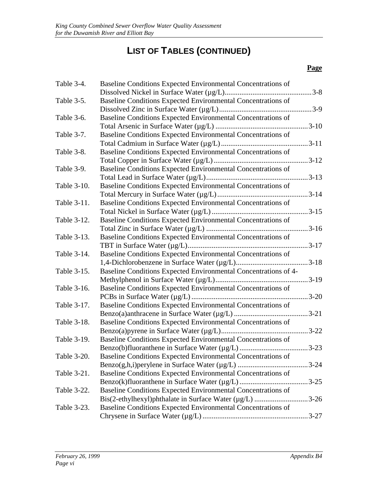| Baseline Conditions Expected Environmental Concentrations of |                                                                                                                                                                                                                                                                                                                                                                                            |
|--------------------------------------------------------------|--------------------------------------------------------------------------------------------------------------------------------------------------------------------------------------------------------------------------------------------------------------------------------------------------------------------------------------------------------------------------------------------|
|                                                              |                                                                                                                                                                                                                                                                                                                                                                                            |
| Baseline Conditions Expected Environmental Concentrations of |                                                                                                                                                                                                                                                                                                                                                                                            |
|                                                              |                                                                                                                                                                                                                                                                                                                                                                                            |
| Baseline Conditions Expected Environmental Concentrations of |                                                                                                                                                                                                                                                                                                                                                                                            |
|                                                              |                                                                                                                                                                                                                                                                                                                                                                                            |
| Baseline Conditions Expected Environmental Concentrations of |                                                                                                                                                                                                                                                                                                                                                                                            |
|                                                              |                                                                                                                                                                                                                                                                                                                                                                                            |
| Baseline Conditions Expected Environmental Concentrations of |                                                                                                                                                                                                                                                                                                                                                                                            |
|                                                              |                                                                                                                                                                                                                                                                                                                                                                                            |
| Baseline Conditions Expected Environmental Concentrations of |                                                                                                                                                                                                                                                                                                                                                                                            |
|                                                              |                                                                                                                                                                                                                                                                                                                                                                                            |
| Baseline Conditions Expected Environmental Concentrations of |                                                                                                                                                                                                                                                                                                                                                                                            |
|                                                              |                                                                                                                                                                                                                                                                                                                                                                                            |
| Baseline Conditions Expected Environmental Concentrations of |                                                                                                                                                                                                                                                                                                                                                                                            |
|                                                              |                                                                                                                                                                                                                                                                                                                                                                                            |
|                                                              |                                                                                                                                                                                                                                                                                                                                                                                            |
|                                                              |                                                                                                                                                                                                                                                                                                                                                                                            |
| Baseline Conditions Expected Environmental Concentrations of |                                                                                                                                                                                                                                                                                                                                                                                            |
|                                                              |                                                                                                                                                                                                                                                                                                                                                                                            |
| Baseline Conditions Expected Environmental Concentrations of |                                                                                                                                                                                                                                                                                                                                                                                            |
|                                                              |                                                                                                                                                                                                                                                                                                                                                                                            |
|                                                              |                                                                                                                                                                                                                                                                                                                                                                                            |
|                                                              |                                                                                                                                                                                                                                                                                                                                                                                            |
| Baseline Conditions Expected Environmental Concentrations of |                                                                                                                                                                                                                                                                                                                                                                                            |
|                                                              |                                                                                                                                                                                                                                                                                                                                                                                            |
| Baseline Conditions Expected Environmental Concentrations of |                                                                                                                                                                                                                                                                                                                                                                                            |
|                                                              |                                                                                                                                                                                                                                                                                                                                                                                            |
| Baseline Conditions Expected Environmental Concentrations of |                                                                                                                                                                                                                                                                                                                                                                                            |
|                                                              |                                                                                                                                                                                                                                                                                                                                                                                            |
| Baseline Conditions Expected Environmental Concentrations of |                                                                                                                                                                                                                                                                                                                                                                                            |
|                                                              |                                                                                                                                                                                                                                                                                                                                                                                            |
|                                                              |                                                                                                                                                                                                                                                                                                                                                                                            |
|                                                              |                                                                                                                                                                                                                                                                                                                                                                                            |
|                                                              |                                                                                                                                                                                                                                                                                                                                                                                            |
|                                                              |                                                                                                                                                                                                                                                                                                                                                                                            |
| Baseline Conditions Expected Environmental Concentrations of |                                                                                                                                                                                                                                                                                                                                                                                            |
|                                                              |                                                                                                                                                                                                                                                                                                                                                                                            |
|                                                              |                                                                                                                                                                                                                                                                                                                                                                                            |
|                                                              |                                                                                                                                                                                                                                                                                                                                                                                            |
|                                                              | Baseline Conditions Expected Environmental Concentrations of<br>Baseline Conditions Expected Environmental Concentrations of 4-<br>Baseline Conditions Expected Environmental Concentrations of<br>Baseline Conditions Expected Environmental Concentrations of<br>Bis(2-ethylhexyl)phthalate in Surface Water (µg/L) 3-26<br>Baseline Conditions Expected Environmental Concentrations of |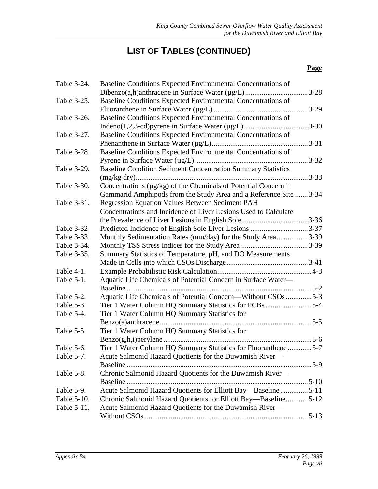| Table 3-24. | Baseline Conditions Expected Environmental Concentrations of        |           |
|-------------|---------------------------------------------------------------------|-----------|
|             | Dibenzo(a,h)anthracene in Surface Water (µg/L)                      | $.3 - 28$ |
| Table 3-25. | Baseline Conditions Expected Environmental Concentrations of        |           |
|             |                                                                     | $.3-29$   |
| Table 3-26. | Baseline Conditions Expected Environmental Concentrations of        |           |
|             |                                                                     |           |
| Table 3-27. | Baseline Conditions Expected Environmental Concentrations of        |           |
|             |                                                                     | $.3 - 31$ |
| Table 3-28. | Baseline Conditions Expected Environmental Concentrations of        |           |
|             |                                                                     |           |
| Table 3-29. | <b>Baseline Condition Sediment Concentration Summary Statistics</b> |           |
|             |                                                                     | $.3 - 33$ |
| Table 3-30. | Concentrations (µg/kg) of the Chemicals of Potential Concern in     |           |
|             | Gammarid Amphipods from the Study Area and a Reference Site 3-34    |           |
| Table 3-31. | Regression Equation Values Between Sediment PAH                     |           |
|             | Concentrations and Incidence of Liver Lesions Used to Calculate     |           |
|             |                                                                     |           |
| Table 3-32  | Predicted Incidence of English Sole Liver Lesions 3-37              |           |
| Table 3-33. | Monthly Sedimentation Rates (mm/day) for the Study Area3-39         |           |
| Table 3-34. |                                                                     |           |
| Table 3-35. | Summary Statistics of Temperature, pH, and DO Measurements          |           |
|             |                                                                     |           |
| Table 4-1.  |                                                                     |           |
| Table 5-1.  | Aquatic Life Chemicals of Potential Concern in Surface Water-       |           |
|             |                                                                     |           |
| Table 5-2.  | Aquatic Life Chemicals of Potential Concern—Without CSOs 5-3        |           |
| Table 5-3.  | Tier 1 Water Column HQ Summary Statistics for PCBs5-4               |           |
| Table 5-4.  | Tier 1 Water Column HQ Summary Statistics for                       |           |
|             |                                                                     |           |
| Table 5-5.  | Tier 1 Water Column HQ Summary Statistics for                       |           |
|             |                                                                     |           |
| Table 5-6.  | Tier 1 Water Column HQ Summary Statistics for Fluoranthene5-7       |           |
| Table 5-7.  | Acute Salmonid Hazard Quotients for the Duwamish River-             |           |
|             |                                                                     |           |
| Table 5-8.  | Chronic Salmonid Hazard Quotients for the Duwamish River-           |           |
|             |                                                                     |           |
| Table 5-9.  | Acute Salmonid Hazard Quotients for Elliott Bay-Baseline5-11        |           |
| Table 5-10. | Chronic Salmonid Hazard Quotients for Elliott Bay—Baseline5-12      |           |
| Table 5-11. | Acute Salmonid Hazard Quotients for the Duwamish River-             |           |
|             |                                                                     |           |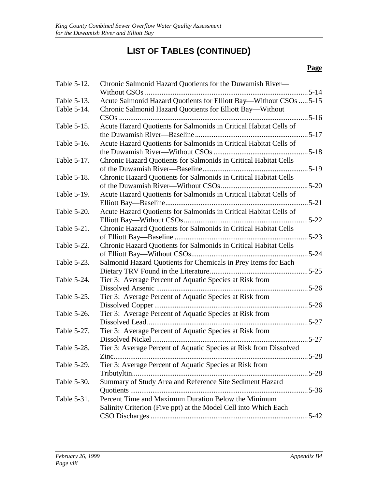| Table 5-12. | Chronic Salmonid Hazard Quotients for the Duwamish River—          |               |
|-------------|--------------------------------------------------------------------|---------------|
| Table 5-13. | Acute Salmonid Hazard Quotients for Elliott Bay-Without CSOs  5-15 |               |
| Table 5-14. | Chronic Salmonid Hazard Quotients for Elliott Bay—Without          |               |
|             |                                                                    |               |
| Table 5-15. | Acute Hazard Quotients for Salmonids in Critical Habitat Cells of  |               |
|             |                                                                    |               |
| Table 5-16. | Acute Hazard Quotients for Salmonids in Critical Habitat Cells of  |               |
|             |                                                                    |               |
| Table 5-17. | Chronic Hazard Quotients for Salmonids in Critical Habitat Cells   |               |
|             |                                                                    |               |
| Table 5-18. | Chronic Hazard Quotients for Salmonids in Critical Habitat Cells   |               |
|             |                                                                    |               |
| Table 5-19. | Acute Hazard Quotients for Salmonids in Critical Habitat Cells of  |               |
|             |                                                                    | $\ldots$ 5-21 |
| Table 5-20. | Acute Hazard Quotients for Salmonids in Critical Habitat Cells of  |               |
|             |                                                                    |               |
| Table 5-21. | Chronic Hazard Quotients for Salmonids in Critical Habitat Cells   |               |
|             |                                                                    |               |
| Table 5-22. | Chronic Hazard Quotients for Salmonids in Critical Habitat Cells   |               |
|             |                                                                    |               |
| Table 5-23. | Salmonid Hazard Quotients for Chemicals in Prey Items for Each     |               |
|             |                                                                    |               |
| Table 5-24. | Tier 3: Average Percent of Aquatic Species at Risk from            |               |
|             |                                                                    |               |
| Table 5-25. | Tier 3: Average Percent of Aquatic Species at Risk from            |               |
|             |                                                                    |               |
| Table 5-26. | Tier 3: Average Percent of Aquatic Species at Risk from            |               |
|             |                                                                    |               |
| Table 5-27. | Tier 3: Average Percent of Aquatic Species at Risk from            |               |
|             |                                                                    |               |
| Table 5-28. | Tier 3: Average Percent of Aquatic Species at Risk from Dissolved  |               |
|             | $\cdots$ 5-28<br>$Zinc$                                            |               |
| Table 5-29. | Tier 3: Average Percent of Aquatic Species at Risk from            |               |
|             |                                                                    |               |
| Table 5-30. | Summary of Study Area and Reference Site Sediment Hazard           |               |
|             |                                                                    |               |
| Table 5-31. | Percent Time and Maximum Duration Below the Minimum                |               |
|             | Salinity Criterion (Five ppt) at the Model Cell into Which Each    |               |
|             |                                                                    |               |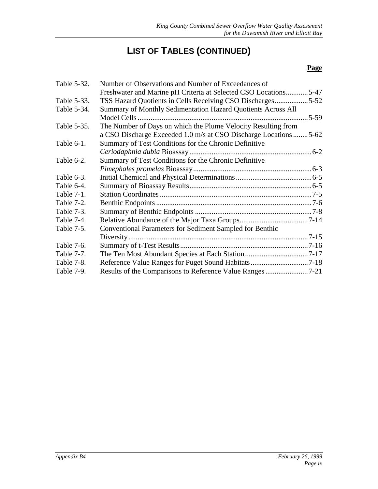| Table 5-32. | Number of Observations and Number of Exceedances of              |        |
|-------------|------------------------------------------------------------------|--------|
|             | Freshwater and Marine pH Criteria at Selected CSO Locations5-47  |        |
| Table 5-33. | TSS Hazard Quotients in Cells Receiving CSO Discharges5-52       |        |
| Table 5-34. | Summary of Monthly Sedimentation Hazard Quotients Across All     |        |
|             |                                                                  | $5-59$ |
| Table 5-35. | The Number of Days on which the Plume Velocity Resulting from    |        |
|             | a CSO Discharge Exceeded 1.0 m/s at CSO Discharge Locations 5-62 |        |
| Table 6-1.  | Summary of Test Conditions for the Chronic Definitive            |        |
|             |                                                                  |        |
| Table 6-2.  | Summary of Test Conditions for the Chronic Definitive            |        |
|             |                                                                  |        |
| Table 6-3.  |                                                                  |        |
| Table 6-4.  |                                                                  |        |
| Table 7-1.  |                                                                  |        |
| Table 7-2.  |                                                                  |        |
| Table 7-3.  |                                                                  |        |
| Table 7-4.  |                                                                  |        |
| Table 7-5.  | <b>Conventional Parameters for Sediment Sampled for Benthic</b>  |        |
|             |                                                                  |        |
| Table 7-6.  |                                                                  |        |
| Table 7-7.  |                                                                  |        |
| Table 7-8.  |                                                                  |        |
| Table 7-9.  |                                                                  |        |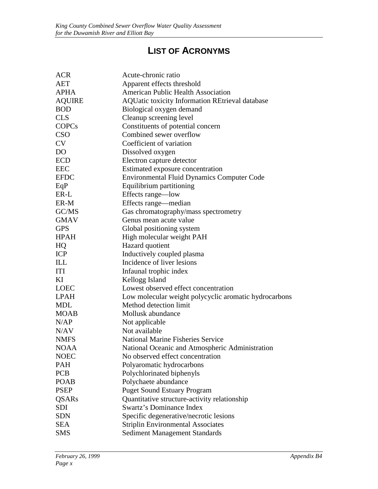## **LIST OF ACRONYMS**

| <b>ACR</b>     | Acute-chronic ratio                                    |
|----------------|--------------------------------------------------------|
| <b>AET</b>     | Apparent effects threshold                             |
| <b>APHA</b>    | <b>American Public Health Association</b>              |
| <b>AQUIRE</b>  | <b>AQUatic toxicity Information REtrieval database</b> |
| <b>BOD</b>     | Biological oxygen demand                               |
| <b>CLS</b>     | Cleanup screening level                                |
| <b>COPCs</b>   | Constituents of potential concern                      |
| <b>CSO</b>     | Combined sewer overflow                                |
| <b>CV</b>      | Coefficient of variation                               |
| D <sub>O</sub> | Dissolved oxygen                                       |
| <b>ECD</b>     | Electron capture detector                              |
| <b>EEC</b>     | Estimated exposure concentration                       |
| <b>EFDC</b>    | <b>Environmental Fluid Dynamics Computer Code</b>      |
| EqP            | Equilibrium partitioning                               |
| ER-L           | Effects range—low                                      |
| ER-M           | Effects range—median                                   |
| GC/MS          | Gas chromatography/mass spectrometry                   |
| <b>GMAV</b>    | Genus mean acute value                                 |
| <b>GPS</b>     | Global positioning system                              |
| <b>HPAH</b>    | High molecular weight PAH                              |
| HQ             | Hazard quotient                                        |
| <b>ICP</b>     | Inductively coupled plasma                             |
| ILL            | Incidence of liver lesions                             |
| <b>ITI</b>     | Infaunal trophic index                                 |
| KI             | Kellogg Island                                         |
| <b>LOEC</b>    | Lowest observed effect concentration                   |
| <b>LPAH</b>    | Low molecular weight polycyclic aromatic hydrocarbons  |
| <b>MDL</b>     | Method detection limit                                 |
| <b>MOAB</b>    | Mollusk abundance                                      |
| N/AP           | Not applicable                                         |
| N/AV           | Not available                                          |
| <b>NMFS</b>    | <b>National Marine Fisheries Service</b>               |
| NOAA           | National Oceanic and Atmospheric Administration        |
| <b>NOEC</b>    | No observed effect concentration                       |
| <b>PAH</b>     | Polyaromatic hydrocarbons                              |
| <b>PCB</b>     | Polychlorinated biphenyls                              |
| <b>POAB</b>    | Polychaete abundance                                   |
| <b>PSEP</b>    | <b>Puget Sound Estuary Program</b>                     |
| <b>QSARs</b>   | Quantitative structure-activity relationship           |
| SDI            | <b>Swartz's Dominance Index</b>                        |
| <b>SDN</b>     | Specific degenerative/necrotic lesions                 |
| <b>SEA</b>     | <b>Striplin Environmental Associates</b>               |
| <b>SMS</b>     | <b>Sediment Management Standards</b>                   |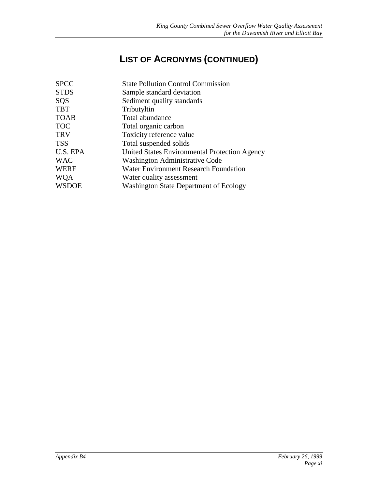## **LIST OF ACRONYMS (CONTINUED)**

| <b>SPCC</b>  | <b>State Pollution Control Commission</b>     |
|--------------|-----------------------------------------------|
| <b>STDS</b>  | Sample standard deviation                     |
| SQS          | Sediment quality standards                    |
| <b>TBT</b>   | Tributyltin                                   |
| <b>TOAB</b>  | Total abundance                               |
| <b>TOC</b>   | Total organic carbon                          |
| <b>TRV</b>   | Toxicity reference value                      |
| TSS          | Total suspended solids                        |
| U.S. EPA     | United States Environmental Protection Agency |
| <b>WAC</b>   | <b>Washington Administrative Code</b>         |
| WERF         | <b>Water Environment Research Foundation</b>  |
| WQA          | Water quality assessment                      |
| <b>WSDOE</b> | <b>Washington State Department of Ecology</b> |
|              |                                               |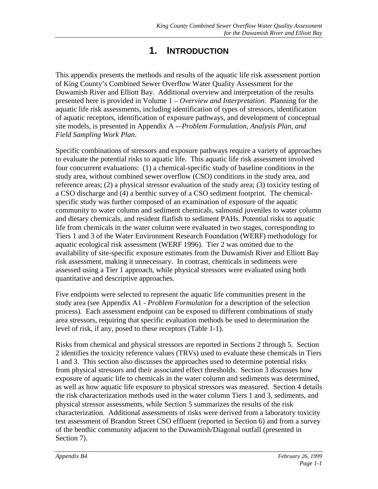### **1. INTRODUCTION**

<span id="page-12-0"></span>This appendix presents the methods and results of the aquatic life risk assessment portion of King County's Combined Sewer Overflow Water Quality Assessment for the Duwamish River and Elliott Bay. Additional overview and interpretation of the results presented here is provided in Volume 1 – *Overview and Interpretation*. Planning for the aquatic life risk assessments, including identification of types of stressors, identification of aquatic receptors, identification of exposure pathways, and development of conceptual site models, is presented in Appendix A -–*Problem Formulation, Analysis Plan, and Field Sampling Work Plan*.

Specific combinations of stressors and exposure pathways require a variety of approaches to evaluate the potential risks to aquatic life. This aquatic life risk assessment involved four concurrent evaluations: (1) a chemical-specific study of baseline conditions in the study area, without combined sewer overflow (CSO) conditions in the study area, and reference areas; (2) a physical stressor evaluation of the study area; (3) toxicity testing of a CSO discharge and (4) a benthic survey of a CSO sediment footprint. The chemicalspecific study was further composed of an examination of exposure of the aquatic community to water column and sediment chemicals, salmonid juveniles to water column and dietary chemicals, and resident flatfish to sediment PAHs. Potential risks to aquatic life from chemicals in the water column were evaluated in two stages, corresponding to Tiers 1 and 3 of the Water Environment Research Foundation (WERF) methodology for aquatic ecological risk assessment (WERF 1996). Tier 2 was omitted due to the availability of site-specific exposure estimates from the Duwamish River and Elliott Bay risk assessment, making it unnecessary. In contrast, chemicals in sediments were assessed using a Tier 1 approach, while physical stressors were evaluated using both quantitative and descriptive approaches.

Five endpoints were selected to represent the aquatic life communities present in the study area (see Appendix A1 *- Problem Formulation* for a description of the selection process). Each assessment endpoint can be exposed to different combinations of study area stressors, requiring that specific evaluation methods be used to determination the level of risk, if any, posed to these receptors (Table 1-1).

Risks from chemical and physical stressors are reported in Sections 2 through 5. Section 2 identifies the toxicity reference values (TRVs) used to evaluate these chemicals in Tiers 1 and 3. This section also discusses the approaches used to determine potential risks from physical stressors and their associated effect thresholds. Section 3 discusses how exposure of aquatic life to chemicals in the water column and sediments was determined, as well as how aquatic life exposure to physical stressors was measured. Section 4 details the risk characterization methods used in the water column Tiers 1 and 3, sediments, and physical stressor assessments, while Section 5 summarizes the results of the risk characterization. Additional assessments of risks were derived from a laboratory toxicity test assessment of Brandon Street CSO effluent (reported in Section 6) and from a survey of the benthic community adjacent to the Duwamish/Diagonal outfall (presented in Section 7).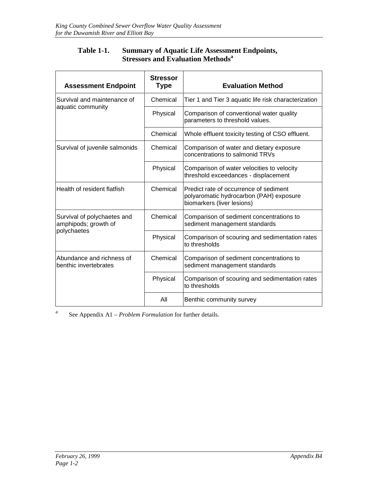### **Table 1-1. Summary of Aquatic Life Assessment Endpoints, Stressors and Evaluation Methods<sup>a</sup>**

<span id="page-13-0"></span>

| <b>Assessment Endpoint</b>                          | <b>Stressor</b><br><b>Type</b> | <b>Evaluation Method</b>                                                                                        |  |  |
|-----------------------------------------------------|--------------------------------|-----------------------------------------------------------------------------------------------------------------|--|--|
| Survival and maintenance of                         | Chemical                       | Tier 1 and Tier 3 aquatic life risk characterization                                                            |  |  |
| aquatic community                                   | Physical                       | Comparison of conventional water quality<br>parameters to threshold values.                                     |  |  |
|                                                     | Chemical                       | Whole effluent toxicity testing of CSO effluent.                                                                |  |  |
| Survival of juvenile salmonids                      | Chemical                       | Comparison of water and dietary exposure<br>concentrations to salmonid TRVs                                     |  |  |
|                                                     | Physical                       | Comparison of water velocities to velocity<br>threshold exceedances - displacement                              |  |  |
| Health of resident flatfish                         | Chemical                       | Predict rate of occurrence of sediment<br>polyaromatic hydrocarbon (PAH) exposure<br>biomarkers (liver lesions) |  |  |
| Survival of polychaetes and<br>amphipods; growth of | Chemical                       | Comparison of sediment concentrations to<br>sediment management standards                                       |  |  |
| polychaetes                                         | Physical                       | Comparison of scouring and sedimentation rates<br>to thresholds                                                 |  |  |
| Abundance and richness of<br>benthic invertebrates  | Chemical                       | Comparison of sediment concentrations to<br>sediment management standards                                       |  |  |
|                                                     | Physical                       | Comparison of scouring and sedimentation rates<br>to thresholds                                                 |  |  |
|                                                     | All                            | Benthic community survey                                                                                        |  |  |

<sup>a</sup> See Appendix A1 – *Problem Formulation* for further details.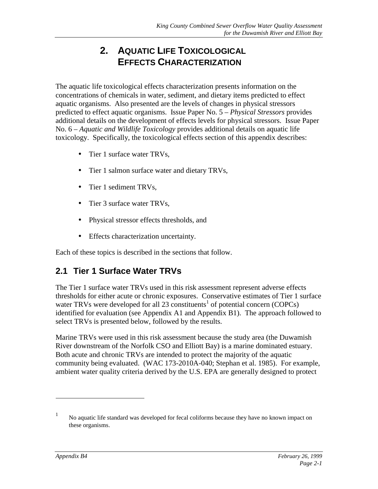## **2. AQUATIC LIFE TOXICOLOGICAL EFFECTS CHARACTERIZATION**

<span id="page-14-0"></span>The aquatic life toxicological effects characterization presents information on the concentrations of chemicals in water, sediment, and dietary items predicted to effect aquatic organisms. Also presented are the levels of changes in physical stressors predicted to effect aquatic organisms. Issue Paper No. 5 – *Physical Stressors* provides additional details on the development of effects levels for physical stressors. Issue Paper No. 6 – *Aquatic and Wildlife Toxicology* provides additional details on aquatic life toxicology. Specifically, the toxicological effects section of this appendix describes:

- Tier 1 surface water TRVs,
- Tier 1 salmon surface water and dietary TRVs,
- Tier 1 sediment TRVs,
- Tier 3 surface water TRVs,
- Physical stressor effects thresholds, and
- Effects characterization uncertainty.

Each of these topics is described in the sections that follow.

### **2.1 Tier 1 Surface Water TRVs**

The Tier 1 surface water TRVs used in this risk assessment represent adverse effects thresholds for either acute or chronic exposures. Conservative estimates of Tier 1 surface water TRVs were developed for all  $23$  constituents<sup>1</sup> of potential concern (COPCs) identified for evaluation (see Appendix A1 and Appendix B1). The approach followed to select TRVs is presented below, followed by the results.

Marine TRVs were used in this risk assessment because the study area (the Duwamish River downstream of the Norfolk CSO and Elliott Bay) is a marine dominated estuary. Both acute and chronic TRVs are intended to protect the majority of the aquatic community being evaluated. (WAC 173-2010A-040; Stephan et al. 1985). For example, ambient water quality criteria derived by the U.S. EPA are generally designed to protect

 $\overline{a}$ 

<sup>1</sup> No aquatic life standard was developed for fecal coliforms because they have no known impact on these organisms.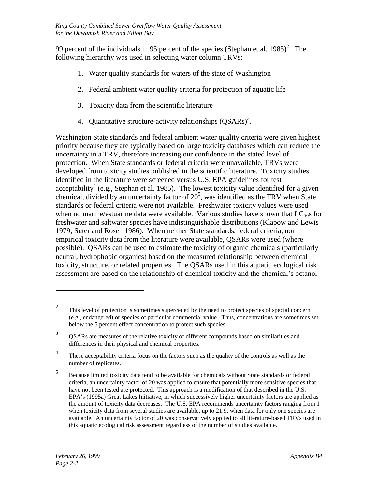99 percent of the individuals in 95 percent of the species (Stephan et al. 1985)<sup>2</sup>. The following hierarchy was used in selecting water column TRVs:

- 1. Water quality standards for waters of the state of Washington
- 2. Federal ambient water quality criteria for protection of aquatic life
- 3. Toxicity data from the scientific literature
- 4. Quantitative structure-activity relationships  $(QSARs)^3$ .

Washington State standards and federal ambient water quality criteria were given highest priority because they are typically based on large toxicity databases which can reduce the uncertainty in a TRV, therefore increasing our confidence in the stated level of protection. When State standards or federal criteria were unavailable, TRVs were developed from toxicity studies published in the scientific literature. Toxicity studies identified in the literature were screened versus U.S. EPA guidelines for test acceptability<sup>4</sup> (e.g., Stephan et al. 1985). The lowest toxicity value identified for a given chemical, divided by an uncertainty factor of  $20^5$ , was identified as the TRV when State standards or federal criteria were not available. Freshwater toxicity values were used when no marine/estuarine data were available. Various studies have shown that  $LC_{50}$ s for freshwater and saltwater species have indistinguishable distributions (Klapow and Lewis 1979; Suter and Rosen 1986). When neither State standards, federal criteria, nor empirical toxicity data from the literature were available, QSARs were used (where possible). QSARs can be used to estimate the toxicity of organic chemicals (particularly neutral, hydrophobic organics) based on the measured relationship between chemical toxicity, structure, or related properties. The QSARs used in this aquatic ecological risk assessment are based on the relationship of chemical toxicity and the chemical's octanol-

 $\overline{a}$ 

 $2<sup>2</sup>$  This level of protection is sometimes superceded by the need to protect species of special concern (e.g., endangered) or species of particular commercial value. Thus, concentrations are sometimes set below the 5 percent effect concentration to protect such species.

<sup>3</sup> QSARs are measures of the relative toxicity of different compounds based on similarities and differences in their physical and chemical properties.

<sup>&</sup>lt;sup>4</sup> These acceptability criteria focus on the factors such as the quality of the controls as well as the number of replicates.

<sup>5</sup> Because limited toxicity data tend to be available for chemicals without State standards or federal criteria, an uncertainty factor of 20 was applied to ensure that potentially more sensitive species that have not been tested are protected. This approach is a modification of that described in the U.S. EPA's (1995a) Great Lakes Initiative, in which successively higher uncertainty factors are applied as the amount of toxicity data decreases. The U.S. EPA recommends uncertainty factors ranging from 1 when toxicity data from several studies are available, up to 21.9, when data for only one species are available. An uncertainty factor of 20 was conservatively applied to all literature-based TRVs used in this aquatic ecological risk assessment regardless of the number of studies available.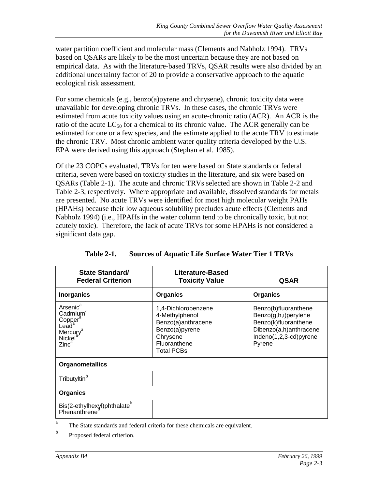<span id="page-16-0"></span>water partition coefficient and molecular mass (Clements and Nabholz 1994). TRVs based on QSARs are likely to be the most uncertain because they are not based on empirical data. As with the literature-based TRVs, QSAR results were also divided by an additional uncertainty factor of 20 to provide a conservative approach to the aquatic ecological risk assessment.

For some chemicals (e.g., benzo(a)pyrene and chrysene), chronic toxicity data were unavailable for developing chronic TRVs. In these cases, the chronic TRVs were estimated from acute toxicity values using an acute-chronic ratio (ACR). An ACR is the ratio of the acute  $LC_{50}$  for a chemical to its chronic value. The ACR generally can be estimated for one or a few species, and the estimate applied to the acute TRV to estimate the chronic TRV. Most chronic ambient water quality criteria developed by the U.S. EPA were derived using this approach (Stephan et al. 1985).

Of the 23 COPCs evaluated, TRVs for ten were based on State standards or federal criteria, seven were based on toxicity studies in the literature, and six were based on QSARs (Table 2-1). The acute and chronic TRVs selected are shown in Table 2-2 and Table 2-3, respectively. Where appropriate and available, dissolved standards for metals are presented. No acute TRVs were identified for most high molecular weight PAHs (HPAHs) because their low aqueous solubility precludes acute effects (Clements and Nabholz 1994) (i.e., HPAHs in the water column tend to be chronically toxic, but not acutely toxic). Therefore, the lack of acute TRVs for some HPAHs is not considered a significant data gap.

| <b>State Standard/</b><br><b>Federal Criterion</b>                                                                                                           | Literature-Based<br><b>Toxicity Value</b>                                                                                      | <b>QSAR</b>                                                                                                                        |  |
|--------------------------------------------------------------------------------------------------------------------------------------------------------------|--------------------------------------------------------------------------------------------------------------------------------|------------------------------------------------------------------------------------------------------------------------------------|--|
| <b>Inorganics</b>                                                                                                                                            | <b>Organics</b>                                                                                                                | <b>Organics</b>                                                                                                                    |  |
| Arsenic <sup>a</sup><br>Cadmium <sup>a</sup><br>Copper <sup>a</sup><br>Lead <sup>a</sup><br>Mercury <sup>a</sup><br>Nickel <sup>a</sup><br>Zinc <sup>3</sup> | 1,4-Dichlorobenzene<br>4-Methylphenol<br>Benzo(a)anthracene<br>Benzo(a)pyrene<br>Chrysene<br>Fluoranthene<br><b>Total PCBs</b> | Benzo(b)fluoranthene<br>Benzo(g,h,i)perylene<br>Benzo(k)fluoranthene<br>Dibenzo(a,h)anthracene<br>Indeno(1,2,3-cd)pyrene<br>Pyrene |  |
| <b>Organometallics</b>                                                                                                                                       |                                                                                                                                |                                                                                                                                    |  |
| Tributyltin <sup>b</sup>                                                                                                                                     |                                                                                                                                |                                                                                                                                    |  |
| <b>Organics</b>                                                                                                                                              |                                                                                                                                |                                                                                                                                    |  |
| Bis(2-ethylhexyl)phthalate <sup>b</sup><br>Phenanthrene                                                                                                      |                                                                                                                                |                                                                                                                                    |  |

| <b>Sources of Aquatic Life Surface Water Tier 1 TRVs</b> |
|----------------------------------------------------------|
|----------------------------------------------------------|

<sup>a</sup> The State standards and federal criteria for these chemicals are equivalent.

b Proposed federal criterion.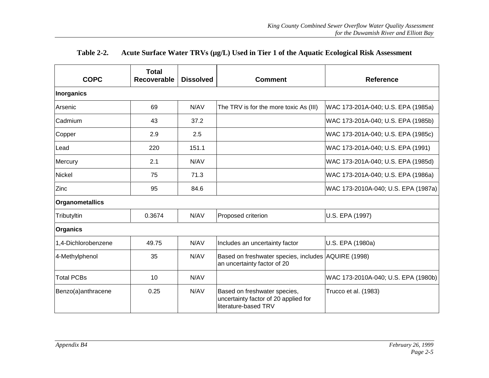<span id="page-18-0"></span>

| <b>COPC</b>         | Total<br>Recoverable | <b>Dissolved</b> | <b>Comment</b>                                                                               | <b>Reference</b>                    |
|---------------------|----------------------|------------------|----------------------------------------------------------------------------------------------|-------------------------------------|
| Inorganics          |                      |                  |                                                                                              |                                     |
| Arsenic             | 69                   | N/AV             | The TRV is for the more toxic As (III)                                                       | WAC 173-201A-040; U.S. EPA (1985a)  |
| Cadmium             | 43                   | 37.2             |                                                                                              | WAC 173-201A-040; U.S. EPA (1985b)  |
| Copper              | 2.9                  | 2.5              |                                                                                              | WAC 173-201A-040; U.S. EPA (1985c)  |
| lLead               | 220                  | 151.1            |                                                                                              | WAC 173-201A-040; U.S. EPA (1991)   |
| Mercury             | 2.1                  | N/AV             |                                                                                              | WAC 173-201A-040; U.S. EPA (1985d)  |
| Nickel              | 75                   | 71.3             |                                                                                              | WAC 173-201A-040; U.S. EPA (1986a)  |
| Zinc                | 95                   | 84.6             |                                                                                              | WAC 173-2010A-040; U.S. EPA (1987a) |
| Organometallics     |                      |                  |                                                                                              |                                     |
| Tributyltin         | 0.3674               | N/AV             | Proposed criterion                                                                           | U.S. EPA (1997)                     |
| Organics            |                      |                  |                                                                                              |                                     |
| 1,4-Dichlorobenzene | 49.75                | N/AV             | Includes an uncertainty factor                                                               | U.S. EPA (1980a)                    |
| 4-Methylphenol      | 35                   | N/AV             | Based on freshwater species, includes AQUIRE (1998)<br>an uncertainty factor of 20           |                                     |
| <b>Total PCBs</b>   | 10                   | N/AV             |                                                                                              | WAC 173-2010A-040; U.S. EPA (1980b) |
| Benzo(a)anthracene  | 0.25                 | N/AV             | Based on freshwater species,<br>uncertainty factor of 20 applied for<br>literature-based TRV | Trucco et al. (1983)                |

### **Table 2-2. Acute Surface Water TRVs (µg/L) Used in Tier 1 of the Aquatic Ecological Risk Assessment**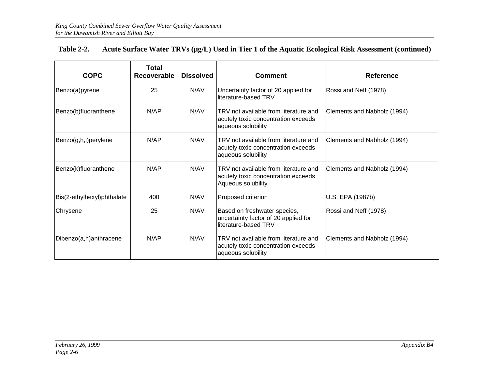| <b>COPC</b>                | Total<br><b>Recoverable</b> | <b>Dissolved</b> | <b>Comment</b>                                                                                                                    | <b>Reference</b>            |
|----------------------------|-----------------------------|------------------|-----------------------------------------------------------------------------------------------------------------------------------|-----------------------------|
| Benzo(a)pyrene             | 25                          | N/AV             | Uncertainty factor of 20 applied for<br>Rossi and Neff (1978)<br>literature-based TRV                                             |                             |
| Benzo(b)fluoranthene       | N/AP                        | N/AV             | TRV not available from literature and<br>Clements and Nabholz (1994)<br>acutely toxic concentration exceeds<br>aqueous solubility |                             |
| Benzo(g,h,i)perylene       | N/AP                        | N/AV             | TRV not available from literature and<br>acutely toxic concentration exceeds<br>aqueous solubility                                | Clements and Nabholz (1994) |
| Benzo(k)fluoranthene       | N/AP                        | N/AV             | TRV not available from literature and<br>acutely toxic concentration exceeds<br>Aqueous solubility                                | Clements and Nabholz (1994) |
| Bis(2-ethylhexyl)phthalate | 400                         | N/AV             | Proposed criterion                                                                                                                | U.S. EPA (1987b)            |
| Chrysene                   | 25                          | N/AV             | Based on freshwater species,<br>uncertainty factor of 20 applied for<br>literature-based TRV                                      | Rossi and Neff (1978)       |
| Dibenzo(a,h)anthracene     | N/AP                        | N/AV             | TRV not available from literature and<br>acutely toxic concentration exceeds<br>aqueous solubility                                | Clements and Nabholz (1994) |

### **Table 2-2. Acute Surface Water TRVs (µg/L) Used in Tier 1 of the Aquatic Ecological Risk Assessment (continued)**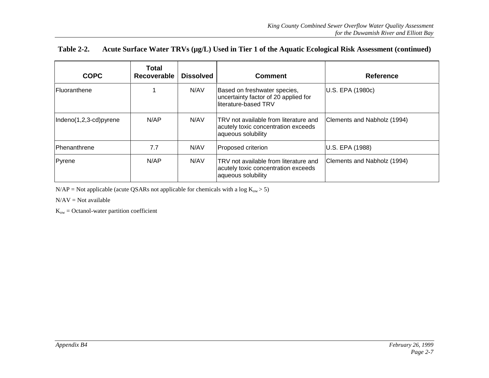| <b>Table 2-2.</b> | Acute Surface Water TRVs (µg/L) Used in Tier 1 of the Aquatic Ecological Risk Assessment (continued) |  |  |  |
|-------------------|------------------------------------------------------------------------------------------------------|--|--|--|
|-------------------|------------------------------------------------------------------------------------------------------|--|--|--|

| <b>COPC</b>            | Total<br>Recoverable | <b>Dissolved</b> | <b>Comment</b>                                                                                     | <b>Reference</b>            |
|------------------------|----------------------|------------------|----------------------------------------------------------------------------------------------------|-----------------------------|
| <b>IFluoranthene</b>   |                      | N/AV             | Based on freshwater species,<br>uncertainty factor of 20 applied for<br>literature-based TRV       | U.S. EPA (1980c)            |
| Indeno(1,2,3-cd)pyrene | N/AP                 | N/AV             | TRV not available from literature and<br>acutely toxic concentration exceeds<br>aqueous solubility | Clements and Nabholz (1994) |
| <b>IPhenanthrene</b>   | 7.7                  | N/AV             | Proposed criterion                                                                                 | U.S. EPA (1988)             |
| Pyrene                 | N/AP                 | N/AV             | TRV not available from literature and<br>acutely toxic concentration exceeds<br>aqueous solubility | Clements and Nabholz (1994) |

N/AP = Not applicable (acute QSARs not applicable for chemicals with a log  $K_{ow} > 5$ )

N/AV = Not available

 $K_{ow} = Octanol-water$  partition coefficient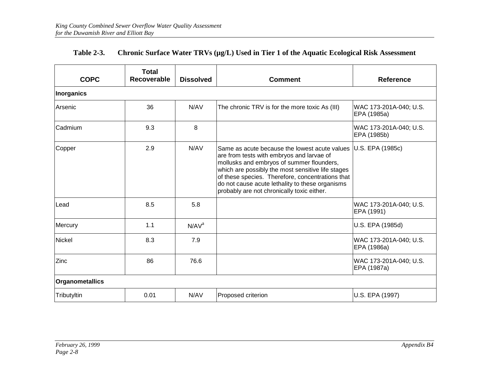<span id="page-21-0"></span>

| <b>COPC</b>            | <b>Total</b><br>Recoverable | <b>Dissolved</b>  | <b>Comment</b>                                                                                                                                                                                                                                                                                                                                    | <b>Reference</b>                      |
|------------------------|-----------------------------|-------------------|---------------------------------------------------------------------------------------------------------------------------------------------------------------------------------------------------------------------------------------------------------------------------------------------------------------------------------------------------|---------------------------------------|
| Inorganics             |                             |                   |                                                                                                                                                                                                                                                                                                                                                   |                                       |
| Arsenic                | 36                          | N/AV              | The chronic TRV is for the more toxic As (III)                                                                                                                                                                                                                                                                                                    | WAC 173-201A-040; U.S.<br>EPA (1985a) |
| Cadmium                | 9.3                         | 8                 |                                                                                                                                                                                                                                                                                                                                                   | WAC 173-201A-040; U.S.<br>EPA (1985b) |
| Copper                 | 2.9                         | N/AV              | Same as acute because the lowest acute values<br>are from tests with embryos and larvae of<br>mollusks and embryos of summer flounders,<br>which are possibly the most sensitive life stages<br>of these species. Therefore, concentrations that<br>do not cause acute lethality to these organisms<br>probably are not chronically toxic either. | U.S. EPA (1985c)                      |
| Lead                   | 8.5                         | 5.8               |                                                                                                                                                                                                                                                                                                                                                   | WAC 173-201A-040; U.S.<br>EPA (1991)  |
| Mercury                | 1.1                         | N/AV <sup>a</sup> |                                                                                                                                                                                                                                                                                                                                                   | U.S. EPA (1985d)                      |
| Nickel                 | 8.3                         | 7.9               |                                                                                                                                                                                                                                                                                                                                                   | WAC 173-201A-040; U.S.<br>EPA (1986a) |
| Zinc                   | 86                          | 76.6              |                                                                                                                                                                                                                                                                                                                                                   | WAC 173-201A-040; U.S.<br>EPA (1987a) |
| <b>Organometallics</b> |                             |                   |                                                                                                                                                                                                                                                                                                                                                   |                                       |
| Tributyltin            | 0.01                        | N/AV              | Proposed criterion                                                                                                                                                                                                                                                                                                                                | U.S. EPA (1997)                       |

### **Table 2-3. Chronic Surface Water TRVs (µg/L) Used in Tier 1 of the Aquatic Ecological Risk Assessment**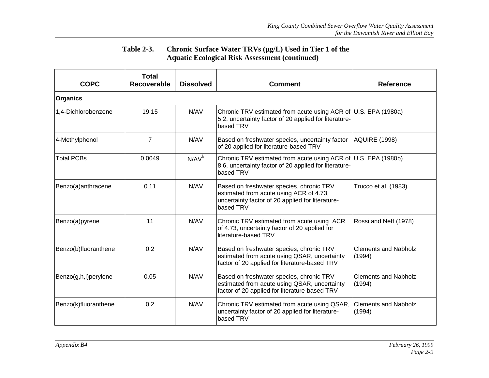### **Table 2-3. Chronic Surface Water TRVs (µg/L) Used in Tier 1 of the Aquatic Ecological Risk Assessment (continued)**

| <b>COPC</b>          | <b>Total</b><br>Recoverable | <b>Dissolved</b> | <b>Comment</b>                                                                                                                                                                     | <b>Reference</b>                      |
|----------------------|-----------------------------|------------------|------------------------------------------------------------------------------------------------------------------------------------------------------------------------------------|---------------------------------------|
| <b>Organics</b>      |                             |                  |                                                                                                                                                                                    |                                       |
| 1,4-Dichlorobenzene  | 19.15                       | N/AV             | Chronic TRV estimated from acute using ACR of U.S. EPA (1980a)<br>5.2, uncertainty factor of 20 applied for literature-<br>based TRV                                               |                                       |
| 4-Methylphenol       | $\overline{7}$              | N/AV             | Based on freshwater species, uncertainty factor<br>of 20 applied for literature-based TRV                                                                                          | AQUIRE (1998)                         |
| <b>Total PCBs</b>    | 0.0049                      | $N/AV^b$         | Chronic TRV estimated from acute using ACR of U.S. EPA (1980b)<br>8.6, uncertainty factor of 20 applied for literature-<br>based TRV                                               |                                       |
| Benzo(a)anthracene   | 0.11                        | N/AV             | Based on freshwater species, chronic TRV<br>estimated from acute using ACR of 4.73,<br>uncertainty factor of 20 applied for literature-<br>based TRV                               | Trucco et al. (1983)                  |
| Benzo(a)pyrene       | 11                          | N/AV             | Chronic TRV estimated from acute using ACR<br>of 4.73, uncertainty factor of 20 applied for<br>lliterature-based TRV                                                               | Rossi and Neff (1978)                 |
| Benzo(b)fluoranthene | 0.2                         | N/AV             | Based on freshwater species, chronic TRV<br>estimated from acute using QSAR, uncertainty<br>factor of 20 applied for literature-based TRV                                          | <b>Clements and Nabholz</b><br>(1994) |
| Benzo(g,h,i)perylene | 0.05                        | N/AV             | <b>Clements and Nabholz</b><br>Based on freshwater species, chronic TRV<br>estimated from acute using QSAR, uncertainty<br>(1994)<br>factor of 20 applied for literature-based TRV |                                       |
| Benzo(k)fluoranthene | 0.2                         | N/AV             | Chronic TRV estimated from acute using QSAR,<br>uncertainty factor of 20 applied for literature-<br>based TRV                                                                      | <b>Clements and Nabholz</b><br>(1994) |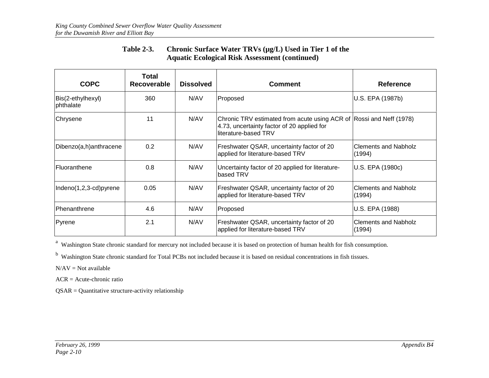### **Table 2-3. Chronic Surface Water TRVs (µg/L) Used in Tier 1 of the Aquatic Ecological Risk Assessment (continued)**

| <b>COPC</b>                    | Total<br><b>Recoverable</b> | <b>Dissolved</b> | <b>Comment</b>                                                                                                                            | <b>Reference</b>                      |
|--------------------------------|-----------------------------|------------------|-------------------------------------------------------------------------------------------------------------------------------------------|---------------------------------------|
| Bis(2-ethylhexyl)<br>phthalate | 360                         | N/AV             | Proposed                                                                                                                                  | U.S. EPA (1987b)                      |
| Chrysene                       | 11                          | N/AV             | Chronic TRV estimated from acute using ACR of Rossi and Neff (1978)<br>4.73, uncertainty factor of 20 applied for<br>literature-based TRV |                                       |
| Dibenzo(a,h)anthracene         | 0.2                         | N/AV             | Freshwater QSAR, uncertainty factor of 20<br>applied for literature-based TRV                                                             | <b>Clements and Nabholz</b><br>(1994) |
| Fluoranthene                   | 0.8                         | N/AV             | Uncertainty factor of 20 applied for literature-<br>based TRV                                                                             | U.S. EPA (1980c)                      |
| Indeno(1,2,3-cd)pyrene         | 0.05                        | N/AV             | Freshwater QSAR, uncertainty factor of 20<br>applied for literature-based TRV                                                             | <b>Clements and Nabholz</b><br>(1994) |
| <b>IPhenanthrene</b>           | 4.6                         | N/AV             | Proposed                                                                                                                                  | U.S. EPA (1988)                       |
| Pyrene                         | 2.1                         | N/AV             | Freshwater QSAR, uncertainty factor of 20<br><b>Clements and Nabholz</b><br>applied for literature-based TRV<br>(1994)                    |                                       |

<sup>a</sup> Washington State chronic standard for mercury not included because it is based on protection of human health for fish consumption.

<sup>b</sup> Washington State chronic standard for Total PCBs not included because it is based on residual concentrations in fish tissues.

 $N/AV = Not available$ 

ACR = Acute-chronic ratio

 $\text{QSAR} = \text{Quantitative structure-activity relationship}$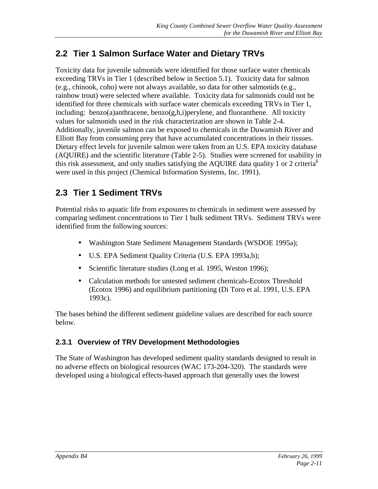### <span id="page-24-0"></span>**2.2 Tier 1 Salmon Surface Water and Dietary TRVs**

Toxicity data for juvenile salmonids were identified for those surface water chemicals exceeding TRVs in Tier 1 (described below in Section 5.1). Toxicity data for salmon (e.g., chinook, coho) were not always available, so data for other salmonids (e.g., rainbow trout) were selected where available. Toxicity data for salmonids could not be identified for three chemicals with surface water chemicals exceeding TRVs in Tier 1, including: benzo(a)anthracene, benzo(g,h,i)perylene, and fluoranthene. All toxicity values for salmonids used in the risk characterization are shown in Table 2-4. Additionally, juvenile salmon can be exposed to chemicals in the Duwamish River and Elliott Bay from consuming prey that have accumulated concentrations in their tissues. Dietary effect levels for juvenile salmon were taken from an U.S. EPA toxicity database (AQUIRE) and the scientific literature (Table 2-5). Studies were screened for usability in this risk assessment, and only studies satisfying the AQUIRE data quality 1 or 2 criteria<sup>6</sup> were used in this project (Chemical Information Systems, Inc. 1991).

### **2.3 Tier 1 Sediment TRVs**

Potential risks to aquatic life from exposures to chemicals in sediment were assessed by comparing sediment concentrations to Tier 1 bulk sediment TRVs. Sediment TRVs were identified from the following sources:

- Washington State Sediment Management Standards (WSDOE 1995a);
- U.S. EPA Sediment Quality Criteria (U.S. EPA 1993a,b);
- Scientific literature studies (Long et al. 1995, Weston 1996);
- Calculation methods for untested sediment chemicals-Ecotox Threshold (Ecotox 1996) and equilibrium partitioning (Di Toro et al. 1991, U.S. EPA 1993c).

The bases behind the different sediment guideline values are described for each source below.

### **2.3.1 Overview of TRV Development Methodologies**

The State of Washington has developed sediment quality standards designed to result in no adverse effects on biological resources (WAC 173-204-320). The standards were developed using a biological effects-based approach that generally uses the lowest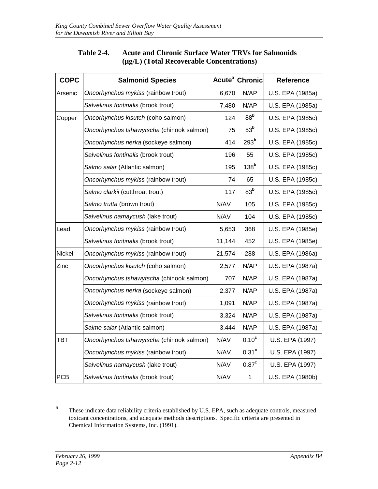<span id="page-25-0"></span>

| <b>COPC</b>   | <b>Salmonid Species</b>                   |        | Acute <sup>a</sup> Chronic | <b>Reference</b> |
|---------------|-------------------------------------------|--------|----------------------------|------------------|
| Arsenic       | Oncorhynchus mykiss (rainbow trout)       | 6,670  | N/AP                       | U.S. EPA (1985a) |
|               | Salvelinus fontinalis (brook trout)       | 7,480  | N/AP                       | U.S. EPA (1985a) |
| Copper        | Oncorhynchus kisutch (coho salmon)        | 124    | 88 <sup>b</sup>            | U.S. EPA (1985c) |
|               | Oncorhynchus tshawytscha (chinook salmon) | 75     | 53 <sup>b</sup>            | U.S. EPA (1985c) |
|               | Oncorhynchus nerka (sockeye salmon)       | 414    | 293 <sup>b</sup>           | U.S. EPA (1985c) |
|               | Salvelinus fontinalis (brook trout)       | 196    | 55                         | U.S. EPA (1985c) |
|               | Salmo salar (Atlantic salmon)             | 195    | 138 <sup>b</sup>           | U.S. EPA (1985c) |
|               | Oncorhynchus mykiss (rainbow trout)       | 74     | 65                         | U.S. EPA (1985c) |
|               | Salmo clarkii (cutthroat trout)           | 117    | 83 <sup>b</sup>            | U.S. EPA (1985c) |
|               | Salmo trutta (brown trout)                | N/AV   | 105                        | U.S. EPA (1985c) |
|               | Salvelinus namaycush (lake trout)         | N/AV   | 104                        | U.S. EPA (1985c) |
| Lead          | Oncorhynchus mykiss (rainbow trout)       | 5,653  | 368                        | U.S. EPA (1985e) |
|               | Salvelinus fontinalis (brook trout)       | 11,144 | 452                        | U.S. EPA (1985e) |
| <b>Nickel</b> | Oncorhynchus mykiss (rainbow trout)       | 21,574 | 288                        | U.S. EPA (1986a) |
| Zinc          | Oncorhynchus kisutch (coho salmon)        | 2,577  | N/AP                       | U.S. EPA (1987a) |
|               | Oncorhynchus tshawytscha (chinook salmon) | 707    | N/AP                       | U.S. EPA (1987a) |
|               | Oncorhynchus nerka (sockeye salmon)       | 2,377  | N/AP                       | U.S. EPA (1987a) |
|               | Oncorhynchus mykiss (rainbow trout)       | 1,091  | N/AP                       | U.S. EPA (1987a) |
|               | Salvelinus fontinalis (brook trout)       | 3,324  | N/AP                       | U.S. EPA (1987a) |
|               | Salmo salar (Atlantic salmon)             | 3,444  | N/AP                       | U.S. EPA (1987a) |
| TBT           | Oncorhynchus tshawytscha (chinook salmon) | N/AV   | 0.10 <sup>c</sup>          | U.S. EPA (1997)  |
|               | Oncorhynchus mykiss (rainbow trout)       | N/AV   | $0.31$ °                   | U.S. EPA (1997)  |
|               | Salvelinus namaycush (lake trout)         | N/AV   | 0.87 <sup>c</sup>          | U.S. EPA (1997)  |
| <b>PCB</b>    | Salvelinus fontinalis (brook trout)       | N/AV   | $\mathbf{1}$               | U.S. EPA (1980b) |

### **Table 2-4. Acute and Chronic Surface Water TRVs for Salmonids (µg/L) (Total Recoverable Concentrations)**

6 These indicate data reliability criteria established by U.S. EPA, such as adequate controls, measured toxicant concentrations, and adequate methods descriptions. Specific criteria are presented in Chemical Information Systems, Inc. (1991).

 $\overline{a}$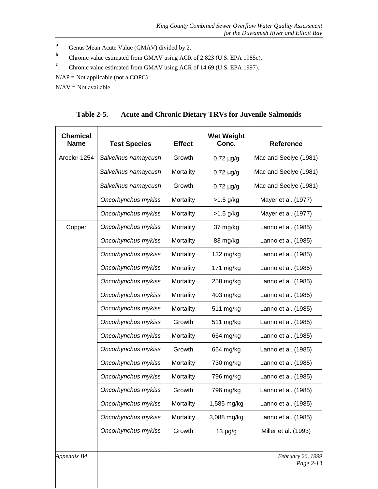- <span id="page-26-0"></span>**a** Genus Mean Acute Value (GMAV) divided by 2.
- **b** Chronic value estimated from GMAV using ACR of 2.823 (U.S. EPA 1985c).
- **<sup>c</sup>** Chronic value estimated from GMAV using ACR of 14.69 (U.S. EPA 1997).
- N/AP = Not applicable (not a COPC)

 $N/AV = Not available$ 

**Table 2-5. Acute and Chronic Dietary TRVs for Juvenile Salmonids**

| <b>Chemical</b><br><b>Name</b> | <b>Test Species</b>  | <b>Effect</b> | <b>Wet Weight</b><br>Conc. | <b>Reference</b>               |
|--------------------------------|----------------------|---------------|----------------------------|--------------------------------|
| Aroclor 1254                   | Salvelinus namaycush | Growth        | $0.72 \mu g/g$             | Mac and Seelye (1981)          |
|                                | Salvelinus namaycush | Mortality     | $0.72 \mu g/g$             | Mac and Seelye (1981)          |
|                                | Salvelinus namaycush | Growth        | $0.72 \mu g/g$             | Mac and Seelye (1981)          |
|                                | Oncorhynchus mykiss  | Mortality     | $>1.5$ g/kg                | Mayer et al. (1977)            |
|                                | Oncorhynchus mykiss  | Mortality     | $>1.5$ g/kg                | Mayer et al. (1977)            |
| Copper                         | Oncorhynchus mykiss  | Mortality     | 37 mg/kg                   | Lanno et al. (1985)            |
|                                | Oncorhynchus mykiss  | Mortality     | 83 mg/kg                   | Lanno et al. (1985)            |
|                                | Oncorhynchus mykiss  | Mortality     | 132 mg/kg                  | Lanno et al. (1985)            |
|                                | Oncorhynchus mykiss  | Mortality     | 171 mg/kg                  | Lanno et al. (1985)            |
|                                | Oncorhynchus mykiss  | Mortality     | 258 mg/kg                  | Lanno et al. (1985)            |
|                                | Oncorhynchus mykiss  | Mortality     | 403 mg/kg                  | Lanno et al. (1985)            |
|                                | Oncorhynchus mykiss  | Mortality     | 511 mg/kg                  | Lanno et al. (1985)            |
|                                | Oncorhynchus mykiss  | Growth        | 511 mg/kg                  | Lanno et al. (1985)            |
|                                | Oncorhynchus mykiss  | Mortality     | 664 mg/kg                  | Lanno et al. (1985)            |
|                                | Oncorhynchus mykiss  | Growth        | 664 mg/kg                  | Lanno et al. (1985)            |
|                                | Oncorhynchus mykiss  | Mortality     | 730 mg/kg                  | Lanno et al. (1985)            |
|                                | Oncorhynchus mykiss  | Mortality     | 796 mg/kg                  | Lanno et al. (1985)            |
|                                | Oncorhynchus mykiss  | Growth        | 796 mg/kg                  | Lanno et al. (1985)            |
|                                | Oncorhynchus mykiss  | Mortality     | 1,585 mg/kg                | Lanno et al. (1985)            |
|                                | Oncorhynchus mykiss  | Mortality     | 3,088 mg/kg                | Lanno et al. (1985)            |
|                                | Oncorhynchus mykiss  | Growth        | $13 \mu g/g$               | Miller et al. (1993)           |
| Appendix B4                    |                      |               |                            | February 26, 1999<br>Page 2-13 |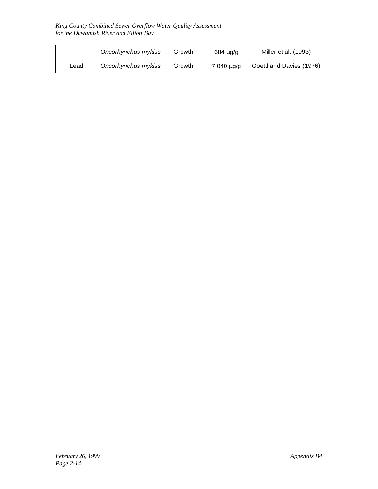|      | Oncorhynchus mykiss | Growth | 684 µg/g   | Miller et al. (1993)     |
|------|---------------------|--------|------------|--------------------------|
| ∟ead | Oncorhynchus mykiss | Growth | 7,040 µg/g | Goettl and Davies (1976) |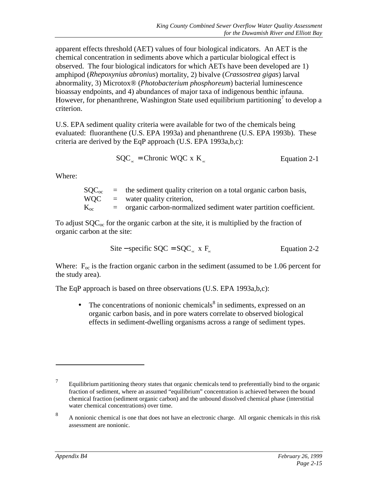apparent effects threshold (AET) values of four biological indicators. An AET is the chemical concentration in sediments above which a particular biological effect is observed. The four biological indicators for which AETs have been developed are 1) amphipod (*Rhepoxynius abronius*) mortality, 2) bivalve (*Crassostrea gigas*) larval abnormality, 3) Microtox® (*Photobacterium phosphoreum*) bacterial luminescence bioassay endpoints, and 4) abundances of major taxa of indigenous benthic infauna. However, for phenanthrene, Washington State used equilibrium partitioning<sup>7</sup> to develop a criterion.

U.S. EPA sediment quality criteria were available for two of the chemicals being evaluated: fluoranthene (U.S. EPA 1993a) and phenanthrene (U.S. EPA 1993b). These criteria are derived by the EqP approach (U.S. EPA 1993a,b,c):

$$
SQC_{\infty} = \text{Chronic WQC x K}_{\infty} \qquad \text{Equation 2-1}
$$

Where:

|            | $\text{SOC}_{\text{oc}}$ = the sediment quality criterion on a total organic carbon basis, |
|------------|--------------------------------------------------------------------------------------------|
| <b>WOC</b> | $=$ water quality criterion,                                                               |
| $K_{oc}$   | $=$ organic carbon-normalized sediment water partition coefficient.                        |

To adjust  $SQC_{oc}$  for the organic carbon at the site, it is multiplied by the fraction of organic carbon at the site:

$$
Site-specific SQC = SQC_{\infty} \times F_{\infty}
$$
 Equation 2-2

Where:  $F_{\text{oc}}$  is the fraction organic carbon in the sediment (assumed to be 1.06 percent for the study area).

The EqP approach is based on three observations (U.S. EPA 1993a,b,c):

• The concentrations of nonionic chemicals $\delta$  in sediments, expressed on an organic carbon basis, and in pore waters correlate to observed biological effects in sediment-dwelling organisms across a range of sediment types.

 $\overline{a}$ 

<sup>7</sup> Equilibrium partitioning theory states that organic chemicals tend to preferentially bind to the organic fraction of sediment, where an assumed "equilibrium" concentration is achieved between the bound chemical fraction (sediment organic carbon) and the unbound dissolved chemical phase (interstitial water chemical concentrations) over time.

<sup>8</sup> A nonionic chemical is one that does not have an electronic charge. All organic chemicals in this risk assessment are nonionic.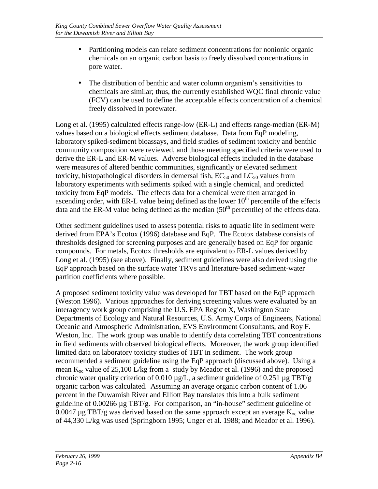- Partitioning models can relate sediment concentrations for nonionic organic chemicals on an organic carbon basis to freely dissolved concentrations in pore water.
- The distribution of benthic and water column organism's sensitivities to chemicals are similar; thus, the currently established WQC final chronic value (FCV) can be used to define the acceptable effects concentration of a chemical freely dissolved in porewater.

Long et al. (1995) calculated effects range-low (ER-L) and effects range-median (ER-M) values based on a biological effects sediment database. Data from EqP modeling, laboratory spiked-sediment bioassays, and field studies of sediment toxicity and benthic community composition were reviewed, and those meeting specified criteria were used to derive the ER-L and ER-M values. Adverse biological effects included in the database were measures of altered benthic communities, significantly or elevated sediment toxicity, histopathological disorders in demersal fish,  $EC_{50}$  and  $LC_{50}$  values from laboratory experiments with sediments spiked with a single chemical, and predicted toxicity from EqP models. The effects data for a chemical were then arranged in ascending order, with ER-L value being defined as the lower  $10<sup>th</sup>$  percentile of the effects data and the ER-M value being defined as the median  $(50<sup>th</sup>$  percentile) of the effects data.

Other sediment guidelines used to assess potential risks to aquatic life in sediment were derived from EPA's Ecotox (1996) database and EqP. The Ecotox database consists of thresholds designed for screening purposes and are generally based on EqP for organic compounds. For metals, Ecotox thresholds are equivalent to ER-L values derived by Long et al. (1995) (see above). Finally, sediment guidelines were also derived using the EqP approach based on the surface water TRVs and literature-based sediment-water partition coefficients where possible.

A proposed sediment toxicity value was developed for TBT based on the EqP approach (Weston 1996). Various approaches for deriving screening values were evaluated by an interagency work group comprising the U.S. EPA Region X, Washington State Departments of Ecology and Natural Resources, U.S. Army Corps of Engineers, National Oceanic and Atmospheric Administration, EVS Environment Consultants, and Roy F. Weston, Inc. The work group was unable to identify data correlating TBT concentrations in field sediments with observed biological effects. Moreover, the work group identified limited data on laboratory toxicity studies of TBT in sediment. The work group recommended a sediment guideline using the EqP approach (discussed above). Using a mean  $K_{\alpha}$  value of 25,100 L/kg from a study by Meador et al. (1996) and the proposed chronic water quality criterion of 0.010  $\mu$ g/L, a sediment guideline of 0.251  $\mu$ g TBT/g organic carbon was calculated. Assuming an average organic carbon content of 1.06 percent in the Duwamish River and Elliott Bay translates this into a bulk sediment guideline of 0.00266 µg TBT/g. For comparison, an "in-house" sediment guideline of 0.0047 ug TBT/g was derived based on the same approach except an average  $K_{\infty}$  value of 44,330 L/kg was used (Springborn 1995; Unger et al. 1988; and Meador et al. 1996).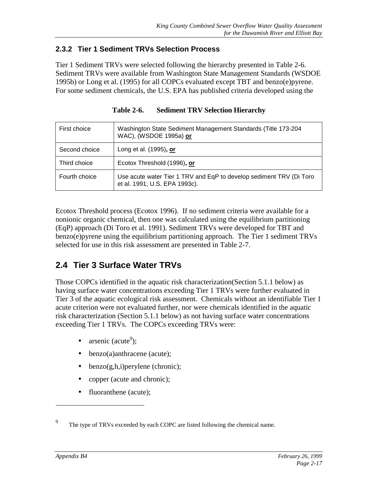### <span id="page-30-0"></span>**2.3.2 Tier 1 Sediment TRVs Selection Process**

Tier 1 Sediment TRVs were selected following the hierarchy presented in Table 2-6. Sediment TRVs were available from Washington State Management Standards (WSDOE 1995b) or Long et al. (1995) for all COPCs evaluated except TBT and benzo(e)pyrene. For some sediment chemicals, the U.S. EPA has published criteria developed using the

| First choice  | Washington State Sediment Management Standards (Title 173-204<br>WAC), (WSDOE 1995a) or              |
|---------------|------------------------------------------------------------------------------------------------------|
| Second choice | Long et al. (1995), or                                                                               |
| Third choice  | Ecotox Threshold (1996), or                                                                          |
| Fourth choice | Use acute water Tier 1 TRV and EqP to develop sediment TRV (Di Toro<br>et al. 1991; U.S. EPA 1993c). |

**Table 2-6. Sediment TRV Selection Hierarchy**

Ecotox Threshold process (Ecotox 1996). If no sediment criteria were available for a nonionic organic chemical, then one was calculated using the equilibrium partitioning (EqP) approach (Di Toro et al. 1991). Sediment TRVs were developed for TBT and benzo(e)pyrene using the equilibrium partitioning approach. The Tier 1 sediment TRVs selected for use in this risk assessment are presented in Table 2-7.

### **2.4 Tier 3 Surface Water TRVs**

Those COPCs identified in the aquatic risk characterization(Section 5.1.1 below) as having surface water concentrations exceeding Tier 1 TRVs were further evaluated in Tier 3 of the aquatic ecological risk assessment. Chemicals without an identifiable Tier 1 acute criterion were not evaluated further, nor were chemicals identified in the aquatic risk characterization (Section 5.1.1 below) as not having surface water concentrations exceeding Tier 1 TRVs. The COPCs exceeding TRVs were:

- arsenic (acute<sup>9</sup>);
- benzo(a)anthracene (acute);
- $\bullet$  benzo(g,h,i)perylene (chronic);
- copper (acute and chronic);
- fluoranthene (acute);

 $\overline{a}$ 

<sup>9</sup> The type of TRVs exceeded by each COPC are listed following the chemical name.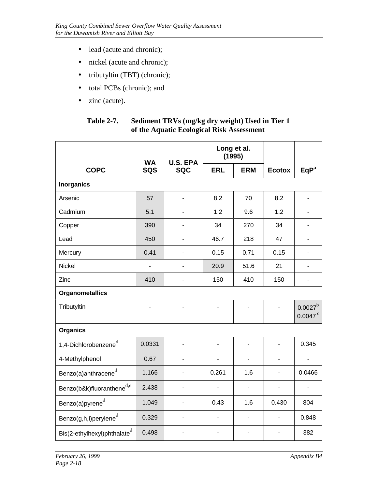- <span id="page-31-0"></span>• lead (acute and chronic);
- nickel (acute and chronic);
- tributyltin (TBT) (chronic);
- total PCBs (chronic); and
- zinc (acute).

| <b>Table 2-7.</b> | Sediment TRVs (mg/kg dry weight) Used in Tier 1 |
|-------------------|-------------------------------------------------|
|                   | of the Aquatic Ecological Risk Assessment       |

|                                         | <b>WA</b>  | <b>U.S. EPA</b>          | Long et al.<br>(1995)    |                          |                |                                     |
|-----------------------------------------|------------|--------------------------|--------------------------|--------------------------|----------------|-------------------------------------|
| <b>COPC</b>                             | <b>SQS</b> | <b>SQC</b>               | <b>ERL</b>               | <b>ERM</b>               | <b>Ecotox</b>  | EqP <sup>a</sup>                    |
| <b>Inorganics</b>                       |            |                          |                          |                          |                |                                     |
| Arsenic                                 | 57         | ä,                       | 8.2                      | 70                       | 8.2            | $\overline{\phantom{a}}$            |
| Cadmium                                 | 5.1        |                          | 1.2                      | 9.6                      | 1.2            |                                     |
| Copper                                  | 390        |                          | 34                       | 270                      | 34             |                                     |
| Lead                                    | 450        |                          | 46.7                     | 218                      | 47             | $\overline{\phantom{0}}$            |
| Mercury                                 | 0.41       | L,                       | 0.15                     | 0.71                     | 0.15           | $\blacksquare$                      |
| Nickel                                  |            |                          | 20.9                     | 51.6                     | 21             |                                     |
| Zinc                                    | 410        | L.                       | 150                      | 410                      | 150            | $\overline{\phantom{a}}$            |
| <b>Organometallics</b>                  |            |                          |                          |                          |                |                                     |
| Tributyltin                             | -          |                          | $\overline{\phantom{0}}$ | $\overline{\phantom{0}}$ | $\blacksquare$ | $0.0027^b$<br>$0.0047$ <sup>c</sup> |
| <b>Organics</b>                         |            |                          |                          |                          |                |                                     |
| 1,4-Dichlorobenzene $^d$                | 0.0331     | $\overline{a}$           | $\overline{a}$           | $\overline{a}$           | $\overline{a}$ | 0.345                               |
| 4-Methylphenol                          | 0.67       | $\overline{\phantom{0}}$ | $\blacksquare$           | -                        | $\blacksquare$ | $\blacksquare$                      |
| Benzo(a)anthracene $^d$                 | 1.166      | ä,                       | 0.261                    | 1.6                      | $\blacksquare$ | 0.0466                              |
| Benzo(b&k)fluoranthene $^{d,e}$         | 2.438      | $\overline{a}$           | $\overline{\phantom{a}}$ | $\overline{\phantom{0}}$ | $\blacksquare$ | $\overline{\phantom{a}}$            |
| Benzo(a)pyrene $^d$                     | 1.049      |                          | 0.43                     | 1.6                      | 0.430          | 804                                 |
| Benzo(g,h,i)perylene $^{\rm d}$         | 0.329      |                          |                          | ٠                        | $\blacksquare$ | 0.848                               |
| Bis(2-ethylhexyl)phthalate <sup>d</sup> | 0.498      |                          |                          |                          |                | 382                                 |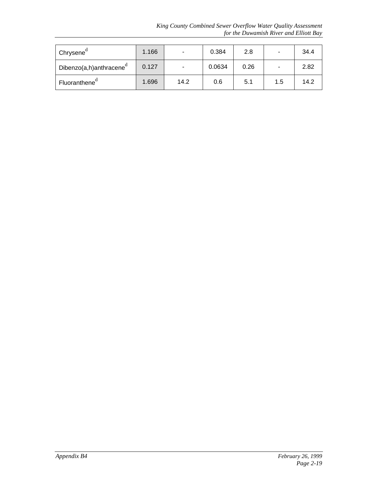*King County Combined Sewer Overflow Water Quality Assessment for the Duwamish River and Elliott Bay*

| Chrysene <sup>a</sup>               | 1.166 | -    | 0.384  | 2.8  | -   | 34.4 |
|-------------------------------------|-------|------|--------|------|-----|------|
| Dibenzo(a,h)anthracene <sup>d</sup> | 0.127 |      | 0.0634 | 0.26 | -   | 2.82 |
| Fluoranthene <sup>"</sup>           | 1.696 | 14.2 | 0.6    | 5.1  | 1.5 | 14.2 |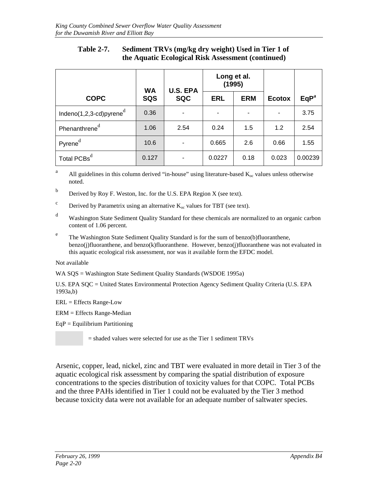### **Table 2-7. Sediment TRVs (mg/kg dry weight) Used in Tier 1 of the Aquatic Ecological Risk Assessment (continued)**

|                             | <b>WA</b> | <b>U.S. EPA</b> | Long et al.<br>(1995) |            |               |                  |
|-----------------------------|-----------|-----------------|-----------------------|------------|---------------|------------------|
| <b>COPC</b>                 | SQS       | <b>SQC</b>      | <b>ERL</b>            | <b>ERM</b> | <b>Ecotox</b> | EqP <sup>a</sup> |
| Indeno(1,2,3-cd)pyrene $^d$ | 0.36      |                 |                       |            |               | 3.75             |
| Phenanthrene <sup>d</sup>   | 1.06      | 2.54            | 0.24                  | 1.5        | 1.2           | 2.54             |
| Pyrene <sup>d</sup>         | 10.6      |                 | 0.665                 | 2.6        | 0.66          | 1.55             |
| Total PCBs <sup>d</sup>     | 0.127     |                 | 0.0227                | 0.18       | 0.023         | 0.00239          |

<sup>a</sup> All guidelines in this column derived "in-house" using literature-based  $K_{oc}$  values unless otherwise noted.

- <sup>b</sup> Derived by Roy F. Weston, Inc. for the U.S. EPA Region X (see text).
- <sup>c</sup> Derived by Parametrix using an alternative  $K_{oc}$  values for TBT (see text).
- <sup>d</sup> Washington State Sediment Quality Standard for these chemicals are normalized to an organic carbon content of 1.06 percent.
- <sup>e</sup> The Washington State Sediment Quality Standard is for the sum of benzo(b)fluoranthene, benzo(j)fluoranthene, and benzo(k)fluoranthene. However, benzo(j)fluoranthene was not evaluated in this aquatic ecological risk assessment, nor was it available form the EFDC model.

#### Not available

WA SQS = Washington State Sediment Quality Standards (WSDOE 1995a)

U.S. EPA SQC = United States Environmental Protection Agency Sediment Quality Criteria (U.S. EPA 1993a,b)

ERL = Effects Range-Low

ERM = Effects Range-Median

 $EqP = Equilibrium$  Partitioning

= shaded values were selected for use as the Tier 1 sediment TRVs

Arsenic, copper, lead, nickel, zinc and TBT were evaluated in more detail in Tier 3 of the aquatic ecological risk assessment by comparing the spatial distribution of exposure concentrations to the species distribution of toxicity values for that COPC. Total PCBs and the three PAHs identified in Tier 1 could not be evaluated by the Tier 3 method because toxicity data were not available for an adequate number of saltwater species.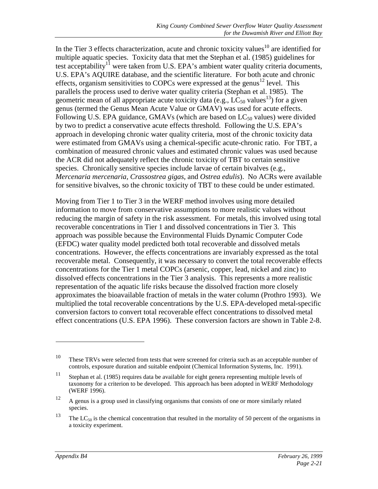In the Tier 3 effects characterization, acute and chronic toxicity values $10$  are identified for multiple aquatic species. Toxicity data that met the Stephan et al. (1985) guidelines for test acceptability<sup>11</sup> were taken from U.S. EPA's ambient water quality criteria documents, U.S. EPA's AQUIRE database, and the scientific literature. For both acute and chronic effects, organism sensitivities to COPCs were expressed at the genus<sup>12</sup> level. This parallels the process used to derive water quality criteria (Stephan et al. 1985). The geometric mean of all appropriate acute toxicity data (e.g.,  $LC_{50}$  values<sup>13</sup>) for a given genus (termed the Genus Mean Acute Value or GMAV) was used for acute effects. Following U.S. EPA guidance, GMAVs (which are based on  $LC_{50}$  values) were divided by two to predict a conservative acute effects threshold. Following the U.S. EPA's approach in developing chronic water quality criteria, most of the chronic toxicity data were estimated from GMAVs using a chemical-specific acute-chronic ratio. For TBT, a combination of measured chronic values and estimated chronic values was used because the ACR did not adequately reflect the chronic toxicity of TBT to certain sensitive species. Chronically sensitive species include larvae of certain bivalves (e.g., *Mercenaria mercenaria, Crassostrea gigas*, and *Ostrea edulis*). No ACRs were available for sensitive bivalves, so the chronic toxicity of TBT to these could be under estimated.

Moving from Tier 1 to Tier 3 in the WERF method involves using more detailed information to move from conservative assumptions to more realistic values without reducing the margin of safety in the risk assessment. For metals, this involved using total recoverable concentrations in Tier 1 and dissolved concentrations in Tier 3. This approach was possible because the Environmental Fluids Dynamic Computer Code (EFDC) water quality model predicted both total recoverable and dissolved metals concentrations. However, the effects concentrations are invariably expressed as the total recoverable metal. Consequently, it was necessary to convert the total recoverable effects concentrations for the Tier 1 metal COPCs (arsenic, copper, lead, nickel and zinc) to dissolved effects concentrations in the Tier 3 analysis. This represents a more realistic representation of the aquatic life risks because the dissolved fraction more closely approximates the bioavailable fraction of metals in the water column (Prothro 1993). We multiplied the total recoverable concentrations by the U.S. EPA-developed metal-specific conversion factors to convert total recoverable effect concentrations to dissolved metal effect concentrations (U.S. EPA 1996). These conversion factors are shown in Table 2-8.

 $\overline{a}$ 

<sup>&</sup>lt;sup>10</sup> These TRVs were selected from tests that were screened for criteria such as an acceptable number of controls, exposure duration and suitable endpoint (Chemical Information Systems, Inc. 1991).

<sup>&</sup>lt;sup>11</sup> Stephan et al. (1985) requires data be available for eight genera representing multiple levels of taxonomy for a criterion to be developed. This approach has been adopted in WERF Methodology (WERF 1996).

<sup>&</sup>lt;sup>12</sup> A genus is a group used in classifying organisms that consists of one or more similarly related species.

<sup>&</sup>lt;sup>13</sup> The LC<sub>50</sub> is the chemical concentration that resulted in the mortality of 50 percent of the organisms in a toxicity experiment.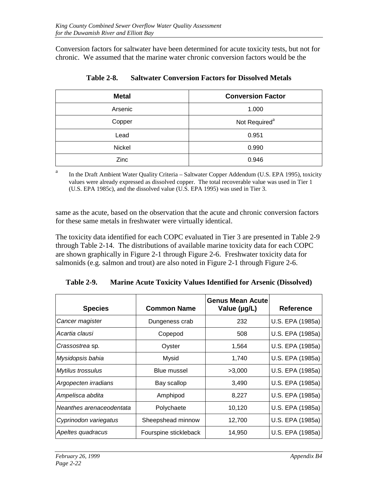<span id="page-35-0"></span>Conversion factors for saltwater have been determined for acute toxicity tests, but not for chronic. We assumed that the marine water chronic conversion factors would be the

| <b>Metal</b> | <b>Conversion Factor</b>  |
|--------------|---------------------------|
| Arsenic      | 1.000                     |
| Copper       | Not Required <sup>a</sup> |
| Lead         | 0.951                     |
| Nickel       | 0.990                     |
| Zinc         | 0.946                     |

**Table 2-8. Saltwater Conversion Factors for Dissolved Metals**

<sup>a</sup> In the Draft Ambient Water Quality Criteria – Saltwater Copper Addendum (U.S. EPA 1995), toxicity values were already expressed as dissolved copper. The total recoverable value was used in Tier 1 (U.S. EPA 1985c), and the dissolved value (U.S. EPA 1995) was used in Tier 3.

same as the acute, based on the observation that the acute and chronic conversion factors for these same metals in freshwater were virtually identical.

The toxicity data identified for each COPC evaluated in Tier 3 are presented in Table 2-9 through Table 2-14. The distributions of available marine toxicity data for each COPC are shown graphically in Figure 2-1 through Figure 2-6. Freshwater toxicity data for salmonids (e.g. salmon and trout) are also noted in Figure 2-1 through Figure 2-6.

| <b>Species</b>           | <b>Common Name</b>    | Genus Mean Acute<br>Value (µg/L) | Reference        |
|--------------------------|-----------------------|----------------------------------|------------------|
| Cancer magister          | Dungeness crab        | 232                              | U.S. EPA (1985a) |
| Acartia clausi           | Copepod               | 508                              | U.S. EPA (1985a) |
| Crassostrea sp.          | Oyster                | 1,564                            | U.S. EPA (1985a) |
| Mysidopsis bahia         | Mysid                 | 1,740                            | U.S. EPA (1985a) |
| <b>Mytilus trossulus</b> | Blue mussel           | >3,000                           | U.S. EPA (1985a) |
| Argopecten irradians     | Bay scallop           | 3,490                            | U.S. EPA (1985a) |
| Ampelisca abdita         | Amphipod              | 8,227                            | U.S. EPA (1985a) |
| Neanthes arenaceodentata | Polychaete            | 10,120                           | U.S. EPA (1985a) |
| Cyprinodon variegatus    | Sheepshead minnow     | 12,700                           | U.S. EPA (1985a) |
| Apeltes quadracus        | Fourspine stickleback | 14,950                           | U.S. EPA (1985a) |

**Table 2-9. Marine Acute Toxicity Values Identified for Arsenic (Dissolved)**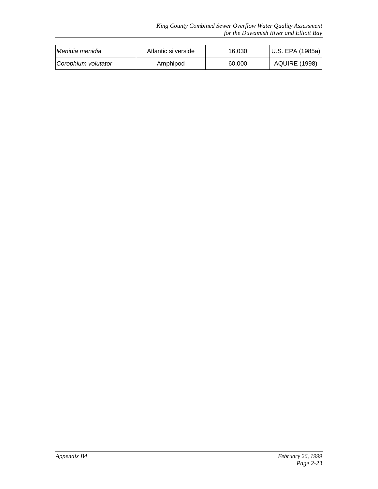| Menidia menidia     | Atlantic silverside | 16.030 | U.S. EPA (1985a)     |
|---------------------|---------------------|--------|----------------------|
| Corophium volutator | Amphipod            | 60,000 | <b>AQUIRE (1998)</b> |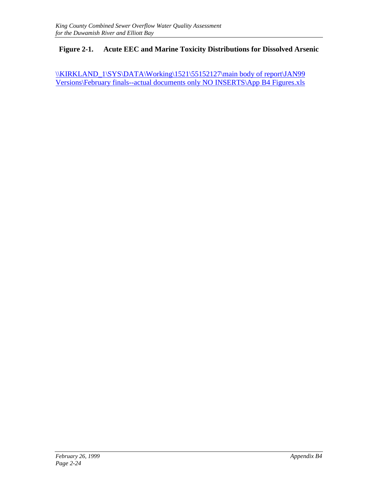### **Figure 2-1. Acute EEC and Marine Toxicity Distributions for Dissolved Arsenic**

\\XIRKLAND\_1\SYS\DATA\Working\1521\55152127\main body of report\JAN99 Versions\February finals--actual documents only NO INSERTS\App B4 Figures.xls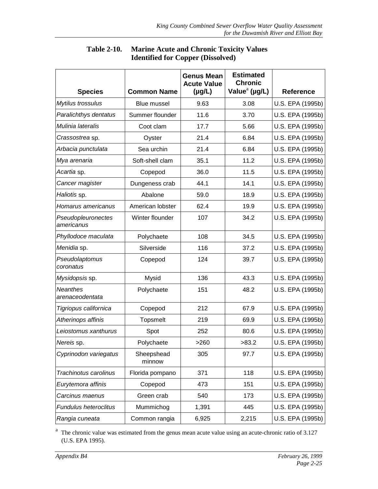| <b>Species</b>                     | <b>Common Name</b>   | <b>Genus Mean</b><br><b>Acute Value</b><br>$(\mu g/L)$ | <b>Estimated</b><br><b>Chronic</b><br>Value <sup>a</sup> (µg/L) | <b>Reference</b> |
|------------------------------------|----------------------|--------------------------------------------------------|-----------------------------------------------------------------|------------------|
| Mytilus trossulus                  | <b>Blue mussel</b>   | 9.63                                                   | 3.08                                                            | U.S. EPA (1995b) |
| Paralichthys dentatus              | Summer flounder      | 11.6                                                   | 3.70                                                            | U.S. EPA (1995b) |
| Mulinia lateralis                  | Coot clam            | 17.7                                                   | 5.66                                                            | U.S. EPA (1995b) |
| Crassostrea sp.                    | Oyster               | 21.4                                                   | 6.84                                                            | U.S. EPA (1995b) |
| Arbacia punctulata                 | Sea urchin           | 21.4                                                   | 6.84                                                            | U.S. EPA (1995b) |
| Mya arenaria                       | Soft-shell clam      | 35.1                                                   | 11.2                                                            | U.S. EPA (1995b) |
| Acartia sp.                        | Copepod              | 36.0                                                   | 11.5                                                            | U.S. EPA (1995b) |
| Cancer magister                    | Dungeness crab       | 44.1                                                   | 14.1                                                            | U.S. EPA (1995b) |
| Haliotis sp.                       | Abalone              | 59.0                                                   | 18.9                                                            | U.S. EPA (1995b) |
| Homarus americanus                 | American lobster     | 62.4                                                   | 19.9                                                            | U.S. EPA (1995b) |
| Pseudopleuronectes<br>americanus   | Winter flounder      | 107                                                    | 34.2                                                            | U.S. EPA (1995b) |
| Phyllodoce maculata                | Polychaete           | 108                                                    | 34.5                                                            | U.S. EPA (1995b) |
| Menidia sp.                        | Silverside           | 116                                                    | 37.2                                                            | U.S. EPA (1995b) |
| Pseudolaptomus<br>coronatus        | Copepod              | 124                                                    | 39.7                                                            | U.S. EPA (1995b) |
| Mysidopsis sp.                     | Mysid                | 136                                                    | 43.3                                                            | U.S. EPA (1995b) |
| <b>Neanthes</b><br>arenaceodentata | Polychaete           | 151                                                    | 48.2                                                            | U.S. EPA (1995b) |
| Tigriopus californica              | Copepod              | 212                                                    | 67.9                                                            | U.S. EPA (1995b) |
| Atherinops affinis                 | <b>Topsmelt</b>      | 219                                                    | 69.9                                                            | U.S. EPA (1995b) |
| Leiostomus xanthurus               | Spot                 | 252                                                    | 80.6                                                            | U.S. EPA (1995b) |
| Nereis sp.                         | Polychaete           | >260                                                   | >83.2                                                           | U.S. EPA (1995b) |
| Cyprinodon variegatus              | Sheepshead<br>minnow | 305                                                    | 97.7                                                            | U.S. EPA (1995b) |
| Trachinotus carolinus              | Florida pompano      | 371                                                    | 118                                                             | U.S. EPA (1995b) |
| Eurytemora affinis                 | Copepod              | 473                                                    | 151                                                             | U.S. EPA (1995b) |
| Carcinus maenus                    | Green crab           | 540                                                    | 173                                                             | U.S. EPA (1995b) |
| Fundulus heteroclitus              | Mummichog            | 1,391                                                  | 445                                                             | U.S. EPA (1995b) |
| Rangia cuneata                     | Common rangia        | 6,925                                                  | 2,215                                                           | U.S. EPA (1995b) |

#### **Table 2-10. Marine Acute and Chronic Toxicity Values Identified for Copper (Dissolved)**

<sup>a</sup> The chronic value was estimated from the genus mean acute value using an acute-chronic ratio of 3.127 (U.S. EPA 1995).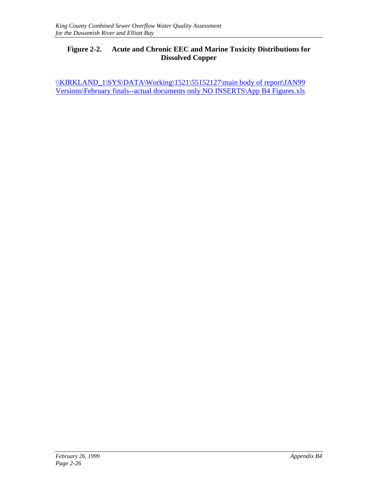#### **Figure 2-2. Acute and Chronic EEC and Marine Toxicity Distributions for Dissolved Copper**

\\XIRKLAND\_1\SYS\DATA\Working\1521\55152127\main body of report\JAN99 Versions\February finals--actual documents only NO INSERTS\App B4 Figures.xls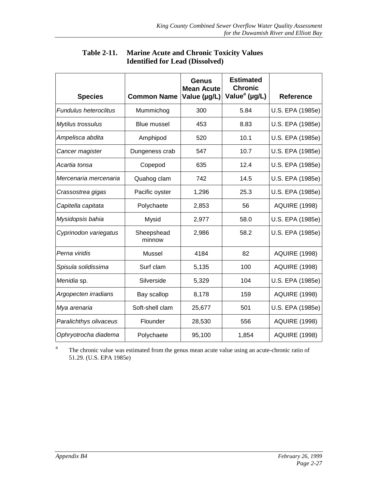| <b>Species</b>               | <b>Common Name</b>   | Genus<br><b>Mean Acute</b><br>Value (µg/L) | <b>Estimated</b><br><b>Chronic</b><br>Value <sup>a</sup> (µg/L) | <b>Reference</b>     |
|------------------------------|----------------------|--------------------------------------------|-----------------------------------------------------------------|----------------------|
| <b>Fundulus heteroclitus</b> | Mummichog            | 300                                        | 5.84                                                            | U.S. EPA (1985e)     |
| Mytilus trossulus            | <b>Blue mussel</b>   | 453                                        | 8.83                                                            | U.S. EPA (1985e)     |
| Ampelisca abdita             | Amphipod             | 520                                        | 10.1                                                            | U.S. EPA (1985e)     |
| Cancer magister              | Dungeness crab       | 547                                        | 10.7                                                            | U.S. EPA (1985e)     |
| Acartia tonsa                | Copepod              | 635                                        | 12.4                                                            | U.S. EPA (1985e)     |
| Mercenaria mercenaria        | Quahog clam          | 742                                        | 14.5                                                            | U.S. EPA (1985e)     |
| Crassostrea gigas            | Pacific oyster       | 1,296                                      | 25.3                                                            | U.S. EPA (1985e)     |
| Capitella capitata           | Polychaete           | 2,853                                      | 56                                                              | <b>AQUIRE (1998)</b> |
| Mysidopsis bahia             | Mysid                | 2,977                                      | 58.0                                                            | U.S. EPA (1985e)     |
| Cyprinodon variegatus        | Sheepshead<br>minnow | 2,986                                      | 58.2                                                            | U.S. EPA (1985e)     |
| Perna viridis                | Mussel               | 4184                                       | 82                                                              | <b>AQUIRE (1998)</b> |
| Spisula solidissima          | Surf clam            | 5,135                                      | 100                                                             | <b>AQUIRE (1998)</b> |
| Menidia sp.                  | Silverside           | 5,329                                      | 104                                                             | U.S. EPA (1985e)     |
| Argopecten irradians         | Bay scallop          | 8,178                                      | 159                                                             | <b>AQUIRE (1998)</b> |
| Mya arenaria                 | Soft-shell clam      | 25,677                                     | 501                                                             | U.S. EPA (1985e)     |
| Paralichthys olivaceus       | Flounder             | 28,530                                     | 556                                                             | <b>AQUIRE (1998)</b> |
| Ophryotrocha diadema         | Polychaete           | 95,100                                     | 1,854                                                           | <b>AQUIRE (1998)</b> |

#### **Table 2-11. Marine Acute and Chronic Toxicity Values Identified for Lead (Dissolved)**

<sup>a</sup> The chronic value was estimated from the genus mean acute value using an acute-chronic ratio of 51.29. (U.S. EPA 1985e)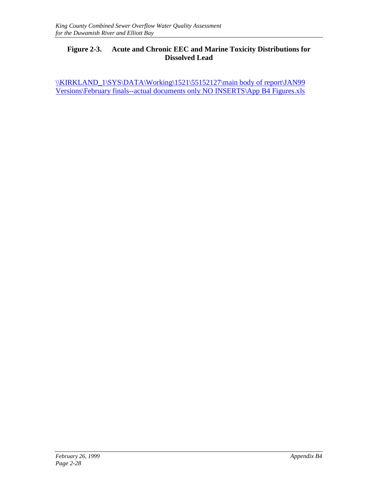#### **Figure 2-3. Acute and Chronic EEC and Marine Toxicity Distributions for Dissolved Lead**

\\XIRKLAND\_1\SYS\DATA\Working\1521\55152127\main body of report\JAN99 Versions\February finals--actual documents only NO INSERTS\App B4 Figures.xls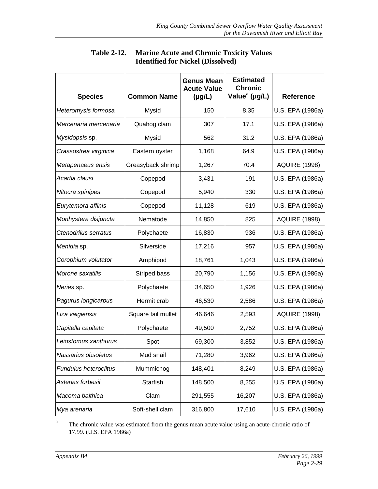| <b>Species</b>        | <b>Common Name</b> | <b>Genus Mean</b><br><b>Acute Value</b><br>$(\mu g/L)$ | <b>Estimated</b><br><b>Chronic</b><br>Value <sup>a</sup> (µg/L) | <b>Reference</b>     |
|-----------------------|--------------------|--------------------------------------------------------|-----------------------------------------------------------------|----------------------|
| Heteromysis formosa   | Mysid              | 150                                                    | 8.35                                                            | U.S. EPA (1986a)     |
| Mercenaria mercenaria | Quahog clam        | 307                                                    | 17.1                                                            | U.S. EPA (1986a)     |
| Mysidopsis sp.        | Mysid              | 562                                                    | 31.2                                                            | U.S. EPA (1986a)     |
| Crassostrea virginica | Eastern oyster     | 1,168                                                  | 64.9                                                            | U.S. EPA (1986a)     |
| Metapenaeus ensis     | Greasyback shrimp  | 1,267                                                  | 70.4                                                            | <b>AQUIRE (1998)</b> |
| Acartia clausi        | Copepod            | 3,431                                                  | 191                                                             | U.S. EPA (1986a)     |
| Nitocra spinipes      | Copepod            | 5,940                                                  | 330                                                             | U.S. EPA (1986a)     |
| Eurytemora affinis    | Copepod            | 11,128                                                 | 619                                                             | U.S. EPA (1986a)     |
| Monhystera disjuncta  | Nematode           | 14,850                                                 | 825                                                             | <b>AQUIRE (1998)</b> |
| Ctenodrilus serratus  | Polychaete         | 16,830                                                 | 936                                                             | U.S. EPA (1986a)     |
| Menidia sp.           | Silverside         | 17,216                                                 | 957                                                             | U.S. EPA (1986a)     |
| Corophium volutator   | Amphipod           | 18,761                                                 | 1,043                                                           | U.S. EPA (1986a)     |
| Morone saxatilis      | Striped bass       | 20,790                                                 | 1,156                                                           | U.S. EPA (1986a)     |
| Neries sp.            | Polychaete         | 34,650                                                 | 1,926                                                           | U.S. EPA (1986a)     |
| Pagurus longicarpus   | Hermit crab        | 46,530                                                 | 2,586                                                           | U.S. EPA (1986a)     |
| Liza vaigiensis       | Square tail mullet | 46,646                                                 | 2,593                                                           | <b>AQUIRE (1998)</b> |
| Capitella capitata    | Polychaete         | 49,500                                                 | 2,752                                                           | U.S. EPA (1986a)     |
| Leiostomus xanthurus  | Spot               | 69,300                                                 | 3,852                                                           | U.S. EPA (1986a)     |
| Nassarius obsoletus   | Mud snail          | 71,280                                                 | 3,962                                                           | U.S. EPA (1986a)     |
| Fundulus heteroclitus | Mummichog          | 148,401                                                | 8,249                                                           | U.S. EPA (1986a)     |
| Asterias forbesii     | Starfish           | 148,500                                                | 8,255                                                           | U.S. EPA (1986a)     |
| Macoma balthica       | Clam               | 291,555                                                | 16,207                                                          | U.S. EPA (1986a)     |
| Mya arenaria          | Soft-shell clam    | 316,800                                                | 17,610                                                          | U.S. EPA (1986a)     |

### **Table 2-12. Marine Acute and Chronic Toxicity Values Identified for Nickel (Dissolved)**

<sup>a</sup> The chronic value was estimated from the genus mean acute value using an acute-chronic ratio of 17.99. (U.S. EPA 1986a)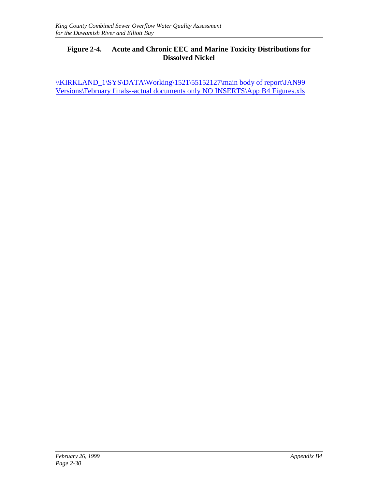#### **Figure 2-4. Acute and Chronic EEC and Marine Toxicity Distributions for Dissolved Nickel**

\\XIRKLAND\_1\SYS\DATA\Working\1521\55152127\main body of report\JAN99 Versions\February finals--actual documents only NO INSERTS\App B4 Figures.xls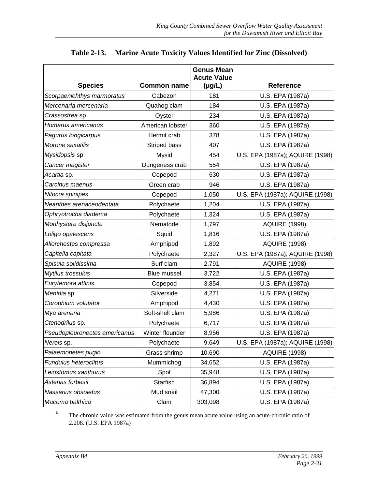| <b>Species</b>                | <b>Common name</b> | <b>Genus Mean</b><br><b>Acute Value</b><br>$(\mu g/L)$ | <b>Reference</b>                |
|-------------------------------|--------------------|--------------------------------------------------------|---------------------------------|
| Scorpaenichthys marmoratus    | Cabezon            | 181                                                    | U.S. EPA (1987a)                |
| Mercenaria mercenaria         |                    |                                                        |                                 |
|                               | Quahog clam        | 184                                                    | U.S. EPA (1987a)                |
| Crassostrea sp.               | Oyster             | 234                                                    | U.S. EPA (1987a)                |
| Homarus americanus            | American lobster   | 360                                                    | U.S. EPA (1987a)                |
| Pagurus longicarpus           | Hermit crab        | 378                                                    | U.S. EPA (1987a)                |
| Morone saxatilis              | Striped bass       | 407                                                    | U.S. EPA (1987a)                |
| Mysidopsis sp.                | Mysid              | 454                                                    | U.S. EPA (1987a); AQUIRE (1998) |
| Cancer magister               | Dungeness crab     | 554                                                    | U.S. EPA (1987a)                |
| Acartia sp.                   | Copepod            | 630                                                    | U.S. EPA (1987a)                |
| Carcinus maenus               | Green crab         | 946                                                    | U.S. EPA (1987a)                |
| Nitocra spinipes              | Copepod            | 1,050                                                  | U.S. EPA (1987a); AQUIRE (1998) |
| Neanthes arenaceodentata      | Polychaete         | 1,204                                                  | U.S. EPA (1987a)                |
| Ophryotrocha diadema          | Polychaete         | 1,324                                                  | U.S. EPA (1987a)                |
| Monhystera disjuncta          | Nematode           | 1,797                                                  | <b>AQUIRE (1998)</b>            |
| Loligo opalescens             | Squid              | 1,816                                                  | U.S. EPA (1987a)                |
| Allorchestes compressa        | Amphipod           | 1,892                                                  | <b>AQUIRE (1998)</b>            |
| Capitella capitata            | Polychaete         | 2,327                                                  | U.S. EPA (1987a); AQUIRE (1998) |
| Spisula solidissima           | Surf clam          | 2,791                                                  | <b>AQUIRE (1998)</b>            |
| Mytilus trossulus             | <b>Blue mussel</b> | 3,722                                                  | U.S. EPA (1987a)                |
| Eurytemora affinis            | Copepod            | 3,854                                                  | U.S. EPA (1987a)                |
| Menidia sp.                   | Silverside         | 4,271                                                  | U.S. EPA (1987a)                |
| Corophium volutator           | Amphipod           | 4,430                                                  | U.S. EPA (1987a)                |
| Mya arenaria                  | Soft-shell clam    | 5,986                                                  | U.S. EPA (1987a)                |
| Ctenodrilus sp.               | Polychaete         | 6,717                                                  | U.S. EPA (1987a)                |
| Pseudopleuronectes americanus | Winter flounder    | 8,956                                                  | U.S. EPA (1987a)                |
| Nereis sp.                    | Polychaete         | 9,649                                                  | U.S. EPA (1987a); AQUIRE (1998) |
| Palaemonetes pugio            | Grass shrimp       | 10,690                                                 | <b>AQUIRE (1998)</b>            |
| <b>Fundulus heteroclitus</b>  | Mummichog          | 34,652                                                 | U.S. EPA (1987a)                |
| Leiostomus xanthurus          | Spot               | 35,948                                                 | U.S. EPA (1987a)                |
| Asterias forbesii             | Starfish           | 36,894                                                 | U.S. EPA (1987a)                |
| Nassarius obsoletus           | Mud snail          | 47,300                                                 | U.S. EPA (1987a)                |
| Macoma balthica               | Clam               | 303,098                                                | U.S. EPA (1987a)                |

### **Table 2-13. Marine Acute Toxicity Values Identified for Zinc (Dissolved)**

<sup>a</sup> The chronic value was estimated from the genus mean acute value using an acute-chronic ratio of 2.208. (U.S. EPA 1987a)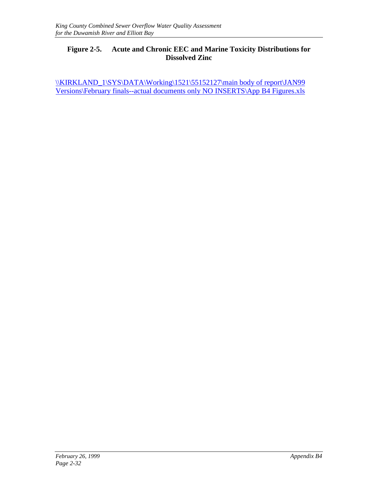#### **Figure 2-5. Acute and Chronic EEC and Marine Toxicity Distributions for Dissolved Zinc**

\\XIRKLAND\_1\SYS\DATA\Working\1521\55152127\main body of report\JAN99 Versions\February finals--actual documents only NO INSERTS\App B4 Figures.xls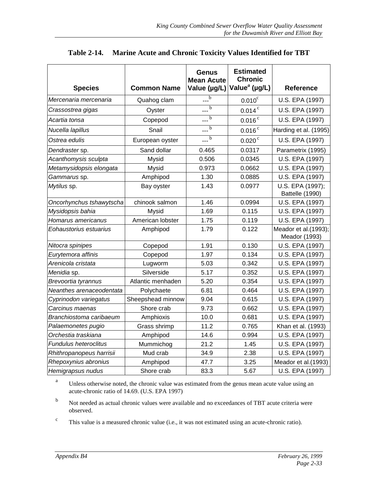| <b>Species</b>           | <b>Common Name</b> | <b>Genus</b><br><b>Mean Acute</b><br>Value (µg/L) | <b>Estimated</b><br><b>Chronic</b><br>Value <sup>a</sup> (µg/L) | <b>Reference</b>                      |
|--------------------------|--------------------|---------------------------------------------------|-----------------------------------------------------------------|---------------------------------------|
| Mercenaria mercenaria    | Quahog clam        | $\overline{b}$                                    | $0.010$ <sup>c</sup>                                            | U.S. EPA (1997)                       |
| Crassostrea gigas        | Oyster             | $\overline{b}$                                    | $0.014$ <sup>c</sup>                                            | U.S. EPA (1997)                       |
| Acartia tonsa            | Copepod            | $\frac{1}{\sqrt{b}}$                              | $0.016$ <sup>c</sup>                                            | U.S. EPA (1997)                       |
| Nucella lapillus         | Snail              | $\overline{b}$                                    | $0.016$ <sup>c</sup>                                            | Harding et al. (1995)                 |
| Ostrea edulis            | European oyster    | $\overline{b}$                                    | $0.020$ <sup>c</sup>                                            | U.S. EPA (1997)                       |
| Dendraster sp.           | Sand dollar        | 0.465                                             | 0.0317                                                          | Parametrix (1995)                     |
| Acanthomysis sculpta     | Mysid              | 0.506                                             | 0.0345                                                          | U.S. EPA (1997)                       |
| Metamysidopsis elongata  | Mysid              | 0.973                                             | 0.0662                                                          | U.S. EPA (1997)                       |
| Gammarus sp.             | Amphipod           | 1.30                                              | 0.0885                                                          | U.S. EPA (1997)                       |
| Mytilus sp.              | Bay oyster         | 1.43                                              | 0.0977                                                          | U.S. EPA (1997);<br>Battelle (1990)   |
| Oncorhynchus tshawytscha | chinook salmon     | 1.46                                              | 0.0994                                                          | U.S. EPA (1997)                       |
| Mysidopsis bahia         | Mysid              | 1.69                                              | 0.115                                                           | U.S. EPA (1997)                       |
| Homarus americanus       | American lobster   | 1.75                                              | 0.119                                                           | U.S. EPA (1997)                       |
| Eohaustorius estuarius   | Amphipod           | 1.79                                              | 0.122                                                           | Meador et al.(1993);<br>Meador (1993) |
| Nitocra spinipes         | Copepod            | 1.91                                              | 0.130                                                           | U.S. EPA (1997)                       |
| Eurytemora affinis       | Copepod            | 1.97                                              | 0.134                                                           | U.S. EPA (1997)                       |
| Arenicola cristata       | Lugworm            | 5.03                                              | 0.342                                                           | U.S. EPA (1997)                       |
| Menidia sp.              | Silverside         | 5.17                                              | 0.352                                                           | U.S. EPA (1997)                       |
| Brevoortia tyrannus      | Atlantic menhaden  | 5.20                                              | 0.354                                                           | U.S. EPA (1997)                       |
| Neanthes arenaceodentata | Polychaete         | 6.81                                              | 0.464                                                           | U.S. EPA (1997)                       |
| Cyprinodon variegatus    | Sheepshead minnow  | 9.04                                              | 0.615                                                           | U.S. EPA (1997)                       |
| Carcinus maenas          | Shore crab         | 9.73                                              | 0.662                                                           | U.S. EPA (1997)                       |
| Branchiostoma caribaeum  | Amphioxis          | 10.0                                              | 0.681                                                           | U.S. EPA (1997)                       |
| Palaemonetes pugio       | Grass shrimp       | 11.2                                              | 0.765                                                           | Khan et al. (1993)                    |
| Orchestia traskiana      | Amphipod           | 14.6                                              | 0.994                                                           | U.S. EPA (1997)                       |
| Fundulus heteroclitus    | Mummichog          | 21.2                                              | 1.45                                                            | U.S. EPA (1997)                       |
| Rhithropanopeus harrisii | Mud crab           | 34.9                                              | 2.38                                                            | U.S. EPA (1997)                       |
| Rhepoxynius abronius     | Amphipod           | 47.7                                              | 3.25                                                            | Meador et al.(1993)                   |
| Hemigrapsus nudus        | Shore crab         | 83.3                                              | 5.67                                                            | U.S. EPA (1997)                       |

#### **Table 2-14. Marine Acute and Chronic Toxicity Values Identified for TBT**

<sup>a</sup> Unless otherwise noted, the chronic value was estimated from the genus mean acute value using an acute-chronic ratio of 14.69. (U.S. EPA 1997)

b Not needed as actual chronic values were available and no exceedances of TBT acute criteria were observed.

<sup>c</sup> This value is a measured chronic value (i.e., it was not estimated using an acute-chronic ratio).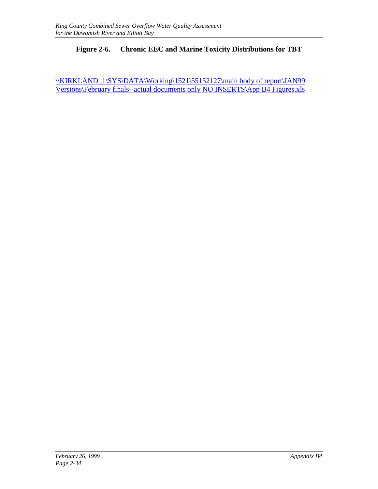#### **Figure 2-6. Chronic EEC and Marine Toxicity Distributions for TBT**

\\XIRKLAND\_1\SYS\DATA\Working\1521\55152127\main body of report\JAN99 Versions\February finals--actual documents only NO INSERTS\App B4 Figures.xls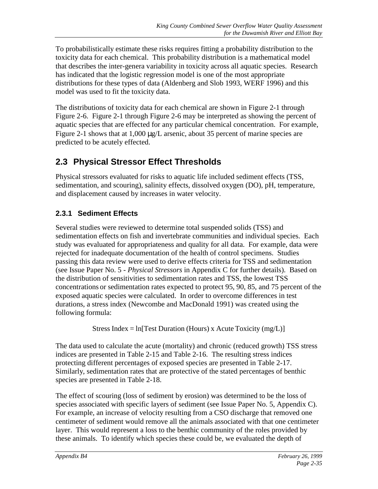To probabilistically estimate these risks requires fitting a probability distribution to the toxicity data for each chemical. This probability distribution is a mathematical model that describes the inter-genera variability in toxicity across all aquatic species. Research has indicated that the logistic regression model is one of the most appropriate distributions for these types of data (Aldenberg and Slob 1993, WERF 1996) and this model was used to fit the toxicity data.

The distributions of toxicity data for each chemical are shown in Figure 2-1 through Figure 2-6. Figure 2-1 through Figure 2-6 may be interpreted as showing the percent of aquatic species that are effected for any particular chemical concentration. For example, Figure 2-1 shows that at 1,000  $\mu$ g/L arsenic, about 35 percent of marine species are predicted to be acutely effected.

# **2.3 Physical Stressor Effect Thresholds**

Physical stressors evaluated for risks to aquatic life included sediment effects (TSS, sedimentation, and scouring), salinity effects, dissolved oxygen (DO), pH, temperature, and displacement caused by increases in water velocity.

# **2.3.1 Sediment Effects**

Several studies were reviewed to determine total suspended solids (TSS) and sedimentation effects on fish and invertebrate communities and individual species. Each study was evaluated for appropriateness and quality for all data. For example, data were rejected for inadequate documentation of the health of control specimens. Studies passing this data review were used to derive effects criteria for TSS and sedimentation (see Issue Paper No. 5 - *Physical Stressors* in Appendix C for further details). Based on the distribution of sensitivities to sedimentation rates and TSS, the lowest TSS concentrations or sedimentation rates expected to protect 95, 90, 85, and 75 percent of the exposed aquatic species were calculated. In order to overcome differences in test durations, a stress index (Newcombe and MacDonald 1991) was created using the following formula:

Stress Index = ln[Test Duration (Hours) x Acute Toxicity  $(mg/L)$ ]

The data used to calculate the acute (mortality) and chronic (reduced growth) TSS stress indices are presented in Table 2-15 and Table 2-16. The resulting stress indices protecting different percentages of exposed species are presented in Table 2-17. Similarly, sedimentation rates that are protective of the stated percentages of benthic species are presented in Table 2-18.

The effect of scouring (loss of sediment by erosion) was determined to be the loss of species associated with specific layers of sediment (see Issue Paper No. 5, Appendix C). For example, an increase of velocity resulting from a CSO discharge that removed one centimeter of sediment would remove all the animals associated with that one centimeter layer. This would represent a loss to the benthic community of the roles provided by these animals. To identify which species these could be, we evaluated the depth of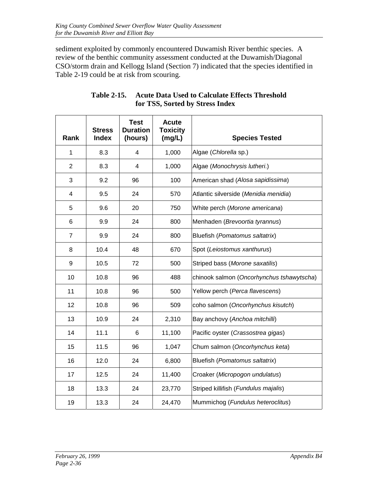sediment exploited by commonly encountered Duwamish River benthic species. A review of the benthic community assessment conducted at the Duwamish/Diagonal CSO/storm drain and Kellogg Island (Section 7) indicated that the species identified in Table 2-19 could be at risk from scouring.

| Rank           | <b>Stress</b><br><b>Index</b> | <b>Test</b><br><b>Duration</b><br>(hours) | <b>Acute</b><br><b>Toxicity</b><br>(mg/L) | <b>Species Tested</b>                     |
|----------------|-------------------------------|-------------------------------------------|-------------------------------------------|-------------------------------------------|
| $\mathbf{1}$   | 8.3                           | $\overline{4}$                            | 1,000                                     | Algae (Chlorella sp.)                     |
| $\overline{2}$ | 8.3                           | $\overline{\mathbf{4}}$                   | 1,000                                     | Algae (Monochrysis lutheri.)              |
| 3              | 9.2                           | 96                                        | 100                                       | American shad (Alosa sapidissima)         |
| 4              | 9.5                           | 24                                        | 570                                       | Atlantic silverside (Menidia menidia)     |
| 5              | 9.6                           | 20                                        | 750                                       | White perch (Morone americana)            |
| 6              | 9.9                           | 24                                        | 800                                       | Menhaden (Brevoortia tyrannus)            |
| $\overline{7}$ | 9.9                           | 24                                        | 800                                       | Bluefish (Pomatomus saltatrix)            |
| 8              | 10.4                          | 48                                        | 670                                       | Spot (Leiostomus xanthurus)               |
| 9              | 10.5                          | 72                                        | 500                                       | Striped bass (Morone saxatilis)           |
| 10             | 10.8                          | 96                                        | 488                                       | chinook salmon (Oncorhynchus tshawytscha) |
| 11             | 10.8                          | 96                                        | 500                                       | Yellow perch (Perca flavescens)           |
| 12             | 10.8                          | 96                                        | 509                                       | coho salmon (Oncorhynchus kisutch)        |
| 13             | 10.9                          | 24                                        | 2,310                                     | Bay anchovy (Anchoa mitchilli)            |
| 14             | 11.1                          | 6                                         | 11,100                                    | Pacific oyster (Crassostrea gigas)        |
| 15             | 11.5                          | 96                                        | 1,047                                     | Chum salmon (Oncorhynchus keta)           |
| 16             | 12.0                          | 24                                        | 6,800                                     | Bluefish (Pomatomus saltatrix)            |
| 17             | 12.5                          | 24                                        | 11,400                                    | Croaker (Micropogon undulatus)            |
| 18             | 13.3                          | 24                                        | 23,770                                    | Striped killifish (Fundulus majalis)      |
| 19             | 13.3                          | 24                                        | 24,470                                    | Mummichog (Fundulus heteroclitus)         |

#### **Table 2-15. Acute Data Used to Calculate Effects Threshold for TSS, Sorted by Stress Index**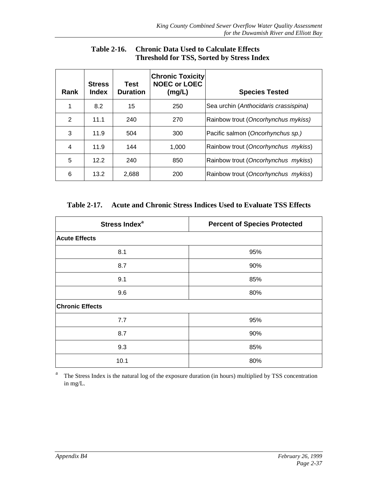| <b>Rank</b> | <b>Stress</b><br><b>Index</b> | Test<br><b>Duration</b> | <b>Chronic Toxicity</b><br><b>NOEC or LOEC</b><br>(mg/L) | <b>Species Tested</b>                 |
|-------------|-------------------------------|-------------------------|----------------------------------------------------------|---------------------------------------|
| 1           | 8.2                           | 15                      | 250                                                      | Sea urchin (Anthocidaris crassispina) |
| 2           | 11.1                          | 240                     | 270                                                      | Rainbow trout (Oncorhynchus mykiss)   |
| 3           | 11.9                          | 504                     | 300                                                      | Pacific salmon (Oncorhynchus sp.)     |
| 4           | 11.9                          | 144                     | 1.000                                                    | Rainbow trout (Oncorhynchus mykiss)   |
| 5           | 12.2                          | 240                     | 850                                                      | Rainbow trout (Oncorhynchus mykiss)   |
| 6           | 13.2                          | 2,688                   | 200                                                      | Rainbow trout (Oncorhynchus mykiss)   |

**Table 2-16. Chronic Data Used to Calculate Effects Threshold for TSS, Sorted by Stress Index**

**Table 2-17. Acute and Chronic Stress Indices Used to Evaluate TSS Effects**

| Stress Index <sup>a</sup> | <b>Percent of Species Protected</b> |
|---------------------------|-------------------------------------|
| <b>Acute Effects</b>      |                                     |
| 8.1                       | 95%                                 |
| 8.7                       | 90%                                 |
| 9.1                       | 85%                                 |
| 9.6                       | 80%                                 |
| <b>Chronic Effects</b>    |                                     |
| 7.7                       | 95%                                 |
| 8.7                       | 90%                                 |
| 9.3                       | 85%                                 |
| 10.1                      | 80%                                 |

<sup>a</sup> The Stress Index is the natural log of the exposure duration (in hours) multiplied by TSS concentration in mg/L.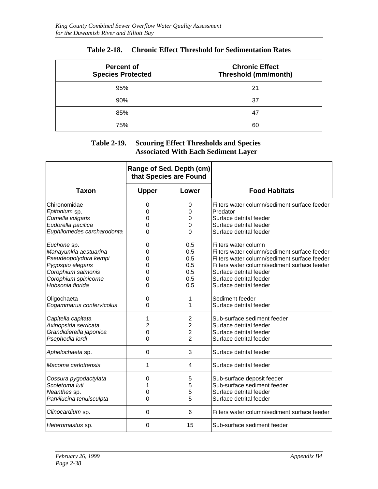| <b>Percent of</b><br><b>Species Protected</b> | <b>Chronic Effect</b><br>Threshold (mm/month) |
|-----------------------------------------------|-----------------------------------------------|
| 95%                                           | 21                                            |
| 90%                                           | 37                                            |
| 85%                                           | 47                                            |
| 75%                                           | 60                                            |

#### **Table 2-18. Chronic Effect Threshold for Sedimentation Rates**

#### **Table 2-19. Scouring Effect Thresholds and Species Associated With Each Sediment Layer**

|                               | Range of Sed. Depth (cm)<br>that Species are Found |                |                                                          |
|-------------------------------|----------------------------------------------------|----------------|----------------------------------------------------------|
| <b>Taxon</b>                  | <b>Upper</b>                                       | Lower          | <b>Food Habitats</b>                                     |
| Chironomidae<br>Epitonium sp. | 0<br>0                                             | 0<br>0         | Filters water column/sediment surface feeder<br>Predator |
| Cumella vulgaris              | 0                                                  | 0              | Surface detrital feeder                                  |
| Eudorella pacifica            | 0                                                  | 0              | Surface detrital feeder                                  |
| Euphilomedes carcharodonta    | 0                                                  | 0              | Surface detrital feeder                                  |
| Euchone sp.                   | 0                                                  | 0.5            | Filters water column                                     |
| Manayunkia aestuarina         | 0                                                  | 0.5            | Filters water column/sediment surface feeder             |
| Pseudeopolydora kempi         | 0                                                  | 0.5            | Filters water column/sediment surface feeder             |
| Pygospio elegans              | 0                                                  | 0.5            | Filters water column/sediment surface feeder             |
| Corophium salmonis            | ი                                                  | 0.5            | Surface detrital feeder                                  |
| Corophium spinicorne          | 0                                                  | 0.5            | Surface detrital feeder                                  |
| Hobsonia florida              | 0                                                  | 0.5            | Surface detrital feeder                                  |
| Oligochaeta                   | 0                                                  | 1              | Sediment feeder                                          |
| Eogammarus confervicolus      | 0                                                  | $\mathbf 1$    | Surface detrital feeder                                  |
| Capitella capitata            | 1                                                  | $\overline{2}$ | Sub-surface sediment feeder                              |
| Axinopsida serricata          | 2                                                  | $\overline{2}$ | Surface detrital feeder                                  |
| Grandidierella japonica       | 0                                                  | $\overline{2}$ | Surface detrital feeder                                  |
| Psephedia lordi               | 0                                                  | $\overline{2}$ | Surface detrital feeder                                  |
| Aphelochaeta sp.              | $\mathbf 0$                                        | 3              | Surface detrital feeder                                  |
| Macoma carlottensis           | 1                                                  | 4              | Surface detrital feeder                                  |
| Cossura pygodactylata         | 0                                                  | 5              | Sub-surface deposit feeder                               |
| Scoletoma luti                |                                                    | 5              | Sub-surface sediment feeder                              |
| Neanthes sp.                  | 0                                                  | 5              | Surface detrital feeder                                  |
| Parvilucina tenuisculpta      | 0                                                  | 5              | Surface detrital feeder                                  |
| Clinocardium sp.              | 0                                                  | 6              | Filters water column/sediment surface feeder             |
| Heteromastus sp.              | 0                                                  | 15             | Sub-surface sediment feeder                              |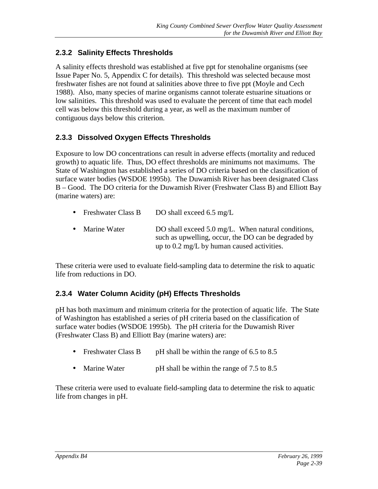### **2.3.2 Salinity Effects Thresholds**

A salinity effects threshold was established at five ppt for stenohaline organisms (see Issue Paper No. 5, Appendix C for details). This threshold was selected because most freshwater fishes are not found at salinities above three to five ppt (Moyle and Cech 1988). Also, many species of marine organisms cannot tolerate estuarine situations or low salinities. This threshold was used to evaluate the percent of time that each model cell was below this threshold during a year, as well as the maximum number of contiguous days below this criterion.

#### **2.3.3 Dissolved Oxygen Effects Thresholds**

Exposure to low DO concentrations can result in adverse effects (mortality and reduced growth) to aquatic life. Thus, DO effect thresholds are minimums not maximums. The State of Washington has established a series of DO criteria based on the classification of surface water bodies (WSDOE 1995b). The Duwamish River has been designated Class B – Good. The DO criteria for the Duwamish River (Freshwater Class B) and Elliott Bay (marine waters) are:

- Freshwater Class B DO shall exceed 6.5 mg/L
- Marine Water DO shall exceed 5.0 mg/L. When natural conditions, such as upwelling, occur, the DO can be degraded by up to 0.2 mg/L by human caused activities.

These criteria were used to evaluate field-sampling data to determine the risk to aquatic life from reductions in DO.

### **2.3.4 Water Column Acidity (pH) Effects Thresholds**

pH has both maximum and minimum criteria for the protection of aquatic life. The State of Washington has established a series of pH criteria based on the classification of surface water bodies (WSDOE 1995b). The pH criteria for the Duwamish River (Freshwater Class B) and Elliott Bay (marine waters) are:

- Freshwater Class B pH shall be within the range of 6.5 to 8.5
- Marine Water pH shall be within the range of 7.5 to 8.5

These criteria were used to evaluate field-sampling data to determine the risk to aquatic life from changes in pH.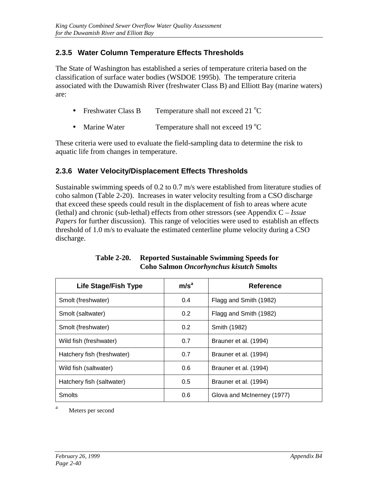### **2.3.5 Water Column Temperature Effects Thresholds**

The State of Washington has established a series of temperature criteria based on the classification of surface water bodies (WSDOE 1995b). The temperature criteria associated with the Duwamish River (freshwater Class B) and Elliott Bay (marine waters) are:

- Freshwater Class B Temperature shall not exceed 21  $^{\circ}$ C
- Marine Water Temperature shall not exceed 19 °C

These criteria were used to evaluate the field-sampling data to determine the risk to aquatic life from changes in temperature.

#### **2.3.6 Water Velocity/Displacement Effects Thresholds**

Sustainable swimming speeds of 0.2 to 0.7 m/s were established from literature studies of coho salmon (Table 2-20). Increases in water velocity resulting from a CSO discharge that exceed these speeds could result in the displacement of fish to areas where acute (lethal) and chronic (sub-lethal) effects from other stressors (see Appendix C – *Issue Papers* for further discussion). This range of velocities were used to establish an effects threshold of 1.0 m/s to evaluate the estimated centerline plume velocity during a CSO discharge.

| <b>Life Stage/Fish Type</b> | m/s <sup>a</sup> | <b>Reference</b>           |
|-----------------------------|------------------|----------------------------|
| Smolt (freshwater)          | 0.4              | Flagg and Smith (1982)     |
| Smolt (saltwater)           | 0.2              | Flagg and Smith (1982)     |
| Smolt (freshwater)          | 0.2              | Smith (1982)               |
| Wild fish (freshwater)      | 0.7              | Brauner et al. (1994)      |
| Hatchery fish (freshwater)  | 0.7              | Brauner et al. (1994)      |
| Wild fish (saltwater)       | 0.6              | Brauner et al. (1994)      |
| Hatchery fish (saltwater)   | 0.5              | Brauner et al. (1994)      |
| <b>Smolts</b>               | 0.6              | Glova and McInerney (1977) |

#### **Table 2-20. Reported Sustainable Swimming Speeds for Coho Salmon** *Oncorhynchus kisutch* **Smolts**

<sup>a</sup> Meters per second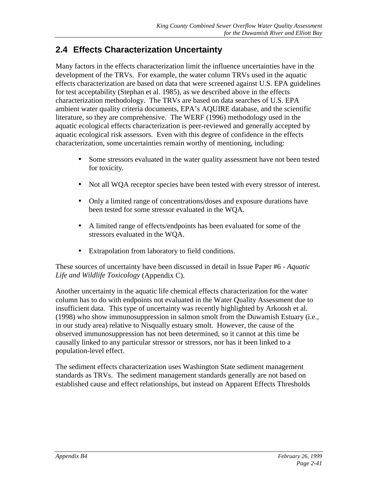# **2.4 Effects Characterization Uncertainty**

Many factors in the effects characterization limit the influence uncertainties have in the development of the TRVs. For example, the water column TRVs used in the aquatic effects characterization are based on data that were screened against U.S. EPA guidelines for test acceptability (Stephan et al. 1985), as we described above in the effects characterization methodology. The TRVs are based on data searches of U.S. EPA ambient water quality criteria documents, EPA's AQUIRE database, and the scientific literature, so they are comprehensive. The WERF (1996) methodology used in the aquatic ecological effects characterization is peer-reviewed and generally accepted by aquatic ecological risk assessors. Even with this degree of confidence in the effects characterization, some uncertainties remain worthy of mentioning, including:

- Some stressors evaluated in the water quality assessment have not been tested for toxicity.
- Not all WQA receptor species have been tested with every stressor of interest.
- Only a limited range of concentrations/doses and exposure durations have been tested for some stressor evaluated in the WQA.
- A limited range of effects/endpoints has been evaluated for some of the stressors evaluated in the WQA.
- Extrapolation from laboratory to field conditions.

These sources of uncertainty have been discussed in detail in Issue Paper #6 - *Aquatic Life and Wildlife Toxicology* (Appendix C).

Another uncertainty in the aquatic life chemical effects characterization for the water column has to do with endpoints not evaluated in the Water Quality Assessment due to insufficient data. This type of uncertainty was recently highlighted by Arkoosh et al. (1998) who show immunosuppression in salmon smolt from the Duwamish Estuary (i.e., in our study area) relative to Nisqually estuary smolt. However, the cause of the observed immunosuppression has not been determined, so it cannot at this time be causally linked to any particular stressor or stressors, nor has it been linked to a population-level effect.

The sediment effects characterization uses Washington State sediment management standards as TRVs. The sediment management standards generally are not based on established cause and effect relationships, but instead on Apparent Effects Thresholds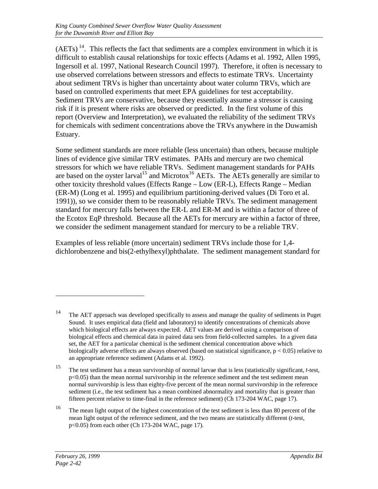$(AETs)$ <sup>14</sup>. This reflects the fact that sediments are a complex environment in which it is difficult to establish causal relationships for toxic effects (Adams et al. 1992, Allen 1995, Ingersoll et al. 1997, National Research Council 1997). Therefore, it often is necessary to use observed correlations between stressors and effects to estimate TRVs. Uncertainty about sediment TRVs is higher than uncertainty about water column TRVs, which are based on controlled experiments that meet EPA guidelines for test acceptability. Sediment TRVs are conservative, because they essentially assume a stressor is causing risk if it is present where risks are observed or predicted. In the first volume of this report (Overview and Interpretation), we evaluated the reliability of the sediment TRVs for chemicals with sediment concentrations above the TRVs anywhere in the Duwamish Estuary.

Some sediment standards are more reliable (less uncertain) than others, because multiple lines of evidence give similar TRV estimates. PAHs and mercury are two chemical stressors for which we have reliable TRVs. Sediment management standards for PAHs are based on the oyster larval<sup>15</sup> and Microtox<sup>16</sup> AETs. The AETs generally are similar to other toxicity threshold values (Effects Range – Low (ER-L), Effects Range – Median (ER-M) (Long et al. 1995) and equilibrium partitioning-derived values (Di Toro et al. 1991)), so we consider them to be reasonably reliable TRVs. The sediment management standard for mercury falls between the ER-L and ER-M and is within a factor of three of the Ecotox EqP threshold. Because all the AETs for mercury are within a factor of three, we consider the sediment management standard for mercury to be a reliable TRV.

Examples of less reliable (more uncertain) sediment TRVs include those for 1,4 dichlorobenzene and bis(2-ethylhexyl)phthalate. The sediment management standard for

<sup>14</sup> The AET approach was developed specifically to assess and manage the quality of sediments in Puget Sound. It uses empirical data (field and laboratory) to identify concentrations of chemicals above which biological effects are always expected. AET values are derived using a comparison of biological effects and chemical data in paired data sets from field-collected samples. In a given data set, the AET for a particular chemical is the sediment chemical concentration above which biologically adverse effects are always observed (based on statistical significance,  $p < 0.05$ ) relative to an appropriate reference sediment (Adams et al. 1992).

<sup>15</sup> The test sediment has a mean survivorship of normal larvae that is less (statistically significant, *t*-test,  $p<0.05$ ) than the mean normal survivorship in the reference sediment and the test sediment mean normal survivorship is less than eighty-five percent of the mean normal survivorship in the reference sediment (i.e., the test sediment has a mean combined abnormality and mortality that is greater than fifteen percent relative to time-final in the reference sediment) (Ch 173-204 WAC, page 17).

<sup>&</sup>lt;sup>16</sup> The mean light output of the highest concentration of the test sediment is less than 80 percent of the mean light output of the reference sediment, and the two means are statistically different (*t*-test, p<0.05) from each other (Ch 173-204 WAC, page 17).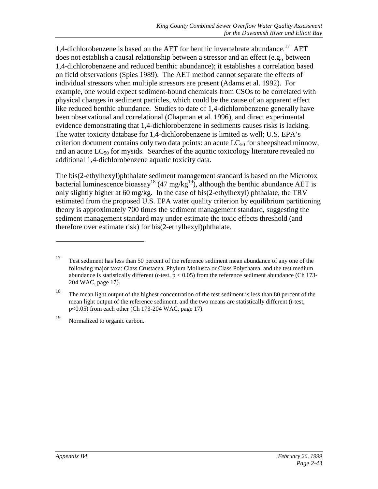1,4-dichlorobenzene is based on the AET for benthic invertebrate abundance.<sup>17</sup> AET does not establish a causal relationship between a stressor and an effect (e.g., between 1,4-dichlorobenzene and reduced benthic abundance); it establishes a correlation based on field observations (Spies 1989). The AET method cannot separate the effects of individual stressors when multiple stressors are present (Adams et al. 1992). For example, one would expect sediment-bound chemicals from CSOs to be correlated with physical changes in sediment particles, which could be the cause of an apparent effect like reduced benthic abundance. Studies to date of 1,4-dichlorobenzene generally have been observational and correlational (Chapman et al. 1996), and direct experimental evidence demonstrating that 1,4-dichlorobenzene in sediments causes risks is lacking. The water toxicity database for 1,4-dichlorobenzene is limited as well; U.S. EPA's criterion document contains only two data points: an acute  $LC_{50}$  for sheepshead minnow, and an acute  $LC_{50}$  for mysids. Searches of the aquatic toxicology literature revealed no additional 1,4-dichlorobenzene aquatic toxicity data.

The bis(2-ethylhexyl)phthalate sediment management standard is based on the Microtox bacterial luminescence bioassay<sup>18</sup> (47 mg/kg<sup>19</sup>), although the benthic abundance AET is only slightly higher at 60 mg/kg. In the case of bis(2-ethylhexyl) phthalate, the TRV estimated from the proposed U.S. EPA water quality criterion by equilibrium partitioning theory is approximately 700 times the sediment management standard, suggesting the sediment management standard may under estimate the toxic effects threshold (and therefore over estimate risk) for bis(2-ethylhexyl)phthalate.

<sup>&</sup>lt;sup>17</sup> Test sediment has less than 50 percent of the reference sediment mean abundance of any one of the following major taxa: Class Crustacea, Phylum Mollusca or Class Polychatea, and the test medium abundance is statistically different (*t*-test, p < 0.05) from the reference sediment abundance (Ch 173- 204 WAC, page 17).

<sup>&</sup>lt;sup>18</sup> The mean light output of the highest concentration of the test sediment is less than 80 percent of the mean light output of the reference sediment, and the two means are statistically different (*t*-test, p<0.05) from each other (Ch 173-204 WAC, page 17).

<sup>19</sup> Normalized to organic carbon.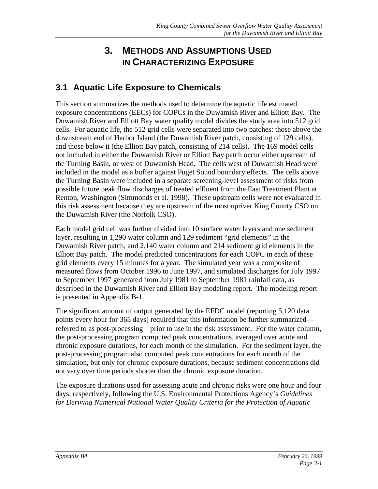# **3. METHODS AND ASSUMPTIONS USED IN CHARACTERIZING EXPOSURE**

# **3.1 Aquatic Life Exposure to Chemicals**

This section summarizes the methods used to determine the aquatic life estimated exposure concentrations (EECs) for COPCs in the Duwamish River and Elliott Bay. The Duwamish River and Elliott Bay water quality model divides the study area into 512 grid cells. For aquatic life, the 512 grid cells were separated into two patches: those above the downstream end of Harbor Island (the Duwamish River patch, consisting of 129 cells), and those below it (the Elliott Bay patch, consisting of 214 cells). The 169 model cells not included in either the Duwamish River or Elliott Bay patch occur either upstream of the Turning Basin, or west of Duwamish Head. The cells west of Duwamish Head were included in the model as a buffer against Puget Sound boundary effects. The cells above the Turning Basin were included in a separate screening-level assessment of risks from possible future peak flow discharges of treated effluent from the East Treatment Plant at Renton, Washington (Simmonds et al. 1998). These upstream cells were not evaluated in this risk assessment because they are upstream of the most upriver King County CSO on the Duwamish River (the Norfolk CSO).

Each model grid cell was further divided into 10 surface water layers and one sediment layer, resulting in 1,290 water column and 129 sediment "grid elements" in the Duwamish River patch, and 2,140 water column and 214 sediment grid elements in the Elliott Bay patch. The model predicted concentrations for each COPC in each of these grid elements every 15 minutes for a year. The simulated year was a composite of measured flows from October 1996 to June 1997, and simulated discharges for July 1997 to September 1997 generated from July 1981 to September 1981 rainfall data, as described in the Duwamish River and Elliott Bay modeling report. The modeling report is presented in Appendix B-1.

The significant amount of output generated by the EFDC model (reporting 5,120 data points every hour for 365 days) required that this information be further summarized referred to as post-processing—prior to use in the risk assessment. For the water column, the post-processing program computed peak concentrations, averaged over acute and chronic exposure durations, for each month of the simulation. For the sediment layer, the post-processing program also computed peak concentrations for each month of the simulation, but only for chronic exposure durations, because sediment concentrations did not vary over time periods shorter than the chronic exposure duration.

The exposure durations used for assessing acute and chronic risks were one hour and four days, respectively, following the U.S. Environmental Protections Agency's *Guidelines for Deriving Numerical National Water Quality Criteria for the Protection of Aquatic*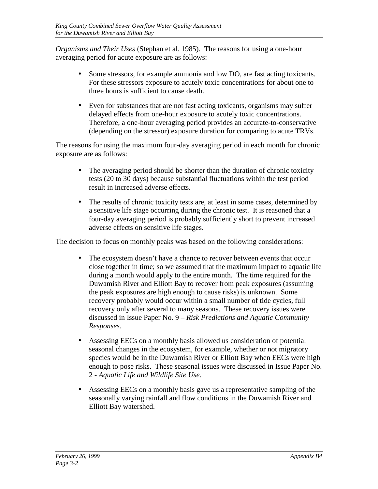*Organisms and Their Uses* (Stephan et al. 1985). The reasons for using a one-hour averaging period for acute exposure are as follows:

- Some stressors, for example ammonia and low DO, are fast acting toxicants. For these stressors exposure to acutely toxic concentrations for about one to three hours is sufficient to cause death.
- Even for substances that are not fast acting toxicants, organisms may suffer delayed effects from one-hour exposure to acutely toxic concentrations. Therefore, a one-hour averaging period provides an accurate-to-conservative (depending on the stressor) exposure duration for comparing to acute TRVs.

The reasons for using the maximum four-day averaging period in each month for chronic exposure are as follows:

- The averaging period should be shorter than the duration of chronic toxicity tests (20 to 30 days) because substantial fluctuations within the test period result in increased adverse effects.
- The results of chronic toxicity tests are, at least in some cases, determined by a sensitive life stage occurring during the chronic test. It is reasoned that a four-day averaging period is probably sufficiently short to prevent increased adverse effects on sensitive life stages.

The decision to focus on monthly peaks was based on the following considerations:

- The ecosystem doesn't have a chance to recover between events that occur close together in time; so we assumed that the maximum impact to aquatic life during a month would apply to the entire month. The time required for the Duwamish River and Elliott Bay to recover from peak exposures (assuming the peak exposures are high enough to cause risks) is unknown. Some recovery probably would occur within a small number of tide cycles, full recovery only after several to many seasons. These recovery issues were discussed in Issue Paper No. 9 – *Risk Predictions and Aquatic Community Responses*.
- Assessing EECs on a monthly basis allowed us consideration of potential seasonal changes in the ecosystem, for example, whether or not migratory species would be in the Duwamish River or Elliott Bay when EECs were high enough to pose risks. These seasonal issues were discussed in Issue Paper No. 2 - *Aquatic Life and Wildlife Site Use.*
- Assessing EECs on a monthly basis gave us a representative sampling of the seasonally varying rainfall and flow conditions in the Duwamish River and Elliott Bay watershed.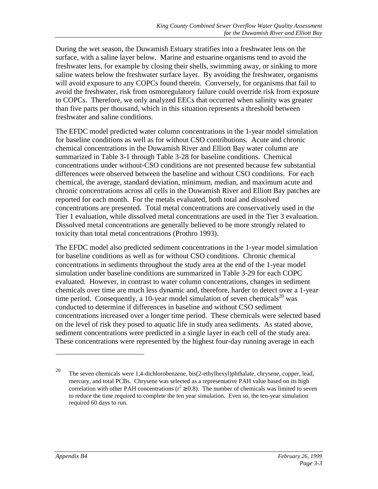During the wet season, the Duwamish Estuary stratifies into a freshwater lens on the surface, with a saline layer below. Marine and estuarine organisms tend to avoid the freshwater lens, for example by closing their shells, swimming away, or sinking to more saline waters below the freshwater surface layer. By avoiding the freshwater, organisms will avoid exposure to any COPCs found therein. Conversely, for organisms that fail to avoid the freshwater, risk from osmoregulatory failure could override risk from exposure to COPCs. Therefore, we only analyzed EECs that occurred when salinity was greater than five parts per thousand, which in this situation represents a threshold between freshwater and saline conditions.

The EFDC model predicted water column concentrations in the 1-year model simulation for baseline conditions as well as for without CSO contributions. Acute and chronic chemical concentrations in the Duwamish River and Elliott Bay water column are summarized in Table 3-1 through Table 3-28 for baseline conditions. Chemical concentrations under without-CSO conditions are not presented because few substantial differences were observed between the baseline and without CSO conditions. For each chemical, the average, standard deviation, minimum, median, and maximum acute and chronic concentrations across all cells in the Duwamish River and Elliott Bay patches are reported for each month. For the metals evaluated, both total and dissolved concentrations are presented. Total metal concentrations are conservatively used in the Tier 1 evaluation, while dissolved metal concentrations are used in the Tier 3 evaluation. Dissolved metal concentrations are generally believed to be more strongly related to toxicity than total metal concentrations (Prothro 1993).

The EFDC model also predicted sediment concentrations in the 1-year model simulation for baseline conditions as well as for without CSO conditions. Chronic chemical concentrations in sediments throughout the study area at the end of the 1-year model simulation under baseline conditions are summarized in Table 3-29 for each COPC evaluated. However, in contrast to water column concentrations, changes in sediment chemicals over time are much less dynamic and, therefore, harder to detect over a 1-year time period. Consequently, a 10-year model simulation of seven chemicals<sup>20</sup> was conducted to determine if differences in baseline and without CSO sediment concentrations increased over a longer time period. These chemicals were selected based on the level of risk they posed to aquatic life in study area sediments. As stated above, sediment concentrations were predicted in a single layer in each cell of the study area. These concentrations were represented by the highest four-day running average in each

<sup>&</sup>lt;sup>20</sup> The seven chemicals were 1,4-dichlorobenzene, bis(2-ethylhexyl)phthalate, chrysene, copper, lead, mercury, and total PCBs. Chrysene was selected as a representative PAH value based on its high correlation with other PAH concentrations ( $r^2 \ge 0.8$ ). The number of chemicals was limited to seven to reduce the time required to complete the ten year simulation. Even so, the ten-year simulation required 60 days to run.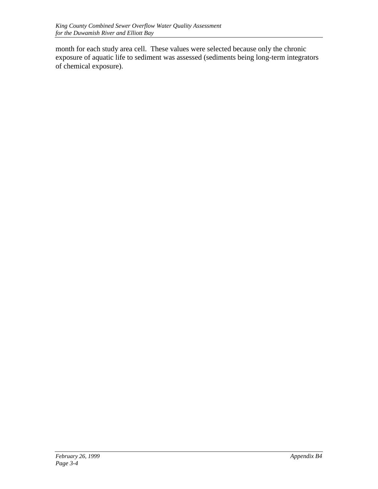month for each study area cell. These values were selected because only the chronic exposure of aquatic life to sediment was assessed (sediments being long-term integrators of chemical exposure).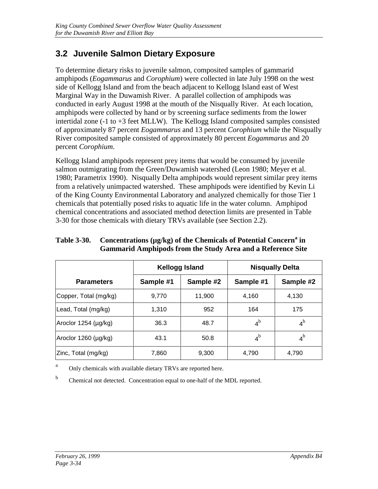# **3.2 Juvenile Salmon Dietary Exposure**

To determine dietary risks to juvenile salmon, composited samples of gammarid amphipods (*Eogammarus* and *Corophium*) were collected in late July 1998 on the west side of Kellogg Island and from the beach adjacent to Kellogg Island east of West Marginal Way in the Duwamish River. A parallel collection of amphipods was conducted in early August 1998 at the mouth of the Nisqually River. At each location, amphipods were collected by hand or by screening surface sediments from the lower intertidal zone  $(-1)$  to  $+3$  feet MLLW). The Kellogg Island composited samples consisted of approximately 87 percent *Eogammarus* and 13 percent *Corophium* while the Nisqually River composited sample consisted of approximately 80 percent *Eogammarus* and 20 percent *Corophium*.

Kellogg Island amphipods represent prey items that would be consumed by juvenile salmon outmigrating from the Green/Duwamish watershed (Leon 1980; Meyer et al. 1980; Parametrix 1990). Nisqually Delta amphipods would represent similar prey items from a relatively unimpacted watershed. These amphipods were identified by Kevin Li of the King County Environmental Laboratory and analyzed chemically for those Tier 1 chemicals that potentially posed risks to aquatic life in the water column. Amphipod chemical concentrations and associated method detection limits are presented in Table 3-30 for those chemicals with dietary TRVs available (see Section 2.2).

#### Table 3-30. Concentrations (µg/kg) of the Chemicals of Potential Concern<sup>a</sup> in **Gammarid Amphipods from the Study Area and a Reference Site**

|                       |           | <b>Kellogg Island</b> | <b>Nisqually Delta</b> |                |  |  |
|-----------------------|-----------|-----------------------|------------------------|----------------|--|--|
| <b>Parameters</b>     | Sample #1 | Sample #2             | Sample #1              | Sample #2      |  |  |
| Copper, Total (mg/kg) | 9,770     | 11,900                | 4,160                  | 4.130          |  |  |
| Lead, Total (mg/kg)   | 1,310     | 952                   | 164                    | 175            |  |  |
| Aroclor 1254 (µg/kg)  | 36.3      | 48.7                  | 4 <sup>b</sup>         | $4^{\rm b}$    |  |  |
| Aroclor 1260 (µg/kg)  | 43.1      | 50.8                  | 4 <sup>b</sup>         | 4 <sup>b</sup> |  |  |
| Zinc, Total (mg/kg)   | 7,860     | 9,300                 | 4,790                  | 4,790          |  |  |

<sup>a</sup> Only chemicals with available dietary TRVs are reported here.

b Chemical not detected. Concentration equal to one-half of the MDL reported.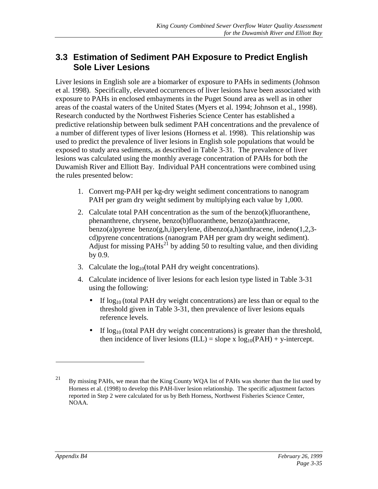## **3.3 Estimation of Sediment PAH Exposure to Predict English Sole Liver Lesions**

Liver lesions in English sole are a biomarker of exposure to PAHs in sediments (Johnson et al. 1998). Specifically, elevated occurrences of liver lesions have been associated with exposure to PAHs in enclosed embayments in the Puget Sound area as well as in other areas of the coastal waters of the United States (Myers et al. 1994; Johnson et al., 1998). Research conducted by the Northwest Fisheries Science Center has established a predictive relationship between bulk sediment PAH concentrations and the prevalence of a number of different types of liver lesions (Horness et al. 1998). This relationship was used to predict the prevalence of liver lesions in English sole populations that would be exposed to study area sediments, as described in Table 3-31. The prevalence of liver lesions was calculated using the monthly average concentration of PAHs for both the Duwamish River and Elliott Bay. Individual PAH concentrations were combined using the rules presented below:

- 1. Convert mg-PAH per kg-dry weight sediment concentrations to nanogram PAH per gram dry weight sediment by multiplying each value by 1,000.
- 2. Calculate total PAH concentration as the sum of the benzo $(k)$ fluoranthene, phenanthrene, chrysene, benzo(b)fluoranthene, benzo(a)anthracene, benzo(a) pyrene benzo(g,h,i) per ylene, dibenzo(a,h) anthracene, indeno(1,2,3cd)pyrene concentrations (nanogram PAH per gram dry weight sediment). Adjust for missing  $PAHs^{21}$  by adding 50 to resulting value, and then dividing by 0.9.
- 3. Calculate the  $log_{10}$ (total PAH dry weight concentrations).
- 4. Calculate incidence of liver lesions for each lesion type listed in Table 3-31 using the following:
	- If  $log_{10}$  (total PAH dry weight concentrations) are less than or equal to the threshold given in Table 3-31, then prevalence of liver lesions equals reference levels.
	- If  $\log_{10}$  (total PAH dry weight concentrations) is greater than the threshold, then incidence of liver lesions (ILL) = slope x  $log_{10}(PAH)$  + y-intercept.

<sup>&</sup>lt;sup>21</sup> By missing PAHs, we mean that the King County WQA list of PAHs was shorter than the list used by Horness et al. (1998) to develop this PAH-liver lesion relationship. The specific adjustment factors reported in Step 2 were calculated for us by Beth Horness, Northwest Fisheries Science Center, NOAA.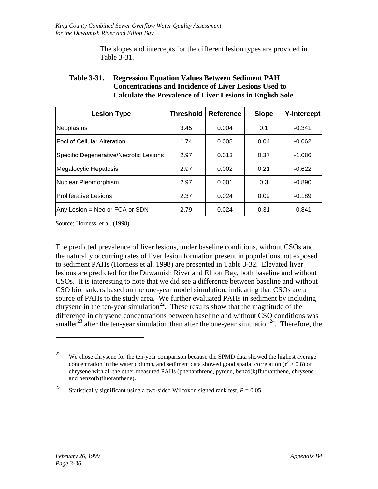The slopes and intercepts for the different lesion types are provided in Table 3-31.

#### **Table 3-31. Regression Equation Values Between Sediment PAH Concentrations and Incidence of Liver Lesions Used to Calculate the Prevalence of Liver Lesions in English Sole**

| <b>Lesion Type</b>                     | <b>Threshold</b> | <b>Reference</b> | <b>Slope</b> | <b>Y-Intercept</b> |
|----------------------------------------|------------------|------------------|--------------|--------------------|
| Neoplasms                              | 3.45             | 0.004            | 0.1          | $-0.341$           |
| <b>IFoci of Cellular Alteration</b>    | 1.74             | 0.008            | 0.04         | $-0.062$           |
| Specific Degenerative/Necrotic Lesions | 2.97             | 0.013            | 0.37         | $-1.086$           |
| Megalocytic Hepatosis                  | 2.97             | 0.002            | 0.21         | $-0.622$           |
| Nuclear Pleomorphism                   | 2.97             | 0.001            | 0.3          | $-0.890$           |
| <b>Proliferative Lesions</b>           | 2.37             | 0.024            | 0.09         | $-0.189$           |
| Any Lesion = Neo or FCA or SDN         | 2.79             | 0.024            | 0.31         | -0.841             |

Source: Horness, et al. (1998)

The predicted prevalence of liver lesions, under baseline conditions, without CSOs and the naturally occurring rates of liver lesion formation present in populations not exposed to sediment PAHs (Horness et al. 1998) are presented in Table 3-32. Elevated liver lesions are predicted for the Duwamish River and Elliott Bay, both baseline and without CSOs. It is interesting to note that we did see a difference between baseline and without CSO biomarkers based on the one-year model simulation, indicating that CSOs are a source of PAHs to the study area. We further evaluated PAHs in sediment by including chrysene in the ten-year simulation<sup>22</sup>. These results show that the magnitude of the difference in chrysene concentrations between baseline and without CSO conditions was smaller<sup>23</sup> after the ten-year simulation than after the one-year simulation<sup>24</sup>. Therefore, the

<sup>&</sup>lt;sup>22</sup> We chose chrysene for the ten-year comparison because the SPMD data showed the highest average concentration in the water column, and sediment data showed good spatial correlation  $(r^2 > 0.8)$  of chrysene with all the other measured PAHs (phenanthrene, pyrene, benzo(k)fluoranthene, chrysene and benzo(b)fluoranthene).

<sup>&</sup>lt;sup>23</sup> Statistically significant using a two-sided Wilcoxon signed rank test,  $P = 0.05$ .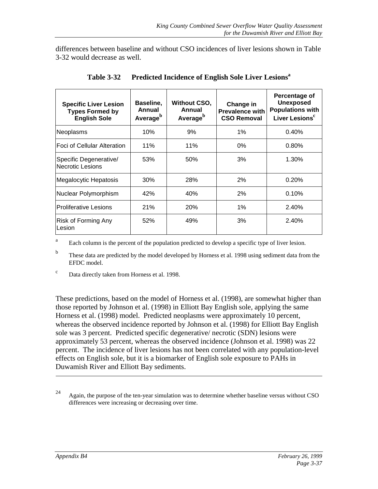differences between baseline and without CSO incidences of liver lesions shown in Table 3-32 would decrease as well.

| <b>Specific Liver Lesion</b><br><b>Types Formed by</b><br><b>English Sole</b> | Baseline,<br>Annual<br>Average <sup>b</sup> | <b>Without CSO,</b><br>Annual<br>Average <sup>b</sup> | Change in<br><b>Prevalence with</b><br><b>CSO Removal</b> | Percentage of<br><b>Unexposed</b><br><b>Populations with</b><br>Liver Lesions <sup>c</sup> |
|-------------------------------------------------------------------------------|---------------------------------------------|-------------------------------------------------------|-----------------------------------------------------------|--------------------------------------------------------------------------------------------|
| Neoplasms                                                                     | 10%                                         | 9%                                                    | $1\%$                                                     | 0.40%                                                                                      |
| lFoci of Cellular Alteration                                                  | 11%                                         | 11%                                                   | 0%                                                        | 0.80%                                                                                      |
| Specific Degenerative/<br><b>Necrotic Lesions</b>                             | 53%                                         | 50%                                                   | 3%                                                        | 1.30%                                                                                      |
| Megalocytic Hepatosis                                                         | 30%                                         | 28%                                                   | 2%                                                        | 0.20%                                                                                      |
| Nuclear Polymorphism                                                          | 42%                                         | 40%                                                   | 2%                                                        | 0.10%                                                                                      |
| lProliferative Lesions                                                        | 21%                                         | <b>20%</b>                                            | 1%                                                        | 2.40%                                                                                      |
| Risk of Forming Any<br>Lesion                                                 | 52%                                         | 49%                                                   | 3%                                                        | 2.40%                                                                                      |

**Table 3-32 Predicted Incidence of English Sole Liver Lesions<sup>a</sup>**

<sup>a</sup> Each column is the percent of the population predicted to develop a specific type of liver lesion.

<sup>b</sup> These data are predicted by the model developed by Horness et al. 1998 using sediment data from the EFDC model.

<sup>c</sup> Data directly taken from Horness et al. 1998.

These predictions, based on the model of Horness et al. (1998), are somewhat higher than those reported by Johnson et al. (1998) in Elliott Bay English sole, applying the same Horness et al. (1998) model. Predicted neoplasms were approximately 10 percent, whereas the observed incidence reported by Johnson et al. (1998) for Elliott Bay English sole was 3 percent. Predicted specific degenerative/ necrotic (SDN) lesions were approximately 53 percent, whereas the observed incidence (Johnson et al. 1998) was 22 percent. The incidence of liver lesions has not been correlated with any population-level effects on English sole, but it is a biomarker of English sole exposure to PAHs in Duwamish River and Elliott Bay sediments.

 $24$  Again, the purpose of the ten-year simulation was to determine whether baseline versus without CSO differences were increasing or decreasing over time.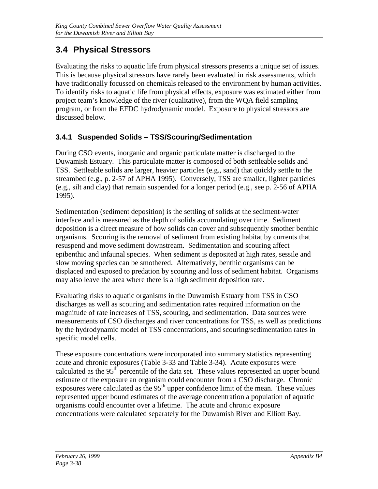# **3.4 Physical Stressors**

Evaluating the risks to aquatic life from physical stressors presents a unique set of issues. This is because physical stressors have rarely been evaluated in risk assessments, which have traditionally focussed on chemicals released to the environment by human activities. To identify risks to aquatic life from physical effects, exposure was estimated either from project team's knowledge of the river (qualitative), from the WQA field sampling program, or from the EFDC hydrodynamic model. Exposure to physical stressors are discussed below.

### **3.4.1 Suspended Solids – TSS/Scouring/Sedimentation**

During CSO events, inorganic and organic particulate matter is discharged to the Duwamish Estuary. This particulate matter is composed of both settleable solids and TSS. Settleable solids are larger, heavier particles (e.g., sand) that quickly settle to the streambed (e.g., p. 2-57 of APHA 1995). Conversely, TSS are smaller, lighter particles (e.g., silt and clay) that remain suspended for a longer period (e.g., see p. 2-56 of APHA 1995).

Sedimentation (sediment deposition) is the settling of solids at the sediment-water interface and is measured as the depth of solids accumulating over time. Sediment deposition is a direct measure of how solids can cover and subsequently smother benthic organisms. Scouring is the removal of sediment from existing habitat by currents that resuspend and move sediment downstream. Sedimentation and scouring affect epibenthic and infaunal species. When sediment is deposited at high rates, sessile and slow moving species can be smothered. Alternatively, benthic organisms can be displaced and exposed to predation by scouring and loss of sediment habitat. Organisms may also leave the area where there is a high sediment deposition rate.

Evaluating risks to aquatic organisms in the Duwamish Estuary from TSS in CSO discharges as well as scouring and sedimentation rates required information on the magnitude of rate increases of TSS, scouring, and sedimentation. Data sources were measurements of CSO discharges and river concentrations for TSS, as well as predictions by the hydrodynamic model of TSS concentrations, and scouring/sedimentation rates in specific model cells.

These exposure concentrations were incorporated into summary statistics representing acute and chronic exposures (Table 3-33 and Table 3-34). Acute exposures were calculated as the  $95<sup>th</sup>$  percentile of the data set. These values represented an upper bound estimate of the exposure an organism could encounter from a CSO discharge. Chronic exposures were calculated as the  $95<sup>th</sup>$  upper confidence limit of the mean. These values represented upper bound estimates of the average concentration a population of aquatic organisms could encounter over a lifetime. The acute and chronic exposure concentrations were calculated separately for the Duwamish River and Elliott Bay.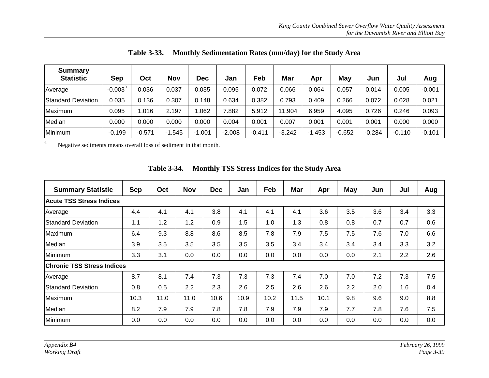| <b>Summary</b><br><b>Statistic</b> | <b>Sep</b>          | Oct      | <b>Nov</b> | Dec      | Jan      | Feb      | Mar      | Apr      | May      | Jun      | Jul      | Aug      |
|------------------------------------|---------------------|----------|------------|----------|----------|----------|----------|----------|----------|----------|----------|----------|
| Average                            | $-0.003^{\text{a}}$ | 0.036    | 0.037      | 0.035    | 0.095    | 0.072    | 0.066    | 0.064    | 0.057    | 0.014    | 0.005    | $-0.001$ |
| <b>Standard Deviation</b>          | 0.035               | 0.136    | 0.307      | 0.148    | 0.634    | 0.382    | 0.793    | 0.409    | 0.266    | 0.072    | 0.028    | 0.021    |
| Maximum                            | 0.095               | 1.016    | 2.197      | .062     | 7.882    | 5.912    | 11.904   | 6.959    | 4.095    | 0.726    | 0.246    | 0.093    |
| Median                             | 0.000               | 0.000    | 0.000      | 0.000    | 0.004    | 0.001    | 0.007    | 0.001    | 0.001    | 0.001    | 0.000    | 0.000    |
| Minimum                            | $-0.199$            | $-0.571$ | $-1.545$   | $-1.001$ | $-2.008$ | $-0.411$ | $-3.242$ | $-1.453$ | $-0.652$ | $-0.284$ | $-0.110$ | $-0.101$ |

**Table 3-33. Monthly Sedimentation Rates (mm/day) for the Study Area**

aNegative sediments means overall loss of sediment in that month.

| <b>Sep</b>                        | Oct  | <b>Nov</b> | <b>Dec</b> | Jan  | Feb  | <b>Mar</b> | Apr  | <b>May</b> | Jun | Jul | Aug |
|-----------------------------------|------|------------|------------|------|------|------------|------|------------|-----|-----|-----|
|                                   |      |            |            |      |      |            |      |            |     |     |     |
| 4.4                               | 4.1  | 4.1        | 3.8        | 4.1  | 4.1  | 4.1        | 3.6  | 3.5        | 3.6 | 3.4 | 3.3 |
| 1.1                               | 1.2  | 1.2        | 0.9        | 1.5  | 1.0  | 1.3        | 0.8  | 0.8        | 0.7 | 0.7 | 0.6 |
| 6.4                               | 9.3  | 8.8        | 8.6        | 8.5  | 7.8  | 7.9        | 7.5  | 7.5        | 7.6 | 7.0 | 6.6 |
| 3.9                               | 3.5  | 3.5        | 3.5        | 3.5  | 3.5  | 3.4        | 3.4  | 3.4        | 3.4 | 3.3 | 3.2 |
| 3.3                               | 3.1  | 0.0        | 0.0        | 0.0  | 0.0  | 0.0        | 0.0  | 0.0        | 2.1 | 2.2 | 2.6 |
| <b>Chronic TSS Stress Indices</b> |      |            |            |      |      |            |      |            |     |     |     |
| 8.7                               | 8.1  | 7.4        | 7.3        | 7.3  | 7.3  | 7.4        | 7.0  | 7.0        | 7.2 | 7.3 | 7.5 |
| 0.8                               | 0.5  | 2.2        | 2.3        | 2.6  | 2.5  | 2.6        | 2.6  | 2.2        | 2.0 | 1.6 | 0.4 |
| 10.3                              | 11.0 | 11.0       | 10.6       | 10.9 | 10.2 | 11.5       | 10.1 | 9.8        | 9.6 | 9.0 | 8.8 |
| 8.2                               | 7.9  | 7.9        | 7.8        | 7.8  | 7.9  | 7.9        | 7.9  | 7.7        | 7.8 | 7.6 | 7.5 |
| 0.0                               | 0.0  | 0.0        | 0.0        | 0.0  | 0.0  | 0.0        | 0.0  | 0.0        | 0.0 | 0.0 | 0.0 |
|                                   |      |            |            |      |      |            |      |            |     |     |     |

**Table 3-34. Monthly TSS Stress Indices for the Study Area**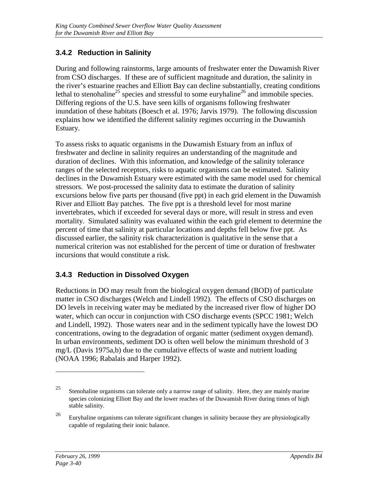## **3.4.2 Reduction in Salinity**

During and following rainstorms, large amounts of freshwater enter the Duwamish River from CSO discharges. If these are of sufficient magnitude and duration, the salinity in the river's estuarine reaches and Elliott Bay can decline substantially, creating conditions lethal to stenohaline<sup>25</sup> species and stressful to some euryhaline<sup>26</sup> and immobile species. Differing regions of the U.S. have seen kills of organisms following freshwater inundation of these habitats (Boesch et al. 1976; Jarvis 1979). The following discussion explains how we identified the different salinity regimes occurring in the Duwamish Estuary.

To assess risks to aquatic organisms in the Duwamish Estuary from an influx of freshwater and decline in salinity requires an understanding of the magnitude and duration of declines. With this information, and knowledge of the salinity tolerance ranges of the selected receptors, risks to aquatic organisms can be estimated. Salinity declines in the Duwamish Estuary were estimated with the same model used for chemical stressors. We post-processed the salinity data to estimate the duration of salinity excursions below five parts per thousand (five ppt) in each grid element in the Duwamish River and Elliott Bay patches. The five ppt is a threshold level for most marine invertebrates, which if exceeded for several days or more, will result in stress and even mortality. Simulated salinity was evaluated within the each grid element to determine the percent of time that salinity at particular locations and depths fell below five ppt. As discussed earlier, the salinity risk characterization is qualitative in the sense that a numerical criterion was not established for the percent of time or duration of freshwater incursions that would constitute a risk.

### **3.4.3 Reduction in Dissolved Oxygen**

Reductions in DO may result from the biological oxygen demand (BOD) of particulate matter in CSO discharges (Welch and Lindell 1992). The effects of CSO discharges on DO levels in receiving water may be mediated by the increased river flow of higher DO water, which can occur in conjunction with CSO discharge events (SPCC 1981; Welch and Lindell, 1992). Those waters near and in the sediment typically have the lowest DO concentrations, owing to the degradation of organic matter (sediment oxygen demand). In urban environments, sediment DO is often well below the minimum threshold of 3 mg/L (Davis 1975a,b) due to the cumulative effects of waste and nutrient loading (NOAA 1996; Rabalais and Harper 1992).

<sup>&</sup>lt;sup>25</sup> Stenohaline organisms can tolerate only a narrow range of salinity. Here, they are mainly marine species colonizing Elliott Bay and the lower reaches of the Duwamish River during times of high stable salinity.

<sup>&</sup>lt;sup>26</sup> Euryhaline organisms can tolerate significant changes in salinity because they are physiologically capable of regulating their ionic balance.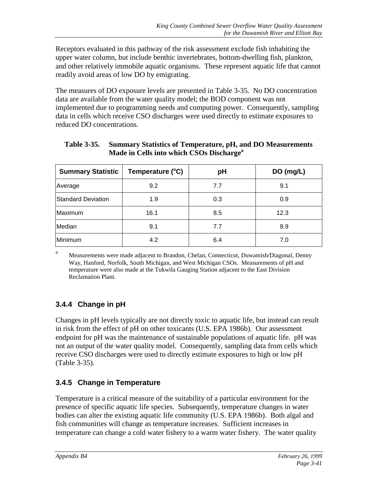Receptors evaluated in this pathway of the risk assessment exclude fish inhabiting the upper water column, but include benthic invertebrates, bottom-dwelling fish, plankton, and other relatively immobile aquatic organisms. These represent aquatic life that cannot readily avoid areas of low DO by emigrating.

The measures of DO exposure levels are presented in Table 3-35. No DO concentration data are available from the water quality model; the BOD component was not implemented due to programming needs and computing power. Consequently, sampling data in cells which receive CSO discharges were used directly to estimate exposures to reduced DO concentrations.

| <b>Summary Statistic</b>  | Temperature (°C) | pH  | DO (mg/L) |
|---------------------------|------------------|-----|-----------|
| Average                   | 9.2              | 7.7 | 9.1       |
| <b>Standard Deviation</b> | 1.9              | 0.3 | 0.9       |
| Maximum                   | 16.1             | 8.5 | 12.3      |
| Median                    | 9.1              | 7.7 | 8.9       |
| Minimum                   | 4.2              | 6.4 | 7.0       |

| <b>Table 3-35.</b> | <b>Summary Statistics of Temperature, pH, and DO Measurements</b> |
|--------------------|-------------------------------------------------------------------|
|                    | Made in Cells into which CSOs Discharge <sup>a</sup>              |

<sup>a</sup> Measurements were made adjacent to Brandon, Chelan, Connecticut, Duwamish/Diagonal, Denny Way, Hanford, Norfolk, South Michigan, and West Michigan CSOs. Measurements of pH and temperature were also made at the Tukwila Gauging Station adjacent to the East Division Reclamation Plant.

## **3.4.4 Change in pH**

Changes in pH levels typically are not directly toxic to aquatic life, but instead can result in risk from the effect of pH on other toxicants (U.S. EPA 1986b). Our assessment endpoint for pH was the maintenance of sustainable populations of aquatic life. pH was not an output of the water quality model. Consequently, sampling data from cells which receive CSO discharges were used to directly estimate exposures to high or low pH (Table 3-35).

### **3.4.5 Change in Temperature**

Temperature is a critical measure of the suitability of a particular environment for the presence of specific aquatic life species. Subsequently, temperature changes in water bodies can alter the existing aquatic life community (U.S. EPA 1986b). Both algal and fish communities will change as temperature increases. Sufficient increases in temperature can change a cold water fishery to a warm water fishery. The water quality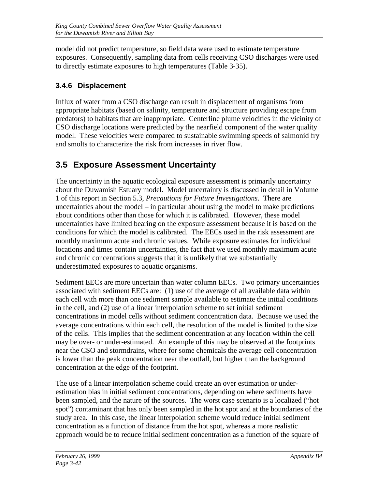model did not predict temperature, so field data were used to estimate temperature exposures. Consequently, sampling data from cells receiving CSO discharges were used to directly estimate exposures to high temperatures (Table 3-35).

# **3.4.6 Displacement**

Influx of water from a CSO discharge can result in displacement of organisms from appropriate habitats (based on salinity, temperature and structure providing escape from predators) to habitats that are inappropriate. Centerline plume velocities in the vicinity of CSO discharge locations were predicted by the nearfield component of the water quality model. These velocities were compared to sustainable swimming speeds of salmonid fry and smolts to characterize the risk from increases in river flow.

# **3.5 Exposure Assessment Uncertainty**

The uncertainty in the aquatic ecological exposure assessment is primarily uncertainty about the Duwamish Estuary model. Model uncertainty is discussed in detail in Volume 1 of this report in Section 5.3, *Precautions for Future Investigations*. There are uncertainties about the model – in particular about using the model to make predictions about conditions other than those for which it is calibrated. However, these model uncertainties have limited bearing on the exposure assessment because it is based on the conditions for which the model is calibrated. The EECs used in the risk assessment are monthly maximum acute and chronic values. While exposure estimates for individual locations and times contain uncertainties, the fact that we used monthly maximum acute and chronic concentrations suggests that it is unlikely that we substantially underestimated exposures to aquatic organisms.

Sediment EECs are more uncertain than water column EECs. Two primary uncertainties associated with sediment EECs are: (1) use of the average of all available data within each cell with more than one sediment sample available to estimate the initial conditions in the cell, and (2) use of a linear interpolation scheme to set initial sediment concentrations in model cells without sediment concentration data. Because we used the average concentrations within each cell, the resolution of the model is limited to the size of the cells. This implies that the sediment concentration at any location within the cell may be over- or under-estimated. An example of this may be observed at the footprints near the CSO and stormdrains, where for some chemicals the average cell concentration is lower than the peak concentration near the outfall, but higher than the background concentration at the edge of the footprint.

The use of a linear interpolation scheme could create an over estimation or underestimation bias in initial sediment concentrations, depending on where sediments have been sampled, and the nature of the sources. The worst case scenario is a localized ("hot spot") contaminant that has only been sampled in the hot spot and at the boundaries of the study area. In this case, the linear interpolation scheme would reduce initial sediment concentration as a function of distance from the hot spot, whereas a more realistic approach would be to reduce initial sediment concentration as a function of the square of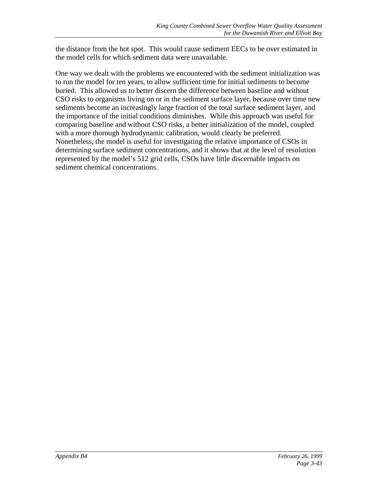the distance from the hot spot. This would cause sediment EECs to be over estimated in the model cells for which sediment data were unavailable.

One way we dealt with the problems we encountered with the sediment initialization was to run the model for ten years, to allow sufficient time for initial sediments to become buried. This allowed us to better discern the difference between baseline and without CSO risks to organisms living on or in the sediment surface layer, because over time new sediments become an increasingly large fraction of the total surface sediment layer, and the importance of the initial conditions diminishes. While this approach was useful for comparing baseline and without CSO risks, a better initialization of the model, coupled with a more thorough hydrodynamic calibration, would clearly be preferred. Nonetheless, the model is useful for investigating the relative importance of CSOs in determining surface sediment concentrations, and it shows that at the level of resolution represented by the model's 512 grid cells, CSOs have little discernable impacts on sediment chemical concentrations.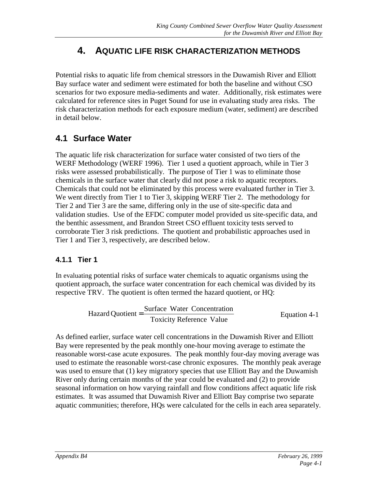# **4. AQUATIC LIFE RISK CHARACTERIZATION METHODS**

Potential risks to aquatic life from chemical stressors in the Duwamish River and Elliott Bay surface water and sediment were estimated for both the baseline and without CSO scenarios for two exposure media-sediments and water. Additionally, risk estimates were calculated for reference sites in Puget Sound for use in evaluating study area risks. The risk characterization methods for each exposure medium (water, sediment) are described in detail below.

# **4.1 Surface Water**

The aquatic life risk characterization for surface water consisted of two tiers of the WERF Methodology (WERF 1996). Tier 1 used a quotient approach, while in Tier 3 risks were assessed probabilistically. The purpose of Tier 1 was to eliminate those chemicals in the surface water that clearly did not pose a risk to aquatic receptors. Chemicals that could not be eliminated by this process were evaluated further in Tier 3. We went directly from Tier 1 to Tier 3, skipping WERF Tier 2. The methodology for Tier 2 and Tier 3 are the same, differing only in the use of site-specific data and validation studies. Use of the EFDC computer model provided us site-specific data, and the benthic assessment, and Brandon Street CSO effluent toxicity tests served to corroborate Tier 3 risk predictions. The quotient and probabilistic approaches used in Tier 1 and Tier 3, respectively, are described below.

# **4.1.1 Tier 1**

In evaluating potential risks of surface water chemicals to aquatic organisms using the quotient approach, the surface water concentration for each chemical was divided by its respective TRV. The quotient is often termed the hazard quotient, or HQ:

Hazard Quotient = 
$$
\frac{\text{Surface Water Connection}}{\text{Toxicity Reference Value}}
$$

\nEquation 4-1

As defined earlier, surface water cell concentrations in the Duwamish River and Elliott Bay were represented by the peak monthly one-hour moving average to estimate the reasonable worst-case acute exposures. The peak monthly four-day moving average was used to estimate the reasonable worst-case chronic exposures. The monthly peak average was used to ensure that (1) key migratory species that use Elliott Bay and the Duwamish River only during certain months of the year could be evaluated and (2) to provide seasonal information on how varying rainfall and flow conditions affect aquatic life risk estimates. It was assumed that Duwamish River and Elliott Bay comprise two separate aquatic communities; therefore, HQs were calculated for the cells in each area separately.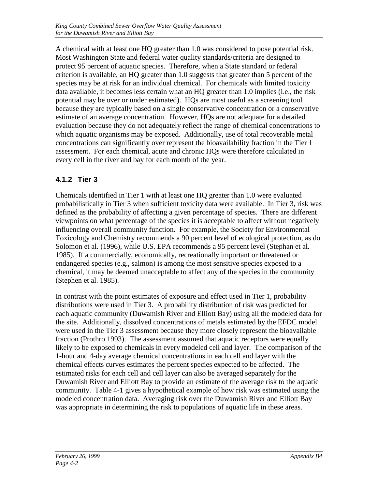A chemical with at least one HQ greater than 1.0 was considered to pose potential risk. Most Washington State and federal water quality standards/criteria are designed to protect 95 percent of aquatic species. Therefore, when a State standard or federal criterion is available, an HQ greater than 1.0 suggests that greater than 5 percent of the species may be at risk for an individual chemical. For chemicals with limited toxicity data available, it becomes less certain what an HQ greater than 1.0 implies (i.e., the risk potential may be over or under estimated). HQs are most useful as a screening tool because they are typically based on a single conservative concentration or a conservative estimate of an average concentration. However, HQs are not adequate for a detailed evaluation because they do not adequately reflect the range of chemical concentrations to which aquatic organisms may be exposed. Additionally, use of total recoverable metal concentrations can significantly over represent the bioavailability fraction in the Tier 1 assessment. For each chemical, acute and chronic HQs were therefore calculated in every cell in the river and bay for each month of the year.

# **4.1.2 Tier 3**

Chemicals identified in Tier 1 with at least one HQ greater than 1.0 were evaluated probabilistically in Tier 3 when sufficient toxicity data were available. In Tier 3, risk was defined as the probability of affecting a given percentage of species. There are different viewpoints on what percentage of the species it is acceptable to affect without negatively influencing overall community function. For example, the Society for Environmental Toxicology and Chemistry recommends a 90 percent level of ecological protection, as do Solomon et al*.* (1996), while U.S. EPA recommends a 95 percent level (Stephan et al. 1985). If a commercially, economically, recreationally important or threatened or endangered species (e.g., salmon) is among the most sensitive species exposed to a chemical, it may be deemed unacceptable to affect any of the species in the community (Stephen et al. 1985).

In contrast with the point estimates of exposure and effect used in Tier 1, probability distributions were used in Tier 3. A probability distribution of risk was predicted for each aquatic community (Duwamish River and Elliott Bay) using all the modeled data for the site. Additionally, dissolved concentrations of metals estimated by the EFDC model were used in the Tier 3 assessment because they more closely represent the bioavailable fraction (Prothro 1993). The assessment assumed that aquatic receptors were equally likely to be exposed to chemicals in every modeled cell and layer. The comparison of the 1-hour and 4-day average chemical concentrations in each cell and layer with the chemical effects curves estimates the percent species expected to be affected. The estimated risks for each cell and cell layer can also be averaged separately for the Duwamish River and Elliott Bay to provide an estimate of the average risk to the aquatic community. Table 4-1 gives a hypothetical example of how risk was estimated using the modeled concentration data. Averaging risk over the Duwamish River and Elliott Bay was appropriate in determining the risk to populations of aquatic life in these areas.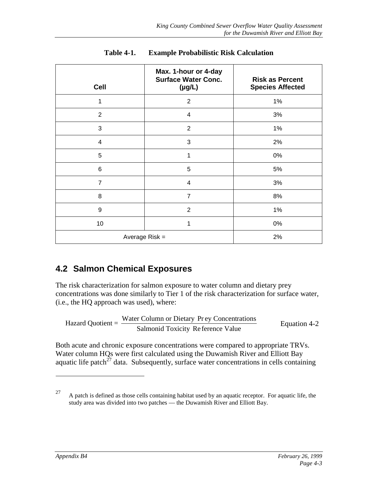| <b>Cell</b>      | Max. 1-hour or 4-day<br><b>Surface Water Conc.</b><br>$(\mu g/L)$ | <b>Risk as Percent</b><br><b>Species Affected</b> |
|------------------|-------------------------------------------------------------------|---------------------------------------------------|
| 1                | $\overline{2}$                                                    | 1%                                                |
| 2                | $\overline{4}$                                                    | 3%                                                |
| 3                | $\overline{2}$                                                    | 1%                                                |
| $\overline{4}$   | 3                                                                 | 2%                                                |
| 5                | 1                                                                 | 0%                                                |
| $\,6$            | 5                                                                 | 5%                                                |
| $\overline{7}$   | $\overline{4}$                                                    | 3%                                                |
| 8                | $\overline{7}$                                                    | $8%$                                              |
| $\boldsymbol{9}$ | $\overline{2}$                                                    | 1%                                                |
| 10               | 1                                                                 | $0\%$                                             |
|                  | Average $Risk =$                                                  | 2%                                                |

| <b>Table 4-1.</b> | <b>Example Probabilistic Risk Calculation</b> |
|-------------------|-----------------------------------------------|
|                   |                                               |

# **4.2 Salmon Chemical Exposures**

The risk characterization for salmon exposure to water column and dietary prey concentrations was done similarly to Tier 1 of the risk characterization for surface water, (i.e., the HQ approach was used), where:

Hazard Quotient = 
$$
\frac{\text{Water Column or Dietary Prey Concentrations}}{\text{Salmonid Toxicity Reference Value}}
$$

\nEquation 4-2

Both acute and chronic exposure concentrations were compared to appropriate TRVs. Water column HQs were first calculated using the Duwamish River and Elliott Bay aquatic life patch $^{27}$  data. Subsequently, surface water concentrations in cells containing

 $\overline{a}$ 

<sup>&</sup>lt;sup>27</sup> A patch is defined as those cells containing habitat used by an aquatic receptor. For aquatic life, the study area was divided into two patches — the Duwamish River and Elliott Bay.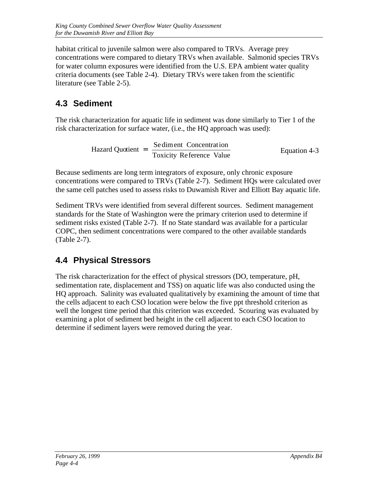habitat critical to juvenile salmon were also compared to TRVs. Average prey concentrations were compared to dietary TRVs when available. Salmonid species TRVs for water column exposures were identified from the U.S. EPA ambient water quality criteria documents (see Table 2-4). Dietary TRVs were taken from the scientific literature (see Table 2-5).

# **4.3 Sediment**

The risk characterization for aquatic life in sediment was done similarly to Tier 1 of the risk characterization for surface water, (i.e., the HQ approach was used):

Hazard Quotient = 
$$
\frac{\text{Se-diment Connection}}{\text{Toxicity Reference Value}}
$$

\nEquation 4-3

Because sediments are long term integrators of exposure, only chronic exposure concentrations were compared to TRVs (Table 2-7). Sediment HQs were calculated over the same cell patches used to assess risks to Duwamish River and Elliott Bay aquatic life.

Sediment TRVs were identified from several different sources. Sediment management standards for the State of Washington were the primary criterion used to determine if sediment risks existed (Table 2-7). If no State standard was available for a particular COPC, then sediment concentrations were compared to the other available standards (Table 2-7).

# **4.4 Physical Stressors**

The risk characterization for the effect of physical stressors (DO, temperature, pH, sedimentation rate, displacement and TSS) on aquatic life was also conducted using the HQ approach. Salinity was evaluated qualitatively by examining the amount of time that the cells adjacent to each CSO location were below the five ppt threshold criterion as well the longest time period that this criterion was exceeded. Scouring was evaluated by examining a plot of sediment bed height in the cell adjacent to each CSO location to determine if sediment layers were removed during the year.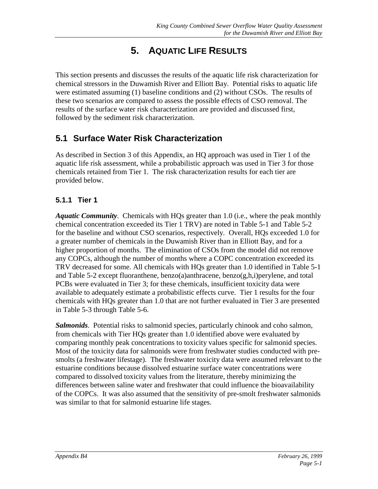# **5. AQUATIC LIFE RESULTS**

This section presents and discusses the results of the aquatic life risk characterization for chemical stressors in the Duwamish River and Elliott Bay. Potential risks to aquatic life were estimated assuming (1) baseline conditions and (2) without CSOs. The results of these two scenarios are compared to assess the possible effects of CSO removal. The results of the surface water risk characterization are provided and discussed first, followed by the sediment risk characterization.

# **5.1 Surface Water Risk Characterization**

As described in Section 3 of this Appendix, an HQ approach was used in Tier 1 of the aquatic life risk assessment, while a probabilistic approach was used in Tier 3 for those chemicals retained from Tier 1. The risk characterization results for each tier are provided below.

# **5.1.1 Tier 1**

*Aquatic Community*. Chemicals with HQs greater than 1.0 (i.e., where the peak monthly chemical concentration exceeded its Tier 1 TRV) are noted in Table 5-1 and Table 5-2 for the baseline and without CSO scenarios, respectively. Overall, HQs exceeded 1.0 for a greater number of chemicals in the Duwamish River than in Elliott Bay, and for a higher proportion of months. The elimination of CSOs from the model did not remove any COPCs, although the number of months where a COPC concentration exceeded its TRV decreased for some. All chemicals with HQs greater than 1.0 identified in Table 5-1 and Table 5-2 except fluoranthene, benzo $(a)$ anthracene, benzo $(g,h,i)$  perylene, and total PCBs were evaluated in Tier 3; for these chemicals, insufficient toxicity data were available to adequately estimate a probabilistic effects curve. Tier 1 results for the four chemicals with HQs greater than 1.0 that are not further evaluated in Tier 3 are presented in Table 5-3 through Table 5-6.

*Salmonids*. Potential risks to salmonid species, particularly chinook and coho salmon, from chemicals with Tier HQs greater than 1.0 identified above were evaluated by comparing monthly peak concentrations to toxicity values specific for salmonid species. Most of the toxicity data for salmonids were from freshwater studies conducted with presmolts (a freshwater lifestage). The freshwater toxicity data were assumed relevant to the estuarine conditions because dissolved estuarine surface water concentrations were compared to dissolved toxicity values from the literature, thereby minimizing the differences between saline water and freshwater that could influence the bioavailability of the COPCs. It was also assumed that the sensitivity of pre-smolt freshwater salmonids was similar to that for salmonid estuarine life stages.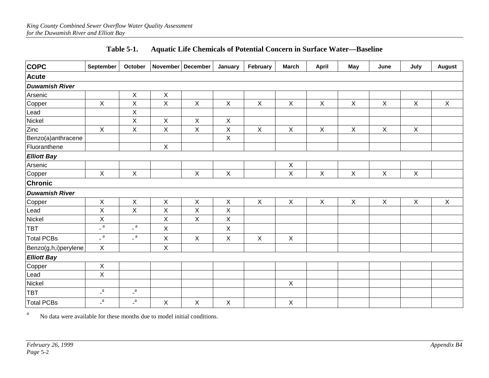| <b>COPC</b>           | September               | October                   |              | November   December | January                   | February     | <b>March</b>              | <b>April</b>              | May          | June           | July         | <b>August</b> |
|-----------------------|-------------------------|---------------------------|--------------|---------------------|---------------------------|--------------|---------------------------|---------------------------|--------------|----------------|--------------|---------------|
| Acute                 |                         |                           |              |                     |                           |              |                           |                           |              |                |              |               |
| <b>Duwamish River</b> |                         |                           |              |                     |                           |              |                           |                           |              |                |              |               |
| Arsenic               |                         | $\mathsf X$               | X            |                     |                           |              |                           |                           |              |                |              |               |
| Copper                | $\mathsf{X}$            | $\sf X$                   | X            | $\mathsf X$         | $\boldsymbol{\mathsf{X}}$ | $\mathsf X$  | $\boldsymbol{\mathsf{X}}$ | $\boldsymbol{\mathsf{X}}$ | $\mathsf X$  | $\mathsf X$    | $\mathsf X$  | $\mathsf X$   |
| Lead                  |                         | Χ                         |              |                     |                           |              |                           |                           |              |                |              |               |
| Nickel                |                         | $\mathsf X$               | $\mathsf X$  | $\mathsf X$         | $\boldsymbol{\mathsf{X}}$ |              |                           |                           |              |                |              |               |
| Zinc                  | $\mathsf{X}$            | $\sf X$                   | $\mathsf{X}$ | $\mathsf{X}$        | $\boldsymbol{\mathsf{X}}$ | $\mathsf{X}$ | $\boldsymbol{\mathsf{X}}$ | $\boldsymbol{X}$          | $\mathsf{X}$ | $\pmb{\times}$ | $\mathsf{X}$ |               |
| Benzo(a)anthracene    |                         |                           |              |                     | $\mathsf X$               |              |                           |                           |              |                |              |               |
| Fluoranthene          |                         |                           | $\sf X$      |                     |                           |              |                           |                           |              |                |              |               |
| <b>Elliott Bay</b>    |                         |                           |              |                     |                           |              |                           |                           |              |                |              |               |
| Arsenic               |                         |                           |              |                     |                           |              | $\boldsymbol{\mathsf{X}}$ |                           |              |                |              |               |
| Copper                | $\mathsf X$             | $\mathsf X$               |              | $\mathsf X$         | $\mathsf{X}$              |              | $\boldsymbol{\mathsf{X}}$ | $\boldsymbol{\mathsf{X}}$ | $\mathsf X$  | $\mathsf X$    | $\mathsf X$  |               |
| <b>Chronic</b>        |                         |                           |              |                     |                           |              |                           |                           |              |                |              |               |
| <b>Duwamish River</b> |                         |                           |              |                     |                           |              |                           |                           |              |                |              |               |
| Copper                | $\mathsf{X}$            | $\mathsf X$               | $\mathsf X$  | $\pmb{\times}$      | $\boldsymbol{\mathsf{X}}$ | $\mathsf X$  | $\mathsf X$               | $\pmb{\times}$            | $\mathsf{X}$ | $\pmb{\times}$ | $\mathsf X$  | $\mathsf X$   |
| Lead                  | X                       | $\boldsymbol{\mathsf{X}}$ | X            | X                   | $\mathsf X$               |              |                           |                           |              |                |              |               |
| Nickel                | $\mathsf X$             |                           | X            | $\mathsf X$         | $\mathsf X$               |              |                           |                           |              |                |              |               |
| <b>TBT</b>            | $\char`_{\mathsf{a}}$ a | $\overline{\phantom{a}}$  | $\mathsf{X}$ |                     | $\boldsymbol{\mathsf{X}}$ |              |                           |                           |              |                |              |               |
| <b>Total PCBs</b>     | $\char`_{\mathsf{a}}$ a | $\_$ a $\,$               | X            | $\pmb{\times}$      | $\boldsymbol{\mathsf{X}}$ | $\mathsf X$  | $\boldsymbol{\mathsf{X}}$ |                           |              |                |              |               |
| Benzo(g,h,i)perylene  | $\mathsf{X}$            |                           | $\mathsf{X}$ |                     |                           |              |                           |                           |              |                |              |               |
| <b>Elliott Bay</b>    |                         |                           |              |                     |                           |              |                           |                           |              |                |              |               |
| Copper                | $\mathsf X$             |                           |              |                     |                           |              |                           |                           |              |                |              |               |
| Lead                  | $\pmb{\times}$          |                           |              |                     |                           |              |                           |                           |              |                |              |               |
| Nickel                |                         |                           |              |                     |                           |              | $\mathsf X$               |                           |              |                |              |               |
| <b>TBT</b>            | $\overline{a}$          | $\mathbf{a}$              |              |                     |                           |              |                           |                           |              |                |              |               |
| Total PCBs            | $\frac{a}{a}$           | $\mathbf{a}$              | Χ            | $\pmb{\times}$      | $\boldsymbol{\mathsf{X}}$ |              | $\boldsymbol{\mathsf{X}}$ |                           |              |                |              |               |

## **Table 5-1. Aquatic Life Chemicals of Potential Concern in Surface Water—Baseline**

No data were available for these months due to model initial conditions.

a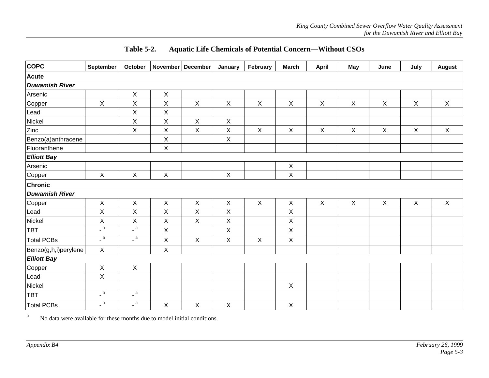| <b>COPC</b>           | September                | October                   | November   December |                           | January                   | February    | <b>March</b>              | April                     | <b>May</b>  | June                      | July                      | <b>August</b> |
|-----------------------|--------------------------|---------------------------|---------------------|---------------------------|---------------------------|-------------|---------------------------|---------------------------|-------------|---------------------------|---------------------------|---------------|
| <b>Acute</b>          |                          |                           |                     |                           |                           |             |                           |                           |             |                           |                           |               |
| <b>Duwamish River</b> |                          |                           |                     |                           |                           |             |                           |                           |             |                           |                           |               |
| Arsenic               |                          | $\mathsf X$               | X                   |                           |                           |             |                           |                           |             |                           |                           |               |
| Copper                | $\mathsf X$              | $\sf X$                   | X                   | $\mathsf X$               | $\boldsymbol{\mathsf{X}}$ | $\mathsf X$ | $\mathsf X$               | $\boldsymbol{\mathsf{X}}$ | $\mathsf X$ | $\boldsymbol{\mathsf{X}}$ | $\boldsymbol{\mathsf{X}}$ | $\mathsf X$   |
| Lead                  |                          | $\mathsf X$               | X                   |                           |                           |             |                           |                           |             |                           |                           |               |
| Nickel                |                          | $\mathsf X$               | X                   | $\boldsymbol{\mathsf{X}}$ | $\mathsf X$               |             |                           |                           |             |                           |                           |               |
| Zinc                  |                          | $\sf X$                   | $\mathsf X$         | $\mathsf X$               | $\mathsf X$               | $\mathsf X$ | $\mathsf X$               | $\boldsymbol{\mathsf{X}}$ | $\mathsf X$ | $\mathsf X$               | $\boldsymbol{\mathsf{X}}$ | $\mathsf X$   |
| Benzo(a)anthracene    |                          |                           | X                   |                           | X                         |             |                           |                           |             |                           |                           |               |
| Fluoranthene          |                          |                           | X                   |                           |                           |             |                           |                           |             |                           |                           |               |
| <b>Elliott Bay</b>    |                          |                           |                     |                           |                           |             |                           |                           |             |                           |                           |               |
| Arsenic               |                          |                           |                     |                           |                           |             | $\boldsymbol{\mathsf{X}}$ |                           |             |                           |                           |               |
| Copper                | $\mathsf X$              | $\sf X$                   | $\mathsf X$         |                           | $\sf X$                   |             | $\mathsf X$               |                           |             |                           |                           |               |
| Chronic               |                          |                           |                     |                           |                           |             |                           |                           |             |                           |                           |               |
| <b>Duwamish River</b> |                          |                           |                     |                           |                           |             |                           |                           |             |                           |                           |               |
| Copper                | $\pmb{\times}$           | $\mathsf X$               | $\pmb{\times}$      | $\boldsymbol{\mathsf{X}}$ | $\mathsf X$               | $\mathsf X$ | $\boldsymbol{\mathsf{X}}$ | $\mathsf X$               | $\mathsf X$ | $\boldsymbol{\mathsf{X}}$ | X                         | $\mathsf{X}$  |
| Lead                  | $\mathsf X$              | $\mathsf X$               | X                   | $\mathsf X$               | Χ                         |             | $\sf X$                   |                           |             |                           |                           |               |
| Nickel                | $\mathsf X$              | $\boldsymbol{\mathsf{X}}$ | $\mathsf X$         | $\mathsf X$               | $\mathsf X$               |             | $\mathsf X$               |                           |             |                           |                           |               |
| <b>TBT</b>            | $\mathsf{I}$ a           | $\_$ a $\,$               | X                   |                           | $\sf X$                   |             | $\mathsf X$               |                           |             |                           |                           |               |
| <b>Total PCBs</b>     | $\overline{\phantom{a}}$ | $\mathsf{I}$ a            | X                   | $\mathsf X$               | $\mathsf X$               | $\mathsf X$ | $\mathsf X$               |                           |             |                           |                           |               |
| Benzo(g,h,i)perylene  | $\mathsf X$              |                           | $\mathsf X$         |                           |                           |             |                           |                           |             |                           |                           |               |
| <b>Elliott Bay</b>    |                          |                           |                     |                           |                           |             |                           |                           |             |                           |                           |               |
| Copper                | $\mathsf X$              | $\boldsymbol{\mathsf{X}}$ |                     |                           |                           |             |                           |                           |             |                           |                           |               |
| Lead                  | $\mathsf X$              |                           |                     |                           |                           |             |                           |                           |             |                           |                           |               |
| Nickel                |                          |                           |                     |                           |                           |             | $\mathsf X$               |                           |             |                           |                           |               |
| <b>TBT</b>            | $\overline{a}$           | $\overline{\phantom{a}}$  |                     |                           |                           |             |                           |                           |             |                           |                           |               |
| Total PCBs            | $\char`_{\mathsf{a}}$ a  | $\char`_{\mathsf{a}}$ a   | $\mathsf X$         | $\mathsf X$               | $\sf X$                   |             | $\mathsf X$               |                           |             |                           |                           |               |

#### **Table 5-2. Aquatic Life Chemicals of Potential Concern—Without CSOs**

aNo data were available for these months due to model initial conditions.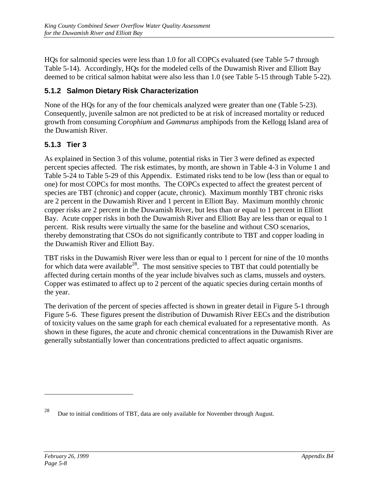HQs for salmonid species were less than 1.0 for all COPCs evaluated (see Table 5-7 through Table 5-14). Accordingly, HQs for the modeled cells of the Duwamish River and Elliott Bay deemed to be critical salmon habitat were also less than 1.0 (see Table 5-15 through Table 5-22).

# **5.1.2 Salmon Dietary Risk Characterization**

None of the HQs for any of the four chemicals analyzed were greater than one (Table 5-23). Consequently, juvenile salmon are not predicted to be at risk of increased mortality or reduced growth from consuming *Corophium* and *Gammarus* amphipods from the Kellogg Island area of the Duwamish River.

## **5.1.3 Tier 3**

As explained in Section 3 of this volume, potential risks in Tier 3 were defined as expected percent species affected. The risk estimates, by month, are shown in Table 4-3 in Volume 1 and Table 5-24 to Table 5-29 of this Appendix. Estimated risks tend to be low (less than or equal to one) for most COPCs for most months. The COPCs expected to affect the greatest percent of species are TBT (chronic) and copper (acute, chronic). Maximum monthly TBT chronic risks are 2 percent in the Duwamish River and 1 percent in Elliott Bay. Maximum monthly chronic copper risks are 2 percent in the Duwamish River, but less than or equal to 1 percent in Elliott Bay. Acute copper risks in both the Duwamish River and Elliott Bay are less than or equal to 1 percent. Risk results were virtually the same for the baseline and without CSO scenarios, thereby demonstrating that CSOs do not significantly contribute to TBT and copper loading in the Duwamish River and Elliott Bay.

TBT risks in the Duwamish River were less than or equal to 1 percent for nine of the 10 months for which data were available<sup>28</sup>. The most sensitive species to TBT that could potentially be affected during certain months of the year include bivalves such as clams, mussels and oysters. Copper was estimated to affect up to 2 percent of the aquatic species during certain months of the year.

The derivation of the percent of species affected is shown in greater detail in Figure 5-1 through Figure 5-6. These figures present the distribution of Duwamish River EECs and the distribution of toxicity values on the same graph for each chemical evaluated for a representative month. As shown in these figures, the acute and chronic chemical concentrations in the Duwamish River are generally substantially lower than concentrations predicted to affect aquatic organisms.

 $\overline{a}$ 

<sup>&</sup>lt;sup>28</sup> Due to initial conditions of TBT, data are only available for November through August.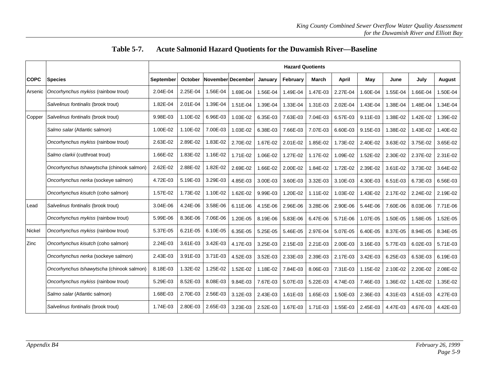|             |                                           | <b>Hazard Quotients</b> |              |                   |          |          |          |          |          |          |          |          |               |
|-------------|-------------------------------------------|-------------------------|--------------|-------------------|----------|----------|----------|----------|----------|----------|----------|----------|---------------|
| <b>COPC</b> | <b>Species</b>                            | September               | October      | November December |          | January  | February | March    | April    | May      | June     | July     | <b>August</b> |
| Arsenic     | Oncorhynchus mykiss (rainbow trout)       | 2.04E-04                | 2.25E-04     | 1.56E-04          | 1.69E-04 | 1.56E-04 | 1.49E-04 | 1.47E-03 | 2.27E-04 | 1.60E-04 | .55E-04  | 1.66E-04 | 1.50E-04      |
|             | Salvelinus fontinalis (brook trout)       | 1.82E-04                | 2.01E-04     | 1.39E-04          | 1.51E-04 | 1.39E-04 | 1.33E-04 | 1.31E-03 | 2.02E-04 | 1.43E-04 | 1.38E-04 | 1.48E-04 | 1.34E-04      |
| Copper      | Salvelinus fontinalis (brook trout)       | 9.98E-03                | 1.10E-02     | 6.96E-03          | 1.03E-02 | 6.35E-03 | 7.63E-03 | 7.04E-03 | 6.57E-03 | 9.11E-03 | .38E-02  | 1.42E-02 | 1.39E-02      |
|             | Salmo salar (Atlantic salmon)             | 1.00E-02                | 1.10E-02     | 7.00E-03          | 1.03E-02 | 6.38E-03 | 7.66E-03 | 7.07E-03 | 6.60E-03 | 9.15E-03 | 1.38E-02 | 1.43E-02 | 1.40E-02      |
|             | Oncorhynchus mykiss (rainbow trout)       | 2.63E-02                | 2.89E-02     | 1.83E-02          | 2.70E-02 | 1.67E-02 | 2.01E-02 | 1.85E-02 | 1.73E-02 | 2.40E-02 | 3.63E-02 | 3.75E-02 | 3.65E-02      |
|             | Salmo clarkii (cutthroat trout)           | 1.66E-02                | 1.83E-02     | 1.16E-02          | 1.71E-02 | 1.06E-02 | 1.27E-02 | 1.17E-02 | 1.09E-02 | 1.52E-02 | 2.30E-02 | 2.37E-02 | 2.31E-02      |
|             | Oncorhynchus tshawytscha (chinook salmon) | 2.62E-02                | 2.88E-02     | 1.82E-02          | 2.69E-02 | 1.66E-02 | 2.00E-02 | 1.84E-02 | 1.72E-02 | 2.39E-02 | 3.61E-02 | 3.73E-02 | 3.64E-02      |
|             | Oncorhynchus nerka (sockeye salmon)       | 4.72E-03                | 5.19E-03     | 3.29E-03          | 4.85E-03 | 3.00E-03 | 3.60E-03 | 3.32E-03 | 3.10E-03 | 4.30E-03 | 6.51E-03 | 6.73E-03 | 6.56E-03      |
|             | Oncorhynchus kisutch (coho salmon)        | 1.57E-02                | 1.73E-02     | 1.10E-02          | 1.62E-02 | 9.99E-03 | 1.20E-02 | 1.11E-02 | 1.03E-02 | 1.43E-02 | 2.17E-02 | 2.24E-02 | 2.19E-02      |
| Lead        | Salvelinus fontinalis (brook trout)       | 3.04E-06                | 4.24E-06     | 3.58E-06          | 6.11E-06 | 4.15E-06 | 2.96E-06 | 3.28E-06 | 2.90E-06 | 5.44E-06 | 7.60E-06 | 8.03E-06 | 7.71E-06      |
|             | Oncorhynchus mykiss (rainbow trout)       | 5.99E-06                | 8.36E-06     | 7.06E-06          | 1.20E-05 | 8.19E-06 | 5.83E-06 | 6.47E-06 | 5.71E-06 | 1.07E-05 | 1.50E-05 | 1.58E-05 | 1.52E-05      |
| Nickel      | Oncorhynchus mykiss (rainbow trout)       | 5.37E-05                | $6.21E - 05$ | 6.10E-05          | 6.35E-05 | 5.25E-05 | 5.46E-05 | 2.97E-04 | 5.07E-05 | 6.40E-05 | 8.37E-05 | 8.94E-05 | 8.34E-05      |
| Zinc        | Oncorhynchus kisutch (coho salmon)        | 2.24E-03                | 3.61E-03     | 3.42E-03          | 4.17E-03 | 3.25E-03 | 2.15E-03 | 2.21E-03 | 2.00E-03 | 3.16E-03 | 5.77E-03 | 6.02E-03 | 5.71E-03      |
|             | Oncorhynchus nerka (sockeye salmon)       | 2.43E-03                | 3.91E-03     | 3.71E-03          | 4.52E-03 | 3.52E-03 | 2.33E-03 | 2.39E-03 | 2.17E-03 | 3.42E-03 | 6.25E-03 | 6.53E-03 | 6.19E-03      |
|             | Oncorhynchus tshawytscha (chinook salmon) | 8.18E-03                | 1.32E-02     | 1.25E-02          | 1.52E-02 | 1.18E-02 | 7.84E-03 | 8.06E-03 | 7.31E-03 | 1.15E-02 | 2.10E-02 | 2.20E-02 | 2.08E-02      |
|             | Oncorhynchus mykiss (rainbow trout)       | 5.29E-03                | 8.52E-03     | 8.08E-03          | 9.84E-03 | 7.67E-03 | 5.07E-03 | 5.22E-03 | 4.74E-03 | 7.46E-03 | 1.36E-02 | 1.42E-02 | 1.35E-02      |
|             | Salmo salar (Atlantic salmon)             | 1.68E-03                | 2.70E-03     | 2.56E-03          | 3.12E-03 | 2.43E-03 | 1.61E-03 | 1.65E-03 | 1.50E-03 | 2.36E-03 | 4.31E-03 | 4.51E-03 | 4.27E-03      |
|             | Salvelinus fontinalis (brook trout)       | 1.74E-03                | 2.80E-03     | 2.65E-03          | 3.23E-03 | 2.52E-03 | 1.67E-03 | 1.71E-03 | 1.55E-03 | 2.45E-03 | 4.47E-03 | 4.67E-03 | 4.42E-03      |

# **Table 5-7. Acute Salmonid Hazard Quotients for the Duwamish River—Baseline**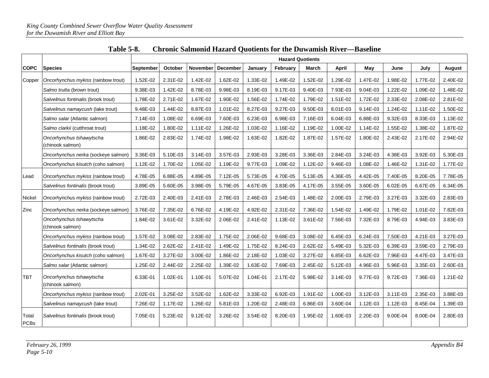|                      |                                              | <b>Hazard Quotients</b> |          |                 |                 |          |          |          |          |          |          |          |          |
|----------------------|----------------------------------------------|-------------------------|----------|-----------------|-----------------|----------|----------|----------|----------|----------|----------|----------|----------|
| <b>COPC</b>          | <b>Species</b>                               | September               | October  | <b>November</b> | <b>December</b> | January  | February | March    | April    | May      | June     | July     | August   |
| Copper               | Oncorhynchus mykiss (rainbow trout)          | 1.52E-02                | 2.31E-02 | 1.42E-02        | 1.62E-02        | 1.33E-02 | 1.49E-02 | 1.52E-02 | 1.29E-02 | 1.47E-02 | 1.98E-02 | 1.77E-02 | 2.40E-02 |
|                      | Salmo trutta (brown trout)                   | 9.38E-03                | 1.42E-02 | 8.78E-03        | 9.98E-03        | 8.19E-03 | 9.17E-03 | 9.40E-03 | 7.93E-03 | 9.04E-03 | 1.22E-02 | 1.09E-02 | 1.48E-02 |
|                      | Salvelinus fontinalis (brook trout)          | 1.78E-02                | 2.71E-02 | 1.67E-02        | 1.90E-02        | 1.56E-02 | 1.74E-02 | 1.79E-02 | 1.51E-02 | 1.72E-02 | 2.33E-02 | 2.08E-02 | 2.81E-02 |
|                      | Salvelinus namaycush (lake trout)            | 9.48E-03                | 1.44E-02 | 8.87E-03        | 1.01E-02        | 8.27E-03 | 9.27E-03 | 9.50E-03 | 8.01E-03 | 9.14E-03 | 1.24E-02 | 1.11E-02 | 1.50E-02 |
|                      | Salmo salar (Atlantic salmon)                | 7.14E-03                | 1.08E-02 | 6.69E-03        | 7.60E-03        | 6.23E-03 | 6.98E-03 | 7.16E-03 | 6.04E-03 | 6.88E-03 | 9.32E-03 | 8.33E-03 | 1.13E-02 |
|                      | Salmo clarkii (cutthroat trout)              | 1.18E-02                | 1.80E-02 | 1.11E-02        | 1.26E-02        | 1.03E-02 | 1.16E-02 | 1.19E-02 | 1.00E-02 | 1.14E-02 | 1.55E-02 | 1.38E-02 | 1.87E-02 |
|                      | Oncorhynchus tshawytscha<br>(chinook salmon) | 1.86E-02                | 2.83E-02 | 1.74E-02        | 1.98E-02        | 1.63E-02 | 1.82E-02 | 1.87E-02 | 1.57E-02 | 1.80E-02 | 2.43E-02 | 2.17E-02 | 2.94E-02 |
|                      | Oncorhynchus nerka (sockeye salmon)          | 3.36E-03                | 5.10E-03 | 3.14E-03        | 3.57E-03        | 2.93E-03 | 3.28E-03 | 3.36E-03 | 2.84E-03 | 3.24E-03 | 4.38E-03 | 3.92E-03 | 5.30E-03 |
|                      | Oncorhynchus kisutch (coho salmon)           | 1.12E-02                | 1.70E-02 | 1.05E-02        | 1.19E-02        | 9.77E-03 | 1.09E-02 | 1.12E-02 | 9.46E-03 | 1.08E-02 | 1.46E-02 | 1.31E-02 | 1.77E-02 |
| Lead                 | Oncorhynchus mykiss (rainbow trout)          | 4.78E-05                | 6.88E-05 | 4.89E-05        | 7.12E-05        | 5.73E-05 | 4.70E-05 | 5.13E-05 | 4.36E-05 | 4.42E-05 | 7.40E-05 | 8.20E-05 | 7.78E-05 |
|                      | Salvelinus fontinalis (brook trout)          | 3.89E-05                | 5.60E-05 | 3.98E-05        | 5.79E-05        | 4.67E-05 | 3.83E-05 | 4.17E-05 | 3.55E-05 | 3.60E-05 | 6.02E-05 | 6.67E-05 | 6.34E-05 |
| Nickel               | Oncorhynchus mykiss (rainbow trout)          | 2.72E-03                | 2.40E-03 | 2.41E-03        | 2.78E-03        | 2.46E-03 | 2.54E-03 | 1.48E-02 | 2.00E-03 | 2.79E-03 | 3.27E-03 | 3.32E-03 | 2.83E-03 |
| Zinc                 | Oncorhynchus nerka (sockeye salmon)          | 3.76E-02                | 7.35E-02 | 6.76E-02        | 4.19E-02        | 4.92E-02 | 2.31E-02 | 7.36E-02 | 1.54E-02 | 1.49E-02 | 1.79E-02 | 1.01E-02 | 7.82E-03 |
|                      | Oncorhynchus tshawytscha<br>(chinook salmon) | 1.84E-02                | 3.61E-02 | 3.32E-02        | 2.06E-02        | 2.41E-02 | 1.13E-02 | 3.61E-02 | 7.56E-03 | 7.32E-03 | 8.79E-03 | 4.94E-03 | 3.83E-03 |
|                      | Oncorhynchus mykiss (rainbow trout)          | 1.57E-02                | 3.08E-02 | 2.83E-02        | 1.75E-02        | 2.06E-02 | 9.68E-03 | 3.08E-02 | 6.45E-03 | 6.24E-03 | 7.50E-03 | 4.21E-03 | 3.27E-03 |
|                      | Salvelinus fontinalis (brook trout)          | 1.34E-02                | 2.62E-02 | 2.41E-02        | 1.49E-02        | 1.75E-02 | 8.24E-03 | 2.62E-02 | 5.49E-03 | 5.32E-03 | 6.39E-03 | 3.59E-03 | 2.79E-03 |
|                      | Oncorhynchus kisutch (coho salmon)           | 1.67E-02                | 3.27E-02 | 3.00E-02        | 1.86E-02        | 2.18E-02 | 1.03E-02 | 3.27E-02 | 6.85E-03 | 6.62E-03 | 7.96E-03 | 4.47E-03 | 3.47E-03 |
|                      | Salmo salar (Atlantic salmon)                | 1.25E-02                | 2.44E-02 | 2.25E-02        | 1.39E-02        | 1.63E-02 | 7.69E-03 | 2.45E-02 | 5.12E-03 | 4.96E-03 | 5.96E-03 | 3.35E-03 | 2.60E-03 |
| <b>TBT</b>           | Oncorhynchus tshawytscha<br>(chinook salmon) | 6.33E-01                | 1.02E-01 | 1.10E-01        | 5.07E-02        | 1.04E-01 | 2.17E-02 | 5.98E-02 | 3.14E-03 | 9.77E-03 | 9.72E-03 | 7.36E-03 | 1.21E-02 |
|                      | Oncorhynchus mykiss (rainbow trout)          | 2.02E-01                | 3.25E-02 | 3.52E-02        | 1.62E-02        | 3.33E-02 | 6.92E-03 | 1.91E-02 | 1.00E-03 | 3.12E-03 | 3.11E-03 | 2.35E-03 | 3.88E-03 |
|                      | Salvelinus namaycush (lake trout)            | 7.26E-02                | 1.17E-02 | 1.26E-02        | 5.81E-03        | 1.20E-02 | 2.48E-03 | 6.86E-03 | 3.60E-04 | 1.12E-03 | 1.12E-03 | 8.45E-04 | 1.39E-03 |
| Total<br><b>PCBs</b> | Salvelinus fontinalis (brook trout)          | 7.05E-01                | 5.23E-02 | 9.12E-02        | 3.26E-02        | 3.54E-02 | 8.20E-03 | 1.95E-02 | 1.60E-03 | 2.20E-03 | 9.00E-04 | 8.00E-04 | 2.80E-03 |

| <b>Table 5-8.</b> | <b>Chronic Salmonid Hazard Quotients for the Duwamish River—Baseline</b> |
|-------------------|--------------------------------------------------------------------------|
|-------------------|--------------------------------------------------------------------------|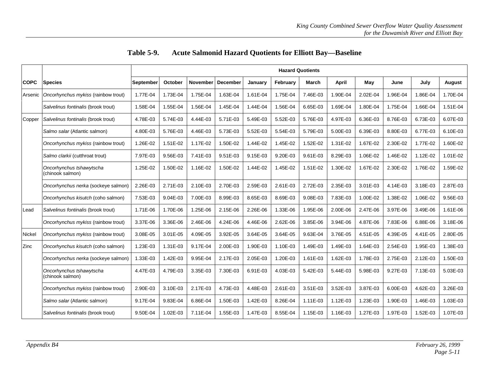|             |                                              |           | <b>Hazard Quotients</b> |                 |                 |          |          |          |          |          |          |          |          |
|-------------|----------------------------------------------|-----------|-------------------------|-----------------|-----------------|----------|----------|----------|----------|----------|----------|----------|----------|
| <b>COPC</b> | <b>Species</b>                               | September | October                 | <b>November</b> | <b>December</b> | January  | February | March    | April    | May      | June     | July     | August   |
| Arsenic     | Oncorhynchus mykiss (rainbow trout)          | 1.77E-04  | 1.73E-04                | 1.75E-04        | 1.63E-04        | 1.61E-04 | 1.75E-04 | 7.46E-03 | 1.90E-04 | 2.02E-04 | 1.96E-04 | 1.86E-04 | 1.70E-04 |
|             | Salvelinus fontinalis (brook trout)          | 1.58E-04  | 1.55E-04                | 1.56E-04        | 1.45E-04        | 1.44E-04 | 1.56E-04 | 6.65E-03 | 1.69E-04 | 1.80E-04 | 1.75E-04 | 1.66E-04 | 1.51E-04 |
| Copper      | Salvelinus fontinalis (brook trout)          | 4.78E-03  | 5.74E-03                | 4.44E-03        | 5.71E-03        | 5.49E-03 | 5.52E-03 | 5.76E-03 | 4.97E-03 | 6.36E-03 | 8.76E-03 | 6.73E-03 | 6.07E-03 |
|             | Salmo salar (Atlantic salmon)                | 4.80E-03  | 5.76E-03                | 4.46E-03        | 5.73E-03        | 5.52E-03 | 5.54E-03 | 5.79E-03 | 5.00E-03 | 6.39E-03 | 8.80E-03 | 6.77E-03 | 6.10E-03 |
|             | Oncorhynchus mykiss (rainbow trout)          | 1.26E-02  | 1.51E-02                | 1.17E-02        | 1.50E-02        | 1.44E-02 | 1.45E-02 | 1.52E-02 | 1.31E-02 | 1.67E-02 | 2.30E-02 | 1.77E-02 | 1.60E-02 |
|             | Salmo clarkii (cutthroat trout)              | 7.97E-03  | 9.56E-03                | 7.41E-03        | 9.51E-03        | 9.15E-03 | 9.20E-03 | 9.61E-03 | 8.29E-03 | 1.06E-02 | 1.46E-02 | 1.12E-02 | 1.01E-02 |
|             | Oncorhynchus tshawytscha<br>(chinook salmon) | 1.25E-02  | 1.50E-02                | 1.16E-02        | 1.50E-02        | 1.44E-02 | 1.45E-02 | 1.51E-02 | 1.30E-02 | 1.67E-02 | 2.30E-02 | 1.76E-02 | 1.59E-02 |
|             | Oncorhynchus nerka (sockeye salmon)          | 2.26E-03  | 2.71E-03                | 2.10E-03        | 2.70E-03        | 2.59E-03 | 2.61E-03 | 2.72E-03 | 2.35E-03 | 3.01E-03 | 4.14E-03 | 3.18E-03 | 2.87E-03 |
|             | Oncorhynchus kisutch (coho salmon)           | 7.53E-03  | 9.04E-03                | 7.00E-03        | 8.99E-03        | 8.65E-03 | 8.69E-03 | 9.08E-03 | 7.83E-03 | 1.00E-02 | 1.38E-02 | 1.06E-02 | 9.56E-03 |
| Lead        | Salvelinus fontinalis (brook trout)          | 1.71E-06  | 1.70E-06                | 1.25E-06        | 2.15E-06        | 2.26E-06 | 1.33E-06 | 1.95E-06 | 2.00E-06 | 2.47E-06 | 3.97E-06 | 3.49E-06 | 1.61E-06 |
|             | Oncorhynchus mykiss (rainbow trout)          | 3.37E-06  | 3.36E-06                | 2.46E-06        | 4.24E-06        | 4.46E-06 | 2.62E-06 | 3.85E-06 | 3.94E-06 | 4.87E-06 | 7.83E-06 | 6.88E-06 | 3.18E-06 |
| Nickel      | Oncorhynchus mykiss (rainbow trout)          | 3.08E-05  | 3.01E-05                | 4.09E-05        | 3.92E-05        | 3.64E-05 | 3.64E-05 | 9.63E-04 | 3.76E-05 | 4.51E-05 | 4.39E-05 | 4.41E-05 | 2.80E-05 |
| Zinc        | Oncorhynchus kisutch (coho salmon)           | 1.23E-03  | 1.31E-03                | 9.17E-04        | 2.00E-03        | 1.90E-03 | 1.10E-03 | 1.49E-03 | 1.49E-03 | 1.64E-03 | 2.54E-03 | 1.95E-03 | 1.38E-03 |
|             | Oncorhynchus nerka (sockeye salmon)          | 1.33E-03  | 1.42E-03                | 9.95E-04        | 2.17E-03        | 2.05E-03 | 1.20E-03 | 1.61E-03 | 1.62E-03 | 1.78E-03 | 2.75E-03 | 2.12E-03 | 1.50E-03 |
|             | Oncorhynchus tshawytscha<br>(chinook salmon) | 4.47E-03  | 4.79E-03                | 3.35E-03        | 7.30E-03        | 6.91E-03 | 4.03E-03 | 5.42E-03 | 5.44E-03 | 5.98E-03 | 9.27E-03 | 7.13E-03 | 5.03E-03 |
|             | Oncorhynchus mykiss (rainbow trout)          | 2.90E-03  | 3.10E-03                | 2.17E-03        | 4.73E-03        | 4.48E-03 | 2.61E-03 | 3.51E-03 | 3.52E-03 | 3.87E-03 | 6.00E-03 | 4.62E-03 | 3.26E-03 |
|             | Salmo salar (Atlantic salmon)                | 9.17E-04  | 9.83E-04                | 6.86E-04        | 1.50E-03        | 1.42E-03 | 8.26E-04 | 1.11E-03 | 1.12E-03 | 1.23E-03 | 1.90E-03 | 1.46E-03 | 1.03E-03 |
|             | Salvelinus fontinalis (brook trout)          | 9.50E-04  | 1.02E-03                | 7.11E-04        | 1.55E-03        | 1.47E-03 | 8.55E-04 | 1.15E-03 | 1.16E-03 | 1.27E-03 | 1.97E-03 | 1.52E-03 | 1.07E-03 |

## **Table 5-9. Acute Salmonid Hazard Quotients for Elliott Bay—Baseline**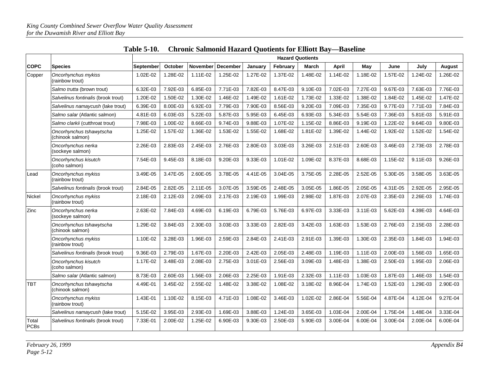|                      |                                              | <b>Hazard Quotients</b> |          |                 |                 |          |          |          |          |          |          |          |          |
|----------------------|----------------------------------------------|-------------------------|----------|-----------------|-----------------|----------|----------|----------|----------|----------|----------|----------|----------|
| <b>COPC</b>          | Species                                      | September               | October  | <b>November</b> | <b>December</b> | January  | February | March    | April    | May      | June     | July     | August   |
| Copper               | Oncorhynchus mykiss<br>(rainbow trout)       | 1.02E-02                | 1.28E-02 | 1.11E-02        | 1.25E-02        | 1.27E-02 | 1.37E-02 | 1.48E-02 | 1.14E-02 | 1.18E-02 | 1.57E-02 | 1.24E-02 | 1.26E-02 |
|                      | Salmo trutta (brown trout)                   | 6.32E-03                | 7.92E-03 | 6.85E-03        | 7.71E-03        | 7.82E-03 | 8.47E-03 | 9.10E-03 | 7.02E-03 | 7.27E-03 | 9.67E-03 | 7.63E-03 | 7.76E-03 |
|                      | Salvelinus fontinalis (brook trout)          | 1.20E-02                | 1.50E-02 | 1.30E-02        | 1.46E-02        | 1.49E-02 | 1.61E-02 | 1.73E-02 | 1.33E-02 | 1.38E-02 | 1.84E-02 | 1.45E-02 | 1.47E-02 |
|                      | Salvelinus namaycush (lake trout)            | 6.39E-03                | 8.00E-03 | 6.92E-03        | 7.79E-03        | 7.90E-03 | 8.56E-03 | 9.20E-03 | 7.09E-03 | 7.35E-03 | 9.77E-03 | 7.71E-03 | 7.84E-03 |
|                      | Salmo salar (Atlantic salmon)                | 4.81E-03                | 6.03E-03 | 5.22E-03        | 5.87E-03        | 5.95E-03 | 6.45E-03 | 6.93E-03 | 5.34E-03 | 5.54E-03 | 7.36E-03 | 5.81E-03 | 5.91E-03 |
|                      | Salmo clarkii (cutthroat trout)              | 7.98E-03                | 1.00E-02 | 8.66E-03        | 9.74E-03        | 9.88E-03 | 1.07E-02 | 1.15E-02 | 8.86E-03 | 9.19E-03 | 1.22E-02 | 9.64E-03 | 9.80E-03 |
|                      | Oncorhynchus tshawytscha<br>(chinook salmon) | 1.25E-02                | 1.57E-02 | 1.36E-02        | 1.53E-02        | 1.55E-02 | 1.68E-02 | 1.81E-02 | 1.39E-02 | 1.44E-02 | 1.92E-02 | 1.52E-02 | 1.54E-02 |
|                      | Oncorhynchus nerka<br>(sockeye salmon)       | 2.26E-03                | 2.83E-03 | 2.45E-03        | 2.76E-03        | 2.80E-03 | 3.03E-03 | 3.26E-03 | 2.51E-03 | 2.60E-03 | 3.46E-03 | 2.73E-03 | 2.78E-03 |
|                      | Oncorhynchus kisutch<br>(coho salmon)        | 7.54E-03                | 9.45E-03 | 8.18E-03        | 9.20E-03        | 9.33E-03 | 1.01E-02 | 1.09E-02 | 8.37E-03 | 8.68E-03 | 1.15E-02 | 9.11E-03 | 9.26E-03 |
| Lead                 | Oncorhynchus mykiss<br>(rainbow trout)       | 3.49E-05                | 3.47E-05 | 2.60E-05        | 3.78E-05        | 4.41E-05 | 3.04E-05 | 3.75E-05 | 2.28E-05 | 2.52E-05 | 5.30E-05 | 3.58E-05 | 3.63E-05 |
|                      | Salvelinus fontinalis (brook trout)          | 2.84E-05                | 2.82E-05 | $2.11E-05$      | 3.07E-05        | 3.59E-05 | 2.48E-05 | 3.05E-05 | 1.86E-05 | 2.05E-05 | 4.31E-05 | 2.92E-05 | 2.95E-05 |
| Nickel               | Oncorhynchus mykiss<br>(rainbow trout)       | 2.18E-03                | 2.12E-03 | 2.09E-03        | 2.17E-03        | 2.19E-03 | 1.99E-03 | 2.98E-02 | 1.87E-03 | 2.07E-03 | 2.35E-03 | 2.26E-03 | 1.74E-03 |
| Zinc                 | Oncorhynchus nerka<br>(sockeye salmon)       | 2.63E-02                | 7.84E-03 | 4.69E-03        | 6.19E-03        | 6.79E-03 | 5.76E-03 | 6.97E-03 | 3.33E-03 | 3.11E-03 | 5.62E-03 | 4.39E-03 | 4.64E-03 |
|                      | Oncorhynchus tshawytscha<br>(chinook salmon) | 1.29E-02                | 3.84E-03 | 2.30E-03        | 3.03E-03        | 3.33E-03 | 2.82E-03 | 3.42E-03 | 1.63E-03 | 1.53E-03 | 2.76E-03 | 2.15E-03 | 2.28E-03 |
|                      | Oncorhynchus mykiss<br>(rainbow trout)       | 1.10E-02                | 3.28E-03 | 1.96E-03        | 2.59E-03        | 2.84E-03 | 2.41E-03 | 2.91E-03 | 1.39E-03 | 1.30E-03 | 2.35E-03 | 1.84E-03 | 1.94E-03 |
|                      | Salvelinus fontinalis (brook trout)          | 9.36E-03                | 2.79E-03 | 1.67E-03        | 2.20E-03        | 2.42E-03 | 2.05E-03 | 2.48E-03 | 1.19E-03 | 1.11E-03 | 2.00E-03 | 1.56E-03 | 1.65E-03 |
|                      | Oncorhynchus kisutch<br>(coho salmon)        | 1.17E-02                | 3.48E-03 | 2.08E-03        | 2.75E-03        | 3.01E-03 | 2.56E-03 | 3.09E-03 | 1.48E-03 | 1.38E-03 | 2.50E-03 | 1.95E-03 | 2.06E-03 |
|                      | Salmo salar (Atlantic salmon)                | 8.73E-03                | 2.60E-03 | 1.56E-03        | 2.06E-03        | 2.25E-03 | 1.91E-03 | 2.32E-03 | 1.11E-03 | 1.03E-03 | 1.87E-03 | 1.46E-03 | 1.54E-03 |
| <b>TBT</b>           | Oncorhynchus tshawytscha<br>(chinook salmon) | 4.49E-01                | 3.45E-02 | 2.55E-02        | 1.48E-02        | 3.38E-02 | 1.08E-02 | 3.18E-02 | 8.96E-04 | 1.74E-03 | 1.52E-03 | 1.29E-03 | 2.90E-03 |
|                      | Oncorhynchus mykiss<br>(rainbow trout)       | 1.43E-01                | 1.10E-02 | 8.15E-03        | 4.71E-03        | 1.08E-02 | 3.46E-03 | 1.02E-02 | 2.86E-04 | 5.56E-04 | 4.87E-04 | 4.12E-04 | 9.27E-04 |
|                      | Salvelinus namaycush (lake trout)            | 5.15E-02                | 3.95E-03 | 2.93E-03        | 1.69E-03        | 3.88E-03 | 1.24E-03 | 3.65E-03 | 1.03E-04 | 2.00E-04 | 1.75E-04 | 1.48E-04 | 3.33E-04 |
| Total<br><b>PCBs</b> | Salvelinus fontinalis (brook trout)          | 7.33E-01                | 2.00E-02 | 1.25E-02        | 6.90E-03        | 9.30E-03 | 2.50E-03 | 5.90E-03 | 3.00E-04 | 6.00E-04 | 3.00E-04 | 2.00E-04 | 6.00E-04 |

|  | Table 5-10.  Chronic Salmonid Hazard Quotients for Elliott Bay—Baseline |  |  |  |
|--|-------------------------------------------------------------------------|--|--|--|
|--|-------------------------------------------------------------------------|--|--|--|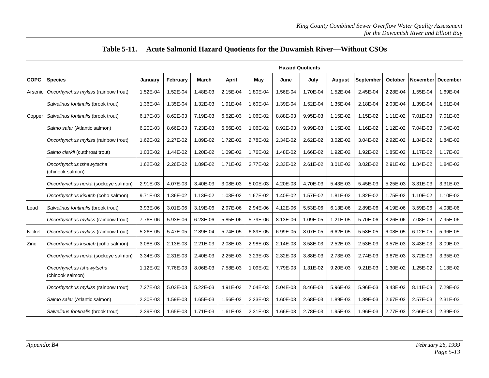|             |                                              | <b>Hazard Quotients</b> |          |              |              |          |          |          |               |                  |          |                 |                 |
|-------------|----------------------------------------------|-------------------------|----------|--------------|--------------|----------|----------|----------|---------------|------------------|----------|-----------------|-----------------|
| <b>COPC</b> | <b>Species</b>                               | January                 | Februarv | <b>March</b> | <b>April</b> | May      | June     | July     | <b>August</b> | <b>September</b> | October  | <b>November</b> | <b>December</b> |
| Arsenic     | Oncorhynchus mykiss (rainbow trout)          | 1.52E-04                | 1.52E-04 | 1.48E-03     | 2.15E-04     | 1.80E-04 | 1.56E-04 | 1.70E-04 | 1.52E-04      | 2.45E-04         | 2.28E-04 | 1.55E-04        | 1.69E-04        |
|             | Salvelinus fontinalis (brook trout)          | 1.36E-04                | 1.35E-04 | 1.32E-03     | 1.91E-04     | 1.60E-04 | 1.39E-04 | 1.52E-04 | 1.35E-04      | 2.18E-04         | 2.03E-04 | 1.39E-04        | 1.51E-04        |
| Copper      | Salvelinus fontinalis (brook trout)          | 6.17E-03                | 8.62E-03 | 7.19E-03     | 6.52E-03     | 1.06E-02 | 8.88E-03 | 9.95E-03 | 1.15E-02      | 1.15E-02         | 1.11E-02 | 7.01E-03        | 7.01E-03        |
|             | Salmo salar (Atlantic salmon)                | 6.20E-03                | 8.66E-03 | 7.23E-03     | 6.56E-03     | 1.06E-02 | 8.92E-03 | 9.99E-03 | 1.15E-02      | 1.16E-02         | 1.12E-02 | 7.04E-03        | 7.04E-03        |
|             | Oncorhynchus mykiss (rainbow trout)          | 1.62E-02                | 2.27E-02 | 1.89E-02     | 1.72E-02     | 2.78E-02 | 2.34E-02 | 2.62E-02 | 3.02E-02      | 3.04E-02         | 2.92E-02 | 1.84E-02        | 1.84E-02        |
|             | Salmo clarkii (cutthroat trout)              | 1.03E-02                | 1.44E-02 | 1.20E-02     | 1.09E-02     | 1.76E-02 | 1.48E-02 | 1.66E-02 | 1.92E-02      | 1.92E-02         | 1.85E-02 | 1.17E-02        | 1.17E-02        |
|             | Oncorhynchus tshawytscha<br>(chinook salmon) | 1.62E-02                | 2.26E-02 | 1.89E-02     | 1.71E-02     | 2.77E-02 | 2.33E-02 | 2.61E-02 | 3.01E-02      | 3.02E-02         | 2.91E-02 | 1.84E-02        | 1.84E-02        |
|             | Oncorhynchus nerka (sockeye salmon)          | 2.91E-03                | 4.07E-03 | 3.40E-03     | 3.08E-03     | 5.00E-03 | 4.20E-03 | 4.70E-03 | 5.43E-03      | 5.45E-03         | 5.25E-03 | 3.31E-03        | 3.31E-03        |
|             | Oncorhynchus kisutch (coho salmon)           | 9.71E-03                | 1.36E-02 | 1.13E-02     | 1.03E-02     | 1.67E-02 | 1.40E-02 | 1.57E-02 | 1.81E-02      | 1.82E-02         | 1.75E-02 | 1.10E-02        | 1.10E-02        |
| ∟ead        | Salvelinus fontinalis (brook trout)          | 3.93E-06                | 3.01E-06 | 3.19E-06     | 2.97E-06     | 2.94E-06 | 4.12E-06 | 5.53E-06 | 6.13E-06      | 2.89E-06         | 4.19E-06 | 3.59E-06        | 4.03E-06        |
|             | Oncorhynchus mykiss (rainbow trout)          | 7.76E-06                | 5.93E-06 | 6.28E-06     | 5.85E-06     | 5.79E-06 | 8.13E-06 | 1.09E-05 | 1.21E-05      | 5.70E-06         | 8.26E-06 | 7.08E-06        | 7.95E-06        |
| Nickel      | Oncorhynchus mykiss (rainbow trout)          | 5.26E-05                | 5.47E-05 | 2.89E-04     | 5.74E-05     | 6.89E-05 | 6.99E-05 | 8.07E-05 | 6.62E-05      | 5.58E-05         | 6.08E-05 | 6.12E-05        | 5.96E-05        |
| Zinc        | Oncorhynchus kisutch (coho salmon)           | 3.08E-03                | 2.13E-03 | 2.21E-03     | 2.08E-03     | 2.98E-03 | 2.14E-03 | 3.58E-03 | 2.52E-03      | 2.53E-03         | 3.57E-03 | 3.43E-03        | 3.09E-03        |
|             | Oncorhynchus nerka (sockeye salmon)          | 3.34E-03                | 2.31E-03 | 2.40E-03     | 2.25E-03     | 3.23E-03 | 2.32E-03 | 3.88E-03 | 2.73E-03      | 2.74E-03         | 3.87E-03 | 3.72E-03        | 3.35E-03        |
|             | Oncorhynchus tshawytscha<br>(chinook salmon) | 1.12E-02                | 7.76E-03 | 8.06E-03     | 7.58E-03     | 1.09E-02 | 7.79E-03 | 1.31E-02 | 9.20E-03      | $9.21E - 03$     | 1.30E-02 | 1.25E-02        | 1.13E-02        |
|             | Oncorhynchus mykiss (rainbow trout)          | 7.27E-03                | 5.03E-03 | 5.22E-03     | 4.91E-03     | 7.04E-03 | 5.04E-03 | 8.46E-03 | 5.96E-03      | 5.96E-03         | 8.43E-03 | 8.11E-03        | 7.29E-03        |
|             | Salmo salar (Atlantic salmon)                | 2.30E-03                | 1.59E-03 | 1.65E-03     | 1.56E-03     | 2.23E-03 | 1.60E-03 | 2.68E-03 | 1.89E-03      | 1.89E-03         | 2.67E-03 | 2.57E-03        | 2.31E-03        |
|             | Salvelinus fontinalis (brook trout)          | 2.39E-03                | 1.65E-03 | 1.71E-03     | 1.61E-03     | 2.31E-03 | 1.66E-03 | 2.78E-03 | 1.95E-03      | 1.96E-03         | 2.77E-03 | 2.66E-03        | 2.39E-03        |

## **Table 5-11. Acute Salmonid Hazard Quotients for the Duwamish River—Without CSOs**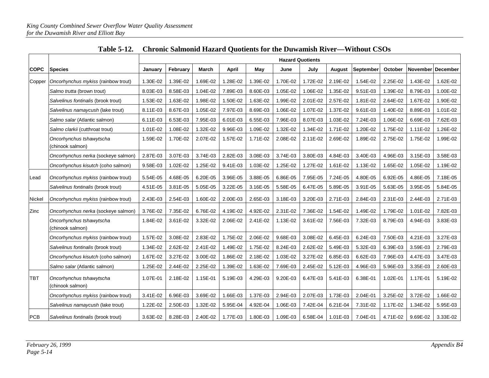|             |                                              |          | <b>Hazard Quotients</b> |          |          |          |          |          |               |           |                |          |                   |  |
|-------------|----------------------------------------------|----------|-------------------------|----------|----------|----------|----------|----------|---------------|-----------|----------------|----------|-------------------|--|
| <b>COPC</b> | <b>Species</b>                               | January  | February                | March    | April    | May      | June     | July     | <b>August</b> | September | <b>October</b> |          | November December |  |
| Copper      | Oncorhynchus mykiss (rainbow trout)          | 1.30E-02 | 1.39E-02                | 1.69E-02 | 1.28E-02 | 1.39E-02 | 1.70E-02 | 1.72E-02 | 2.19E-02      | 1.54E-02  | 2.25E-02       | 1.43E-02 | 1.62E-02          |  |
|             | Salmo trutta (brown trout)                   | 8.03E-03 | 8.58E-03                | 1.04E-02 | 7.89E-03 | 8.60E-03 | 1.05E-02 | 1.06E-02 | 1.35E-02      | 9.51E-03  | 1.39E-02       | 8.79E-03 | 1.00E-02          |  |
|             | Salvelinus fontinalis (brook trout)          | 1.53E-02 | 1.63E-02                | 1.98E-02 | 1.50E-02 | 1.63E-02 | 1.99E-02 | 2.01E-02 | 2.57E-02      | 1.81E-02  | 2.64E-02       | 1.67E-02 | 1.90E-02          |  |
|             | Salvelinus namaycush (lake trout)            | 8.11E-03 | 8.67E-03                | 1.05E-02 | 7.97E-03 | 8.69E-03 | 1.06E-02 | 1.07E-02 | 1.37E-02      | 9.61E-03  | 1.40E-02       | 8.89E-03 | 1.01E-02          |  |
|             | Salmo salar (Atlantic salmon)                | 6.11E-03 | 6.53E-03                | 7.95E-03 | 6.01E-03 | 6.55E-03 | 7.96E-03 | 8.07E-03 | 1.03E-02      | 7.24E-03  | 1.06E-02       | 6.69E-03 | 7.62E-03          |  |
|             | Salmo clarkii (cutthroat trout)              | 1.01E-02 | 1.08E-02                | 1.32E-02 | 9.96E-03 | 1.09E-02 | 1.32E-02 | 1.34E-02 | 1.71E-02      | 1.20E-02  | 1.75E-02       | 1.11E-02 | 1.26E-02          |  |
|             | Oncorhynchus tshawytscha<br>(chinook salmon) | 1.59E-02 | 1.70E-02                | 2.07E-02 | 1.57E-02 | 1.71E-02 | 2.08E-02 | 2.11E-02 | 2.69E-02      | 1.89E-02  | 2.75E-02       | 1.75E-02 | 1.99E-02          |  |
|             | Oncorhynchus nerka (sockeye salmon)          | 2.87E-03 | 3.07E-03                | 3.74E-03 | 2.82E-03 | 3.08E-03 | 3.74E-03 | 3.80E-03 | 4.84E-03      | 3.40E-03  | 4.96E-03       | 3.15E-03 | 3.58E-03          |  |
|             | Oncorhynchus kisutch (coho salmon)           | 9.58E-03 | 1.02E-02                | 1.25E-02 | 9.41E-03 | 1.03E-02 | 1.25E-02 | 1.27E-02 | 1.61E-02      | 1.13E-02  | 1.65E-02       | 1.05E-02 | 1.19E-02          |  |
| Lead        | Oncorhynchus mykiss (rainbow trout)          | 5.54E-05 | 4.68E-05                | 6.20E-05 | 3.96E-05 | 3.88E-05 | 6.86E-05 | 7.95E-05 | 7.24E-05      | 4.80E-05  | 6.92E-05       | 4.86E-05 | 7.18E-05          |  |
|             | Salvelinus fontinalis (brook trout)          | 4.51E-05 | 3.81E-05                | 5.05E-05 | 3.22E-05 | 3.16E-05 | 5.58E-05 | 6.47E-05 | 5.89E-05      | 3.91E-05  | 5.63E-05       | 3.95E-05 | 5.84E-05          |  |
| Nickel      | Oncorhynchus mykiss (rainbow trout)          | 2.43E-03 | 2.54E-03                | 1.60E-02 | 2.00E-03 | 2.65E-03 | 3.18E-03 | 3.20E-03 | 2.71E-03      | 2.84E-03  | 2.31E-03       | 2.44E-03 | 2.71E-03          |  |
| Zinc        | Oncorhynchus nerka (sockeye salmon)          | 3.76E-02 | 7.35E-02                | 6.76E-02 | 4.19E-02 | 4.92E-02 | 2.31E-02 | 7.36E-02 | 1.54E-02      | 1.49E-02  | 1.79E-02       | 1.01E-02 | 7.82E-03          |  |
|             | Oncorhynchus tshawytscha<br>(chinook salmon) | 1.84E-02 | 3.61E-02                | 3.32E-02 | 2.06E-02 | 2.41E-02 | 1.13E-02 | 3.61E-02 | 7.56E-03      | 7.32E-03  | 8.79E-03       | 4.94E-03 | 3.83E-03          |  |
|             | Oncorhynchus mykiss (rainbow trout)          | 1.57E-02 | 3.08E-02                | 2.83E-02 | 1.75E-02 | 2.06E-02 | 9.68E-03 | 3.08E-02 | 6.45E-03      | 6.24E-03  | 7.50E-03       | 4.21E-03 | 3.27E-03          |  |
|             | Salvelinus fontinalis (brook trout)          | 1.34E-02 | 2.62E-02                | 2.41E-02 | 1.49E-02 | 1.75E-02 | 8.24E-03 | 2.62E-02 | 5.49E-03      | 5.32E-03  | 6.39E-03       | 3.59E-03 | 2.79E-03          |  |
|             | Oncorhynchus kisutch (coho salmon)           | 1.67E-02 | 3.27E-02                | 3.00E-02 | 1.86E-02 | 2.18E-02 | 1.03E-02 | 3.27E-02 | 6.85E-03      | 6.62E-03  | 7.96E-03       | 4.47E-03 | 3.47E-03          |  |
|             | Salmo salar (Atlantic salmon)                | 1.25E-02 | 2.44E-02                | 2.25E-02 | 1.39E-02 | 1.63E-02 | 7.69E-03 | 2.45E-02 | 5.12E-03      | 4.96E-03  | 5.96E-03       | 3.35E-03 | 2.60E-03          |  |
| <b>TBT</b>  | Oncorhynchus tshawytscha<br>(chinook salmon) | 1.07E-01 | 2.18E-02                | 1.15E-01 | 5.19E-03 | 4.29E-03 | 9.20E-03 | 6.47E-03 | 5.41E-03      | 6.38E-01  | 1.02E-01       | 1.17E-01 | 5.19E-02          |  |
|             | Oncorhynchus mykiss (rainbow trout)          | 3.41E-02 | 6.96E-03                | 3.69E-02 | 1.66E-03 | 1.37E-03 | 2.94E-03 | 2.07E-03 | 1.73E-03      | 2.04E-01  | 3.25E-02       | 3.72E-02 | 1.66E-02          |  |
|             | Salvelinus namaycush (lake trout)            | 1.22E-02 | 2.50E-03                | 1.32E-02 | 5.95E-04 | 4.92E-04 | 1.06E-03 | 7.42E-04 | 6.21E-04      | 7.31E-02  | 1.17E-02       | 1.34E-02 | 5.95E-03          |  |
| PCB         | Salvelinus fontinalis (brook trout)          | 3.63E-02 | 8.28E-03                | 2.40E-02 | 1.77E-03 | 1.80E-03 | 1.09E-03 | 6.58E-04 | 1.01E-03      | 7.04E-01  | 4.71E-02       | 9.69E-02 | 3.33E-02          |  |

|  | Table 5-12. Chronic Salmonid Hazard Quotients for the Duwamish River—Without CSOs |
|--|-----------------------------------------------------------------------------------|
|--|-----------------------------------------------------------------------------------|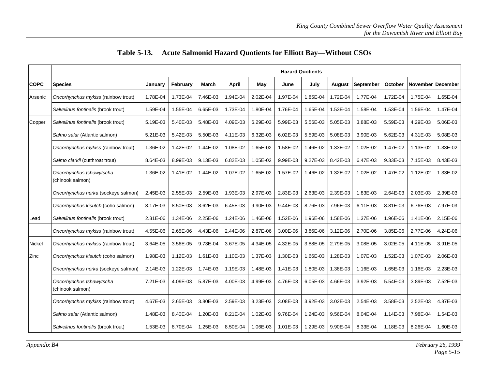|             |                                              | <b>Hazard Quotients</b> |          |          |          |          |          |          |          |            |                |                   |          |
|-------------|----------------------------------------------|-------------------------|----------|----------|----------|----------|----------|----------|----------|------------|----------------|-------------------|----------|
| <b>COPC</b> | <b>Species</b>                               | January                 | February | March    | April    | May      | June     | July     | August   | September  | <b>October</b> | November December |          |
| Arsenic     | Oncorhynchus mykiss (rainbow trout)          | 1.78E-04                | 1.73E-04 | 7.46E-03 | 1.94E-04 | 2.02E-04 | 1.97E-04 | 1.85E-04 | 1.72E-04 | 1.77E-04   | 1.72E-04       | 1.75E-04          | 1.65E-04 |
|             | Salvelinus fontinalis (brook trout)          | 1.59E-04                | 1.55E-04 | 6.65E-03 | 1.73E-04 | 1.80E-04 | 1.76E-04 | 1.65E-04 | 1.53E-04 | 1.58E-04   | 1.53E-04       | 1.56E-04          | 1.47E-04 |
| Copper      | Salvelinus fontinalis (brook trout)          | 5.19E-03                | 5.40E-03 | 5.48E-03 | 4.09E-03 | 6.29E-03 | 5.99E-03 | 5.56E-03 | 5.05E-03 | 3.88E-03   | 5.59E-03       | 4.29E-03          | 5.06E-03 |
|             | Salmo salar (Atlantic salmon)                | 5.21E-03                | 5.42E-03 | 5.50E-03 | 4.11E-03 | 6.32E-03 | 6.02E-03 | 5.59E-03 | 5.08E-03 | 3.90E-03   | 5.62E-03       | 4.31E-03          | 5.08E-03 |
|             | Oncorhynchus mykiss (rainbow trout)          | 1.36E-02                | 1.42E-02 | 1.44E-02 | 1.08E-02 | 1.65E-02 | 1.58E-02 | 1.46E-02 | 1.33E-02 | 1.02E-02   | 1.47E-02       | 1.13E-02          | 1.33E-02 |
|             | Salmo clarkii (cutthroat trout)              | 8.64E-03                | 8.99E-03 | 9.13E-03 | 6.82E-03 | 1.05E-02 | 9.99E-03 | 9.27E-03 | 8.42E-03 | 6.47E-03   | 9.33E-03       | 7.15E-03          | 8.43E-03 |
|             | Oncorhynchus tshawytscha<br>(chinook salmon) | 1.36E-02                | 1.41E-02 | 1.44E-02 | 1.07E-02 | 1.65E-02 | 1.57E-02 | 1.46E-02 | 1.32E-02 | 1.02E-02   | 1.47E-02       | 1.12E-02          | 1.33E-02 |
|             | Oncorhynchus nerka (sockeye salmon)          | 2.45E-03                | 2.55E-03 | 2.59E-03 | 1.93E-03 | 2.97E-03 | 2.83E-03 | 2.63E-03 | 2.39E-03 | 1.83E-03   | 2.64E-03       | 2.03E-03          | 2.39E-03 |
|             | Oncorhynchus kisutch (coho salmon)           | 8.17E-03                | 8.50E-03 | 8.62E-03 | 6.45E-03 | 9.90E-03 | 9.44E-03 | 8.76E-03 | 7.96E-03 | $6.11E-03$ | 8.81E-03       | 6.76E-03          | 7.97E-03 |
| Lead        | Salvelinus fontinalis (brook trout)          | 2.31E-06                | 1.34E-06 | 2.25E-06 | 1.24E-06 | 1.46E-06 | 1.52E-06 | 1.96E-06 | 1.58E-06 | 1.37E-06   | 1.96E-06       | 1.41E-06          | 2.15E-06 |
|             | Oncorhynchus mykiss (rainbow trout)          | 4.55E-06                | 2.65E-06 | 4.43E-06 | 2.44E-06 | 2.87E-06 | 3.00E-06 | 3.86E-06 | 3.12E-06 | 2.70E-06   | 3.85E-06       | 2.77E-06          | 4.24E-06 |
| Nickel      | Oncorhynchus mykiss (rainbow trout)          | 3.64E-05                | 3.56E-05 | 9.73E-04 | 3.67E-05 | 4.34E-05 | 4.32E-05 | 3.88E-05 | 2.79E-05 | 3.08E-05   | 3.02E-05       | 4.11E-05          | 3.91E-05 |
| Zinc        | Oncorhynchus kisutch (coho salmon)           | 1.98E-03                | 1.12E-03 | 1.61E-03 | 1.10E-03 | 1.37E-03 | 1.30E-03 | 1.66E-03 | 1.28E-03 | 1.07E-03   | 1.52E-03       | 1.07E-03          | 2.06E-03 |
|             | Oncorhynchus nerka (sockeye salmon)          | 2.14E-03                | 1.22E-03 | 1.74E-03 | 1.19E-03 | 1.48E-03 | 1.41E-03 | 1.80E-03 | 1.38E-03 | 1.16E-03   | 1.65E-03       | 1.16E-03          | 2.23E-03 |
|             | Oncorhynchus tshawytscha<br>(chinook salmon) | 7.21E-03                | 4.09E-03 | 5.87E-03 | 4.00E-03 | 4.99E-03 | 4.76E-03 | 6.05E-03 | 4.66E-03 | 3.92E-03   | 5.54E-03       | 3.89E-03          | 7.52E-03 |
|             | Oncorhynchus mykiss (rainbow trout)          | 4.67E-03                | 2.65E-03 | 3.80E-03 | 2.59E-03 | 3.23E-03 | 3.08E-03 | 3.92E-03 | 3.02E-03 | 2.54E-03   | 3.58E-03       | 2.52E-03          | 4.87E-03 |
|             | Salmo salar (Atlantic salmon)                | 1.48E-03                | 8.40E-04 | 1.20E-03 | 8.21E-04 | 1.02E-03 | 9.76E-04 | 1.24E-03 | 9.56E-04 | 8.04E-04   | 1.14E-03       | 7.98E-04          | 1.54E-03 |
|             | Salvelinus fontinalis (brook trout)          | 1.53E-03                | 8.70E-04 | 1.25E-03 | 8.50E-04 | 1.06E-03 | 1.01E-03 | 1.29E-03 | 9.90E-04 | 8.33E-04   | 1.18E-03       | 8.26E-04          | 1.60E-03 |

|  | Table 5-13. Acute Salmonid Hazard Quotients for Elliott Bay—Without CSOs |  |  |
|--|--------------------------------------------------------------------------|--|--|
|--|--------------------------------------------------------------------------|--|--|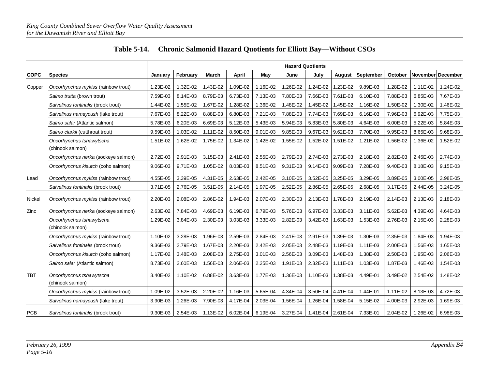|             |                                              | <b>Hazard Quotients</b> |              |          |              |          |          |                   |               |           |          |          |                   |
|-------------|----------------------------------------------|-------------------------|--------------|----------|--------------|----------|----------|-------------------|---------------|-----------|----------|----------|-------------------|
| <b>COPC</b> | <b>Species</b>                               | January                 | February     | March    | <b>April</b> | May      | June     | July              | <b>August</b> | September | October  |          | November December |
| Copper      | Oncorhynchus mykiss (rainbow trout)          | 1.23E-02                | 1.32E-02     | 1.43E-02 | 1.09E-02     | 1.16E-02 | .26E-02  | 1.24E-02          | 1.23E-02      | 9.89E-03  | 1.28E-02 | 1.11E-02 | 1.24E-02          |
|             | Salmo trutta (brown trout)                   | 7.59E-03                | 8.14E-03     | 8.79E-03 | 6.73E-03     | 7.13E-03 | 7.80E-03 | 7.66E-03          | 7.61E-03      | 6.10E-03  | 7.88E-03 | 6.85E-03 | 7.67E-03          |
|             | Salvelinus fontinalis (brook trout)          | 1.44E-02                | 1.55E-02     | 1.67E-02 | 1.28E-02     | 1.36E-02 | 1.48E-02 | 1.45E-02          | 1.45E-02      | 1.16E-02  | 1.50E-02 | 1.30E-02 | 1.46E-02          |
|             | Salvelinus namaycush (lake trout)            | 7.67E-03                | 8.22E-03     | 8.88E-03 | 6.80E-03     | 7.21E-03 | 7.88E-03 | 7.74E-03          | 7.69E-03      | 6.16E-03  | 7.96E-03 | 6.92E-03 | 7.75E-03          |
|             | Salmo salar (Atlantic salmon)                | 5.78E-03                | 6.20E-03     | 6.69E-03 | 5.12E-03     | 5.43E-03 | 5.94E-03 | 5.83E-03          | 5.80E-03      | 4.64E-03  | 6.00E-03 | 5.22E-03 | 5.84E-03          |
|             | Salmo clarkii (cutthroat trout)              | 9.59E-03                | 1.03E-02     | 1.11E-02 | 8.50E-03     | 9.01E-03 | 9.85E-03 | 9.67E-03          | 9.62E-03      | 7.70E-03  | 9.95E-03 | 8.65E-03 | 9.68E-03          |
|             | Oncorhynchus tshawytscha<br>(chinook salmon) | 1.51E-02                | 1.62E-02     | 1.75E-02 | 1.34E-02     | 1.42E-02 | 1.55E-02 | 1.52E-02          | 1.51E-02      | 1.21E-02  | 1.56E-02 | 1.36E-02 | 1.52E-02          |
|             | Oncorhynchus nerka (sockeye salmon)          | 2.72E-03                | 2.91E-03     | 3.15E-03 | 2.41E-03     | 2.55E-03 | 2.79E-03 | 2.74E-03          | 2.73E-03      | 2.18E-03  | 2.82E-03 | 2.45E-03 | 2.74E-03          |
|             | Oncorhynchus kisutch (coho salmon)           | 9.06E-03                | 9.71E-03     | 1.05E-02 | 8.03E-03     | 8.51E-03 | 9.31E-03 | 9.14E-03          | 9.09E-03      | 7.28E-03  | 9.40E-03 | 8.18E-03 | 9.15E-03          |
| Lead        | Oncorhynchus mykiss (rainbow trout)          | 4.55E-05                | 3.39E-05     | 4.31E-05 | 2.63E-05     | 2.42E-05 | 3.10E-05 | 3.52E-05          | 3.25E-05      | 3.29E-05  | 3.89E-05 | 3.00E-05 | 3.98E-05          |
|             | Salvelinus fontinalis (brook trout)          | 3.71E-05                | 2.76E-05     | 3.51E-05 | 2.14E-05     | 1.97E-05 | 2.52E-05 | 2.86E-05          | 2.65E-05      | 2.68E-05  | 3.17E-05 | 2.44E-05 | 3.24E-05          |
| Nickel      | Oncorhynchus mykiss (rainbow trout)          | 2.20E-03                | 2.08E-03     | 2.86E-02 | 1.94E-03     | 2.07E-03 | 2.30E-03 | 2.13E-03          | 1.78E-03      | 2.19E-03  | 2.14E-03 | 2.13E-03 | 2.18E-03          |
| Zinc        | Oncorhynchus nerka (sockeye salmon)          | 2.63E-02                | 7.84E-03     | 4.69E-03 | 6.19E-03     | 6.79E-03 | 5.76E-03 | 6.97E-03          | 3.33E-03      | 3.11E-03  | 5.62E-03 | 4.39E-03 | 4.64E-03          |
|             | Oncorhynchus tshawytscha<br>(chinook salmon) | 1.29E-02                | 3.84E-03     | 2.30E-03 | 3.03E-03     | 3.33E-03 | 2.82E-03 | 3.42E-03          | 1.63E-03      | 1.53E-03  | 2.76E-03 | 2.15E-03 | 2.28E-03          |
|             | Oncorhynchus mykiss (rainbow trout)          | 1.10E-02                | 3.28E-03     | 1.96E-03 | 2.59E-03     | 2.84E-03 | 2.41E-03 | 2.91E-03          | 1.39E-03      | 1.30E-03  | 2.35E-03 | 1.84E-03 | 1.94E-03          |
|             | Salvelinus fontinalis (brook trout)          | 9.36E-03                | 2.79E-03     | 1.67E-03 | 2.20E-03     | 2.42E-03 | 2.05E-03 | 2.48E-03          | 1.19E-03      | 1.11E-03  | 2.00E-03 | 1.56E-03 | 1.65E-03          |
|             | Oncorhynchus kisutch (coho salmon)           | 1.17E-02                | 3.48E-03     | 2.08E-03 | 2.75E-03     | 3.01E-03 | 2.56E-03 | 3.09E-03          | 1.48E-03      | 1.38E-03  | 2.50E-03 | 1.95E-03 | 2.06E-03          |
|             | Salmo salar (Atlantic salmon)                | 8.73E-03                | 2.60E-03     | 1.56E-03 | 2.06E-03     | 2.25E-03 | 1.91E-03 | 2.32E-03          | 1.11E-03      | 1.03E-03  | 1.87E-03 | 1.46E-03 | 1.54E-03          |
| <b>TBT</b>  | Oncorhynchus tshawytscha<br>(chinook salmon) | 3.40E-02                | 1.10E-02     | 6.88E-02 | 3.63E-03     | 1.77E-03 | 1.36E-03 | 1.10E-03          | 1.38E-03      | 4.49E-01  | 3.49E-02 | 2.54E-02 | 1.48E-02          |
|             | Oncorhynchus mykiss (rainbow trout)          | 1.09E-02                | 3.52E-03     | 2.20E-02 | 1.16E-03     | 5.65E-04 | 4.34E-04 | 3.50E-04          | 4.41E-04      | 1.44E-01  | 1.11E-02 | 8.13E-03 | 4.72E-03          |
|             | Salvelinus namaycush (lake trout)            | 3.90E-03                | .26E-03<br>1 | 7.90E-03 | 4.17E-04     | 2.03E-04 | 1.56E-04 | 1.26E-04          | 1.58E-04      | 5.15E-02  | 4.00E-03 | 2.92E-03 | 1.69E-03          |
| <b>PCB</b>  | Salvelinus fontinalis (brook trout)          | 9.30E-03                | 2.54E-03     | 1.13E-02 | 6.02E-04     | 6.19E-04 | 3.27E-04 | 1.41E-04 2.61E-04 |               | 7.33E-01  | 2.04E-02 | 1.26E-02 | 6.98E-03          |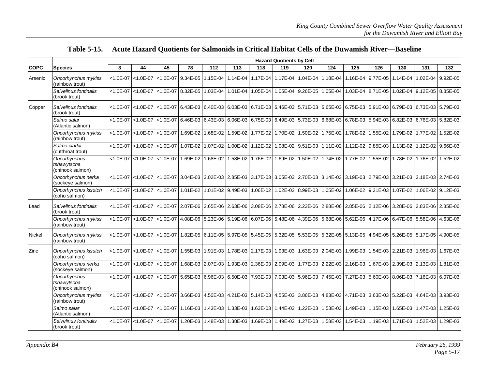|             |                                                 | <b>Hazard Quotients by Cell</b> |                             |               |                                                                                                             |                                     |                   |          |                                     |                                              |     |                                              |     |          |                                                                                                                                              |                                                                                                                      |
|-------------|-------------------------------------------------|---------------------------------|-----------------------------|---------------|-------------------------------------------------------------------------------------------------------------|-------------------------------------|-------------------|----------|-------------------------------------|----------------------------------------------|-----|----------------------------------------------|-----|----------|----------------------------------------------------------------------------------------------------------------------------------------------|----------------------------------------------------------------------------------------------------------------------|
| <b>COPC</b> | <b>Species</b>                                  | $\mathbf{3}$                    | 44                          | 45            | 78                                                                                                          | 112                                 | 113               | 118      | 119                                 | 120                                          | 124 | 125                                          | 126 | 130      | 131                                                                                                                                          | 132                                                                                                                  |
| Arsenic     | Oncorhynchus mykiss<br>(rainbow trout)          |                                 | $< 1.0E - 07$ < 1.0E - 07   |               | <1.0E-07 9.34E-05 1.15E-04 1.14E-04 1.17E-04 1.17E-04 1.17E-04 1.04E-04 1.18E-04 1.16E-04 9.77E-05 1.14E-04 |                                     |                   |          |                                     |                                              |     |                                              |     |          |                                                                                                                                              | 1.02E-04 9.92E-05                                                                                                    |
|             | Salvelinus fontinalis<br>(brook trout)          |                                 | $<$ 1.0E-07 $<$ 1.0E-07 $ $ |               | <1.0E-07 8.32E-05 1.03E-04                                                                                  |                                     | 1.01E-04          | 1.05E-04 |                                     | 1.05E-04 9.26E-05                            |     | 1.05E-04 1.03E-04 8.71E-05                   |     |          |                                                                                                                                              | 1.02E-04 9.12E-05 8.85E-05                                                                                           |
| Copper      | Salvelinus fontinalis<br>(brook trout)          |                                 | $<$ 1.0E-07 $<$ 1.0E-07     |               |                                                                                                             |                                     |                   |          |                                     |                                              |     |                                              |     |          |                                                                                                                                              | <1.0E-07 6.43E-03 6.40E-03 6.03E-03 6.71E-03 6.46E-03 5.71E-03 6.5E-03 6.75E-03 5.91E-03 6.79E-03 6.73E-03 5.79E-03  |
|             | Salmo salar<br>(Atlantic salmon)                |                                 | $<$ 1.0E-07 $<$ 1.0E-07     |               |                                                                                                             |                                     |                   |          |                                     |                                              |     |                                              |     |          |                                                                                                                                              | <1.0E-07 6.46E-03 6.43E-03 6.06E-03 6.75E-03 6.49E-03 5.73E-03 6.88E-03 6.78E-03 5.94E-03 6.82E-03 6.76E-03 5.82E-03 |
|             | Oncorhynchus mykiss<br>(rainbow trout)          |                                 | $< 1.0E - 07$ $< 1.0E - 07$ | $< 1.0E - 07$ | $\overline{1.69E-02}$                                                                                       | 1.68E-02                            | 1.59E-02          | 1.77E-02 | 1.70E-02                            |                                              |     | 1.50E-02 1.75E-02 1.78E-02 1.55E-02 1.79E-02 |     |          | 1.77E-02                                                                                                                                     | 1.52E-02                                                                                                             |
|             | Salmo clarkii<br>(cutthroat trout)              |                                 | $< 1.0E - 07$ $< 1.0E - 07$ | $< 1.0E - 07$ | $1.07E-02$                                                                                                  | 1.07E-02                            | 1.00E-02          | 1.12E-02 |                                     |                                              |     |                                              |     |          | 1.08E-02 9.51E-03 1.11E-02 1.12E-02 9.85E-03 1.13E-02 1.12E-02                                                                               | 9.66E-03                                                                                                             |
|             | Oncorhynchus<br>tshawytscha<br>(chinook salmon) |                                 | $<$ 1.0E-07 $<$ 1.0E-07     | $< 1.0E - 07$ |                                                                                                             | 1.69E-02 1.68E-02 1.58E-02 1.76E-02 |                   |          | 1.69E-02                            |                                              |     | 1.50E-02 1.74E-02 1.77E-02 1.55E-02 1.78E-02 |     |          | 1.76E-02                                                                                                                                     | 1.52E-02                                                                                                             |
|             | Oncorhynchus nerka<br>(sockeye salmon)          |                                 | $< 1.0E - 07$ $< 1.0E - 07$ |               |                                                                                                             |                                     |                   |          |                                     |                                              |     |                                              |     |          |                                                                                                                                              | <1.0E-07 3.04E-03 3.02E-03 2.85E-03 3.17E-03 3.05E-03 2.70E-03 3.14E-03 3.19E-03 2.79E-03 3.21E-03 3.18E-03 2.74E-03 |
|             | Oncorhynchus kisutch<br>(coho salmon)           | $< 1.0E - 07$                   | $< 1.0E - 07$               | $< 1.0E - 07$ | $1.01E-02$                                                                                                  |                                     | 1.01E-02 9.49E-03 | 1.06E-02 |                                     | 1.02E-02 8.99E-03 1.05E-02 1.06E-02 9.31E-03 |     |                                              |     | 1.07E-02 |                                                                                                                                              | 1.06E-02 9.12E-03                                                                                                    |
| Lead        | Salvelinus fontinalis<br>(brook trout)          |                                 | <1.0E-07   <1.0E-07         |               |                                                                                                             |                                     |                   |          |                                     |                                              |     |                                              |     |          | <1.0E-07 2.07E-06 2.65E-06 2.63E-06 3.08E-06 2.78E-06 2.23E-06 2.88E-06 2.85E-06 2.12E-06 3.28E-06 2.83E-06 2.35E-06                         |                                                                                                                      |
|             | Oncorhynchus mykiss<br>(rainbow trout)          |                                 | $< 1.0E - 07$ < 1.0E - 07   |               | $<$ 1.0E-07 4.08E-06 5.23E-06 5.19E-06                                                                      |                                     |                   |          | 6.07E-06 5.48E-06                   |                                              |     |                                              |     |          | 4.39E-06 5.68E-06 5.62E-06 4.17E-06 6.47E-06 5.58E-06                                                                                        | 4.63E-06                                                                                                             |
| Nickel      | Oncorhynchus mykiss<br>(rainbow trout)          |                                 | $<$ 1.0E-07 $<$ 1.0E-07     |               |                                                                                                             |                                     |                   |          |                                     |                                              |     |                                              |     |          | <1.0E-07   1.82E-05   6.11E-05   5.97E-05   5.45E-05   5.32E-05   5.53E-05   5.32E-05   5.13E-05   4.94E-05   5.26E-05   5.17E-05   4.90E-05 |                                                                                                                      |
| Zinc        | Oncorhynchus kisutch<br>(coho salmon)           |                                 | <1.0E-07   <1.0E-07         |               | <1.0E-07   1.55E-03   1.91E-03   1.78E-03   2.17E-03   1.93E-03                                             |                                     |                   |          |                                     |                                              |     | 1.63E-03 2.04E-03 1.99E-03 1.54E-03 2.21E-03 |     |          | 1.96E-03                                                                                                                                     | 1.67E-03                                                                                                             |
|             | Oncorhynchus nerka<br>(sockeye salmon)          |                                 | $< 1.0E - 07$ < 1.0E - 07   | $< 1.0E - 07$ |                                                                                                             | 1.68E-03 2.07E-03                   |                   |          | 1.93E-03 2.36E-03 2.09E-03          |                                              |     |                                              |     |          | 1.77E-03 2.22E-03 2.16E-03 1.67E-03 2.39E-03 2.13E-03                                                                                        | 1.81E-03                                                                                                             |
|             | Oncorhynchus<br>tshawytscha<br>(chinook salmon) |                                 | <1.0E-07   <1.0E-07         |               | <1.0E-07   5.65E-03   6.96E-03   6.50E-03   7.93E-03                                                        |                                     |                   |          |                                     |                                              |     |                                              |     |          |                                                                                                                                              | 7.03E-03 5.96E-03 7.45E-03 7.27E-03 5.60E-03 8.06E-03 7.16E-03 6.07E-03                                              |
|             | Oncorhynchus mykiss<br>(rainbow trout)          | $< 1.0E - 07$                   | $< 1.0E - 07$               |               | $<$ 1.0E-07 3.66E-03                                                                                        |                                     |                   |          | 4.50E-03 4.21E-03 5.14E-03 4.55E-03 |                                              |     | 3.86E-03 4.83E-03 4.71E-03 3.63E-03 5.22E-03 |     |          |                                                                                                                                              | 4.64E-03 3.93E-03                                                                                                    |
|             | Salmo salar<br>(Atlantic salmon)                |                                 | $< 1.0E - 07$ $< 1.0E - 07$ |               | $<$ 1.0E-07   1.16E-03   1.43E-03   1.33E-03   1.63E-03                                                     |                                     |                   |          | 1.44E-03                            |                                              |     |                                              |     |          | 1.22E-03 1.53E-03 1.49E-03 1.15E-03 1.65E-03 1.47E-03                                                                                        | 1.25E-03                                                                                                             |
|             | Salvelinus fontinalis<br>(brook trout)          | $< 1.0E - 07$                   | $< 1.0E - 07$               | $< 1.0E - 07$ | 1.20E-03                                                                                                    | 1.48E-03                            | $1.38E-03$        |          | 1.69E-03 1.49E-03                   |                                              |     | 1.27E-03 1.58E-03 1.54E-03 1.19E-03 1.71E-03 |     |          | 1.52E-03                                                                                                                                     | 1.29E-03                                                                                                             |

#### **Table 5-15. Acute Hazard Quotients for Salmonids in Critical Habitat Cells of the Duwamish River—Baseline**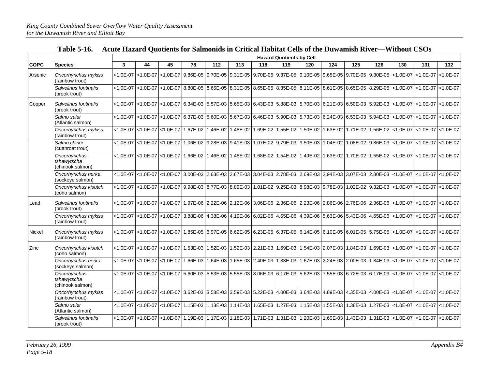|               |                                                 | <b>Hazard Quotients by Cell</b> |               |               |          |            |                            |                   |                                                                                                             |          |          |          |                   |                                                                                                                        |                           |                         |
|---------------|-------------------------------------------------|---------------------------------|---------------|---------------|----------|------------|----------------------------|-------------------|-------------------------------------------------------------------------------------------------------------|----------|----------|----------|-------------------|------------------------------------------------------------------------------------------------------------------------|---------------------------|-------------------------|
| <b>COPC</b>   | Species                                         | 3                               | 44            | 45            | 78       | 112        | 113                        | 118               | 119                                                                                                         | 120      | 124      | 125      | 126               | 130                                                                                                                    | 131                       | 132                     |
| Arsenic       | Oncorhynchus mykiss<br>(rainbow trout)          | $< 1.0E - 07$                   | $< 1.0E - 07$ |               |          |            |                            |                   |                                                                                                             |          |          |          |                   | <1.0E-07   9.86E-05   9.70E-05   9.31E-05   9.70E-05   9.37E-05   9.10E-05   9.65E-05   9.70E-05   9.30E-05   <1.0E-07 | $< 1.0E - 07$             | $< 1.0E - 07$           |
|               | Salvelinus fontinalis<br>(brook trout)          | $< 1.0E - 07$                   | $< 1.0E - 07$ | $< 1.0E - 07$ |          |            |                            |                   | 8.80E-05 8.65E-05 8.31E-05 8.65E-05 8.35E-05 8.11E-05 8.61E-05 8.65E-05 8.29E-05                            |          |          |          |                   | $< 1.0E - 07$                                                                                                          | $< 1.0E - 07$             | $< 1.0E - 07$           |
| Copper        | Salvelinus fontinalis<br>(brook trout)          | $< 1.0E - 07$                   | $< 1.0E - 07$ |               |          |            |                            |                   |                                                                                                             |          |          |          |                   | <1.0E-07 6.34E-03 5.57E-03 5.65E-03 6.43E-03 5.88E-03 5.70E-03 6.21E-03 6.50E-03 5.92E-03 <1.0E-07 <                   | $< 1.0E - 07$ < 1.0E - 07 |                         |
|               | Salmo salar<br>(Atlantic salmon)                | $< 1.0E - 07$                   | $< 1.0E - 07$ | $< 1.0E - 07$ |          |            |                            |                   | 6.37E-03 5.60E-03 5.67E-03 6.46E-03 5.90E-03 5.73E-03 6.24E-03 6.53E-03 5.94E-03                            |          |          |          |                   | $< 1.0E - 07$                                                                                                          | $< 1.0E - 07$             | $< 1.0E - 07$           |
|               | Oncorhynchus mykiss<br>(rainbow trout)          | $< 1.0E - 07$                   | $< 1.0E - 07$ | $< 1.0E - 07$ |          |            |                            |                   | 1.67E-02   1.46E-02   1.48E-02   1.69E-02   1.55E-02   1.50E-02   1.63E-02   1.71E-02   1.56E-02   <1.0E-07 |          |          |          |                   |                                                                                                                        | $< 1.0E - 07$             | $< 1.0E - 07$           |
|               | Salmo clarkii<br>(cutthroat trout)              | $< 1.0E - 07$                   | $< 1.0E - 07$ | $< 1.0E - 07$ |          |            | 1.06E-02 9.28E-03 9.41E-03 |                   | 1.07E-02 9.79E-03 9.50E-03                                                                                  |          | 1.04E-02 |          | 1.08E-02 9.86E-03 | $< 1.0E - 07$                                                                                                          | $< 1.0E - 07$             | $< 1.0E - 07$           |
|               | Oncorhynchus<br>tshawytscha<br>(chinook salmon) | $< 1.0E - 07$                   | $< 1.0E - 07$ | $< 1.0E - 07$ |          |            |                            |                   |                                                                                                             |          |          |          |                   | 1.66E-02 1.46E-02   1.48E-02   1.68E-02   1.68E-02   1.54E-02   1.49E-02   1.63E-02   1.70E-02   1.55E-02   <1.0E-07   | $< 1.0E - 07$             | $< 1.0E - 07$           |
|               | Oncorhynchus nerka<br>(sockeye salmon)          | $< 1.0E - 07$                   | $< 1.0E - 07$ | $< 1.0E - 07$ |          |            |                            |                   |                                                                                                             |          |          |          |                   | 3.00E-03 2.63E-03 2.67E-03 3.04E-03 2.78E-03 2.69E-03 2.94E-03 3.07E-03 2.80E-03 <1.0E-07                              | $ $ <1.0E-07 $ $ <1.0E-07 |                         |
|               | Oncorhynchus kisutch<br>(coho salmon)           | $< 1.0E - 07$                   | $< 1.0E - 07$ | $< 1.0E - 07$ |          |            |                            |                   | 9.98E-03 8.77E-03 8.89E-03 1.01E-02 9.25E-03 8.98E-03 9.78E-03                                              |          |          |          | 1.02E-02 9.32E-03 | $< 1.0E - 07$                                                                                                          | $< 1.0E - 07$             | $< 1.0E - 07$           |
| Lead          | Salvelinus fontinalis<br>(brook trout)          | $< 1.0E - 07$                   | $< 1.0E - 07$ |               |          |            |                            |                   |                                                                                                             |          |          |          |                   | <1.0E-07   1.97E-06   2.22E-06   2.12E-06   3.06E-06   2.36E-06   2.23E-06   2.86E-06   2.76E-06   2.36E-06   <1.0E-07 |                           | $<1.0E-07$ $<1.0E-07$   |
|               | Oncorhynchus mykiss<br>(rainbow trout)          | $< 1.0E - 07$                   | $< 1.0E - 07$ | $< 1.0E - 07$ | 3.88E-06 |            |                            |                   | 4.38E-06 4.19E-06 6.02E-06 4.65E-06 4.39E-06 5.63E-06 5.43E-06 4.65E-06 <1.0E-07                            |          |          |          |                   |                                                                                                                        | $< 1.0E - 07$             | $< 1.0E - 07$           |
| <b>Nickel</b> | Oncorhynchus mykiss<br>(rainbow trout)          | $< 1.0E - 07$                   | $< 1.0E - 07$ | $< 1.0E - 07$ |          |            |                            |                   | 1.85E-05 6.97E-05 6.62E-05 6.23E-05 6.37E-05 6.14E-05 6.10E-05 6.01E-05 5.75E-05 <1.0E-07                   |          |          |          |                   |                                                                                                                        |                           | $<$ 1.0E-07 $<$ 1.0E-07 |
| Zinc          | Oncorhynchus kisutch<br>(coho salmon)           | $< 1.0E - 07$                   | $< 1.0E - 07$ | $< 1.0E - 07$ |          |            |                            |                   | 1.53E-03 1.52E-03 1.52E-03 2.21E-03 1.69E-03 1.54E-03 2.07E-03 1.84E-03 1.69E-03 <1.0E-07                   |          |          |          |                   |                                                                                                                        | $< 1.0E - 07$             | $< 1.0E - 07$           |
|               | Oncorhynchus nerka<br>(sockeye salmon)          | $< 1.0E - 07$                   | $< 1.0E - 07$ | $< 1.0E - 07$ | 1.66E-03 | $1.64E-03$ |                            | 1.65E-03 2.40E-03 | 1.83E-03 1.67E-03 2.24E-03 2.00E-03                                                                         |          |          |          |                   | 1.84E-03 <1.0E-07                                                                                                      | $< 1.0E - 07$             | $< 1.0E - 07$           |
|               | Oncorhynchus<br>tshawytscha<br>(chinook salmon) | $< 1.0E - 07$                   | $< 1.0E - 07$ | $< 1.0E - 07$ |          |            |                            |                   | 5.60E-03 5.53E-03 5.55E-03 8.06E-03 6.17E-03 5.62E-03 7.55E-03 6.72E-03 6.17E-03 <1.0E-07                   |          |          |          |                   |                                                                                                                        | $< 1.0E - 07$             | $< 1.0E - 07$           |
|               | Oncorhynchus mykiss<br>(rainbow trout)          | $< 1.0E - 07$                   | $< 1.0E - 07$ | $< 1.0E - 07$ |          |            |                            |                   | 3.62E-03 3.58E-03 3.59E-03 5.22E-03 4.00E-03 3.64E-03 4.89E-03 4.35E-03 4.00E-03 <1.0E-07                   |          |          |          |                   |                                                                                                                        | $< 1.0E - 07$             | $< 1.0E - 07$           |
|               | Salmo salar<br>(Atlantic salmon)                | $< 1.0E - 07$                   | $< 1.0E - 07$ | $< 1.0E - 07$ |          |            | 1.15E-03 1.13E-03 1.14E-03 |                   | 1.65E-03 1.27E-03 1.15E-03                                                                                  |          | 1.55E-03 |          |                   | 1.38E-03 1.27E-03 <1.0E-07                                                                                             | $< 1.0E - 07$             | $< 1.0E - 07$           |
|               | Salvelinus fontinalis<br>(brook trout)          | $< 1.0E - 07$                   | $< 1.0E - 07$ | $< 1.0E - 07$ | 1.19E-03 | 1.17E-03   | 1.18E-03                   |                   | 1.71E-03 1.31E-03                                                                                           | 1.20E-03 | 1.60E-03 | 1.43E-03 | 1.31E-03          | $< 1.0E - 07$                                                                                                          | $< 1.0E - 07$             | $< 1.0E - 07$           |

| Table 5-16. Acute Hazard Quotients for Salmonids in Critical Habitat Cells of the Duwamish River—Without CSOs |
|---------------------------------------------------------------------------------------------------------------|
|---------------------------------------------------------------------------------------------------------------|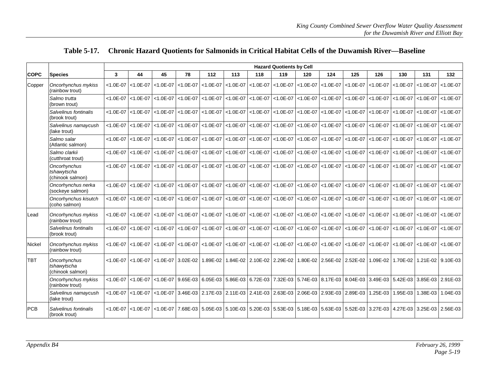|               |                                                 |               |               |               |                                     |               |               |                                       | <b>Hazard Quotients by Cell</b> |                                                                                                      |               |               |                                              |               |               |                   |
|---------------|-------------------------------------------------|---------------|---------------|---------------|-------------------------------------|---------------|---------------|---------------------------------------|---------------------------------|------------------------------------------------------------------------------------------------------|---------------|---------------|----------------------------------------------|---------------|---------------|-------------------|
| <b>COPC</b>   | <b>Species</b>                                  | $\mathbf{3}$  | 44            | 45            | 78                                  | 112           | 113           | 118                                   | 119                             | 120                                                                                                  | 124           | 125           | 126                                          | 130           | 131           | 132               |
| Copper        | Oncorhynchus mykiss<br>(rainbow trout)          | $< 1.0E - 07$ | $< 1.0E - 07$ | $< 1.0E - 07$ | $< 1.0E - 07$                       | $< 1.0E - 07$ | $< 1.0E - 07$ | $< 1.0E - 07$                         | $< 1.0E - 07$                   | $< 1.0E - 07$                                                                                        | $< 1.0E - 07$ | $< 1.0E - 07$ | $< 1.0E - 07$                                | $< 1.0E - 07$ | $< 1.0E - 07$ | $< 1.0E - 07$     |
|               | Salmo trutta<br>(brown trout)                   | $< 1.0E - 07$ | $< 1.0E - 07$ | $< 1.0E - 07$ | $< 1.0E - 07$                       | $< 1.0E - 07$ | $< 1.0E - 07$ | $< 1.0E - 07$                         | $< 1.0E - 07$                   | $< 1.0E - 07$                                                                                        | $< 1.0E - 07$ | $< 1.0E - 07$ | $< 1.0E - 07$                                | $< 1.0E - 07$ | $< 1.0E - 07$ | $< 1.0E - 07$     |
|               | Salvelinus fontinalis<br>(brook trout)          | $< 1.0E - 07$ | $< 1.0E - 07$ | $< 1.0E - 07$ | $< 1.0E - 07$                       | $< 1.0E - 07$ | $< 1.0E - 07$ | $< 1.0E - 07$                         | $< 1.0E - 07$                   | $< 1.0E - 07$                                                                                        | $< 1.0E - 07$ | $< 1.0E - 07$ | $< 1.0E - 07$                                | $< 1.0E - 07$ | $< 1.0E - 07$ | $< 1.0E - 07$     |
|               | Salvelinus namaycush<br>(lake trout)            | $< 1.0E - 07$ | $< 1.0E - 07$ | $< 1.0E - 07$ | $< 1.0E - 07$                       | $< 1.0E - 07$ | $< 1.0E - 07$ | $< 1.0E - 07$                         | $< 1.0E - 07$                   | $< 1.0E - 07$                                                                                        | $< 1.0E - 07$ | $< 1.0E - 07$ | $< 1.0E - 07$                                | $< 1.0E - 07$ | $< 1.0E - 07$ | $< 1.0E - 07$     |
|               | Salmo salar<br>(Atlantic salmon)                | $< 1.0E - 07$ | $< 1.0E - 07$ | $< 1.0E - 07$ | $< 1.0E - 07$                       | $< 1.0E - 07$ | $< 1.0E - 07$ | $< 1.0E - 07$                         | $< 1.0E - 07$                   | $< 1.0E - 07$                                                                                        | $< 1.0E - 07$ | $< 1.0E - 07$ | $< 1.0E - 07$                                | $< 1.0E - 07$ | $< 1.0E - 07$ | $< 1.0E - 07$     |
|               | Salmo clarkii<br>(cutthroat trout)              | $< 1.0E - 07$ | $< 1.0E - 07$ | $< 1.0E - 07$ | $< 1.0E - 07$                       | $< 1.0E - 07$ | $< 1.0E - 07$ | $\vert$ <1.0E-07 $\vert$ <1.0E-07     |                                 | $< 1.0E - 07$                                                                                        | $< 1.0E - 07$ | $< 1.0E - 07$ | $< 1.0E - 07$                                | $< 1.0E - 07$ | $< 1.0E - 07$ | $< 1.0E - 07$     |
|               | Oncorhynchus<br>tshawytscha<br>(chinook salmon) | $< 1.0E - 07$ | $< 1.0E - 07$ | $< 1.0E - 07$ | $< 1.0E - 07$                       | $< 1.0E - 07$ |               | $<$ 1.0E-07 $<$ 1.0E-07 $<$ 1.0E-07   |                                 | $< 1.0E - 07$                                                                                        | $< 1.0E - 07$ | $< 1.0E - 07$ | $< 1.0E - 07$                                | $< 1.0E - 07$ | $< 1.0E - 07$ | $< 1.0E - 07$     |
|               | Oncorhynchus nerka<br>(sockeye salmon)          | $< 1.0E - 07$ | $< 1.0E - 07$ | $< 1.0E - 07$ | $< 1.0E - 07$                       | $< 1.0E - 07$ |               | $<$ 1.0E-07 $<$ 1.0E-07 $<$ 1.0E-07   |                                 | $< 1.0E - 07$                                                                                        | $< 1.0E - 07$ | $< 1.0E - 07$ | $< 1.0E - 07$                                | $ $ <1.0E-07  | $< 1.0E - 07$ | $< 1.0E - 07$     |
|               | Oncorhynchus kisutch<br>(coho salmon)           | $< 1.0E - 07$ | $< 1.0E - 07$ | $< 1.0E - 07$ | $< 1.0E - 07$                       | $< 1.0E - 07$ |               | $<$ 1.0E-07 <1.0E-07 <1.0E-07         |                                 | $< 1.0E - 07$                                                                                        | $< 1.0E - 07$ | $< 1.0E - 07$ | $< 1.0E - 07$                                | $ $ <1.0E-07  | $< 1.0E - 07$ | $< 1.0E - 07$     |
| Lead          | Oncorhynchus mykiss<br>(rainbow trout)          | $< 1.0E - 07$ | $< 1.0E - 07$ | $< 1.0E - 07$ | $< 1.0E - 07$                       | $< 1.0E - 07$ |               | $<$ 1.0E-07 $ $ <1.0E-07 $ $ <1.0E-07 |                                 | $< 1.0E - 07$                                                                                        | $< 1.0E - 07$ | $< 1.0E - 07$ | $< 1.0E - 07$                                | $< 1.0E - 07$ | $< 1.0E - 07$ | $< 1.0E - 07$     |
|               | Salvelinus fontinalis<br>(brook trout)          | $< 1.0E - 07$ | $< 1.0E - 07$ | $< 1.0E - 07$ | $< 1.0E - 07$                       | $< 1.0E - 07$ |               | $< 1.0E - 07$ < 1.0E - 07             | $< 1.0E - 07$                   | $< 1.0E - 07$                                                                                        | $< 1.0E - 07$ | $< 1.0E - 07$ | $< 1.0E - 07$                                | $< 1.0E - 07$ | $< 1.0E - 07$ | $< 1.0E - 07$     |
| <b>Nickel</b> | Oncorhynchus mykiss<br>(rainbow trout)          | $< 1.0E - 07$ | $< 1.0E - 07$ | $< 1.0E - 07$ | $< 1.0E - 07$                       | $< 1.0E - 07$ |               | $<$ 1.0E-07 $<$ 1.0E-07 $<$ 1.0E-07   |                                 | $< 1.0E - 07$                                                                                        | $< 1.0E - 07$ | $< 1.0E - 07$ | $< 1.0E - 07$                                | $< 1.0E - 07$ | $< 1.0E - 07$ | $< 1.0E - 07$     |
| <b>TBT</b>    | Oncorhynchus<br>tshawytscha<br>(chinook salmon) | $< 1.0E - 07$ |               |               | <1.0E-07 <1.0E-07 3.02E-02 1.89E-02 |               |               | 1.84E-02 2.10E-02 2.29E-02            |                                 |                                                                                                      |               |               | 1.80E-02 2.56E-02 2.52E-02 1.09E-02 1.70E-02 |               |               | 1.21E-02 9.10E-03 |
|               | Oncorhynchus mykiss<br>(rainbow trout)          | $< 1.0E - 07$ | $< 1.0E - 07$ | $< 1.0E - 07$ |                                     |               |               |                                       |                                 | 9.65E-03 6.05E-03 5.86E-03 6.72E-03 7.32E-03 5.74E-03 8.17E-03 8.04E-03 3.49E-03 5.42E-03 3.49E-03 ق |               |               |                                              |               |               | 3.85E-03 2.91E-03 |
|               | Salvelinus namaycush<br>(lake trout)            | $< 1.0E - 07$ | $< 1.0E - 07$ | $< 1.0E - 07$ |                                     |               |               |                                       |                                 | 3.46E-03 2.17E-03 2.11E-03 2.41E-03 2.63E-03 2.06E-03 2.93E-03 2.89E-03                              |               |               | 1.25E-03                                     | 1.95E-03      | 1.38E-03      | 1.04E-03          |
| <b>PCB</b>    | Salvelinus fontinalis<br>(brook trout)          | $< 1.0E - 07$ | $< 1.0E - 07$ |               |                                     |               |               |                                       |                                 | <1.0E-07 7.68E-03 5.05E-03 5.10E-03 5.20E-03 5.53E-03 5.18E-03 5.63E-03 5.52E-03 3.27E-03 4.27E-03   |               |               |                                              |               | 3.25E-03      | 2.56E-03          |

#### **Table 5-17. Chronic Hazard Quotients for Salmonids in Critical Habitat Cells of the Duwamish River—Baseline**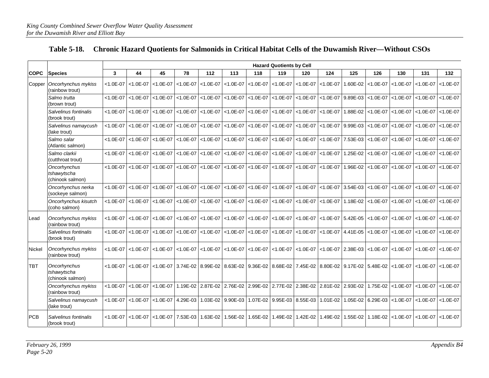|             |                                                 | <b>Hazard Quotients by Cell</b> |               |               |                                     |                                                                                                             |               |                  |               |                                                                     |               |                   |               |                            |                                |               |
|-------------|-------------------------------------------------|---------------------------------|---------------|---------------|-------------------------------------|-------------------------------------------------------------------------------------------------------------|---------------|------------------|---------------|---------------------------------------------------------------------|---------------|-------------------|---------------|----------------------------|--------------------------------|---------------|
| <b>COPC</b> | <b>Species</b>                                  | $\mathbf{3}$                    | 44            | 45            | 78                                  | 112                                                                                                         | 113           | 118              | 119           | 120                                                                 | 124           | 125               | 126           | 130                        | 131                            | 132           |
|             | Copper   Oncorhynchus mykiss<br>(rainbow trout) | $< 1.0E - 07$                   | $< 1.0E - 07$ |               | $<$ 1.0E-07 $<$ 1.0E-07             | $< 1.0E - 07$                                                                                               | $< 1.0E - 07$ | $< 1.0E - 07$    | $< 1.0E - 07$ | $< 1.0E - 07$                                                       | $< 1.0E - 07$ | 1.60E-02          | $< 1.0E - 07$ | $< 1.0E - 07$              | $< 1.0E - 07$                  | $< 1.0E - 07$ |
|             | Salmo trutta<br>(brown trout)                   | $< 1.0E - 07$                   | $< 1.0E - 07$ | $< 1.0E - 07$ | $< 1.0E - 07$                       | $< 1.0E - 07$                                                                                               | $< 1.0E - 07$ | $< 1.0E - 07$    | $< 1.0E - 07$ | $< 1.0E - 07$                                                       | $< 1.0E - 07$ | 9.89E-03          | $< 1.0E - 07$ | $< 1.0E - 07$              | $< 1.0E - 07$                  | $< 1.0E - 07$ |
|             | Salvelinus fontinalis<br>(brook trout)          | $< 1.0E - 07$                   | $< 1.0E - 07$ | $< 1.0E - 07$ | $< 1.0E - 07$                       | $< 1.0E - 07$                                                                                               | $< 1.0E - 07$ | $< 1.0E - 07$    |               | $\vert$ <1.0E-07 $\vert$ <1.0E-07                                   | $< 1.0E - 07$ | 1.88E-02          | $< 1.0E - 07$ | $< 1.0E - 07$              | $< 1.0E - 07$                  | $< 1.0E - 07$ |
|             | Salvelinus namaycush<br>(lake trout)            | $< 1.0E - 07$                   | $< 1.0E - 07$ |               | $<$ 1.0E-07 $<$ 1.0E-07 $<$ 1.0E-07 |                                                                                                             | $< 1.0E - 07$ | $< 1.0E - 07$    |               | $ $ <1.0E-07 $ $ <1.0E-07 $ $ <1.0E-07                              |               | 9.99E-03          | $< 1.0E - 07$ | $< 1.0E - 07$              | $\leq 1.0E - 07$               | $< 1.0E - 07$ |
|             | Salmo salar<br>(Atlantic salmon)                | $< 1.0E - 07$                   | $< 1.0E - 07$ |               |                                     | $ $ <1.0E-07 $ $ <1.0E-07 $ $ <1.0E-07                                                                      |               |                  |               | <1.0E-07 <1.0E-07 <1.0E-07 <1.0E-07 <1.0E-07 <1.0E-07 7.53E-03      |               |                   |               |                            | <1.0E-07   <1.0E-07   <1.0E-07 | $< 1.0E - 07$ |
|             | Salmo clarkii<br>(cutthroat trout)              | $< 1.0E - 07$                   | $< 1.0E - 07$ |               | $<$ 1.0E-07 $<$ 1.0E-07 $<$ 1.0E-07 |                                                                                                             | $< 1.0E - 07$ |                  |               | <1.0E-07   <1.0E-07   <1.0E-07   <1.0E-07                           |               | 1.25E-02          | $< 1.0E - 07$ |                            | $<$ 1.0E-07 $<$ 1.0E-07        | $< 1.0E - 07$ |
|             | Oncorhynchus<br>tshawytscha<br>(chinook salmon) | $< 1.0E - 07$                   | $< 1.0E - 07$ |               | $< 1.0E - 07$ $< 1.0E - 07$         | $< 1.0E - 07$                                                                                               | $< 1.0E - 07$ |                  |               | $\vert$ <1.0E-07 $\vert$ <1.0E-07 $\vert$ <1.0E-07 $\vert$ <1.0E-07 |               | 1.96E-02          | $< 1.0E - 07$ | $< 1.0E - 07$              | $< 1.0E - 07$                  | $< 1.0E - 07$ |
|             | Oncorhynchus nerka<br>(sockeye salmon)          | $< 1.0E - 07$                   | $< 1.0E - 07$ | $< 1.0E - 07$ | $< 1.0E - 07$                       | $< 1.0E - 07$                                                                                               | $< 1.0E - 07$ | $< 1.0E - 07$    |               | $< 1.0E - 07$ < 1.0E - 07                                           | $< 1.0E - 07$ | 3.54E-03          | $< 1.0E - 07$ | $< 1.0E - 07$              | $< 1.0E - 07$                  | $< 1.0E - 07$ |
|             | Oncorhynchus kisutch<br>(coho salmon)           | $< 1.0E - 07$                   | $< 1.0E - 07$ |               | $< 1.0E - 07$ $< 1.0E - 07$         | $< 1.0E - 07$                                                                                               | $< 1.0E - 07$ | $\leq 1.0E - 07$ |               | $< 1.0E - 07$ < 1.0E-07                                             | $< 1.0E - 07$ | 1.18E-02          | $< 1.0E - 07$ | $< 1.0E - 07$              | $< 1.0E - 07$                  | $< 1.0E - 07$ |
| Lead        | Oncorhynchus mykiss<br>(rainbow trout)          | $< 1.0E - 07$                   | $< 1.0E - 07$ | $< 1.0E - 07$ | $< 1.0E - 07$                       | $< 1.0E - 07$                                                                                               | $< 1.0E - 07$ | $< 1.0E - 07$    | $< 1.0E - 07$ | $< 1.0E - 07$                                                       | $< 1.0E - 07$ | 5.42E-05          | $< 1.0E - 07$ | $< 1.0E - 07$              | $< 1.0E - 07$                  | $< 1.0E - 07$ |
|             | Salvelinus fontinalis<br>(brook trout)          | $< 1.0E - 07$                   | $< 1.0E - 07$ | $< 1.0E - 07$ | $< 1.0E - 07$                       | $< 1.0E - 07$                                                                                               | $< 1.0E - 07$ | $\leq 1.0E - 07$ |               | $< 1.0E - 07$ < 1.0E-07                                             | $< 1.0E - 07$ | 4.41E-05          | $< 1.0E - 07$ | $< 1.0E - 07$              | $< 1.0E - 07$                  | $< 1.0E - 07$ |
| Nickel      | Oncorhynchus mykiss<br>(rainbow trout)          | $< 1.0E - 07$                   | $< 1.0E - 07$ |               | $< 1.0E - 07$ < 1.0E-07             | $< 1.0E - 07$                                                                                               | $< 1.0E - 07$ | $< 1.0E - 07$    |               | $\vert$ <1.0E-07 $\vert$ <1.0E-07 $\vert$ <1.0E-07 $\vert$ 2.38E-03 |               |                   | $< 1.0E - 07$ |                            | $<$ 1.0E-07 $<$ 1.0E-07        | $< 1.0E - 07$ |
| <b>TBT</b>  | Oncorhynchus<br>tshawytscha<br>(chinook salmon) | $< 1.0E - 07$                   | $< 1.0E - 07$ |               |                                     | <1.0E-07 3.74E-02 8.99E-02 8.63E-02 9.36E-02 8.68E-02 7.45E-02 8.80E-02 9.17E-02 5.48E-02 <1.0E-07 <1.0E-07 |               |                  |               |                                                                     |               |                   |               |                            |                                | $< 1.0E - 07$ |
|             | Oncorhynchus mykiss<br>(rainbow trout)          | $< 1.0E - 07$                   | $< 1.0E - 07$ |               |                                     | <1.0E-07   1.19E-02   2.87E-02   2.76E-02   2.99E-02   2.77E-02   2.38E-02   2.81E-02                       |               |                  |               |                                                                     |               | 2.93E-02          | 1.75E-02      | $< 1.0E - 07$              | $< 1.0E - 07$                  | $< 1.0E - 07$ |
|             | Salvelinus namaycush<br>(lake trout)            | $< 1.0E - 07$                   | $< 1.0E - 07$ |               | $<$ 1.0E-07 4.29E-03                |                                                                                                             |               |                  |               | 1.03E-02 9.90E-03 1.07E-02 9.95E-03 8.55E-03                        | 1.01E-02      | 1.05E-02          |               | 6.29E-03 $\vert$ < 1.0E-07 | $<1.0E-07$                     | $< 1.0E - 07$ |
| <b>PCB</b>  | Salvelinus fontinalis<br>(brook trout)          | $< 1.0E - 07$                   | $< 1.0E - 07$ |               | $<$ 1.0E-07 7.53E-03                | 1.63E-02                                                                                                    | 1.56E-02      |                  |               | 1.65E-02 1.49E-02 1.42E-02                                          |               | 1.49E-02 1.55E-02 |               |                            | 1.18E-02 <1.0E-07 <1.0E-07     | $< 1.0E - 07$ |

#### **Table 5-18. Chronic Hazard Quotients for Salmonids in Critical Habitat Cells of the Duwamish River—Without CSOs**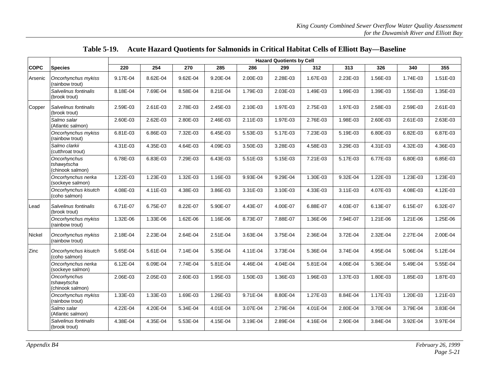|             |                                                 | <b>Hazard Quotients by Cell</b> |          |          |          |          |          |          |          |          |          |          |  |  |
|-------------|-------------------------------------------------|---------------------------------|----------|----------|----------|----------|----------|----------|----------|----------|----------|----------|--|--|
| <b>COPC</b> | <b>Species</b>                                  | 220                             | 254      | 270      | 285      | 286      | 299      | 312      | 313      | 326      | 340      | 355      |  |  |
| Arsenic     | Oncorhynchus mykiss<br>(rainbow trout)          | 9.17E-04                        | 8.62E-04 | 9.62E-04 | 9.20E-04 | 2.00E-03 | 2.28E-03 | 1.67E-03 | 2.23E-03 | 1.56E-03 | 1.74E-03 | 1.51E-03 |  |  |
|             | Salvelinus fontinalis<br>(brook trout)          | 8.18E-04                        | 7.69E-04 | 8.58E-04 | 8.21E-04 | 1.79E-03 | 2.03E-03 | 1.49E-03 | 1.99E-03 | 1.39E-03 | 1.55E-03 | 1.35E-03 |  |  |
| Copper      | Salvelinus fontinalis<br>(brook trout)          | 2.59E-03                        | 2.61E-03 | 2.78E-03 | 2.45E-03 | 2.10E-03 | 1.97E-03 | 2.75E-03 | 1.97E-03 | 2.58E-03 | 2.59E-03 | 2.61E-03 |  |  |
|             | Salmo salar<br>(Atlantic salmon)                | 2.60E-03                        | 2.62E-03 | 2.80E-03 | 2.46E-03 | 2.11E-03 | 1.97E-03 | 2.76E-03 | 1.98E-03 | 2.60E-03 | 2.61E-03 | 2.63E-03 |  |  |
|             | Oncorhynchus mykiss<br>(rainbow trout)          | 6.81E-03                        | 6.86E-03 | 7.32E-03 | 6.45E-03 | 5.53E-03 | 5.17E-03 | 7.23E-03 | 5.19E-03 | 6.80E-03 | 6.82E-03 | 6.87E-03 |  |  |
|             | Salmo clarkii<br>(cutthroat trout)              | 4.31E-03                        | 4.35E-03 | 4.64E-03 | 4.09E-03 | 3.50E-03 | 3.28E-03 | 4.58E-03 | 3.29E-03 | 4.31E-03 | 4.32E-03 | 4.36E-03 |  |  |
|             | Oncorhynchus<br>tshawytscha<br>(chinook salmon) | 6.78E-03                        | 6.83E-03 | 7.29E-03 | 6.43E-03 | 5.51E-03 | 5.15E-03 | 7.21E-03 | 5.17E-03 | 6.77E-03 | 6.80E-03 | 6.85E-03 |  |  |
|             | Oncorhynchus nerka<br>(sockeye salmon)          | 1.22E-03                        | 1.23E-03 | 1.32E-03 | 1.16E-03 | 9.93E-04 | 9.29E-04 | 1.30E-03 | 9.32E-04 | 1.22E-03 | 1.23E-03 | 1.23E-03 |  |  |
|             | Oncorhynchus kisutch<br>(coho salmon)           | 4.08E-03                        | 4.11E-03 | 4.38E-03 | 3.86E-03 | 3.31E-03 | 3.10E-03 | 4.33E-03 | 3.11E-03 | 4.07E-03 | 4.08E-03 | 4.12E-03 |  |  |
| Lead        | Salvelinus fontinalis<br>(brook trout)          | 6.71E-07                        | 6.75E-07 | 8.22E-07 | 5.90E-07 | 4.43E-07 | 4.00E-07 | 6.88E-07 | 4.03E-07 | 6.13E-07 | 6.15E-07 | 6.32E-07 |  |  |
|             | Oncorhynchus mykiss<br>(rainbow trout)          | 1.32E-06                        | 1.33E-06 | 1.62E-06 | 1.16E-06 | 8.73E-07 | 7.88E-07 | 1.36E-06 | 7.94E-07 | 1.21E-06 | 1.21E-06 | 1.25E-06 |  |  |
| Nickel      | Oncorhynchus mykiss<br>(rainbow trout)          | 2.18E-04                        | 2.23E-04 | 2.64E-04 | 2.51E-04 | 3.63E-04 | 3.75E-04 | 2.36E-04 | 3.72E-04 | 2.32E-04 | 2.27E-04 | 2.00E-04 |  |  |
| Zinc        | Oncorhynchus kisutch<br>(coho salmon)           | 5.65E-04                        | 5.61E-04 | 7.14E-04 | 5.35E-04 | 4.11E-04 | 3.73E-04 | 5.36E-04 | 3.74E-04 | 4.95E-04 | 5.06E-04 | 5.12E-04 |  |  |
|             | Oncorhynchus nerka<br>(sockeye salmon)          | 6.12E-04                        | 6.09E-04 | 7.74E-04 | 5.81E-04 | 4.46E-04 | 4.04E-04 | 5.81E-04 | 4.06E-04 | 5.36E-04 | 5.49E-04 | 5.55E-04 |  |  |
|             | Oncorhynchus<br>tshawytscha<br>(chinook salmon) | 2.06E-03                        | 2.05E-03 | 2.60E-03 | 1.95E-03 | 1.50E-03 | 1.36E-03 | 1.96E-03 | 1.37E-03 | 1.80E-03 | 1.85E-03 | 1.87E-03 |  |  |
|             | Oncorhynchus mykiss<br>(rainbow trout)          | 1.33E-03                        | 1.33E-03 | 1.69E-03 | 1.26E-03 | 9.71E-04 | 8.80E-04 | 1.27E-03 | 8.84E-04 | 1.17E-03 | 1.20E-03 | 1.21E-03 |  |  |
|             | Salmo salar<br>(Atlantic salmon)                | 4.22E-04                        | 4.20E-04 | 5.34E-04 | 4.01E-04 | 3.07E-04 | 2.79E-04 | 4.01E-04 | 2.80E-04 | 3.70E-04 | 3.79E-04 | 3.83E-04 |  |  |
|             | Salvelinus fontinalis<br>(brook trout)          | 4.38E-04                        | 4.35E-04 | 5.53E-04 | 4.15E-04 | 3.19E-04 | 2.89E-04 | 4.16E-04 | 2.90E-04 | 3.84E-04 | 3.92E-04 | 3.97E-04 |  |  |

**Table 5-19. Acute Hazard Quotients for Salmonids in Critical Habitat Cells of Elliott Bay—Baseline**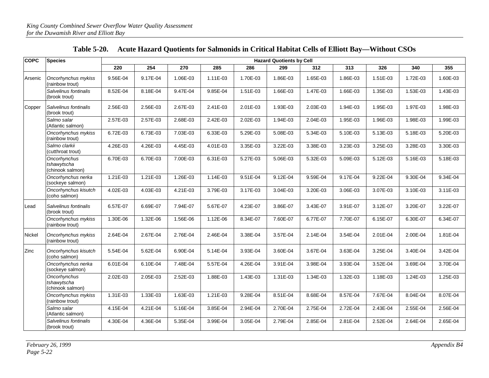| <b>COPC</b> | <b>Species</b>                                  |          |          |          |          |          | <b>Hazard Quotients by Cell</b> |          |          |              |          |            |
|-------------|-------------------------------------------------|----------|----------|----------|----------|----------|---------------------------------|----------|----------|--------------|----------|------------|
|             |                                                 | 220      | 254      | 270      | 285      | 286      | 299                             | 312      | 313      | 326          | 340      | 355        |
| Arsenic     | Oncorhynchus mykiss<br>(rainbow trout)          | 9.56E-04 | 9.17E-04 | 1.06E-03 | 1.11E-03 | 1.70E-03 | 1.86E-03                        | 1.65E-03 | 1.86E-03 | 1.51E-03     | 1.72E-03 | 1.60E-03   |
|             | Salvelinus fontinalis<br>(brook trout)          | 8.52E-04 | 8.18E-04 | 9.47E-04 | 9.85E-04 | 1.51E-03 | 1.66E-03                        | 1.47E-03 | 1.66E-03 | 1.35E-03     | 1.53E-03 | 1.43E-03   |
| Copper      | Salvelinus fontinalis<br>(brook trout)          | 2.56E-03 | 2.56E-03 | 2.67E-03 | 2.41E-03 | 2.01E-03 | 1.93E-03                        | 2.03E-03 | 1.94E-03 | 1.95E-03     | 1.97E-03 | 1.98E-03   |
|             | Salmo salar<br>(Atlantic salmon)                | 2.57E-03 | 2.57E-03 | 2.68E-03 | 2.42E-03 | 2.02E-03 | 1.94E-03                        | 2.04E-03 | 1.95E-03 | 1.96E-03     | 1.98E-03 | 1.99E-03   |
|             | Oncorhynchus mykiss<br>(rainbow trout)          | 6.72E-03 | 6.73E-03 | 7.03E-03 | 6.33E-03 | 5.29E-03 | 5.08E-03                        | 5.34E-03 | 5.10E-03 | 5.13E-03     | 5.18E-03 | 5.20E-03   |
|             | Salmo clarkii<br>(cutthroat trout)              | 4.26E-03 | 4.26E-03 | 4.45E-03 | 4.01E-03 | 3.35E-03 | 3.22E-03                        | 3.38E-03 | 3.23E-03 | 3.25E-03     | 3.28E-03 | 3.30E-03   |
|             | Oncorhynchus<br>tshawytscha<br>(chinook salmon) | 6.70E-03 | 6.70E-03 | 7.00E-03 | 6.31E-03 | 5.27E-03 | 5.06E-03                        | 5.32E-03 | 5.09E-03 | 5.12E-03     | 5.16E-03 | 5.18E-03   |
|             | Oncorhynchus nerka<br>(sockeye salmon)          | 1.21E-03 | 1.21E-03 | 1.26E-03 | 1.14E-03 | 9.51E-04 | 9.12E-04                        | 9.59E-04 | 9.17E-04 | $9.22E - 04$ | 9.30E-04 | 9.34E-04   |
|             | Oncorhynchus kisutch<br>(coho salmon)           | 4.02E-03 | 4.03E-03 | 4.21E-03 | 3.79E-03 | 3.17E-03 | 3.04E-03                        | 3.20E-03 | 3.06E-03 | 3.07E-03     | 3.10E-03 | $3.11E-03$ |
| Lead        | Salvelinus fontinalis<br>(brook trout)          | 6.57E-07 | 6.69E-07 | 7.94E-07 | 5.67E-07 | 4.23E-07 | 3.86E-07                        | 3.43E-07 | 3.91E-07 | 3.12E-07     | 3.20E-07 | 3.22E-07   |
|             | Oncorhynchus mykiss<br>(rainbow trout)          | 1.30E-06 | 1.32E-06 | 1.56E-06 | 1.12E-06 | 8.34E-07 | 7.60E-07                        | 6.77E-07 | 7.70E-07 | 6.15E-07     | 6.30E-07 | 6.34E-07   |
| Nickel      | Oncorhynchus mykiss<br>(rainbow trout)          | 2.64E-04 | 2.67E-04 | 2.76E-04 | 2.46E-04 | 3.38E-04 | 3.57E-04                        | 2.14E-04 | 3.54E-04 | 2.01E-04     | 2.00E-04 | 1.81E-04   |
| Zinc        | Oncorhynchus kisutch<br>(coho salmon)           | 5.54E-04 | 5.62E-04 | 6.90E-04 | 5.14E-04 | 3.93E-04 | 3.60E-04                        | 3.67E-04 | 3.63E-04 | 3.25E-04     | 3.40E-04 | 3.42E-04   |
|             | Oncorhynchus nerka<br>(sockeye salmon)          | 6.01E-04 | 6.10E-04 | 7.48E-04 | 5.57E-04 | 4.26E-04 | 3.91E-04                        | 3.98E-04 | 3.93E-04 | 3.52E-04     | 3.69E-04 | 3.70E-04   |
|             | Oncorhynchus<br>tshawytscha<br>(chinook salmon) | 2.02E-03 | 2.05E-03 | 2.52E-03 | 1.88E-03 | 1.43E-03 | 1.31E-03                        | 1.34E-03 | 1.32E-03 | 1.18E-03     | 1.24E-03 | 1.25E-03   |
|             | Oncorhynchus mykiss<br>(rainbow trout)          | 1.31E-03 | 1.33E-03 | 1.63E-03 | 1.21E-03 | 9.28E-04 | 8.51E-04                        | 8.68E-04 | 8.57E-04 | 7.67E-04     | 8.04E-04 | 8.07E-04   |
|             | Salmo salar<br>(Atlantic salmon)                | 4.15E-04 | 4.21E-04 | 5.16E-04 | 3.85E-04 | 2.94E-04 | 2.70E-04                        | 2.75E-04 | 2.72E-04 | 2.43E-04     | 2.55E-04 | 2.56E-04   |
|             | Salvelinus fontinalis<br>(brook trout)          | 4.30E-04 | 4.36E-04 | 5.35E-04 | 3.99E-04 | 3.05E-04 | 2.79E-04                        | 2.85E-04 | 2.81E-04 | 2.52E-04     | 2.64E-04 | 2.65E-04   |

**Table 5-20. Acute Hazard Quotients for Salmonids in Critical Habitat Cells of Elliott Bay—Without CSOs**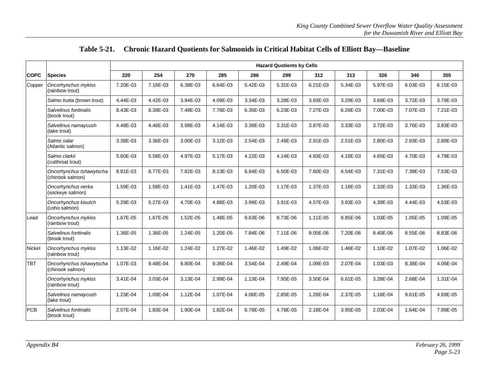|  | Table 5-21. Chronic Hazard Quotients for Salmonids in Critical Habitat Cells of Elliott Bay—Baseline |
|--|------------------------------------------------------------------------------------------------------|
|--|------------------------------------------------------------------------------------------------------|

|             |                                              |          |          |          |          |              | <b>Hazard Quotients by Cells</b> |              |          |          |              |          |
|-------------|----------------------------------------------|----------|----------|----------|----------|--------------|----------------------------------|--------------|----------|----------|--------------|----------|
| <b>COPC</b> | <b>Species</b>                               | 220      | 254      | 270      | 285      | 286          | 299                              | 312          | 313      | 326      | 340          | 355      |
| Copper      | Oncorhynchus mykiss<br>(rainbow trout)       | 7.20E-03 | 7.16E-03 | 6.38E-03 | 6.64E-03 | 5.42E-03     | 5.31E-03                         | 6.21E-03     | 5.34E-03 | 5.97E-03 | 6.03E-03     | 6.15E-03 |
|             | Salmo trutta (brown trout)                   | 4.44E-03 | 4.42E-03 | 3.94E-03 | 4.09E-03 | 3.34E-03     | 3.28E-03                         | 3.83E-03     | 3.29E-03 | 3.68E-03 | 3.72E-03     | 3.79E-03 |
|             | Salvelinus fontinalis<br>(brook trout)       | 8.43E-03 | 8.39E-03 | 7.48E-03 | 7.78E-03 | 6.35E-03     | 6.23E-03                         | 7.27E-03     | 6.26E-03 | 7.00E-03 | 7.07E-03     | 7.21E-03 |
|             | Salvelinus namaycush<br>(lake trout)         | 4.48E-03 | 4.46E-03 | 3.98E-03 | 4.14E-03 | 3.38E-03     | 3.31E-03                         | 3.87E-03     | 3.33E-03 | 3.72E-03 | 3.76E-03     | 3.83E-03 |
|             | Salmo salar<br>(Atlantic salmon)             | 3.38E-03 | 3.36E-03 | 3.00E-03 | 3.12E-03 | 2.54E-03     | 2.49E-03                         | 2.91E-03     | 2.51E-03 | 2.80E-03 | 2.83E-03     | 2.89E-03 |
|             | Salmo clarkii<br>(cutthroat trout)           | 5.60E-03 | 5.58E-03 | 4.97E-03 | 5.17E-03 | 4.22E-03     | 4.14E-03                         | 4.83E-03     | 4.16E-03 | 4.65E-03 | 4.70E-03     | 4.79E-03 |
|             | Oncorhynchus tshawytscha<br>(chinook salmon) | 8.81E-03 | 8.77E-03 | 7.82E-03 | 8.13E-03 | 6.64E-03     | 6.50E-03                         | 7.60E-03     | 6.54E-03 | 7.31E-03 | 7.39E-03     | 7.53E-03 |
|             | Oncorhynchus nerka<br>(sockeye salmon)       | 1.59E-03 | 1.58E-03 | 1.41E-03 | 1.47E-03 | 1.20E-03     | 1.17E-03                         | 1.37E-03     | 1.18E-03 | 1.32E-03 | 1.33E-03     | 1.36E-03 |
|             | Oncorhynchus kisutch<br>(coho salmon)        | 5.29E-03 | 5.27E-03 | 4.70E-03 | 4.88E-03 | 3.99E-03     | 3.91E-03                         | 4.57E-03     | 3.93E-03 | 4.39E-03 | 4.44E-03     | 4.53E-03 |
| Lead        | Oncorhynchus mykiss<br>(rainbow trout)       | 1.67E-05 | 1.67E-05 | 1.52E-05 | 1.48E-05 | $9.63E - 06$ | 8.73E-06                         | 1.11E-05     | 8.85E-06 | 1.03E-05 | 1.05E-05     | 1.09E-05 |
|             | Salvelinus fontinalis<br>(brook trout)       | 1.36E-05 | 1.36E-05 | 1.24E-05 | 1.20E-05 | 7.84E-06     | 7.11E-06                         | $9.05E - 06$ | 7.20E-06 | 8.40E-06 | 8.55E-06     | 8.83E-06 |
| Nickel      | Oncorhynchus mykiss<br>(rainbow trout)       | 1.13E-02 | 1.16E-02 | 1.24E-02 | 1.27E-02 | 1.46E-02     | 1.49E-02                         | 1.06E-02     | 1.46E-02 | 1.10E-02 | 1.07E-02     | 1.06E-02 |
| TBT         | Oncorhynchus tshawytscha<br>(chinook salmon) | 1.07E-03 | 9.48E-04 | 9.80E-04 | 9.36E-04 | 3.54E-04     | 2.49E-04                         | 1.09E-03     | 2.07E-04 | 1.03E-03 | 8.38E-04     | 4.09E-04 |
|             | Oncorhynchus mykiss<br>(rainbow trout)       | 3.41E-04 | 3.03E-04 | 3.13E-04 | 2.99E-04 | 1.13E-04     | 7.95E-05                         | 3.50E-04     | 6.61E-05 | 3.28E-04 | 2.68E-04     | 1.31E-04 |
|             | Salvelinus namaycush<br>(lake trout)         | 1.23E-04 | 1.09E-04 | 1.12E-04 | 1.07E-04 | 4.06E-05     | 2.85E-05                         | 1.26E-04     | 2.37E-05 | 1.18E-04 | $9.61E - 05$ | 4.69E-05 |
| <b>PCB</b>  | Salvelinus fontinalis<br>(brook trout)       | 2.07E-04 | 1.83E-04 | 1.90E-04 | 1.82E-04 | 6.78E-05     | 4.78E-05                         | 2.18E-04     | 3.95E-05 | 2.03E-04 | 1.64E-04     | 7.89E-05 |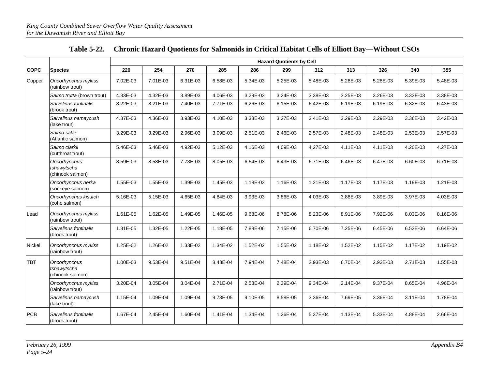|             |                                                 | <b>Hazard Quotients by Cell</b> |          |          |          |          |          |          |          |          |          |          |
|-------------|-------------------------------------------------|---------------------------------|----------|----------|----------|----------|----------|----------|----------|----------|----------|----------|
| <b>COPC</b> | <b>Species</b>                                  | 220                             | 254      | 270      | 285      | 286      | 299      | 312      | 313      | 326      | 340      | 355      |
| Copper      | Oncorhynchus mykiss<br>(rainbow trout)          | 7.02E-03                        | 7.01E-03 | 6.31E-03 | 6.58E-03 | 5.34E-03 | 5.25E-03 | 5.48E-03 | 5.28E-03 | 5.28E-03 | 5.39E-03 | 5.48E-03 |
|             | Salmo trutta (brown trout)                      | 4.33E-03                        | 4.32E-03 | 3.89E-03 | 4.06E-03 | 3.29E-03 | 3.24E-03 | 3.38E-03 | 3.25E-03 | 3.26E-03 | 3.33E-03 | 3.38E-03 |
|             | Salvelinus fontinalis<br>(brook trout)          | 8.22E-03                        | 8.21E-03 | 7.40E-03 | 7.71E-03 | 6.26E-03 | 6.15E-03 | 6.42E-03 | 6.19E-03 | 6.19E-03 | 6.32E-03 | 6.43E-03 |
|             | Salvelinus namaycush<br>(lake trout)            | 4.37E-03                        | 4.36E-03 | 3.93E-03 | 4.10E-03 | 3.33E-03 | 3.27E-03 | 3.41E-03 | 3.29E-03 | 3.29E-03 | 3.36E-03 | 3.42E-03 |
|             | Salmo salar<br>(Atlantic salmon)                | 3.29E-03                        | 3.29E-03 | 2.96E-03 | 3.09E-03 | 2.51E-03 | 2.46E-03 | 2.57E-03 | 2.48E-03 | 2.48E-03 | 2.53E-03 | 2.57E-03 |
|             | Salmo clarkii<br>(cutthroat trout)              | 5.46E-03                        | 5.46E-03 | 4.92E-03 | 5.12E-03 | 4.16E-03 | 4.09E-03 | 4.27E-03 | 4.11E-03 | 4.11E-03 | 4.20E-03 | 4.27E-03 |
|             | Oncorhynchus<br>tshawytscha<br>(chinook salmon) | 8.59E-03                        | 8.58E-03 | 7.73E-03 | 8.05E-03 | 6.54E-03 | 6.43E-03 | 6.71E-03 | 6.46E-03 | 6.47E-03 | 6.60E-03 | 6.71E-03 |
|             | Oncorhynchus nerka<br>(sockeye salmon)          | 1.55E-03                        | 1.55E-03 | 1.39E-03 | 1.45E-03 | 1.18E-03 | 1.16E-03 | 1.21E-03 | 1.17E-03 | 1.17E-03 | 1.19E-03 | 1.21E-03 |
|             | Oncorhynchus kisutch<br>(coho salmon)           | 5.16E-03                        | 5.15E-03 | 4.65E-03 | 4.84E-03 | 3.93E-03 | 3.86E-03 | 4.03E-03 | 3.88E-03 | 3.89E-03 | 3.97E-03 | 4.03E-03 |
| Lead        | Oncorhynchus mykiss<br>(rainbow trout)          | 1.61E-05                        | 1.62E-05 | 1.49E-05 | 1.46E-05 | 9.68E-06 | 8.78E-06 | 8.23E-06 | 8.91E-06 | 7.92E-06 | 8.03E-06 | 8.16E-06 |
|             | Salvelinus fontinalis<br>(brook trout)          | 1.31E-05                        | 1.32E-05 | 1.22E-05 | 1.18E-05 | 7.88E-06 | 7.15E-06 | 6.70E-06 | 7.25E-06 | 6.45E-06 | 6.53E-06 | 6.64E-06 |
| Nickel      | Oncorhynchus mykiss<br>(rainbow trout)          | 1.25E-02                        | 1.26E-02 | 1.33E-02 | 1.34E-02 | 1.52E-02 | 1.55E-02 | 1.18E-02 | 1.52E-02 | 1.15E-02 | 1.17E-02 | 1.19E-02 |
| <b>TBT</b>  | Oncorhynchus<br>tshawytscha<br>(chinook salmon) | 1.00E-03                        | 9.53E-04 | 9.51E-04 | 8.48E-04 | 7.94E-04 | 7.48E-04 | 2.93E-03 | 6.70E-04 | 2.93E-03 | 2.71E-03 | 1.55E-03 |
|             | Oncorhynchus mykiss<br>(rainbow trout)          | 3.20E-04                        | 3.05E-04 | 3.04E-04 | 2.71E-04 | 2.53E-04 | 2.39E-04 | 9.34E-04 | 2.14E-04 | 9.37E-04 | 8.65E-04 | 4.96E-04 |
|             | Salvelinus namaycush<br>(lake trout)            | 1.15E-04                        | 1.09E-04 | 1.09E-04 | 9.73E-05 | 9.10E-05 | 8.58E-05 | 3.36E-04 | 7.69E-05 | 3.36E-04 | 3.11E-04 | 1.78E-04 |
| PCB         | Salvelinus fontinalis<br>(brook trout)          | 1.67E-04                        | 2.45E-04 | 1.60E-04 | 1.41E-04 | 1.34E-04 | 1.26E-04 | 5.37E-04 | 1.13E-04 | 5.33E-04 | 4.88E-04 | 2.66E-04 |

#### **Table 5-22. Chronic Hazard Quotients for Salmonids in Critical Habitat Cells of Elliott Bay—Without CSOs**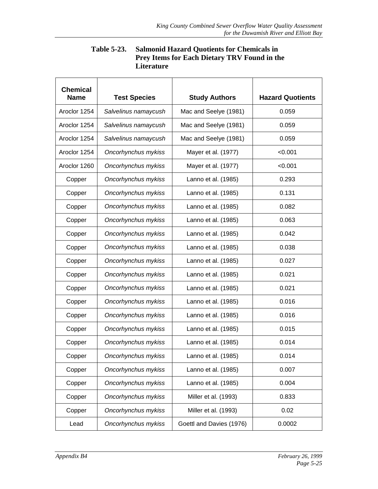| <b>Table 5-23.</b> | <b>Salmonid Hazard Quotients for Chemicals in</b>   |
|--------------------|-----------------------------------------------------|
|                    | <b>Prey Items for Each Dietary TRV Found in the</b> |
|                    | Literature                                          |

| <b>Chemical</b><br><b>Name</b> | <b>Test Species</b><br><b>Study Authors</b> |                          | <b>Hazard Quotients</b> |
|--------------------------------|---------------------------------------------|--------------------------|-------------------------|
| Aroclor 1254                   | Salvelinus namaycush                        | Mac and Seelye (1981)    | 0.059                   |
| Aroclor 1254                   | Salvelinus namaycush                        | Mac and Seelye (1981)    | 0.059                   |
| Aroclor 1254                   | Salvelinus namaycush                        | Mac and Seelye (1981)    | 0.059                   |
| Aroclor 1254                   | Oncorhynchus mykiss                         | Mayer et al. (1977)      | < 0.001                 |
| Aroclor 1260                   | Oncorhynchus mykiss                         | Mayer et al. (1977)      | < 0.001                 |
| Copper                         | Oncorhynchus mykiss                         | Lanno et al. (1985)      | 0.293                   |
| Copper                         | Oncorhynchus mykiss                         | Lanno et al. (1985)      | 0.131                   |
| Copper                         | Oncorhynchus mykiss                         | Lanno et al. (1985)      | 0.082                   |
| Copper                         | Oncorhynchus mykiss                         | Lanno et al. (1985)      | 0.063                   |
| Copper                         | Oncorhynchus mykiss                         | Lanno et al. (1985)      | 0.042                   |
| Copper                         | Oncorhynchus mykiss                         | Lanno et al. (1985)      | 0.038                   |
| Copper                         | Oncorhynchus mykiss                         | Lanno et al. (1985)      | 0.027                   |
| Copper                         | Oncorhynchus mykiss                         | Lanno et al. (1985)      | 0.021                   |
| Copper                         | Oncorhynchus mykiss                         | Lanno et al. (1985)      | 0.021                   |
| Copper                         | Oncorhynchus mykiss                         | Lanno et al. (1985)      | 0.016                   |
| Copper                         | Oncorhynchus mykiss                         | Lanno et al. (1985)      | 0.016                   |
| Copper                         | Oncorhynchus mykiss                         | Lanno et al. (1985)      | 0.015                   |
| Copper                         | Oncorhynchus mykiss                         | Lanno et al. (1985)      | 0.014                   |
| Copper                         | Oncorhynchus mykiss                         | Lanno et al. (1985)      | 0.014                   |
| Copper                         | Oncorhynchus mykiss                         | Lanno et al. (1985)      | 0.007                   |
| Copper                         | Oncorhynchus mykiss                         | Lanno et al. (1985)      | 0.004                   |
| Copper                         | Oncorhynchus mykiss                         | Miller et al. (1993)     | 0.833                   |
| Copper                         | Oncorhynchus mykiss                         | Miller et al. (1993)     | 0.02                    |
| Lead                           | Oncorhynchus mykiss                         | Goettl and Davies (1976) | 0.0002                  |

г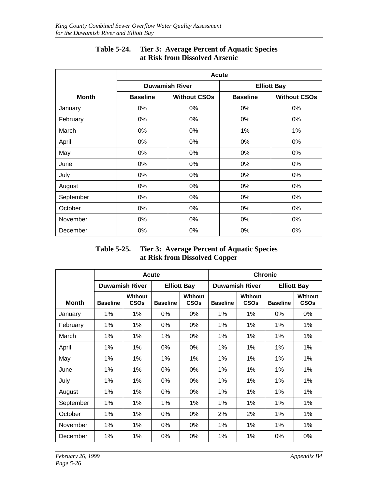|              | <b>Acute</b>    |                       |                    |                     |  |  |  |  |  |
|--------------|-----------------|-----------------------|--------------------|---------------------|--|--|--|--|--|
|              |                 | <b>Duwamish River</b> | <b>Elliott Bay</b> |                     |  |  |  |  |  |
| <b>Month</b> | <b>Baseline</b> | <b>Without CSOs</b>   | <b>Baseline</b>    | <b>Without CSOs</b> |  |  |  |  |  |
| January      | 0%              | $0\%$                 | $0\%$              | 0%                  |  |  |  |  |  |
| February     | 0%              | $0\%$                 | $0\%$              | 0%                  |  |  |  |  |  |
| March        | 0%              | $0\%$                 | 1%                 | 1%                  |  |  |  |  |  |
| April        | 0%              | $0\%$                 | $0\%$              | 0%                  |  |  |  |  |  |
| May          | 0%              | $0\%$                 | 0%                 | 0%                  |  |  |  |  |  |
| June         | 0%              | 0%                    | 0%                 | 0%                  |  |  |  |  |  |
| July         | 0%              | $0\%$                 | 0%                 | 0%                  |  |  |  |  |  |
| August       | 0%              | $0\%$                 | 0%                 | 0%                  |  |  |  |  |  |
| September    | 0%              | 0%                    | 0%                 | 0%                  |  |  |  |  |  |
| October      | 0%              | 0%                    | 0%                 | 0%                  |  |  |  |  |  |
| November     | 0%              | 0%                    | 0%                 | 0%                  |  |  |  |  |  |
| December     | 0%              | 0%                    | 0%                 | 0%                  |  |  |  |  |  |

# **Table 5-24. Tier 3: Average Percent of Aquatic Species at Risk from Dissolved Arsenic**

#### **Table 5-25. Tier 3: Average Percent of Aquatic Species at Risk from Dissolved Copper**

|              |                       |                                   | Acute           |                        | <b>Chronic</b>  |                        |                 |                                   |  |
|--------------|-----------------------|-----------------------------------|-----------------|------------------------|-----------------|------------------------|-----------------|-----------------------------------|--|
|              | <b>Duwamish River</b> |                                   |                 | <b>Elliott Bay</b>     |                 | <b>Duwamish River</b>  |                 | <b>Elliott Bay</b>                |  |
| <b>Month</b> | <b>Baseline</b>       | Without<br><b>CSO<sub>s</sub></b> | <b>Baseline</b> | Without<br><b>CSOs</b> | <b>Baseline</b> | Without<br><b>CSOs</b> | <b>Baseline</b> | Without<br><b>CSO<sub>s</sub></b> |  |
| January      | 1%                    | 1%                                | $0\%$           | $0\%$                  | 1%              | 1%                     | $0\%$           | $0\%$                             |  |
| February     | $1\%$                 | 1%                                | 0%              | 0%                     | 1%              | 1%                     | $1\%$           | 1%                                |  |
| March        | 1%                    | 1%                                | $1\%$           | 0%                     | 1%              | 1%                     | 1%              | 1%                                |  |
| April        | 1%                    | 1%                                | 0%              | 0%                     | 1%              | 1%                     | 1%              | 1%                                |  |
| May          | 1%                    | 1%                                | 1%              | 1%                     | 1%              | 1%                     | 1%              | 1%                                |  |
| June         | $1\%$                 | 1%                                | 0%              | 0%                     | $1\%$           | $1\%$                  | $1\%$           | $1\%$                             |  |
| July         | $1\%$                 | $1\%$                             | 0%              | 0%                     | 1%              | 1%                     | 1%              | $1\%$                             |  |
| August       | $1\%$                 | 1%                                | $0\%$           | $0\%$                  | $1\%$           | $1\%$                  | 1%              | 1%                                |  |
| September    | $1\%$                 | 1%                                | 1%              | 1%                     | 1%              | 1%                     | 1%              | 1%                                |  |
| October      | 1%                    | $1\%$                             | $0\%$           | $0\%$                  | 2%              | 2%                     | $1\%$           | $1\%$                             |  |
| November     | 1%                    | 1%                                | 0%              | 0%                     | 1%              | 1%                     | 1%              | $1\%$                             |  |
| December     | 1%                    | 1%                                | 0%              | 0%                     | 1%              | 1%                     | 0%              | 0%                                |  |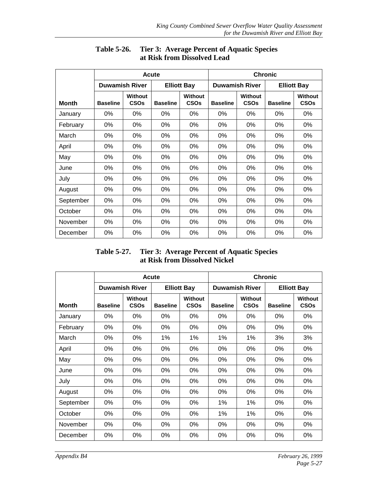|           |                       |                                   | Acute              |                                   | <b>Chronic</b>        |                        |                    |                               |
|-----------|-----------------------|-----------------------------------|--------------------|-----------------------------------|-----------------------|------------------------|--------------------|-------------------------------|
|           | <b>Duwamish River</b> |                                   | <b>Elliott Bay</b> |                                   | <b>Duwamish River</b> |                        | <b>Elliott Bay</b> |                               |
| Month     | <b>Baseline</b>       | Without<br><b>CSO<sub>s</sub></b> | <b>Baseline</b>    | Without<br><b>CSO<sub>s</sub></b> | <b>Baseline</b>       | Without<br><b>CSOs</b> | <b>Baseline</b>    | <b>Without</b><br><b>CSOs</b> |
| January   | 0%                    | 0%                                | 0%                 | 0%                                | 0%                    | 0%                     | 0%                 | 0%                            |
| February  | 0%                    | 0%                                | 0%                 | 0%                                | 0%                    | 0%                     | 0%                 | 0%                            |
| March     | 0%                    | 0%                                | 0%                 | 0%                                | 0%                    | 0%                     | 0%                 | 0%                            |
| April     | 0%                    | 0%                                | 0%                 | 0%                                | 0%                    | 0%                     | 0%                 | 0%                            |
| May       | 0%                    | 0%                                | 0%                 | 0%                                | 0%                    | 0%                     | 0%                 | 0%                            |
| June      | 0%                    | 0%                                | 0%                 | 0%                                | $0\%$                 | 0%                     | 0%                 | 0%                            |
| July      | 0%                    | $0\%$                             | $0\%$              | $0\%$                             | 0%                    | 0%                     | 0%                 | 0%                            |
| August    | 0%                    | 0%                                | 0%                 | 0%                                | 0%                    | 0%                     | 0%                 | 0%                            |
| September | 0%                    | 0%                                | 0%                 | 0%                                | 0%                    | 0%                     | 0%                 | 0%                            |
| October   | 0%                    | 0%                                | 0%                 | 0%                                | 0%                    | 0%                     | 0%                 | 0%                            |
| November  | 0%                    | 0%                                | 0%                 | 0%                                | 0%                    | 0%                     | 0%                 | 0%                            |
| December  | 0%                    | 0%                                | 0%                 | 0%                                | 0%                    | 0%                     | 0%                 | 0%                            |

## **Table 5-26. Tier 3: Average Percent of Aquatic Species at Risk from Dissolved Lead**

## **Table 5-27. Tier 3: Average Percent of Aquatic Species at Risk from Dissolved Nickel**

|              |                       |                               | <b>Acute</b>       |                               | <b>Chronic</b>        |                               |                    |                                          |  |
|--------------|-----------------------|-------------------------------|--------------------|-------------------------------|-----------------------|-------------------------------|--------------------|------------------------------------------|--|
|              | <b>Duwamish River</b> |                               | <b>Elliott Bay</b> |                               | <b>Duwamish River</b> |                               | <b>Elliott Bay</b> |                                          |  |
| <b>Month</b> | <b>Baseline</b>       | <b>Without</b><br><b>CSOs</b> | <b>Baseline</b>    | <b>Without</b><br><b>CSOs</b> | <b>Baseline</b>       | <b>Without</b><br><b>CSOs</b> | <b>Baseline</b>    | <b>Without</b><br><b>CSO<sub>s</sub></b> |  |
| January      | $0\%$                 | 0%                            | 0%                 | 0%                            | 0%                    | 0%                            | 0%                 | 0%                                       |  |
| February     | $0\%$                 | $0\%$                         | $0\%$              | $0\%$                         | $0\%$                 | $0\%$                         | $0\%$              | $0\%$                                    |  |
| March        | 0%                    | 0%                            | 1%                 | 1%                            | 1%                    | 1%                            | 3%                 | 3%                                       |  |
| April        | 0%                    | 0%                            | 0%                 | $0\%$                         | $0\%$                 | 0%                            | $0\%$              | 0%                                       |  |
| May          | 0%                    | 0%                            | 0%                 | 0%                            | 0%                    | 0%                            | 0%                 | 0%                                       |  |
| June         | 0%                    | 0%                            | 0%                 | 0%                            | 0%                    | 0%                            | 0%                 | 0%                                       |  |
| July         | $0\%$                 | $0\%$                         | 0%                 | $0\%$                         | $0\%$                 | $0\%$                         | $0\%$              | 0%                                       |  |
| August       | 0%                    | 0%                            | 0%                 | $0\%$                         | 0%                    | 0%                            | $0\%$              | 0%                                       |  |
| September    | 0%                    | 0%                            | 0%                 | $0\%$                         | 1%                    | 1%                            | $0\%$              | 0%                                       |  |
| October      | $0\%$                 | $0\%$                         | $0\%$              | $0\%$                         | 1%                    | 1%                            | $0\%$              | $0\%$                                    |  |
| November     | 0%                    | 0%                            | 0%                 | $0\%$                         | 0%                    | $0\%$                         | $0\%$              | 0%                                       |  |
| December     | 0%                    | 0%                            | 0%                 | $0\%$                         | 0%                    | $0\%$                         | $0\%$              | 0%                                       |  |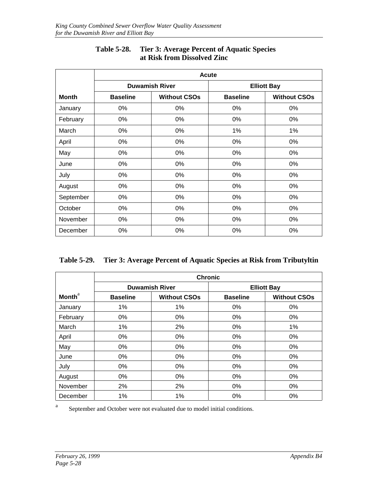|              | <b>Acute</b>    |                       |                    |                     |  |  |  |  |
|--------------|-----------------|-----------------------|--------------------|---------------------|--|--|--|--|
|              |                 | <b>Duwamish River</b> | <b>Elliott Bay</b> |                     |  |  |  |  |
| <b>Month</b> | <b>Baseline</b> | <b>Without CSOs</b>   | <b>Baseline</b>    | <b>Without CSOs</b> |  |  |  |  |
| January      | 0%              | 0%                    | 0%                 | 0%                  |  |  |  |  |
| February     | 0%              | 0%                    | 0%                 | 0%                  |  |  |  |  |
| March        | $0\%$           | 0%                    | $1\%$              | 1%                  |  |  |  |  |
| April        | 0%              | 0%                    | 0%                 | 0%                  |  |  |  |  |
| May          | $0\%$           | 0%                    | $0\%$              | $0\%$               |  |  |  |  |
| June         | 0%              | 0%                    | 0%                 | 0%                  |  |  |  |  |
| July         | 0%              | 0%                    | $0\%$              | $0\%$               |  |  |  |  |
| August       | $0\%$           | $0\%$                 | 0%                 | 0%                  |  |  |  |  |
| September    | $0\%$           | 0%                    | $0\%$              | $0\%$               |  |  |  |  |
| October      | $0\%$           | $0\%$                 | $0\%$              | 0%                  |  |  |  |  |
| November     | 0%              | 0%                    | 0%                 | 0%                  |  |  |  |  |
| December     | 0%              | 0%                    | 0%                 | 0%                  |  |  |  |  |

# **Table 5-28. Tier 3: Average Percent of Aquatic Species at Risk from Dissolved Zinc**

| Table 5-29. Tier 3: Average Percent of Aquatic Species at Risk from Tributyltin |  |  |
|---------------------------------------------------------------------------------|--|--|
|                                                                                 |  |  |

|                           | <b>Chronic</b>  |                       |                    |                     |  |  |  |
|---------------------------|-----------------|-----------------------|--------------------|---------------------|--|--|--|
|                           |                 | <b>Duwamish River</b> | <b>Elliott Bay</b> |                     |  |  |  |
| <b>Month</b> <sup>a</sup> | <b>Baseline</b> | <b>Without CSOs</b>   | <b>Baseline</b>    | <b>Without CSOs</b> |  |  |  |
| January                   | 1%              | 1%                    | $0\%$              | $0\%$               |  |  |  |
| February                  | $0\%$           | $0\%$                 | $0\%$              | 0%                  |  |  |  |
| March                     | 1%              | 2%                    | 0%                 | $1\%$               |  |  |  |
| April                     | 0%              | $0\%$                 | 0%                 | 0%                  |  |  |  |
| May                       | 0%              | $0\%$                 | 0%                 | 0%                  |  |  |  |
| June                      | 0%              | $0\%$                 | 0%                 | 0%                  |  |  |  |
| July                      | $0\%$           | $0\%$                 | 0%                 | 0%                  |  |  |  |
| August                    | 0%              | $0\%$                 | 0%                 | 0%                  |  |  |  |
| November                  | 2%              | 2%                    | 0%                 | 0%                  |  |  |  |
| December                  | 1%              | 1%                    | 0%                 | 0%                  |  |  |  |

<sup>a</sup> September and October were not evaluated due to model initial conditions.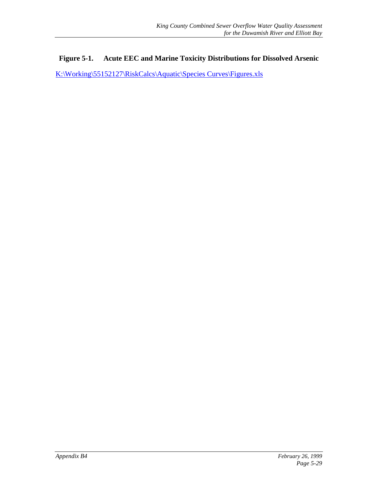#### **Figure 5-1. Acute EEC and Marine Toxicity Distributions for Dissolved Arsenic**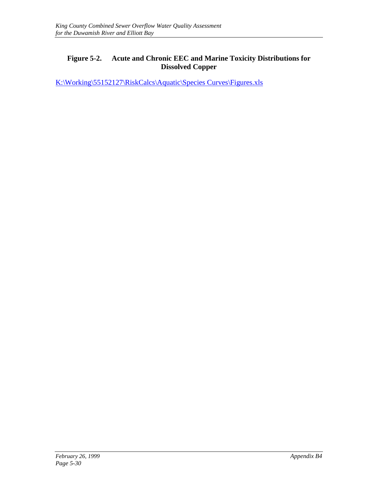#### **Figure 5-2. Acute and Chronic EEC and Marine Toxicity Distributions for Dissolved Copper**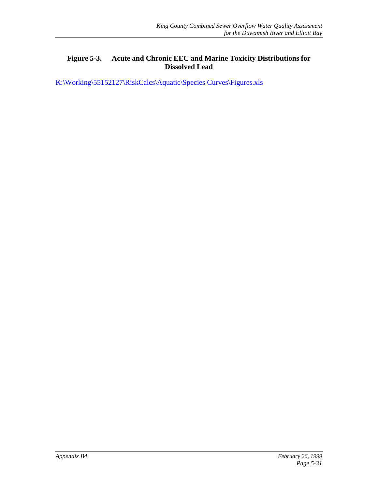#### **Figure 5-3. Acute and Chronic EEC and Marine Toxicity Distributions for Dissolved Lead**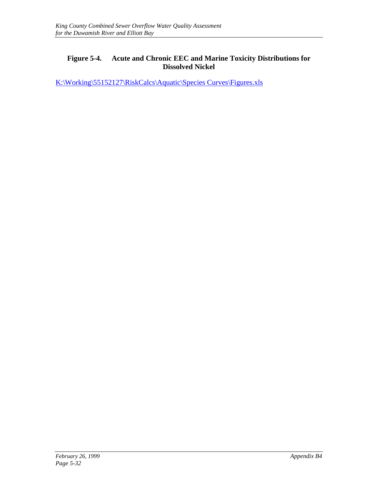#### **Figure 5-4. Acute and Chronic EEC and Marine Toxicity Distributions for Dissolved Nickel**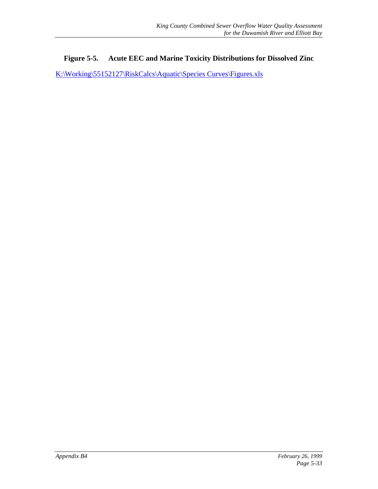#### **Figure 5-5. Acute EEC and Marine Toxicity Distributions for Dissolved Zinc**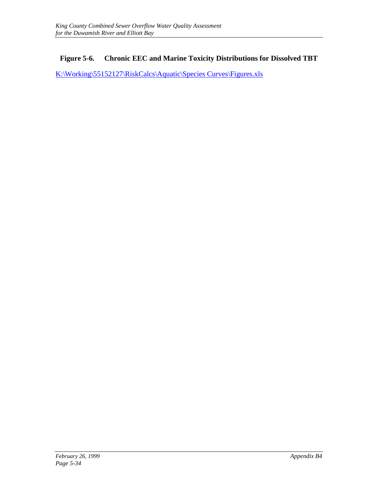## **Figure 5-6. Chronic EEC and Marine Toxicity Distributions for Dissolved TBT**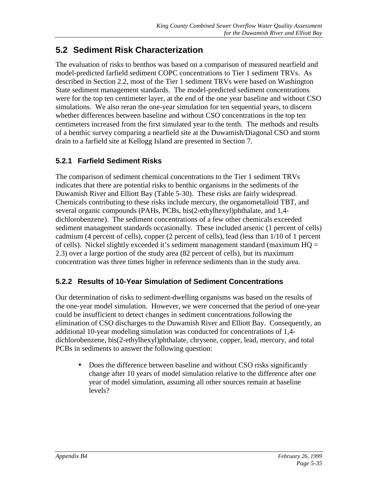# **5.2 Sediment Risk Characterization**

The evaluation of risks to benthos was based on a comparison of measured nearfield and model-predicted farfield sediment COPC concentrations to Tier 1 sediment TRVs. As described in Section 2.2, most of the Tier 1 sediment TRVs were based on Washington State sediment management standards. The model-predicted sediment concentrations were for the top ten centimeter layer, at the end of the one year baseline and without CSO simulations. We also reran the one-year simulation for ten sequential years, to discern whether differences between baseline and without CSO concentrations in the top ten centimeters increased from the first simulated year to the tenth. The methods and results of a benthic survey comparing a nearfield site at the Duwamish/Diagonal CSO and storm drain to a farfield site at Kellogg Island are presented in Section 7.

# **5.2.1 Farfield Sediment Risks**

The comparison of sediment chemical concentrations to the Tier 1 sediment TRVs indicates that there are potential risks to benthic organisms in the sediments of the Duwamish River and Elliott Bay (Table 5-30). These risks are fairly widespread. Chemicals contributing to these risks include mercury, the organometalloid TBT, and several organic compounds (PAHs, PCBs, bis(2-ethylhexyl)phthalate, and 1,4 dichlorobenzene). The sediment concentrations of a few other chemicals exceeded sediment management standards occasionally. These included arsenic (1 percent of cells) cadmium (4 percent of cells), copper (2 percent of cells), lead (less than 1/10 of 1 percent of cells). Nickel slightly exceeded it's sediment management standard (maximum  $HQ =$ 2.3) over a large portion of the study area (82 percent of cells), but its maximum concentration was three times higher in reference sediments than in the study area.

# **5.2.2 Results of 10-Year Simulation of Sediment Concentrations**

Our determination of risks to sediment-dwelling organisms was based on the results of the one-year model simulation. However, we were concerned that the period of one-year could be insufficient to detect changes in sediment concentrations following the elimination of CSO discharges to the Duwamish River and Elliott Bay. Consequently, an additional 10-year modeling simulation was conducted for concentrations of 1,4 dichlorobenzene, bis(2-ethylhexyl)phthalate, chrysene, copper, lead, mercury, and total PCBs in sediments to answer the following question:

• Does the difference between baseline and without CSO risks significantly change after 10 years of model simulation relative to the difference after one year of model simulation, assuming all other sources remain at baseline levels?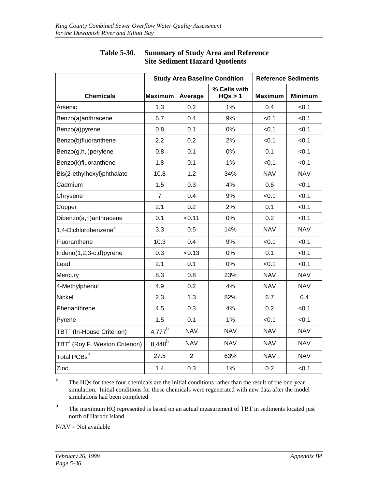|                                                  |                |                | <b>Study Area Baseline Condition</b> | <b>Reference Sediments</b> |                |  |  |
|--------------------------------------------------|----------------|----------------|--------------------------------------|----------------------------|----------------|--|--|
| <b>Chemicals</b>                                 | <b>Maximum</b> | Average        | % Cells with<br>HQs > 1              | <b>Maximum</b>             | <b>Minimum</b> |  |  |
| Arsenic                                          | 1.3            | 0.2            | 1%                                   | 0.4                        | < 0.1          |  |  |
| Benzo(a)anthracene                               | 6.7            | 0.4            | 9%                                   | < 0.1                      | < 0.1          |  |  |
| Benzo(a)pyrene                                   | 0.8            | 0.1            | 0%                                   | < 0.1                      | < 0.1          |  |  |
| Benzo(b)fluoranthene                             | 2.2            | 0.2            | 2%                                   | < 0.1                      | < 0.1          |  |  |
| Benzo(g,h,i)perylene                             | 0.8            | 0.1            | 0%                                   | 0.1                        | < 0.1          |  |  |
| Benzo(k)fluoranthene                             | 1.8            | 0.1            | 1%                                   | < 0.1                      | < 0.1          |  |  |
| Bis(2-ethylhexyl)phthalate                       | 10.8           | 1.2            | 34%                                  | <b>NAV</b>                 | <b>NAV</b>     |  |  |
| Cadmium                                          | 1.5            | 0.3            | 4%                                   | 0.6                        | < 0.1          |  |  |
| Chrysene                                         | $\overline{7}$ | 0.4            | 9%                                   | < 0.1                      | < 0.1          |  |  |
| Copper                                           | 2.1            | 0.2            | 2%                                   | 0.1                        | < 0.1          |  |  |
| Dibenzo(a,h)anthracene                           | 0.1            | < 0.11         | 0%                                   | 0.2                        | < 0.1          |  |  |
| 1,4-Dichlorobenzene <sup>a</sup>                 | 3.3            | 0.5            | 14%                                  | <b>NAV</b>                 | <b>NAV</b>     |  |  |
| Fluoranthene                                     | 10.3           | 0.4            | 9%                                   | < 0.1                      | < 0.1          |  |  |
| Indeno(1,2,3-c,d)pyrene                          | 0.3            | < 0.13         | 0%                                   | 0.1                        | < 0.1          |  |  |
| Lead                                             | 2.1            | 0.1            | 0%                                   | < 0.1                      | < 0.1          |  |  |
| Mercury                                          | 8.3            | 0.8            | 23%                                  | <b>NAV</b>                 | <b>NAV</b>     |  |  |
| 4-Methylphenol                                   | 4.9            | 0.2            | 4%                                   | <b>NAV</b>                 | <b>NAV</b>     |  |  |
| Nickel                                           | 2.3            | 1.3            | 82%                                  | 6.7                        | 0.4            |  |  |
| Phenanthrene                                     | 4.5            | 0.3            | 4%                                   | 0.2                        | < 0.1          |  |  |
| Pyrene                                           | 1.5            | 0.1            | 1%                                   | < 0.1                      | < 0.1          |  |  |
| TBT <sup>a</sup> <sup>(In-House Criterion)</sup> | $4,777^b$      | <b>NAV</b>     | <b>NAV</b>                           | <b>NAV</b>                 | <b>NAV</b>     |  |  |
| TBT <sup>a</sup> (Roy F. Weston Criterion)       | $8,440^{b}$    | <b>NAV</b>     | <b>NAV</b>                           | <b>NAV</b>                 | <b>NAV</b>     |  |  |
| Total PCBs <sup>a</sup>                          | 27.5           | $\overline{2}$ | 63%                                  | <b>NAV</b>                 | <b>NAV</b>     |  |  |
| Zinc                                             | 1.4            | 0.3            | 1%                                   | 0.2                        | < 0.1          |  |  |

#### **Table 5-30. Summary of Study Area and Reference Site Sediment Hazard Quotients**

<sup>a</sup> The HQs for these four chemicals are the initial conditions rather than the result of the one-year simulation. Initial conditions for these chemicals were regenerated with new data after the model simulations had been completed.

<sup>b</sup> The maximum HQ represented is based on an actual measurement of TBT in sediments located just north of Harbor Island.

 $N/AV = Not available$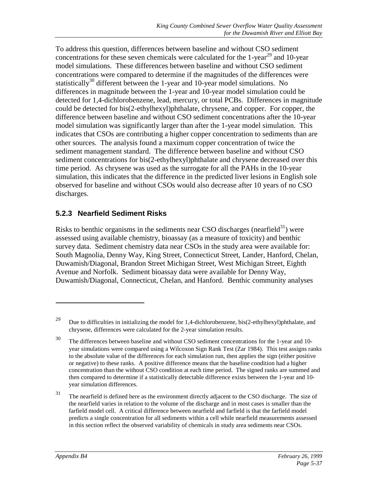To address this question, differences between baseline and without CSO sediment concentrations for these seven chemicals were calculated for the 1-year<sup>29</sup> and 10-year model simulations. These differences between baseline and without CSO sediment concentrations were compared to determine if the magnitudes of the differences were statistically<sup>30</sup> different between the 1-year and 10-year model simulations. No differences in magnitude between the 1-year and 10-year model simulation could be detected for 1,4-dichlorobenzene, lead, mercury, or total PCBs. Differences in magnitude could be detected for bis(2-ethylhexyl)phthalate, chrysene, and copper. For copper, the difference between baseline and without CSO sediment concentrations after the 10-year model simulation was significantly larger than after the 1-year model simulation. This indicates that CSOs are contributing a higher copper concentration to sediments than are other sources. The analysis found a maximum copper concentration of twice the sediment management standard. The difference between baseline and without CSO sediment concentrations for bis(2-ethylhexyl)phthalate and chrysene decreased over this time period. As chrysene was used as the surrogate for all the PAHs in the 10-year simulation, this indicates that the difference in the predicted liver lesions in English sole observed for baseline and without CSOs would also decrease after 10 years of no CSO discharges.

### **5.2.3 Nearfield Sediment Risks**

Risks to benthic organisms in the sediments near CSO discharges (nearfield $31$ ) were assessed using available chemistry, bioassay (as a measure of toxicity) and benthic survey data. Sediment chemistry data near CSOs in the study area were available for: South Magnolia, Denny Way, King Street, Connecticut Street, Lander, Hanford, Chelan, Duwamish/Diagonal, Brandon Street Michigan Street, West Michigan Street, Eighth Avenue and Norfolk. Sediment bioassay data were available for Denny Way, Duwamish/Diagonal, Connecticut, Chelan, and Hanford. Benthic community analyses

 $\overline{a}$ 

<sup>&</sup>lt;sup>29</sup> Due to difficulties in initializing the model for 1,4-dichlorobenzene, bis(2-ethylhexyl)phthalate, and chrysene, differences were calculated for the 2-year simulation results.

<sup>&</sup>lt;sup>30</sup> The differences between baseline and without CSO sediment concentrations for the 1-year and 10year simulations were compared using a Wilcoxon Sign Rank Test (Zar 1984). This test assigns ranks to the absolute value of the differences for each simulation run, then applies the sign (either positive or negative) to these ranks. A positive difference means that the baseline condition had a higher concentration than the without CSO condition at each time period. The signed ranks are summed and then compared to determine if a statistically detectable difference exists between the 1-year and 10 year simulation differences.

<sup>31</sup> The nearfield is defined here as the environment directly adjacent to the CSO discharge. The size of the nearfield varies in relation to the volume of the discharge and in most cases is smaller than the farfield model cell. A critical difference between nearfield and farfield is that the farfield model predicts a single concentration for all sediments within a cell while nearfield measurements assessed in this section reflect the observed variability of chemicals in study area sediments near CSOs.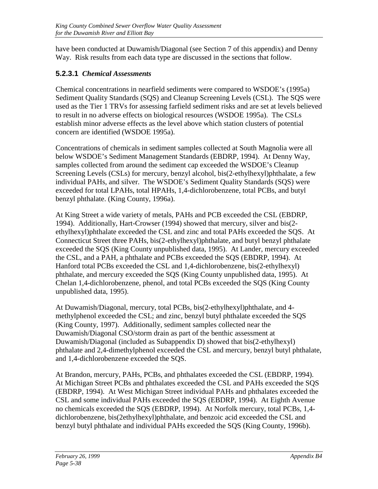have been conducted at Duwamish/Diagonal (see Section 7 of this appendix) and Denny Way. Risk results from each data type are discussed in the sections that follow.

### **5.2.3.1** *Chemical Assessments*

Chemical concentrations in nearfield sediments were compared to WSDOE's (1995a) Sediment Quality Standards (SQS) and Cleanup Screening Levels (CSL). The SQS were used as the Tier 1 TRVs for assessing farfield sediment risks and are set at levels believed to result in no adverse effects on biological resources (WSDOE 1995a). The CSLs establish minor adverse effects as the level above which station clusters of potential concern are identified (WSDOE 1995a).

Concentrations of chemicals in sediment samples collected at South Magnolia were all below WSDOE's Sediment Management Standards (EBDRP, 1994). At Denny Way, samples collected from around the sediment cap exceeded the WSDOE's Cleanup Screening Levels (CSLs) for mercury, benzyl alcohol, bis(2-ethylhexyl)phthalate, a few individual PAHs, and silver. The WSDOE's Sediment Quality Standards (SQS) were exceeded for total LPAHs, total HPAHs, 1,4-dichlorobenzene, total PCBs, and butyl benzyl phthalate. (King County, 1996a).

At King Street a wide variety of metals, PAHs and PCB exceeded the CSL (EBDRP, 1994). Additionally, Hart-Crowser (1994) showed that mercury, silver and bis(2 ethylhexyl)phthalate exceeded the CSL and zinc and total PAHs exceeded the SQS. At Connecticut Street three PAHs, bis(2-ethylhexyl)phthalate, and butyl benzyl phthalate exceeded the SQS (King County unpublished data, 1995). At Lander, mercury exceeded the CSL, and a PAH, a phthalate and PCBs exceeded the SQS (EBDRP, 1994). At Hanford total PCBs exceeded the CSL and 1,4-dichlorobenzene, bis(2-ethylhexyl) phthalate, and mercury exceeded the SQS (King County unpublished data, 1995). At Chelan 1,4-dichlorobenzene, phenol, and total PCBs exceeded the SQS (King County unpublished data, 1995).

At Duwamish/Diagonal, mercury, total PCBs, bis(2-ethylhexyl)phthalate, and 4 methylphenol exceeded the CSL; and zinc, benzyl butyl phthalate exceeded the SQS (King County, 1997). Additionally, sediment samples collected near the Duwamish/Diagonal CSO/storm drain as part of the benthic assessment at Duwamish/Diagonal (included as Subappendix D) showed that bis(2-ethylhexyl) phthalate and 2,4-dimethylphenol exceeded the CSL and mercury, benzyl butyl phthalate, and 1,4-dichlorobenzene exceeded the SQS.

At Brandon, mercury, PAHs, PCBs, and phthalates exceeded the CSL (EBDRP, 1994). At Michigan Street PCBs and phthalates exceeded the CSL and PAHs exceeded the SQS (EBDRP, 1994). At West Michigan Street individual PAHs and phthalates exceeded the CSL and some individual PAHs exceeded the SQS (EBDRP, 1994). At Eighth Avenue no chemicals exceeded the SQS (EBDRP, 1994). At Norfolk mercury, total PCBs, 1,4 dichlorobenzene, bis(2ethylhexyl)phthalate, and benzoic acid exceeded the CSL and benzyl butyl phthalate and individual PAHs exceeded the SQS (King County, 1996b).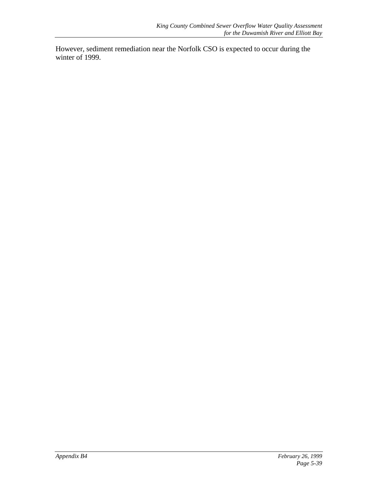However, sediment remediation near the Norfolk CSO is expected to occur during the winter of 1999.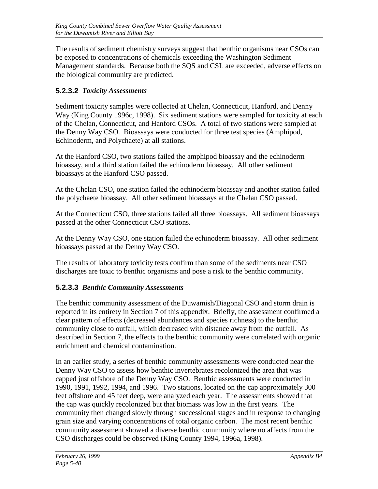The results of sediment chemistry surveys suggest that benthic organisms near CSOs can be exposed to concentrations of chemicals exceeding the Washington Sediment Management standards. Because both the SQS and CSL are exceeded, adverse effects on the biological community are predicted.

### **5.2.3.2** *Toxicity Assessments*

Sediment toxicity samples were collected at Chelan, Connecticut, Hanford, and Denny Way (King County 1996c, 1998). Six sediment stations were sampled for toxicity at each of the Chelan, Connecticut, and Hanford CSOs. A total of two stations were sampled at the Denny Way CSO. Bioassays were conducted for three test species (Amphipod, Echinoderm, and Polychaete) at all stations.

At the Hanford CSO, two stations failed the amphipod bioassay and the echinoderm bioassay, and a third station failed the echinoderm bioassay. All other sediment bioassays at the Hanford CSO passed.

At the Chelan CSO, one station failed the echinoderm bioassay and another station failed the polychaete bioassay. All other sediment bioassays at the Chelan CSO passed.

At the Connecticut CSO, three stations failed all three bioassays. All sediment bioassays passed at the other Connecticut CSO stations.

At the Denny Way CSO, one station failed the echinoderm bioassay. All other sediment bioassays passed at the Denny Way CSO.

The results of laboratory toxicity tests confirm than some of the sediments near CSO discharges are toxic to benthic organisms and pose a risk to the benthic community.

### **5.2.3.3** *Benthic Community Assessments*

The benthic community assessment of the Duwamish/Diagonal CSO and storm drain is reported in its entirety in Section 7 of this appendix. Briefly, the assessment confirmed a clear pattern of effects (decreased abundances and species richness) to the benthic community close to outfall, which decreased with distance away from the outfall. As described in Section 7, the effects to the benthic community were correlated with organic enrichment and chemical contamination.

In an earlier study, a series of benthic community assessments were conducted near the Denny Way CSO to assess how benthic invertebrates recolonized the area that was capped just offshore of the Denny Way CSO. Benthic assessments were conducted in 1990, 1991, 1992, 1994, and 1996. Two stations, located on the cap approximately 300 feet offshore and 45 feet deep, were analyzed each year. The assessments showed that the cap was quickly recolonized but that biomass was low in the first years. The community then changed slowly through successional stages and in response to changing grain size and varying concentrations of total organic carbon. The most recent benthic community assessment showed a diverse benthic community where no affects from the CSO discharges could be observed (King County 1994, 1996a, 1998).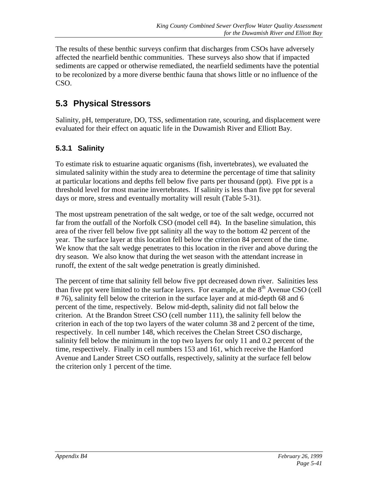The results of these benthic surveys confirm that discharges from CSOs have adversely affected the nearfield benthic communities. These surveys also show that if impacted sediments are capped or otherwise remediated, the nearfield sediments have the potential to be recolonized by a more diverse benthic fauna that shows little or no influence of the CSO.

## **5.3 Physical Stressors**

Salinity, pH, temperature, DO, TSS, sedimentation rate, scouring, and displacement were evaluated for their effect on aquatic life in the Duwamish River and Elliott Bay.

### **5.3.1 Salinity**

To estimate risk to estuarine aquatic organisms (fish, invertebrates), we evaluated the simulated salinity within the study area to determine the percentage of time that salinity at particular locations and depths fell below five parts per thousand (ppt). Five ppt is a threshold level for most marine invertebrates. If salinity is less than five ppt for several days or more, stress and eventually mortality will result (Table 5-31).

The most upstream penetration of the salt wedge, or toe of the salt wedge, occurred not far from the outfall of the Norfolk CSO (model cell #4). In the baseline simulation, this area of the river fell below five ppt salinity all the way to the bottom 42 percent of the year. The surface layer at this location fell below the criterion 84 percent of the time. We know that the salt wedge penetrates to this location in the river and above during the dry season. We also know that during the wet season with the attendant increase in runoff, the extent of the salt wedge penetration is greatly diminished.

The percent of time that salinity fell below five ppt decreased down river. Salinities less than five ppt were limited to the surface layers. For example, at the  $8<sup>th</sup>$  Avenue CSO (cell # 76), salinity fell below the criterion in the surface layer and at mid-depth 68 and 6 percent of the time, respectively. Below mid-depth, salinity did not fall below the criterion. At the Brandon Street CSO (cell number 111), the salinity fell below the criterion in each of the top two layers of the water column 38 and 2 percent of the time, respectively. In cell number 148, which receives the Chelan Street CSO discharge, salinity fell below the minimum in the top two layers for only 11 and 0.2 percent of the time, respectively. Finally in cell numbers 153 and 161, which receive the Hanford Avenue and Lander Street CSO outfalls, respectively, salinity at the surface fell below the criterion only 1 percent of the time.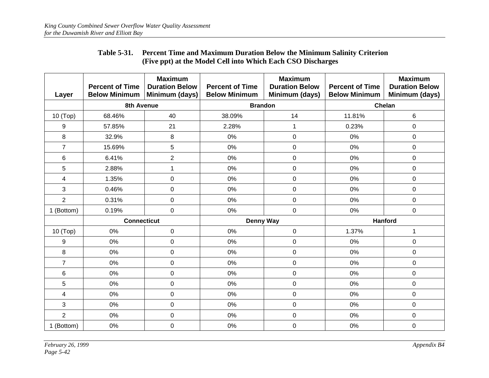| Layer          | <b>Percent of Time</b><br><b>Below Minimum</b> | <b>Maximum</b><br><b>Duration Below</b><br>Minimum (days) | <b>Percent of Time</b><br><b>Below Minimum</b> | <b>Maximum</b><br><b>Duration Below</b><br>Minimum (days) | <b>Percent of Time</b><br><b>Below Minimum</b> | <b>Maximum</b><br><b>Duration Below</b><br>Minimum (days) |
|----------------|------------------------------------------------|-----------------------------------------------------------|------------------------------------------------|-----------------------------------------------------------|------------------------------------------------|-----------------------------------------------------------|
|                | 8th Avenue                                     |                                                           | <b>Brandon</b>                                 |                                                           |                                                | Chelan                                                    |
| 10 (Top)       | 68.46%                                         | 40                                                        | 38.09%                                         | 14                                                        | 11.81%                                         | 6                                                         |
| 9              | 57.85%                                         | 21                                                        | 2.28%                                          | 1                                                         | 0.23%                                          | $\mathbf 0$                                               |
| 8              | 32.9%                                          | 8                                                         | 0%                                             | $\mathsf 0$                                               | 0%                                             | $\pmb{0}$                                                 |
| $\overline{7}$ | 15.69%                                         | 5                                                         | 0%                                             | $\mathsf 0$                                               | 0%                                             | $\mathbf 0$                                               |
| 6              | 6.41%                                          | $\overline{c}$                                            | 0%                                             | 0                                                         | 0%                                             | $\mathbf 0$                                               |
| 5              | 2.88%                                          | 1                                                         | 0%                                             | $\mathsf 0$                                               | 0%                                             | $\mathbf 0$                                               |
| 4              | 1.35%                                          | $\mathbf 0$                                               | 0%                                             | $\mathsf 0$                                               | 0%                                             | $\mathbf 0$                                               |
| 3              | 0.46%                                          | $\mathbf 0$                                               | 0%                                             | 0                                                         | 0%                                             | $\mathbf 0$                                               |
| $\overline{2}$ | 0.31%                                          | $\mathbf 0$                                               | 0%                                             | 0                                                         | 0%                                             | $\mathbf 0$                                               |
| 1 (Bottom)     | 0.19%                                          | $\mathbf 0$                                               | 0%                                             | $\mathsf 0$                                               | 0%                                             | $\mathbf 0$                                               |
|                | <b>Connecticut</b>                             |                                                           | <b>Denny Way</b>                               |                                                           |                                                | <b>Hanford</b>                                            |
| 10 (Top)       | 0%                                             | $\mathsf{O}\xspace$                                       | 0%                                             | $\mathsf 0$                                               | 1.37%                                          | $\mathbf 1$                                               |
| 9              | 0%                                             | $\mathbf 0$                                               | 0%                                             | $\mathsf 0$                                               | 0%                                             | $\pmb{0}$                                                 |
| 8              | 0%                                             | $\pmb{0}$                                                 | 0%                                             | $\mathsf 0$                                               | 0%                                             | $\pmb{0}$                                                 |
| $\overline{7}$ | 0%                                             | $\mathbf 0$                                               | 0%                                             | 0                                                         | 0%                                             | $\mathbf 0$                                               |
| 6              | 0%                                             | $\pmb{0}$                                                 | 0%                                             | 0                                                         | 0%                                             | $\pmb{0}$                                                 |
| 5              | 0%                                             | $\pmb{0}$                                                 | 0%                                             | $\mathsf 0$                                               | 0%                                             | $\mathsf 0$                                               |
| 4              | 0%                                             | $\pmb{0}$                                                 | 0%                                             | $\mathsf 0$                                               | 0%                                             | $\pmb{0}$                                                 |
| 3              | 0%                                             | $\mathbf 0$                                               | 0%                                             | 0                                                         | 0%                                             | $\mathbf 0$                                               |
| $\overline{2}$ | 0%                                             | $\pmb{0}$                                                 | 0%                                             | 0                                                         | 0%                                             | 0                                                         |
| 1 (Bottom)     | 0%                                             | $\pmb{0}$                                                 | 0%                                             | 0                                                         | 0%                                             | 0                                                         |

#### **Table 5-31. Percent Time and Maximum Duration Below the Minimum Salinity Criterion (Five ppt) at the Model Cell into Which Each CSO Discharges**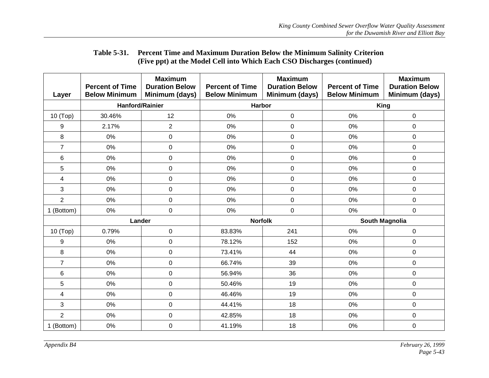| Layer                   | <b>Percent of Time</b><br><b>Below Minimum</b> | <b>Maximum</b><br><b>Duration Below</b><br>Minimum (days) | <b>Percent of Time</b><br><b>Below Minimum</b> | <b>Maximum</b><br><b>Duration Below</b><br>Minimum (days) | <b>Percent of Time</b><br><b>Below Minimum</b> | <b>Maximum</b><br><b>Duration Below</b><br>Minimum (days) |
|-------------------------|------------------------------------------------|-----------------------------------------------------------|------------------------------------------------|-----------------------------------------------------------|------------------------------------------------|-----------------------------------------------------------|
|                         | <b>Hanford/Rainier</b>                         |                                                           | <b>Harbor</b>                                  |                                                           | <b>King</b>                                    |                                                           |
| 10 (Top)                | 30.46%                                         | 12                                                        | 0%                                             | $\mathbf 0$                                               | 0%                                             | $\mathbf 0$                                               |
| 9                       | 2.17%                                          | $\overline{2}$                                            | 0%                                             | $\pmb{0}$                                                 | 0%                                             | $\mathbf 0$                                               |
| 8                       | 0%                                             | $\boldsymbol{0}$                                          | $0\%$                                          | $\pmb{0}$                                                 | 0%                                             | $\mathsf 0$                                               |
| $\overline{7}$          | 0%                                             | $\mathsf 0$                                               | 0%                                             | $\pmb{0}$                                                 | 0%                                             | $\mathsf 0$                                               |
| 6                       | 0%                                             | $\boldsymbol{0}$                                          | $0\%$                                          | $\pmb{0}$                                                 | 0%                                             | $\mathsf 0$                                               |
| 5                       | 0%                                             | $\boldsymbol{0}$                                          | 0%                                             | $\pmb{0}$                                                 | 0%                                             | $\mathsf 0$                                               |
| 4                       | 0%                                             | 0                                                         | 0%                                             | $\pmb{0}$                                                 | 0%                                             | $\mathbf 0$                                               |
| 3                       | 0%                                             | $\boldsymbol{0}$                                          | 0%                                             | $\pmb{0}$                                                 | 0%                                             | $\mathbf 0$                                               |
| $\overline{2}$          | 0%                                             | 0                                                         | 0%                                             | $\pmb{0}$                                                 | 0%                                             | $\mathbf 0$                                               |
| 1 (Bottom)              | 0%                                             | 0                                                         | 0%                                             | $\mathbf 0$                                               | 0%                                             | $\mathbf 0$                                               |
|                         | Lander                                         |                                                           | <b>Norfolk</b>                                 |                                                           | South Magnolia                                 |                                                           |
| 10 (Top)                | 0.79%                                          | $\boldsymbol{0}$                                          | 83.83%                                         | 241                                                       | 0%                                             | $\mathsf 0$                                               |
| 9                       | 0%                                             | 0                                                         | 78.12%                                         | 152                                                       | 0%                                             | $\mathbf 0$                                               |
| 8                       | 0%                                             | $\boldsymbol{0}$                                          | 73.41%                                         | 44                                                        | 0%                                             | $\pmb{0}$                                                 |
| $\overline{7}$          | 0%                                             | 0                                                         | 66.74%                                         | 39                                                        | 0%                                             | $\mathbf 0$                                               |
| 6                       | 0%                                             | 0                                                         | 56.94%                                         | 36                                                        | 0%                                             | $\mathbf 0$                                               |
| 5                       | 0%                                             | $\mathbf 0$                                               | 50.46%                                         | 19                                                        | 0%                                             | $\mathbf 0$                                               |
| $\overline{\mathbf{4}}$ | 0%                                             | $\mathbf 0$                                               | 46.46%                                         | 19                                                        | 0%                                             | $\mathbf 0$                                               |
| 3                       | 0%                                             | 0                                                         | 44.41%                                         | 18                                                        | 0%                                             | $\mathbf 0$                                               |
| $\overline{2}$          | 0%                                             | 0                                                         | 42.85%                                         | 18                                                        | 0%                                             | $\mathbf 0$                                               |
| 1 (Bottom)              | 0%                                             | 0                                                         | 41.19%                                         | 18                                                        | 0%                                             | $\mathbf 0$                                               |

#### **Table 5-31. Percent Time and Maximum Duration Below the Minimum Salinity Criterion (Five ppt) at the Model Cell into Which Each CSO Discharges (continued)**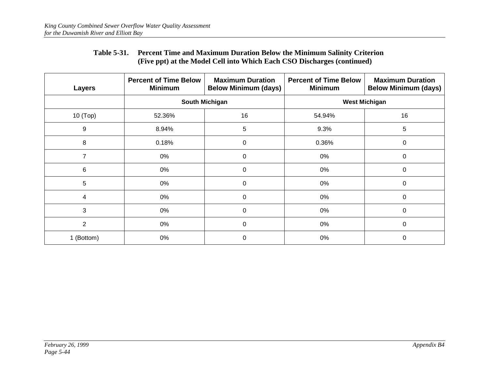#### **Table 5-31. Percent Time and Maximum Duration Below the Minimum Salinity Criterion (Five ppt) at the Model Cell into Which Each CSO Discharges (continued)**

| Layers         | <b>Percent of Time Below</b><br><b>Minimum</b> | <b>Maximum Duration</b><br><b>Below Minimum (days)</b> | <b>Percent of Time Below</b><br><b>Minimum</b> | <b>Maximum Duration</b><br><b>Below Minimum (days)</b> |  |  |  |  |
|----------------|------------------------------------------------|--------------------------------------------------------|------------------------------------------------|--------------------------------------------------------|--|--|--|--|
|                |                                                | <b>South Michigan</b>                                  | <b>West Michigan</b>                           |                                                        |  |  |  |  |
| 10 (Top)       | 52.36%                                         | 16                                                     | 54.94%                                         | 16                                                     |  |  |  |  |
| 9              | 8.94%                                          | 5                                                      | 9.3%                                           | 5                                                      |  |  |  |  |
| 8              | 0.18%                                          | 0                                                      | 0.36%                                          | 0                                                      |  |  |  |  |
| $\overline{7}$ | 0%                                             | 0                                                      | 0%                                             | 0                                                      |  |  |  |  |
| 6              | 0%                                             | 0                                                      | 0%                                             | 0                                                      |  |  |  |  |
| 5              | 0%                                             | $\Omega$                                               | 0%                                             | 0                                                      |  |  |  |  |
| 4              | 0%                                             | 0                                                      | 0%                                             | 0                                                      |  |  |  |  |
| 3              | 0%                                             | $\Omega$                                               | 0%                                             | $\Omega$                                               |  |  |  |  |
| $\overline{2}$ | 0%                                             | $\Omega$                                               | 0%                                             | 0                                                      |  |  |  |  |
| 1 (Bottom)     | 0%                                             | 0                                                      | 0%                                             | 0                                                      |  |  |  |  |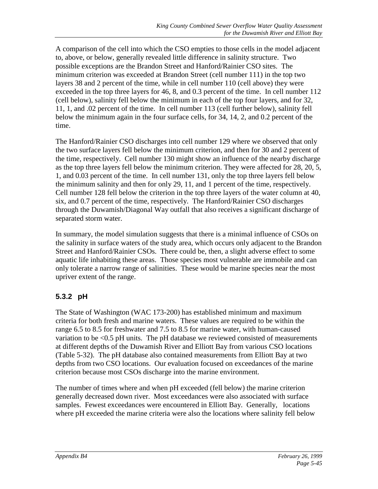A comparison of the cell into which the CSO empties to those cells in the model adjacent to, above, or below, generally revealed little difference in salinity structure. Two possible exceptions are the Brandon Street and Hanford/Rainier CSO sites. The minimum criterion was exceeded at Brandon Street (cell number 111) in the top two layers 38 and 2 percent of the time, while in cell number 110 (cell above) they were exceeded in the top three layers for 46, 8, and 0.3 percent of the time. In cell number 112 (cell below), salinity fell below the minimum in each of the top four layers, and for 32, 11, 1, and .02 percent of the time. In cell number 113 (cell further below), salinity fell below the minimum again in the four surface cells, for 34, 14, 2, and 0.2 percent of the time.

The Hanford/Rainier CSO discharges into cell number 129 where we observed that only the two surface layers fell below the minimum criterion, and then for 30 and 2 percent of the time, respectively. Cell number 130 might show an influence of the nearby discharge as the top three layers fell below the minimum criterion. They were affected for 28, 20, 5, 1, and 0.03 percent of the time. In cell number 131, only the top three layers fell below the minimum salinity and then for only 29, 11, and 1 percent of the time, respectively. Cell number 128 fell below the criterion in the top three layers of the water column at 40, six, and 0.7 percent of the time, respectively. The Hanford/Rainier CSO discharges through the Duwamish/Diagonal Way outfall that also receives a significant discharge of separated storm water.

In summary, the model simulation suggests that there is a minimal influence of CSOs on the salinity in surface waters of the study area, which occurs only adjacent to the Brandon Street and Hanford/Rainier CSOs. There could be, then, a slight adverse effect to some aquatic life inhabiting these areas. Those species most vulnerable are immobile and can only tolerate a narrow range of salinities. These would be marine species near the most upriver extent of the range.

### **5.3.2 pH**

The State of Washington (WAC 173-200) has established minimum and maximum criteria for both fresh and marine waters. These values are required to be within the range 6.5 to 8.5 for freshwater and 7.5 to 8.5 for marine water, with human-caused variation to be <0.5 pH units. The pH database we reviewed consisted of measurements at different depths of the Duwamish River and Elliott Bay from various CSO locations (Table 5-32). The pH database also contained measurements from Elliott Bay at two depths from two CSO locations. Our evaluation focused on exceedances of the marine criterion because most CSOs discharge into the marine environment.

The number of times where and when pH exceeded (fell below) the marine criterion generally decreased down river. Most exceedances were also associated with surface samples. Fewest exceedances were encountered in Elliott Bay. Generally, locations where pH exceeded the marine criteria were also the locations where salinity fell below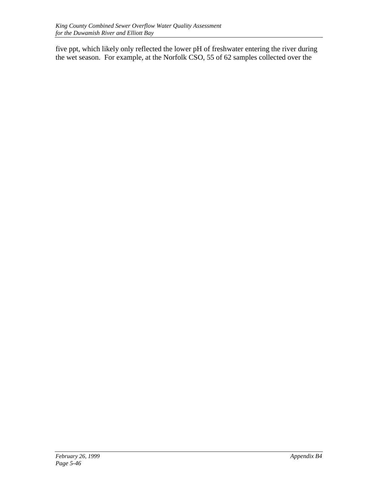five ppt, which likely only reflected the lower pH of freshwater entering the river during the wet season. For example, at the Norfolk CSO, 55 of 62 samples collected over the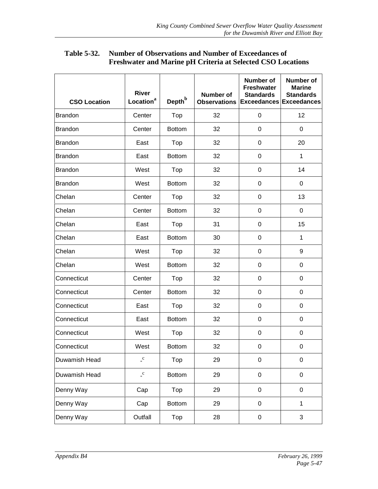| <b>CSO Location</b> | <b>River</b><br>Location <sup>a</sup> | Depth <sup>b</sup> | <b>Number of</b><br><b>Observations</b> | <b>Number of</b><br><b>Freshwater</b><br><b>Standards</b><br><b>Exceedances Exceedances</b> | <b>Number of</b><br><b>Marine</b><br><b>Standards</b> |
|---------------------|---------------------------------------|--------------------|-----------------------------------------|---------------------------------------------------------------------------------------------|-------------------------------------------------------|
| <b>Brandon</b>      | Center                                | Top                | 32                                      | $\mathbf 0$                                                                                 | 12                                                    |
| <b>Brandon</b>      | Center                                | <b>Bottom</b>      | 32                                      | 0                                                                                           | 0                                                     |
|                     |                                       |                    |                                         |                                                                                             |                                                       |
| <b>Brandon</b>      | East                                  | Top                | 32                                      | 0                                                                                           | 20                                                    |
| <b>Brandon</b>      | East                                  | <b>Bottom</b>      | 32                                      | 0                                                                                           | $\mathbf{1}$                                          |
| <b>Brandon</b>      | West                                  | Top                | 32                                      | $\mathbf 0$                                                                                 | 14                                                    |
| <b>Brandon</b>      | West                                  | <b>Bottom</b>      | 32                                      | $\pmb{0}$                                                                                   | 0                                                     |
| Chelan              | Center                                | Top                | 32                                      | 0                                                                                           | 13                                                    |
| Chelan              | Center                                | <b>Bottom</b>      | 32                                      | 0                                                                                           | 0                                                     |
| Chelan              | East                                  | Top                | 31                                      | 0                                                                                           | 15                                                    |
| Chelan              | East                                  | <b>Bottom</b>      | 30                                      | $\mathbf 0$                                                                                 | $\mathbf{1}$                                          |
| Chelan              | West                                  | Top                | 32                                      | $\mathbf 0$                                                                                 | 9                                                     |
| Chelan              | West                                  | <b>Bottom</b>      | 32                                      | $\pmb{0}$                                                                                   | 0                                                     |
| Connecticut         | Center                                | Top                | 32                                      | 0                                                                                           | 0                                                     |
| Connecticut         | Center                                | <b>Bottom</b>      | 32                                      | 0                                                                                           | 0                                                     |
| Connecticut         | East                                  | Top                | 32                                      | 0                                                                                           | 0                                                     |
| Connecticut         | East                                  | <b>Bottom</b>      | 32                                      | 0                                                                                           | 0                                                     |
| Connecticut         | West                                  | Top                | 32                                      | $\pmb{0}$                                                                                   | 0                                                     |
| Connecticut         | West                                  | <b>Bottom</b>      | 32                                      | 0                                                                                           | 0                                                     |
| Duwamish Head       | $\mathbf{c}$                          | Top                | 29                                      | $\mathbf 0$                                                                                 | 0                                                     |
| Duwamish Head       | $\cdot$ <sup>c</sup>                  | <b>Bottom</b>      | 29                                      | 0                                                                                           | 0                                                     |
| Denny Way           | Cap                                   | Top                | 29                                      | 0                                                                                           | 0                                                     |
| Denny Way           | Cap                                   | <b>Bottom</b>      | 29                                      | $\pmb{0}$                                                                                   | $\mathbf{1}$                                          |
| Denny Way           | Outfall                               | Top                | 28                                      | $\pmb{0}$                                                                                   | 3                                                     |

#### **Table 5-32. Number of Observations and Number of Exceedances of Freshwater and Marine pH Criteria at Selected CSO Locations**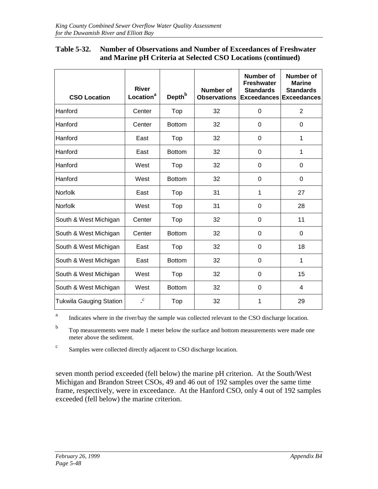#### **Table 5-32. Number of Observations and Number of Exceedances of Freshwater and Marine pH Criteria at Selected CSO Locations (continued)**

| <b>CSO Location</b>            | <b>River</b><br>Location <sup>a</sup> | Depth <sup>b</sup> | Number of<br><b>Observations</b> | Number of<br><b>Freshwater</b><br><b>Standards</b><br><b>Exceedances Exceedances</b> | Number of<br><b>Marine</b><br><b>Standards</b> |
|--------------------------------|---------------------------------------|--------------------|----------------------------------|--------------------------------------------------------------------------------------|------------------------------------------------|
| Hanford                        | Center                                | Top                | 32                               | $\Omega$                                                                             | $\overline{2}$                                 |
| Hanford                        | Center                                | <b>Bottom</b>      | 32                               | 0                                                                                    | 0                                              |
| Hanford                        | East                                  | Top                | 32                               | $\Omega$                                                                             | 1                                              |
| Hanford                        | East                                  | <b>Bottom</b>      | 32                               | 0                                                                                    | 1                                              |
| Hanford                        | West                                  | Top                | 32                               | 0                                                                                    | 0                                              |
| Hanford                        | West                                  | <b>Bottom</b>      | 32                               | $\Omega$                                                                             | 0                                              |
| Norfolk                        | East                                  | Top                | 31                               | 1                                                                                    | 27                                             |
| Norfolk                        | West                                  | Top                | 31                               | 0                                                                                    | 28                                             |
| South & West Michigan          | Center                                | Top                | 32                               | $\Omega$                                                                             | 11                                             |
| South & West Michigan          | Center                                | <b>Bottom</b>      | 32                               | 0                                                                                    | $\Omega$                                       |
| South & West Michigan          | East                                  | Top                | 32                               | 0                                                                                    | 18                                             |
| South & West Michigan          | East                                  | <b>Bottom</b>      | 32                               | $\Omega$                                                                             | 1                                              |
| South & West Michigan          | West                                  | Top                | 32                               | 0                                                                                    | 15                                             |
| South & West Michigan          | West                                  | <b>Bottom</b>      | 32                               | 0                                                                                    | 4                                              |
| <b>Tukwila Gauging Station</b> | $\mathbf{C}$                          | Top                | 32                               | 1                                                                                    | 29                                             |

<sup>a</sup> Indicates where in the river/bay the sample was collected relevant to the CSO discharge location.

b Top measurements were made 1 meter below the surface and bottom measurements were made one meter above the sediment.

<sup>c</sup> Samples were collected directly adjacent to CSO discharge location.

seven month period exceeded (fell below) the marine pH criterion. At the South/West Michigan and Brandon Street CSOs, 49 and 46 out of 192 samples over the same time frame, respectively, were in exceedance. At the Hanford CSO, only 4 out of 192 samples exceeded (fell below) the marine criterion.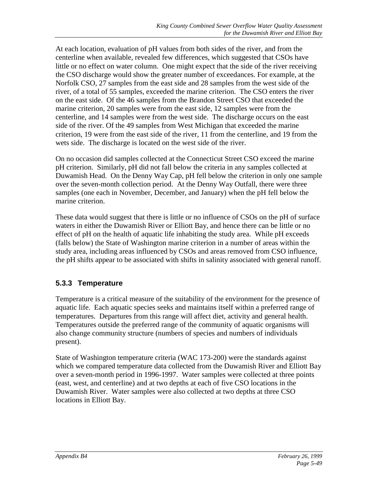At each location, evaluation of pH values from both sides of the river, and from the centerline when available, revealed few differences, which suggested that CSOs have little or no effect on water column. One might expect that the side of the river receiving the CSO discharge would show the greater number of exceedances. For example, at the Norfolk CSO, 27 samples from the east side and 28 samples from the west side of the river, of a total of 55 samples, exceeded the marine criterion. The CSO enters the river on the east side. Of the 46 samples from the Brandon Street CSO that exceeded the marine criterion, 20 samples were from the east side, 12 samples were from the centerline, and 14 samples were from the west side. The discharge occurs on the east side of the river. Of the 49 samples from West Michigan that exceeded the marine criterion, 19 were from the east side of the river, 11 from the centerline, and 19 from the wets side. The discharge is located on the west side of the river.

On no occasion did samples collected at the Connecticut Street CSO exceed the marine pH criterion. Similarly, pH did not fall below the criteria in any samples collected at Duwamish Head. On the Denny Way Cap, pH fell below the criterion in only one sample over the seven-month collection period. At the Denny Way Outfall, there were three samples (one each in November, December, and January) when the pH fell below the marine criterion.

These data would suggest that there is little or no influence of CSOs on the pH of surface waters in either the Duwamish River or Elliott Bay, and hence there can be little or no effect of pH on the health of aquatic life inhabiting the study area. While pH exceeds (falls below) the State of Washington marine criterion in a number of areas within the study area, including areas influenced by CSOs and areas removed from CSO influence, the pH shifts appear to be associated with shifts in salinity associated with general runoff.

### **5.3.3 Temperature**

Temperature is a critical measure of the suitability of the environment for the presence of aquatic life. Each aquatic species seeks and maintains itself within a preferred range of temperatures. Departures from this range will affect diet, activity and general health. Temperatures outside the preferred range of the community of aquatic organisms will also change community structure (numbers of species and numbers of individuals present).

State of Washington temperature criteria (WAC 173-200) were the standards against which we compared temperature data collected from the Duwamish River and Elliott Bay over a seven-month period in 1996-1997. Water samples were collected at three points (east, west, and centerline) and at two depths at each of five CSO locations in the Duwamish River. Water samples were also collected at two depths at three CSO locations in Elliott Bay.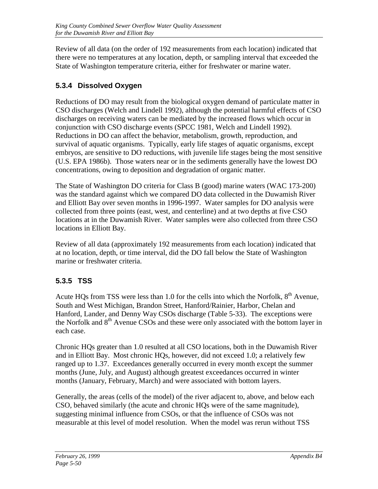Review of all data (on the order of 192 measurements from each location) indicated that there were no temperatures at any location, depth, or sampling interval that exceeded the State of Washington temperature criteria, either for freshwater or marine water.

## **5.3.4 Dissolved Oxygen**

Reductions of DO may result from the biological oxygen demand of particulate matter in CSO discharges (Welch and Lindell 1992), although the potential harmful effects of CSO discharges on receiving waters can be mediated by the increased flows which occur in conjunction with CSO discharge events (SPCC 1981, Welch and Lindell 1992). Reductions in DO can affect the behavior, metabolism, growth, reproduction, and survival of aquatic organisms. Typically, early life stages of aquatic organisms, except embryos, are sensitive to DO reductions, with juvenile life stages being the most sensitive (U.S. EPA 1986b). Those waters near or in the sediments generally have the lowest DO concentrations, owing to deposition and degradation of organic matter.

The State of Washington DO criteria for Class B (good) marine waters (WAC 173-200) was the standard against which we compared DO data collected in the Duwamish River and Elliott Bay over seven months in 1996-1997. Water samples for DO analysis were collected from three points (east, west, and centerline) and at two depths at five CSO locations at in the Duwamish River. Water samples were also collected from three CSO locations in Elliott Bay.

Review of all data (approximately 192 measurements from each location) indicated that at no location, depth, or time interval, did the DO fall below the State of Washington marine or freshwater criteria.

### **5.3.5 TSS**

Acute HQs from TSS were less than 1.0 for the cells into which the Norfolk,  $8<sup>th</sup>$  Avenue, South and West Michigan, Brandon Street, Hanford/Rainier, Harbor, Chelan and Hanford, Lander, and Denny Way CSOs discharge (Table 5-33). The exceptions were the Norfolk and  $8<sup>th</sup>$  Avenue CSOs and these were only associated with the bottom layer in each case.

Chronic HQs greater than 1.0 resulted at all CSO locations, both in the Duwamish River and in Elliott Bay. Most chronic HQs, however, did not exceed 1.0; a relatively few ranged up to 1.37. Exceedances generally occurred in every month except the summer months (June, July, and August) although greatest exceedances occurred in winter months (January, February, March) and were associated with bottom layers.

Generally, the areas (cells of the model) of the river adjacent to, above, and below each CSO, behaved similarly (the acute and chronic HQs were of the same magnitude), suggesting minimal influence from CSOs, or that the influence of CSOs was not measurable at this level of model resolution. When the model was rerun without TSS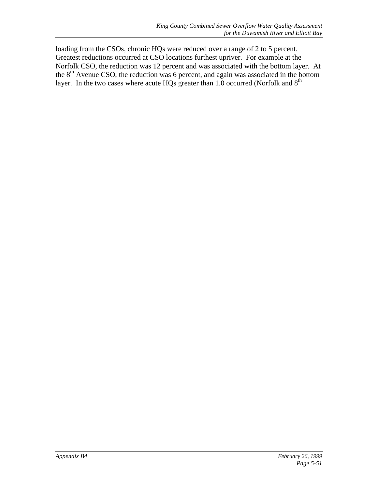loading from the CSOs, chronic HQs were reduced over a range of 2 to 5 percent. Greatest reductions occurred at CSO locations furthest upriver. For example at the Norfolk CSO, the reduction was 12 percent and was associated with the bottom layer. At the 8<sup>th</sup> Avenue CSO, the reduction was 6 percent, and again was associated in the bottom layer. In the two cases where acute  $HQs$  greater than 1.0 occurred (Norfolk and  $8<sup>th</sup>$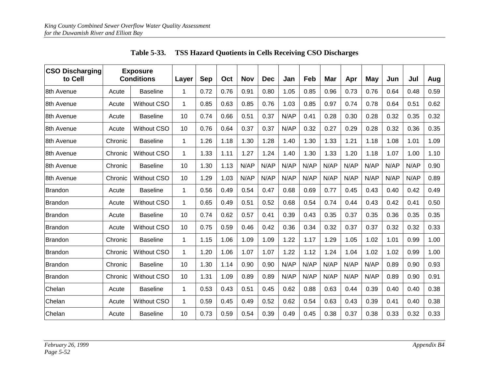| <b>CSO Discharging</b><br>to Cell |         | <b>Exposure</b><br><b>Conditions</b> | Layer        | <b>Sep</b> | Oct  | <b>Nov</b> | <b>Dec</b> | Jan  | Feb  | <b>Mar</b> | Apr  | May  | Jun  | Jul  | Aug  |
|-----------------------------------|---------|--------------------------------------|--------------|------------|------|------------|------------|------|------|------------|------|------|------|------|------|
| 8th Avenue                        | Acute   | <b>Baseline</b>                      | 1            | 0.72       | 0.76 | 0.91       | 0.80       | 1.05 | 0.85 | 0.96       | 0.73 | 0.76 | 0.64 | 0.48 | 0.59 |
| 8th Avenue                        | Acute   | <b>Without CSO</b>                   | $\mathbf 1$  | 0.85       | 0.63 | 0.85       | 0.76       | 1.03 | 0.85 | 0.97       | 0.74 | 0.78 | 0.64 | 0.51 | 0.62 |
| 8th Avenue                        | Acute   | <b>Baseline</b>                      | 10           | 0.74       | 0.66 | 0.51       | 0.37       | N/AP | 0.41 | 0.28       | 0.30 | 0.28 | 0.32 | 0.35 | 0.32 |
| 8th Avenue                        | Acute   | <b>Without CSO</b>                   | 10           | 0.76       | 0.64 | 0.37       | 0.37       | N/AP | 0.32 | 0.27       | 0.29 | 0.28 | 0.32 | 0.36 | 0.35 |
| 8th Avenue                        | Chronic | <b>Baseline</b>                      | $\mathbf 1$  | 1.26       | 1.18 | 1.30       | 1.28       | 1.40 | 1.30 | 1.33       | 1.21 | 1.18 | 1.08 | 1.01 | 1.09 |
| 8th Avenue                        | Chronic | <b>Without CSO</b>                   | $\mathbf{1}$ | 1.33       | 1.11 | 1.27       | 1.24       | 1.40 | 1.30 | 1.33       | 1.20 | 1.18 | 1.07 | 1.00 | 1.10 |
| 8th Avenue                        | Chronic | <b>Baseline</b>                      | 10           | 1.30       | 1.13 | N/AP       | N/AP       | N/AP | N/AP | N/AP       | N/AP | N/AP | N/AP | N/AP | 0.90 |
| 8th Avenue                        | Chronic | <b>Without CSO</b>                   | 10           | 1.29       | 1.03 | N/AP       | N/AP       | N/AP | N/AP | N/AP       | N/AP | N/AP | N/AP | N/AP | 0.89 |
| Brandon                           | Acute   | <b>Baseline</b>                      | $\mathbf 1$  | 0.56       | 0.49 | 0.54       | 0.47       | 0.68 | 0.69 | 0.77       | 0.45 | 0.43 | 0.40 | 0.42 | 0.49 |
| <b>Brandon</b>                    | Acute   | Without CSO                          | $\mathbf{1}$ | 0.65       | 0.49 | 0.51       | 0.52       | 0.68 | 0.54 | 0.74       | 0.44 | 0.43 | 0.42 | 0.41 | 0.50 |
| <b>Brandon</b>                    | Acute   | <b>Baseline</b>                      | 10           | 0.74       | 0.62 | 0.57       | 0.41       | 0.39 | 0.43 | 0.35       | 0.37 | 0.35 | 0.36 | 0.35 | 0.35 |
| <b>Brandon</b>                    | Acute   | <b>Without CSO</b>                   | 10           | 0.75       | 0.59 | 0.46       | 0.42       | 0.36 | 0.34 | 0.32       | 0.37 | 0.37 | 0.32 | 0.32 | 0.33 |
| Brandon                           | Chronic | <b>Baseline</b>                      | 1            | 1.15       | 1.06 | 1.09       | 1.09       | 1.22 | 1.17 | 1.29       | 1.05 | 1.02 | 1.01 | 0.99 | 1.00 |
| <b>Brandon</b>                    | Chronic | <b>Without CSO</b>                   | $\mathbf 1$  | 1.20       | 1.06 | 1.07       | 1.07       | 1.22 | 1.12 | 1.24       | 1.04 | 1.02 | 1.02 | 0.99 | 1.00 |
| <b>Brandon</b>                    | Chronic | <b>Baseline</b>                      | 10           | 1.30       | 1.14 | 0.90       | 0.90       | N/AP | N/AP | N/AP       | N/AP | N/AP | 0.89 | 0.90 | 0.93 |
| Brandon                           | Chronic | <b>Without CSO</b>                   | 10           | 1.31       | 1.09 | 0.89       | 0.89       | N/AP | N/AP | N/AP       | N/AP | N/AP | 0.89 | 0.90 | 0.91 |
| Chelan                            | Acute   | <b>Baseline</b>                      | $\mathbf 1$  | 0.53       | 0.43 | 0.51       | 0.45       | 0.62 | 0.88 | 0.63       | 0.44 | 0.39 | 0.40 | 0.40 | 0.38 |
| Chelan                            | Acute   | <b>Without CSO</b>                   | 1            | 0.59       | 0.45 | 0.49       | 0.52       | 0.62 | 0.54 | 0.63       | 0.43 | 0.39 | 0.41 | 0.40 | 0.38 |
| Chelan                            | Acute   | <b>Baseline</b>                      | 10           | 0.73       | 0.59 | 0.54       | 0.39       | 0.49 | 0.45 | 0.38       | 0.37 | 0.38 | 0.33 | 0.32 | 0.33 |

|  |  | Table 5-33. TSS Hazard Quotients in Cells Receiving CSO Discharges |  |
|--|--|--------------------------------------------------------------------|--|
|--|--|--------------------------------------------------------------------|--|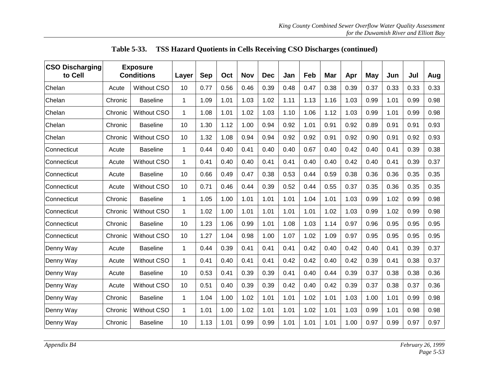| <b>CSO Discharging</b><br>to Cell |         | <b>Exposure</b><br><b>Conditions</b><br>Layer |             | <b>Sep</b> | Oct  | <b>Nov</b> | <b>Dec</b> | Jan  | Feb  | Mar  | Apr  | May  | Jun  | Jul  | Aug  |
|-----------------------------------|---------|-----------------------------------------------|-------------|------------|------|------------|------------|------|------|------|------|------|------|------|------|
| Chelan                            | Acute   | <b>Without CSO</b>                            | 10          | 0.77       | 0.56 | 0.46       | 0.39       | 0.48 | 0.47 | 0.38 | 0.39 | 0.37 | 0.33 | 0.33 | 0.33 |
| Chelan                            | Chronic | <b>Baseline</b>                               | 1           | 1.09       | 1.01 | 1.03       | 1.02       | 1.11 | 1.13 | 1.16 | 1.03 | 0.99 | 1.01 | 0.99 | 0.98 |
| Chelan                            | Chronic | <b>Without CSO</b>                            | 1           | 1.08       | 1.01 | 1.02       | 1.03       | 1.10 | 1.06 | 1.12 | 1.03 | 0.99 | 1.01 | 0.99 | 0.98 |
| Chelan                            | Chronic | <b>Baseline</b>                               | 10          | 1.30       | 1.12 | 1.00       | 0.94       | 0.92 | 1.01 | 0.91 | 0.92 | 0.89 | 0.91 | 0.91 | 0.93 |
| Chelan                            | Chronic | <b>Without CSO</b>                            | 10          | 1.32       | 1.08 | 0.94       | 0.94       | 0.92 | 0.92 | 0.91 | 0.92 | 0.90 | 0.91 | 0.92 | 0.93 |
| Connecticut                       | Acute   | <b>Baseline</b>                               | 1           | 0.44       | 0.40 | 0.41       | 0.40       | 0.40 | 0.67 | 0.40 | 0.42 | 0.40 | 0.41 | 0.39 | 0.38 |
| Connecticut                       | Acute   | <b>Without CSO</b>                            | $\mathbf 1$ | 0.41       | 0.40 | 0.40       | 0.41       | 0.41 | 0.40 | 0.40 | 0.42 | 0.40 | 0.41 | 0.39 | 0.37 |
| Connecticut                       | Acute   | <b>Baseline</b>                               | 10          | 0.66       | 0.49 | 0.47       | 0.38       | 0.53 | 0.44 | 0.59 | 0.38 | 0.36 | 0.36 | 0.35 | 0.35 |
| Connecticut                       | Acute   | <b>Without CSO</b>                            | 10          | 0.71       | 0.46 | 0.44       | 0.39       | 0.52 | 0.44 | 0.55 | 0.37 | 0.35 | 0.36 | 0.35 | 0.35 |
| Connecticut                       | Chronic | <b>Baseline</b>                               | 1           | 1.05       | 1.00 | 1.01       | 1.01       | 1.01 | 1.04 | 1.01 | 1.03 | 0.99 | 1.02 | 0.99 | 0.98 |
| Connecticut                       | Chronic | <b>Without CSO</b>                            | 1           | 1.02       | 1.00 | 1.01       | 1.01       | 1.01 | 1.01 | 1.02 | 1.03 | 0.99 | 1.02 | 0.99 | 0.98 |
| Connecticut                       | Chronic | <b>Baseline</b>                               | 10          | 1.23       | 1.06 | 0.99       | 1.01       | 1.08 | 1.03 | 1.14 | 0.97 | 0.96 | 0.95 | 0.95 | 0.95 |
| Connecticut                       | Chronic | <b>Without CSO</b>                            | 10          | 1.27       | 1.04 | 0.98       | 1.00       | 1.07 | 1.02 | 1.09 | 0.97 | 0.95 | 0.95 | 0.95 | 0.95 |
| Denny Way                         | Acute   | <b>Baseline</b>                               | 1           | 0.44       | 0.39 | 0.41       | 0.41       | 0.41 | 0.42 | 0.40 | 0.42 | 0.40 | 0.41 | 0.39 | 0.37 |
| Denny Way                         | Acute   | Without CSO                                   | 1           | 0.41       | 0.40 | 0.41       | 0.41       | 0.42 | 0.42 | 0.40 | 0.42 | 0.39 | 0.41 | 0.38 | 0.37 |
| Denny Way                         | Acute   | <b>Baseline</b>                               | 10          | 0.53       | 0.41 | 0.39       | 0.39       | 0.41 | 0.40 | 0.44 | 0.39 | 0.37 | 0.38 | 0.38 | 0.36 |
| Denny Way                         | Acute   | <b>Without CSO</b>                            | 10          | 0.51       | 0.40 | 0.39       | 0.39       | 0.42 | 0.40 | 0.42 | 0.39 | 0.37 | 0.38 | 0.37 | 0.36 |
| Denny Way                         | Chronic | <b>Baseline</b>                               | 1           | 1.04       | 1.00 | 1.02       | 1.01       | 1.01 | 1.02 | 1.01 | 1.03 | 1.00 | 1.01 | 0.99 | 0.98 |
| Denny Way                         | Chronic | <b>Without CSO</b>                            | $\mathbf 1$ | 1.01       | 1.00 | 1.02       | 1.01       | 1.01 | 1.02 | 1.01 | 1.03 | 0.99 | 1.01 | 0.98 | 0.98 |
| Denny Way                         | Chronic | <b>Baseline</b>                               | 10          | 1.13       | 1.01 | 0.99       | 0.99       | 1.01 | 1.01 | 1.01 | 1.00 | 0.97 | 0.99 | 0.97 | 0.97 |

|  | Table 5-33. TSS Hazard Quotients in Cells Receiving CSO Discharges (continued) |  |  |
|--|--------------------------------------------------------------------------------|--|--|
|--|--------------------------------------------------------------------------------|--|--|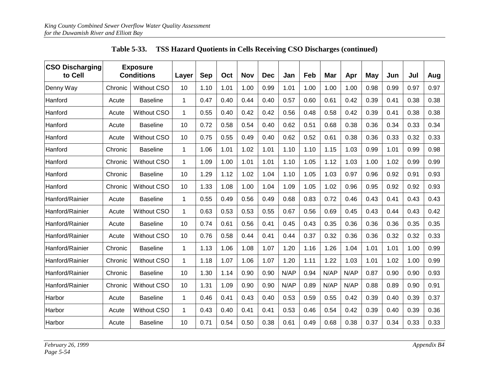| <b>CSO Discharging</b><br>to Cell |         | <b>Exposure</b><br><b>Conditions</b><br>Layer |              | <b>Sep</b> | Oct  | <b>Nov</b> | <b>Dec</b> | Jan  | Feb  | Mar  | Apr  | May  | Jun  | Jul  | Aug  |
|-----------------------------------|---------|-----------------------------------------------|--------------|------------|------|------------|------------|------|------|------|------|------|------|------|------|
| Denny Way                         | Chronic | <b>Without CSO</b>                            | 10           | 1.10       | 1.01 | 1.00       | 0.99       | 1.01 | 1.00 | 1.00 | 1.00 | 0.98 | 0.99 | 0.97 | 0.97 |
| Hanford                           | Acute   | <b>Baseline</b>                               | 1            | 0.47       | 0.40 | 0.44       | 0.40       | 0.57 | 0.60 | 0.61 | 0.42 | 0.39 | 0.41 | 0.38 | 0.38 |
| Hanford                           | Acute   | <b>Without CSO</b>                            | $\mathbf{1}$ | 0.55       | 0.40 | 0.42       | 0.42       | 0.56 | 0.48 | 0.58 | 0.42 | 0.39 | 0.41 | 0.38 | 0.38 |
| Hanford                           | Acute   | <b>Baseline</b>                               | 10           | 0.72       | 0.58 | 0.54       | 0.40       | 0.62 | 0.51 | 0.68 | 0.38 | 0.36 | 0.34 | 0.33 | 0.34 |
| Hanford                           | Acute   | <b>Without CSO</b>                            | 10           | 0.75       | 0.55 | 0.49       | 0.40       | 0.62 | 0.52 | 0.61 | 0.38 | 0.36 | 0.33 | 0.32 | 0.33 |
| Hanford                           | Chronic | <b>Baseline</b>                               | 1            | 1.06       | 1.01 | 1.02       | 1.01       | 1.10 | 1.10 | 1.15 | 1.03 | 0.99 | 1.01 | 0.99 | 0.98 |
| Hanford                           | Chronic | <b>Without CSO</b>                            | 1            | 1.09       | 1.00 | 1.01       | 1.01       | 1.10 | 1.05 | 1.12 | 1.03 | 1.00 | 1.02 | 0.99 | 0.99 |
| Hanford                           | Chronic | <b>Baseline</b>                               | 10           | 1.29       | 1.12 | 1.02       | 1.04       | 1.10 | 1.05 | 1.03 | 0.97 | 0.96 | 0.92 | 0.91 | 0.93 |
| Hanford                           | Chronic | <b>Without CSO</b>                            | 10           | 1.33       | 1.08 | 1.00       | 1.04       | 1.09 | 1.05 | 1.02 | 0.96 | 0.95 | 0.92 | 0.92 | 0.93 |
| Hanford/Rainier                   | Acute   | <b>Baseline</b>                               | $\mathbf 1$  | 0.55       | 0.49 | 0.56       | 0.49       | 0.68 | 0.83 | 0.72 | 0.46 | 0.43 | 0.41 | 0.43 | 0.43 |
| Hanford/Rainier                   | Acute   | <b>Without CSO</b>                            | $\mathbf 1$  | 0.63       | 0.53 | 0.53       | 0.55       | 0.67 | 0.56 | 0.69 | 0.45 | 0.43 | 0.44 | 0.43 | 0.42 |
| Hanford/Rainier                   | Acute   | <b>Baseline</b>                               | 10           | 0.74       | 0.61 | 0.56       | 0.41       | 0.45 | 0.43 | 0.35 | 0.36 | 0.36 | 0.36 | 0.35 | 0.35 |
| Hanford/Rainier                   | Acute   | <b>Without CSO</b>                            | 10           | 0.76       | 0.58 | 0.44       | 0.41       | 0.44 | 0.37 | 0.32 | 0.36 | 0.36 | 0.32 | 0.32 | 0.33 |
| Hanford/Rainier                   | Chronic | <b>Baseline</b>                               | 1            | 1.13       | 1.06 | 1.08       | 1.07       | 1.20 | 1.16 | 1.26 | 1.04 | 1.01 | 1.01 | 1.00 | 0.99 |
| Hanford/Rainier                   | Chronic | Without CSO                                   | $\mathbf{1}$ | 1.18       | 1.07 | 1.06       | 1.07       | 1.20 | 1.11 | 1.22 | 1.03 | 1.01 | 1.02 | 1.00 | 0.99 |
| Hanford/Rainier                   | Chronic | <b>Baseline</b>                               | 10           | 1.30       | 1.14 | 0.90       | 0.90       | N/AP | 0.94 | N/AP | N/AP | 0.87 | 0.90 | 0.90 | 0.93 |
| Hanford/Rainier                   | Chronic | <b>Without CSO</b>                            | 10           | 1.31       | 1.09 | 0.90       | 0.90       | N/AP | 0.89 | N/AP | N/AP | 0.88 | 0.89 | 0.90 | 0.91 |
| Harbor                            | Acute   | <b>Baseline</b>                               | $\mathbf{1}$ | 0.46       | 0.41 | 0.43       | 0.40       | 0.53 | 0.59 | 0.55 | 0.42 | 0.39 | 0.40 | 0.39 | 0.37 |
| Harbor                            | Acute   | <b>Without CSO</b>                            | $\mathbf{1}$ | 0.43       | 0.40 | 0.41       | 0.41       | 0.53 | 0.46 | 0.54 | 0.42 | 0.39 | 0.40 | 0.39 | 0.36 |
| Harbor                            | Acute   | <b>Baseline</b>                               | 10           | 0.71       | 0.54 | 0.50       | 0.38       | 0.61 | 0.49 | 0.68 | 0.38 | 0.37 | 0.34 | 0.33 | 0.33 |

**Table 5-33. TSS Hazard Quotients in Cells Receiving CSO Discharges (continued)**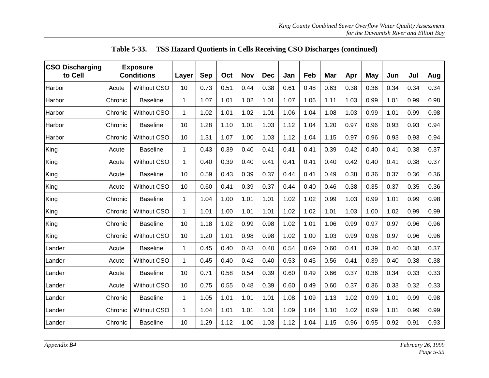| <b>CSO Discharging</b><br>to Cell |         | <b>Exposure</b><br><b>Conditions</b><br>Layer |             | <b>Sep</b> | Oct  | <b>Nov</b> | <b>Dec</b> | Jan  | Feb  | Mar  | Apr  | May  | Jun  | Jul  | Aug  |
|-----------------------------------|---------|-----------------------------------------------|-------------|------------|------|------------|------------|------|------|------|------|------|------|------|------|
| Harbor                            | Acute   | <b>Without CSO</b>                            | 10          | 0.73       | 0.51 | 0.44       | 0.38       | 0.61 | 0.48 | 0.63 | 0.38 | 0.36 | 0.34 | 0.34 | 0.34 |
| Harbor                            | Chronic | <b>Baseline</b>                               | 1           | 1.07       | 1.01 | 1.02       | 1.01       | 1.07 | 1.06 | 1.11 | 1.03 | 0.99 | 1.01 | 0.99 | 0.98 |
| Harbor                            | Chronic | <b>Without CSO</b>                            | 1           | 1.02       | 1.01 | 1.02       | 1.01       | 1.06 | 1.04 | 1.08 | 1.03 | 0.99 | 1.01 | 0.99 | 0.98 |
| Harbor                            | Chronic | <b>Baseline</b>                               | 10          | 1.28       | 1.10 | 1.01       | 1.03       | 1.12 | 1.04 | 1.20 | 0.97 | 0.96 | 0.93 | 0.93 | 0.94 |
| Harbor                            | Chronic | <b>Without CSO</b>                            | 10          | 1.31       | 1.07 | 1.00       | 1.03       | 1.12 | 1.04 | 1.15 | 0.97 | 0.96 | 0.93 | 0.93 | 0.94 |
| King                              | Acute   | <b>Baseline</b>                               | 1           | 0.43       | 0.39 | 0.40       | 0.41       | 0.41 | 0.41 | 0.39 | 0.42 | 0.40 | 0.41 | 0.38 | 0.37 |
| King                              | Acute   | <b>Without CSO</b>                            | $\mathbf 1$ | 0.40       | 0.39 | 0.40       | 0.41       | 0.41 | 0.41 | 0.40 | 0.42 | 0.40 | 0.41 | 0.38 | 0.37 |
| King                              | Acute   | <b>Baseline</b>                               | 10          | 0.59       | 0.43 | 0.39       | 0.37       | 0.44 | 0.41 | 0.49 | 0.38 | 0.36 | 0.37 | 0.36 | 0.36 |
| King                              | Acute   | <b>Without CSO</b>                            | 10          | 0.60       | 0.41 | 0.39       | 0.37       | 0.44 | 0.40 | 0.46 | 0.38 | 0.35 | 0.37 | 0.35 | 0.36 |
| King                              | Chronic | <b>Baseline</b>                               | 1           | 1.04       | 1.00 | 1.01       | 1.01       | 1.02 | 1.02 | 0.99 | 1.03 | 0.99 | 1.01 | 0.99 | 0.98 |
| King                              | Chronic | <b>Without CSO</b>                            | 1           | 1.01       | 1.00 | 1.01       | 1.01       | 1.02 | 1.02 | 1.01 | 1.03 | 1.00 | 1.02 | 0.99 | 0.99 |
| King                              | Chronic | <b>Baseline</b>                               | 10          | 1.18       | 1.02 | 0.99       | 0.98       | 1.02 | 1.01 | 1.06 | 0.99 | 0.97 | 0.97 | 0.96 | 0.96 |
| King                              | Chronic | <b>Without CSO</b>                            | 10          | 1.20       | 1.01 | 0.98       | 0.98       | 1.02 | 1.00 | 1.03 | 0.99 | 0.96 | 0.97 | 0.96 | 0.96 |
| Lander                            | Acute   | <b>Baseline</b>                               | 1           | 0.45       | 0.40 | 0.43       | 0.40       | 0.54 | 0.69 | 0.60 | 0.41 | 0.39 | 0.40 | 0.38 | 0.37 |
| Lander                            | Acute   | Without CSO                                   | 1           | 0.45       | 0.40 | 0.42       | 0.40       | 0.53 | 0.45 | 0.56 | 0.41 | 0.39 | 0.40 | 0.38 | 0.38 |
| Lander                            | Acute   | <b>Baseline</b>                               | 10          | 0.71       | 0.58 | 0.54       | 0.39       | 0.60 | 0.49 | 0.66 | 0.37 | 0.36 | 0.34 | 0.33 | 0.33 |
| Lander                            | Acute   | <b>Without CSO</b>                            | 10          | 0.75       | 0.55 | 0.48       | 0.39       | 0.60 | 0.49 | 0.60 | 0.37 | 0.36 | 0.33 | 0.32 | 0.33 |
| Lander                            | Chronic | <b>Baseline</b>                               | 1           | 1.05       | 1.01 | 1.01       | 1.01       | 1.08 | 1.09 | 1.13 | 1.02 | 0.99 | 1.01 | 0.99 | 0.98 |
| Lander                            | Chronic | <b>Without CSO</b>                            | $\mathbf 1$ | 1.04       | 1.01 | 1.01       | 1.01       | 1.09 | 1.04 | 1.10 | 1.02 | 0.99 | 1.01 | 0.99 | 0.99 |
| Lander                            | Chronic | <b>Baseline</b>                               | 10          | 1.29       | 1.12 | 1.00       | 1.03       | 1.12 | 1.04 | 1.15 | 0.96 | 0.95 | 0.92 | 0.91 | 0.93 |

|  |  | Table 5-33. TSS Hazard Quotients in Cells Receiving CSO Discharges (continued) |  |
|--|--|--------------------------------------------------------------------------------|--|
|  |  |                                                                                |  |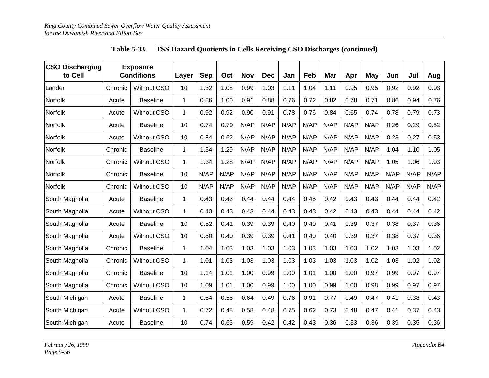| <b>CSO Discharging</b><br>to Cell |         | <b>Exposure</b><br><b>Conditions</b> | Layer        | <b>Sep</b> | Oct  | <b>Nov</b> | <b>Dec</b> | Jan  | Feb  | Mar  | Apr  | May  | Jun  | Jul  | Aug  |
|-----------------------------------|---------|--------------------------------------|--------------|------------|------|------------|------------|------|------|------|------|------|------|------|------|
| Lander                            | Chronic | Without CSO                          | 10           | 1.32       | 1.08 | 0.99       | 1.03       | 1.11 | 1.04 | 1.11 | 0.95 | 0.95 | 0.92 | 0.92 | 0.93 |
| <b>Norfolk</b>                    | Acute   | <b>Baseline</b>                      | $\mathbf{1}$ | 0.86       | 1.00 | 0.91       | 0.88       | 0.76 | 0.72 | 0.82 | 0.78 | 0.71 | 0.86 | 0.94 | 0.76 |
| Norfolk                           | Acute   | <b>Without CSO</b>                   | $\mathbf{1}$ | 0.92       | 0.92 | 0.90       | 0.91       | 0.78 | 0.76 | 0.84 | 0.65 | 0.74 | 0.78 | 0.79 | 0.73 |
| Norfolk                           | Acute   | <b>Baseline</b>                      | 10           | 0.74       | 0.70 | N/AP       | N/AP       | N/AP | N/AP | N/AP | N/AP | N/AP | 0.26 | 0.29 | 0.52 |
| Norfolk                           | Acute   | <b>Without CSO</b>                   | 10           | 0.84       | 0.62 | N/AP       | N/AP       | N/AP | N/AP | N/AP | N/AP | N/AP | 0.23 | 0.27 | 0.53 |
| Norfolk                           | Chronic | <b>Baseline</b>                      | $\mathbf{1}$ | 1.34       | 1.29 | N/AP       | N/AP       | N/AP | N/AP | N/AP | N/AP | N/AP | 1.04 | 1.10 | 1.05 |
| Norfolk                           | Chronic | <b>Without CSO</b>                   | $\mathbf{1}$ | 1.34       | 1.28 | N/AP       | N/AP       | N/AP | N/AP | N/AP | N/AP | N/AP | 1.05 | 1.06 | 1.03 |
| Norfolk                           | Chronic | <b>Baseline</b>                      | 10           | N/AP       | N/AP | N/AP       | N/AP       | N/AP | N/AP | N/AP | N/AP | N/AP | N/AP | N/AP | N/AP |
| Norfolk                           | Chronic | <b>Without CSO</b>                   | 10           | N/AP       | N/AP | N/AP       | N/AP       | N/AP | N/AP | N/AP | N/AP | N/AP | N/AP | N/AP | N/AP |
| South Magnolia                    | Acute   | <b>Baseline</b>                      | 1            | 0.43       | 0.43 | 0.44       | 0.44       | 0.44 | 0.45 | 0.42 | 0.43 | 0.43 | 0.44 | 0.44 | 0.42 |
| South Magnolia                    | Acute   | Without CSO                          | 1            | 0.43       | 0.43 | 0.43       | 0.44       | 0.43 | 0.43 | 0.42 | 0.43 | 0.43 | 0.44 | 0.44 | 0.42 |
| South Magnolia                    | Acute   | <b>Baseline</b>                      | 10           | 0.52       | 0.41 | 0.39       | 0.39       | 0.40 | 0.40 | 0.41 | 0.39 | 0.37 | 0.38 | 0.37 | 0.36 |
| South Magnolia                    | Acute   | Without CSO                          | 10           | 0.50       | 0.40 | 0.39       | 0.39       | 0.41 | 0.40 | 0.40 | 0.39 | 0.37 | 0.38 | 0.37 | 0.36 |
| South Magnolia                    | Chronic | <b>Baseline</b>                      | $\mathbf{1}$ | 1.04       | 1.03 | 1.03       | 1.03       | 1.03 | 1.03 | 1.03 | 1.03 | 1.02 | 1.03 | 1.03 | 1.02 |
| South Magnolia                    | Chronic | Without CSO                          | $\mathbf{1}$ | 1.01       | 1.03 | 1.03       | 1.03       | 1.03 | 1.03 | 1.03 | 1.03 | 1.02 | 1.03 | 1.02 | 1.02 |
| South Magnolia                    | Chronic | <b>Baseline</b>                      | 10           | 1.14       | 1.01 | 1.00       | 0.99       | 1.00 | 1.01 | 1.00 | 1.00 | 0.97 | 0.99 | 0.97 | 0.97 |
| South Magnolia                    | Chronic | <b>Without CSO</b>                   | 10           | 1.09       | 1.01 | 1.00       | 0.99       | 1.00 | 1.00 | 0.99 | 1.00 | 0.98 | 0.99 | 0.97 | 0.97 |
| South Michigan                    | Acute   | <b>Baseline</b>                      | 1            | 0.64       | 0.56 | 0.64       | 0.49       | 0.76 | 0.91 | 0.77 | 0.49 | 0.47 | 0.41 | 0.38 | 0.43 |
| South Michigan                    | Acute   | Without CSO                          | $\mathbf{1}$ | 0.72       | 0.48 | 0.58       | 0.48       | 0.75 | 0.62 | 0.73 | 0.48 | 0.47 | 0.41 | 0.37 | 0.43 |
| South Michigan                    | Acute   | <b>Baseline</b>                      | 10           | 0.74       | 0.63 | 0.59       | 0.42       | 0.42 | 0.43 | 0.36 | 0.33 | 0.36 | 0.39 | 0.35 | 0.36 |

**Table 5-33. TSS Hazard Quotients in Cells Receiving CSO Discharges (continued)**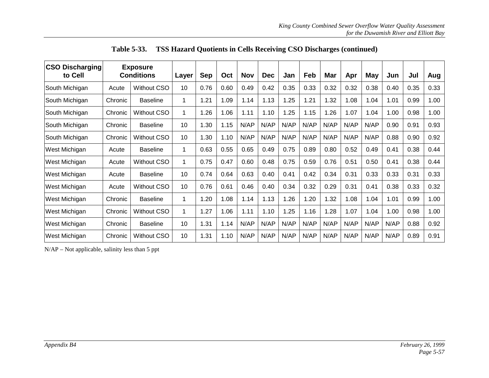| <b>CSO Discharging</b><br>to Cell |         | <b>Exposure</b><br><b>Conditions</b> | Layer | <b>Sep</b> | Oct  | <b>Nov</b> | <b>Dec</b> | Jan  | Feb  | Mar  | Apr  | May  | Jun  | Jul  | Aug  |
|-----------------------------------|---------|--------------------------------------|-------|------------|------|------------|------------|------|------|------|------|------|------|------|------|
| South Michigan                    | Acute   | Without CSO                          | 10    | 0.76       | 0.60 | 0.49       | 0.42       | 0.35 | 0.33 | 0.32 | 0.32 | 0.38 | 0.40 | 0.35 | 0.33 |
| South Michigan                    | Chronic | <b>Baseline</b>                      | 1     | .21        | 1.09 | 1.14       | 1.13       | 1.25 | 1.21 | 1.32 | 1.08 | 1.04 | 1.01 | 0.99 | 1.00 |
| South Michigan                    | Chronic | Without CSO                          | 1     | .26        | 1.06 | 1.11       | 1.10       | 1.25 | 1.15 | 1.26 | 1.07 | 1.04 | 1.00 | 0.98 | 1.00 |
| South Michigan                    | Chronic | <b>Baseline</b>                      | 10    | 1.30       | 1.15 | N/AP       | N/AP       | N/AP | N/AP | N/AP | N/AP | N/AP | 0.90 | 0.91 | 0.93 |
| South Michigan                    | Chronic | Without CSO                          | 10    | 1.30       | 1.10 | N/AP       | N/AP       | N/AP | N/AP | N/AP | N/AP | N/AP | 0.88 | 0.90 | 0.92 |
| West Michigan                     | Acute   | <b>Baseline</b>                      | 1     | 0.63       | 0.55 | 0.65       | 0.49       | 0.75 | 0.89 | 0.80 | 0.52 | 0.49 | 0.41 | 0.38 | 0.44 |
| West Michigan                     | Acute   | Without CSO                          | 1     | 0.75       | 0.47 | 0.60       | 0.48       | 0.75 | 0.59 | 0.76 | 0.51 | 0.50 | 0.41 | 0.38 | 0.44 |
| West Michigan                     | Acute   | <b>Baseline</b>                      | 10    | 0.74       | 0.64 | 0.63       | 0.40       | 0.41 | 0.42 | 0.34 | 0.31 | 0.33 | 0.33 | 0.31 | 0.33 |
| West Michigan                     | Acute   | Without CSO                          | 10    | 0.76       | 0.61 | 0.46       | 0.40       | 0.34 | 0.32 | 0.29 | 0.31 | 0.41 | 0.38 | 0.33 | 0.32 |
| West Michigan                     | Chronic | <b>Baseline</b>                      | 1     | .20        | 1.08 | 1.14       | 1.13       | 1.26 | 1.20 | 1.32 | 1.08 | 1.04 | 1.01 | 0.99 | 1.00 |
| West Michigan                     | Chronic | Without CSO                          | 1     | .27        | 1.06 | 1.11       | 1.10       | 1.25 | 1.16 | 1.28 | 1.07 | 1.04 | 1.00 | 0.98 | 1.00 |
| West Michigan                     | Chronic | <b>Baseline</b>                      | 10    | .31        | 1.14 | N/AP       | N/AP       | N/AP | N/AP | N/AP | N/AP | N/AP | N/AP | 0.88 | 0.92 |
| West Michigan                     | Chronic | Without CSO                          | 10    | 1.31       | 1.10 | N/AP       | N/AP       | N/AP | N/AP | N/AP | N/AP | N/AP | N/AP | 0.89 | 0.91 |

**Table 5-33. TSS Hazard Quotients in Cells Receiving CSO Discharges (continued)**

N/AP – Not applicable, salinity less than 5 ppt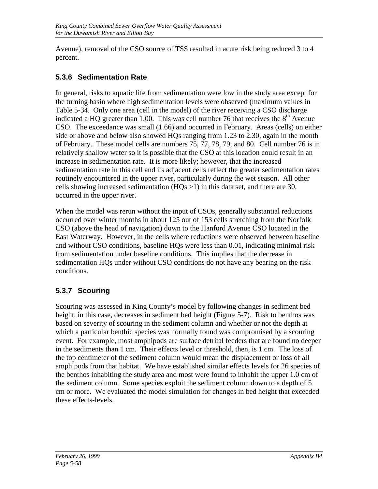Avenue), removal of the CSO source of TSS resulted in acute risk being reduced 3 to 4 percent.

### **5.3.6 Sedimentation Rate**

In general, risks to aquatic life from sedimentation were low in the study area except for the turning basin where high sedimentation levels were observed (maximum values in Table 5-34. Only one area (cell in the model) of the river receiving a CSO discharge indicated a HQ greater than 1.00. This was cell number 76 that receives the  $8<sup>th</sup>$  Avenue CSO. The exceedance was small (1.66) and occurred in February. Areas (cells) on either side or above and below also showed HQs ranging from 1.23 to 2.30, again in the month of February. These model cells are numbers 75, 77, 78, 79, and 80. Cell number 76 is in relatively shallow water so it is possible that the CSO at this location could result in an increase in sedimentation rate. It is more likely; however, that the increased sedimentation rate in this cell and its adjacent cells reflect the greater sedimentation rates routinely encountered in the upper river, particularly during the wet season. All other cells showing increased sedimentation  $(HQs > 1)$  in this data set, and there are 30, occurred in the upper river.

When the model was rerun without the input of CSOs, generally substantial reductions occurred over winter months in about 125 out of 153 cells stretching from the Norfolk CSO (above the head of navigation) down to the Hanford Avenue CSO located in the East Waterway. However, in the cells where reductions were observed between baseline and without CSO conditions, baseline HQs were less than 0.01, indicating minimal risk from sedimentation under baseline conditions. This implies that the decrease in sedimentation HQs under without CSO conditions do not have any bearing on the risk conditions.

### **5.3.7 Scouring**

Scouring was assessed in King County's model by following changes in sediment bed height, in this case, decreases in sediment bed height (Figure 5-7). Risk to benthos was based on severity of scouring in the sediment column and whether or not the depth at which a particular benthic species was normally found was compromised by a scouring event. For example, most amphipods are surface detrital feeders that are found no deeper in the sediments than 1 cm. Their effects level or threshold, then, is 1 cm. The loss of the top centimeter of the sediment column would mean the displacement or loss of all amphipods from that habitat. We have established similar effects levels for 26 species of the benthos inhabiting the study area and most were found to inhabit the upper 1.0 cm of the sediment column. Some species exploit the sediment column down to a depth of 5 cm or more. We evaluated the model simulation for changes in bed height that exceeded these effects-levels.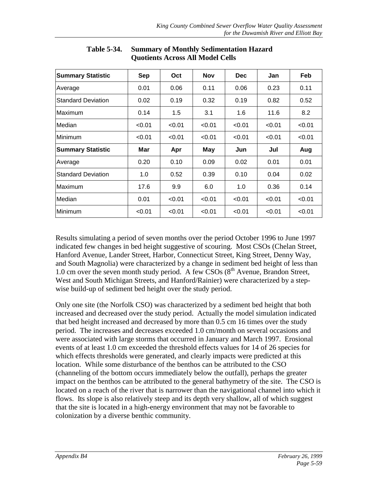| <b>Summary Statistic</b>  | Sep    | Oct    | <b>Nov</b> | <b>Dec</b> | Jan    | Feb    |
|---------------------------|--------|--------|------------|------------|--------|--------|
| Average                   | 0.01   | 0.06   | 0.11       | 0.06       | 0.23   | 0.11   |
| <b>Standard Deviation</b> | 0.02   | 0.19   | 0.32       | 0.19       | 0.82   | 0.52   |
| Maximum                   | 0.14   | 1.5    | 3.1        | 1.6        | 11.6   | 8.2    |
| Median                    | < 0.01 | < 0.01 | < 0.01     | < 0.01     | < 0.01 | < 0.01 |
| Minimum                   | < 0.01 | < 0.01 | < 0.01     | < 0.01     | < 0.01 | < 0.01 |
| <b>Summary Statistic</b>  | Mar    | Apr    | <b>May</b> | Jun        | Jul    | Aug    |
| Average                   | 0.20   | 0.10   | 0.09       | 0.02       | 0.01   | 0.01   |
| <b>Standard Deviation</b> | 1.0    | 0.52   | 0.39       | 0.10       | 0.04   | 0.02   |
| Maximum                   | 17.6   | 9.9    | 6.0        | 1.0        | 0.36   | 0.14   |
| Median                    | 0.01   | < 0.01 | < 0.01     | < 0.01     | < 0.01 | < 0.01 |
| Minimum                   | < 0.01 | < 0.01 | < 0.01     | < 0.01     | < 0.01 | < 0.01 |

**Table 5-34. Summary of Monthly Sedimentation Hazard Quotients Across All Model Cells**

Results simulating a period of seven months over the period October 1996 to June 1997 indicated few changes in bed height suggestive of scouring. Most CSOs (Chelan Street, Hanford Avenue, Lander Street, Harbor, Connecticut Street, King Street, Denny Way, and South Magnolia) were characterized by a change in sediment bed height of less than 1.0 cm over the seven month study period. A few CSOs  $(8<sup>th</sup>$  Avenue, Brandon Street, West and South Michigan Streets, and Hanford/Rainier) were characterized by a stepwise build-up of sediment bed height over the study period.

Only one site (the Norfolk CSO) was characterized by a sediment bed height that both increased and decreased over the study period. Actually the model simulation indicated that bed height increased and decreased by more than 0.5 cm 16 times over the study period. The increases and decreases exceeded 1.0 cm/month on several occasions and were associated with large storms that occurred in January and March 1997. Erosional events of at least 1.0 cm exceeded the threshold effects values for 14 of 26 species for which effects thresholds were generated, and clearly impacts were predicted at this location. While some disturbance of the benthos can be attributed to the CSO (channeling of the bottom occurs immediately below the outfall), perhaps the greater impact on the benthos can be attributed to the general bathymetry of the site. The CSO is located on a reach of the river that is narrower than the navigational channel into which it flows. Its slope is also relatively steep and its depth very shallow, all of which suggest that the site is located in a high-energy environment that may not be favorable to colonization by a diverse benthic community.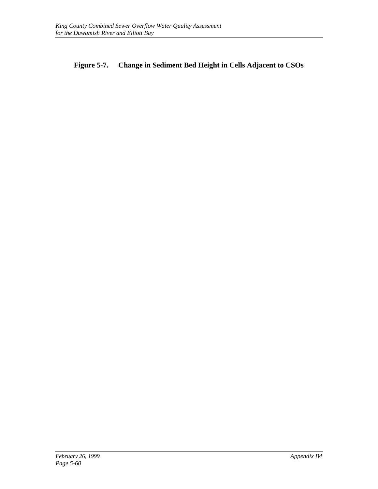#### **Figure 5-7. Change in Sediment Bed Height in Cells Adjacent to CSOs**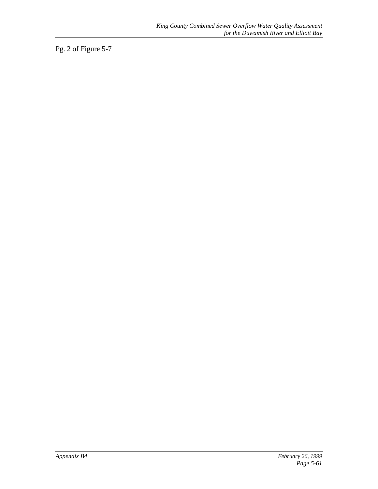Pg. 2 of Figure 5-7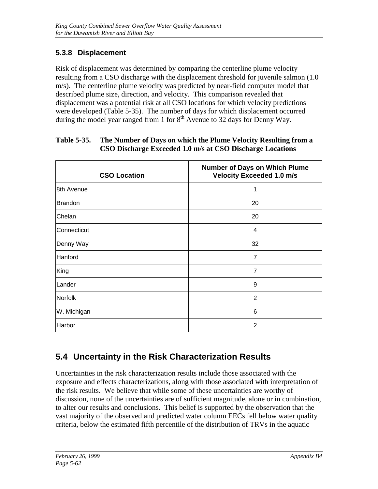### **5.3.8 Displacement**

Risk of displacement was determined by comparing the centerline plume velocity resulting from a CSO discharge with the displacement threshold for juvenile salmon (1.0 m/s). The centerline plume velocity was predicted by near-field computer model that described plume size, direction, and velocity. This comparison revealed that displacement was a potential risk at all CSO locations for which velocity predictions were developed (Table 5-35). The number of days for which displacement occurred during the model year ranged from 1 for  $8<sup>th</sup>$  Avenue to 32 days for Denny Way.

| <b>CSO Location</b> | <b>Number of Days on Which Plume</b><br><b>Velocity Exceeded 1.0 m/s</b> |
|---------------------|--------------------------------------------------------------------------|
| 8th Avenue          | 1                                                                        |
| <b>Brandon</b>      | 20                                                                       |
| Chelan              | 20                                                                       |
| Connecticut         | 4                                                                        |
| Denny Way           | 32                                                                       |
| Hanford             | $\overline{7}$                                                           |
| King                | $\overline{7}$                                                           |
| Lander              | 9                                                                        |
| Norfolk             | $\overline{2}$                                                           |
| W. Michigan         | 6                                                                        |
| Harbor              | 2                                                                        |

#### **Table 5-35. The Number of Days on which the Plume Velocity Resulting from a CSO Discharge Exceeded 1.0 m/s at CSO Discharge Locations**

## **5.4 Uncertainty in the Risk Characterization Results**

Uncertainties in the risk characterization results include those associated with the exposure and effects characterizations, along with those associated with interpretation of the risk results. We believe that while some of these uncertainties are worthy of discussion, none of the uncertainties are of sufficient magnitude, alone or in combination, to alter our results and conclusions. This belief is supported by the observation that the vast majority of the observed and predicted water column EECs fell below water quality criteria, below the estimated fifth percentile of the distribution of TRVs in the aquatic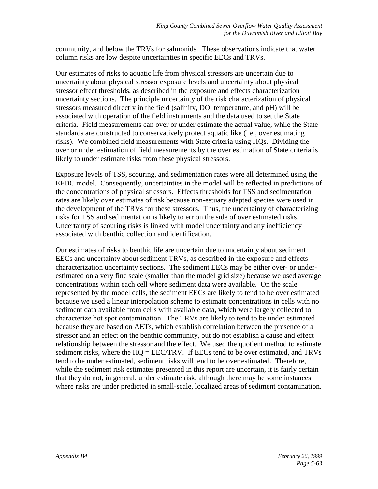community, and below the TRVs for salmonids. These observations indicate that water column risks are low despite uncertainties in specific EECs and TRVs.

Our estimates of risks to aquatic life from physical stressors are uncertain due to uncertainty about physical stressor exposure levels and uncertainty about physical stressor effect thresholds, as described in the exposure and effects characterization uncertainty sections. The principle uncertainty of the risk characterization of physical stressors measured directly in the field (salinity, DO, temperature, and pH) will be associated with operation of the field instruments and the data used to set the State criteria. Field measurements can over or under estimate the actual value, while the State standards are constructed to conservatively protect aquatic like (i.e., over estimating risks). We combined field measurements with State criteria using HQs. Dividing the over or under estimation of field measurements by the over estimation of State criteria is likely to under estimate risks from these physical stressors.

Exposure levels of TSS, scouring, and sedimentation rates were all determined using the EFDC model. Consequently, uncertainties in the model will be reflected in predictions of the concentrations of physical stressors. Effects thresholds for TSS and sedimentation rates are likely over estimates of risk because non-estuary adapted species were used in the development of the TRVs for these stressors. Thus, the uncertainty of characterizing risks for TSS and sedimentation is likely to err on the side of over estimated risks. Uncertainty of scouring risks is linked with model uncertainty and any inefficiency associated with benthic collection and identification.

Our estimates of risks to benthic life are uncertain due to uncertainty about sediment EECs and uncertainty about sediment TRVs, as described in the exposure and effects characterization uncertainty sections. The sediment EECs may be either over- or underestimated on a very fine scale (smaller than the model grid size) because we used average concentrations within each cell where sediment data were available. On the scale represented by the model cells, the sediment EECs are likely to tend to be over estimated because we used a linear interpolation scheme to estimate concentrations in cells with no sediment data available from cells with available data, which were largely collected to characterize hot spot contamination. The TRVs are likely to tend to be under estimated because they are based on AETs, which establish correlation between the presence of a stressor and an effect on the benthic community, but do not establish a cause and effect relationship between the stressor and the effect. We used the quotient method to estimate sediment risks, where the HQ = EEC/TRV. If EECs tend to be over estimated, and TRVs tend to be under estimated, sediment risks will tend to be over estimated. Therefore, while the sediment risk estimates presented in this report are uncertain, it is fairly certain that they do not, in general, under estimate risk, although there may be some instances where risks are under predicted in small-scale, localized areas of sediment contamination.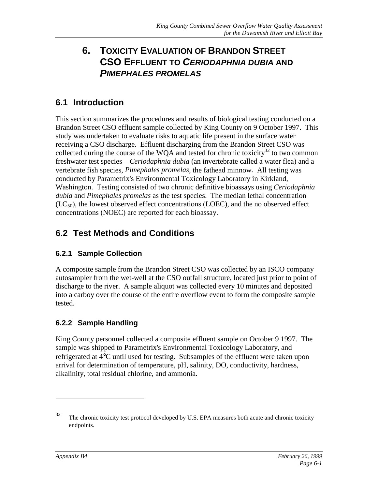## **6. TOXICITY EVALUATION OF BRANDON STREET CSO EFFLUENT TO** *CERIODAPHNIA DUBIA* **AND** *PIMEPHALES PROMELAS*

## **6.1 Introduction**

This section summarizes the procedures and results of biological testing conducted on a Brandon Street CSO effluent sample collected by King County on 9 October 1997. This study was undertaken to evaluate risks to aquatic life present in the surface water receiving a CSO discharge. Effluent discharging from the Brandon Street CSO was collected during the course of the WQA and tested for chronic toxicity<sup>32</sup> to two common freshwater test species – *Ceriodaphnia dubia* (an invertebrate called a water flea) and a vertebrate fish species, *Pimephales promelas*, the fathead minnow*.* All testing was conducted by Parametrix's Environmental Toxicology Laboratory in Kirkland, Washington. Testing consisted of two chronic definitive bioassays using *Ceriodaphnia dubia* and *Pimephales promelas* as the test species. The median lethal concentration  $(LC_{50})$ , the lowest observed effect concentrations (LOEC), and the no observed effect concentrations (NOEC) are reported for each bioassay.

## **6.2 Test Methods and Conditions**

#### **6.2.1 Sample Collection**

A composite sample from the Brandon Street CSO was collected by an ISCO company autosampler from the wet-well at the CSO outfall structure, located just prior to point of discharge to the river. A sample aliquot was collected every 10 minutes and deposited into a carboy over the course of the entire overflow event to form the composite sample tested.

#### **6.2.2 Sample Handling**

King County personnel collected a composite effluent sample on October 9 1997. The sample was shipped to Parametrix's Environmental Toxicology Laboratory, and refrigerated at 4°C until used for testing. Subsamples of the effluent were taken upon arrival for determination of temperature, pH, salinity, DO, conductivity, hardness, alkalinity, total residual chlorine, and ammonia.

 $\overline{a}$ 

 $32$  The chronic toxicity test protocol developed by U.S. EPA measures both acute and chronic toxicity endpoints.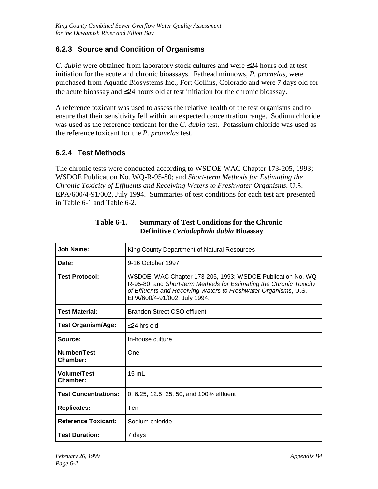#### **6.2.3 Source and Condition of Organisms**

*C. dubia* were obtained from laboratory stock cultures and were ≤24 hours old at test initiation for the acute and chronic bioassays. Fathead minnows, *P. promelas*, were purchased from Aquatic Biosystems Inc., Fort Collins, Colorado and were 7 days old for the acute bioassay and ≤24 hours old at test initiation for the chronic bioassay.

A reference toxicant was used to assess the relative health of the test organisms and to ensure that their sensitivity fell within an expected concentration range. Sodium chloride was used as the reference toxicant for the *C. dubia* test. Potassium chloride was used as the reference toxicant for the *P. promelas* test.

#### **6.2.4 Test Methods**

The chronic tests were conducted according to WSDOE WAC Chapter 173-205, 1993; WSDOE Publication No. WQ-R-95-80; and *Short-term Methods for Estimating the Chronic Toxicity of Effluents and Receiving Waters to Freshwater Organisms*, U.S. EPA/600/4-91/002, July 1994. Summaries of test conditions for each test are presented in Table 6-1 and Table 6-2.

| <b>Job Name:</b>               | King County Department of Natural Resources                                                                                                                                                                                           |
|--------------------------------|---------------------------------------------------------------------------------------------------------------------------------------------------------------------------------------------------------------------------------------|
| Date:                          | 9-16 October 1997                                                                                                                                                                                                                     |
| <b>Test Protocol:</b>          | WSDOE, WAC Chapter 173-205, 1993; WSDOE Publication No. WQ-<br>R-95-80; and Short-term Methods for Estimating the Chronic Toxicity<br>of Effluents and Receiving Waters to Freshwater Organisms, U.S.<br>EPA/600/4-91/002, July 1994. |
| <b>Test Material:</b>          | Brandon Street CSO effluent                                                                                                                                                                                                           |
| <b>Test Organism/Age:</b>      | $<$ 24 hrs old                                                                                                                                                                                                                        |
| Source:                        | In-house culture                                                                                                                                                                                                                      |
| Number/Test<br>Chamber:        | One                                                                                                                                                                                                                                   |
| <b>Volume/Test</b><br>Chamber: | $15 \text{ mL}$                                                                                                                                                                                                                       |
| <b>Test Concentrations:</b>    | 0, 6.25, 12.5, 25, 50, and 100% effluent                                                                                                                                                                                              |
| <b>Replicates:</b>             | Ten                                                                                                                                                                                                                                   |
| <b>Reference Toxicant:</b>     | Sodium chloride                                                                                                                                                                                                                       |
| <b>Test Duration:</b>          | 7 days                                                                                                                                                                                                                                |

**Table 6-1. Summary of Test Conditions for the Chronic Definitive** *Ceriodaphnia dubia* **Bioassay**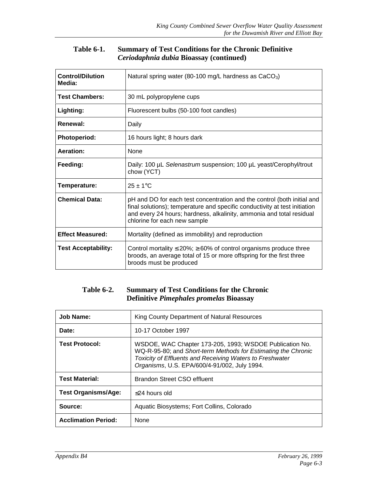#### **Table 6-1. Summary of Test Conditions for the Chronic Definitive** *Ceriodaphnia dubia* **Bioassay (continued)**

| <b>Control/Dilution</b><br>Media: | Natural spring water (80-100 mg/L hardness as $CaCO3$ )                                                                                                                                                                                                       |
|-----------------------------------|---------------------------------------------------------------------------------------------------------------------------------------------------------------------------------------------------------------------------------------------------------------|
| <b>Test Chambers:</b>             | 30 mL polypropylene cups                                                                                                                                                                                                                                      |
| Lighting:                         | Fluorescent bulbs (50-100 foot candles)                                                                                                                                                                                                                       |
| Renewal:                          | Daily                                                                                                                                                                                                                                                         |
| <b>Photoperiod:</b>               | 16 hours light; 8 hours dark                                                                                                                                                                                                                                  |
| Aeration:                         | None                                                                                                                                                                                                                                                          |
| Feeding:                          | Daily: 100 µL Selenastrum suspension; 100 µL yeast/Cerophyl/trout<br>chow (YCT)                                                                                                                                                                               |
| Temperature:                      | $25 \pm 1$ °C                                                                                                                                                                                                                                                 |
| <b>Chemical Data:</b>             | pH and DO for each test concentration and the control (both initial and<br>final solutions); temperature and specific conductivity at test initiation<br>and every 24 hours; hardness, alkalinity, ammonia and total residual<br>chlorine for each new sample |
| <b>Effect Measured:</b>           | Mortality (defined as immobility) and reproduction                                                                                                                                                                                                            |
| <b>Test Acceptability:</b>        | Control mortality $\leq$ 20%; $\geq$ 60% of control organisms produce three<br>broods, an average total of 15 or more offspring for the first three<br>broods must be produced                                                                                |

#### **Table 6-2. Summary of Test Conditions for the Chronic Definitive** *Pimephales promelas* **Bioassay**

| Job Name:                  | King County Department of Natural Resources                                                                                                                                                                                          |
|----------------------------|--------------------------------------------------------------------------------------------------------------------------------------------------------------------------------------------------------------------------------------|
| Date:                      | 10-17 October 1997                                                                                                                                                                                                                   |
| <b>Test Protocol:</b>      | WSDOE, WAC Chapter 173-205, 1993; WSDOE Publication No.<br>WQ-R-95-80; and Short-term Methods for Estimating the Chronic<br>Toxicity of Effluents and Receiving Waters to Freshwater<br>Organisms, U.S. EPA/600/4-91/002, July 1994. |
| <b>Test Material:</b>      | <b>Brandon Street CSO effluent</b>                                                                                                                                                                                                   |
| <b>Test Organisms/Age:</b> | $<$ 24 hours old                                                                                                                                                                                                                     |
| Source:                    | Aquatic Biosystems; Fort Collins, Colorado                                                                                                                                                                                           |
| <b>Acclimation Period:</b> | <b>None</b>                                                                                                                                                                                                                          |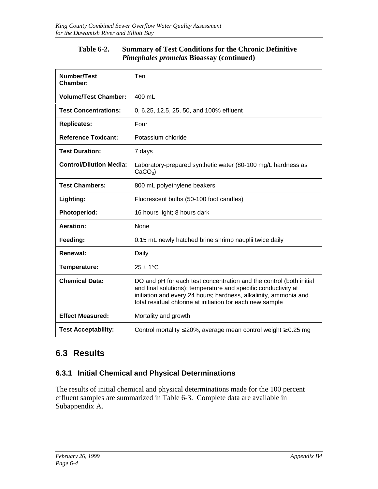#### **Table 6-2. Summary of Test Conditions for the Chronic Definitive** *Pimephales promelas* **Bioassay (continued)**

| Number/Test<br>Chamber:        | Ten                                                                                                                                                                                                                                                                    |
|--------------------------------|------------------------------------------------------------------------------------------------------------------------------------------------------------------------------------------------------------------------------------------------------------------------|
| <b>Volume/Test Chamber:</b>    | 400 mL                                                                                                                                                                                                                                                                 |
| <b>Test Concentrations:</b>    | 0, 6.25, 12.5, 25, 50, and 100% effluent                                                                                                                                                                                                                               |
| <b>Replicates:</b>             | Four                                                                                                                                                                                                                                                                   |
| <b>Reference Toxicant:</b>     | Potassium chloride                                                                                                                                                                                                                                                     |
| <b>Test Duration:</b>          | 7 days                                                                                                                                                                                                                                                                 |
| <b>Control/Dilution Media:</b> | Laboratory-prepared synthetic water (80-100 mg/L hardness as<br>$CaCO3$ )                                                                                                                                                                                              |
| <b>Test Chambers:</b>          | 800 mL polyethylene beakers                                                                                                                                                                                                                                            |
| Lighting:                      | Fluorescent bulbs (50-100 foot candles)                                                                                                                                                                                                                                |
| Photoperiod:                   | 16 hours light; 8 hours dark                                                                                                                                                                                                                                           |
| <b>Aeration:</b>               | None                                                                                                                                                                                                                                                                   |
| Feeding:                       | 0.15 mL newly hatched brine shrimp nauplii twice daily                                                                                                                                                                                                                 |
| Renewal:                       | Daily                                                                                                                                                                                                                                                                  |
| Temperature:                   | $25 \pm 1$ °C                                                                                                                                                                                                                                                          |
| <b>Chemical Data:</b>          | DO and pH for each test concentration and the control (both initial<br>and final solutions); temperature and specific conductivity at<br>initiation and every 24 hours; hardness, alkalinity, ammonia and<br>total residual chlorine at initiation for each new sample |
| <b>Effect Measured:</b>        | Mortality and growth                                                                                                                                                                                                                                                   |
| <b>Test Acceptability:</b>     | Control mortality $\leq$ 20%, average mean control weight $\geq$ 0.25 mg                                                                                                                                                                                               |

## **6.3 Results**

#### **6.3.1 Initial Chemical and Physical Determinations**

The results of initial chemical and physical determinations made for the 100 percent effluent samples are summarized in Table 6-3. Complete data are available in Subappendix A.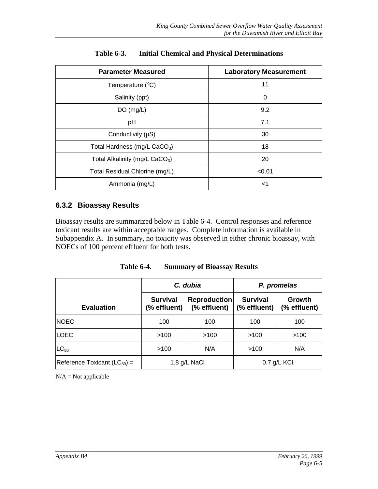| <b>Parameter Measured</b>                  | <b>Laboratory Measurement</b> |
|--------------------------------------------|-------------------------------|
| Temperature $(^{\circ}C)$                  | 11                            |
| Salinity (ppt)                             | $\Omega$                      |
| DO(mg/L)                                   | 9.2                           |
| pH                                         | 7.1                           |
| Conductivity (µS)                          | 30                            |
| Total Hardness (mg/L CaCO <sub>3</sub> )   | 18                            |
| Total Alkalinity (mg/L CaCO <sub>3</sub> ) | 20                            |
| Total Residual Chlorine (mg/L)             | < 0.01                        |
| Ammonia (mg/L)                             | $<$ 1                         |

**Table 6-3. Initial Chemical and Physical Determinations**

#### **6.3.2 Bioassay Results**

Bioassay results are summarized below in Table 6-4. Control responses and reference toxicant results are within acceptable ranges. Complete information is available in Subappendix A. In summary, no toxicity was observed in either chronic bioassay, with NOECs of 100 percent effluent for both tests.

| Table 6-4. |  | <b>Summary of Bioassay Results</b> |  |
|------------|--|------------------------------------|--|
|------------|--|------------------------------------|--|

|                                  |                                 | C. dubia                            | P. promelas                     |                        |  |  |
|----------------------------------|---------------------------------|-------------------------------------|---------------------------------|------------------------|--|--|
| <b>Evaluation</b>                | <b>Survival</b><br>(% effluent) | <b>Reproduction</b><br>(% effluent) | <b>Survival</b><br>(% effluent) | Growth<br>(% effluent) |  |  |
| <b>NOEC</b>                      | 100                             | 100                                 | 100                             | 100                    |  |  |
| <b>LOEC</b>                      | >100                            | >100                                | >100                            | >100                   |  |  |
| $LC_{50}$                        | >100                            | N/A                                 | >100                            | N/A                    |  |  |
| Reference Toxicant $(LC_{50}) =$ |                                 | 1.8 g/L NaCl                        |                                 | $0.7$ g/L KCI          |  |  |

 $N/A = Not$  applicable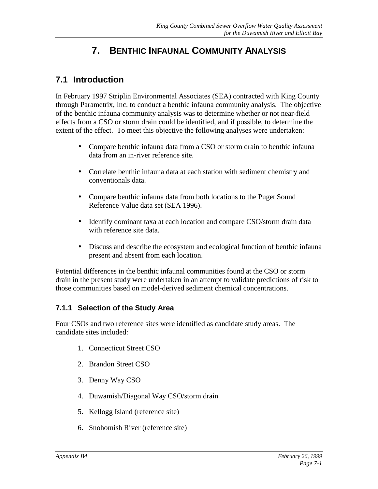# **7. BENTHIC INFAUNAL COMMUNITY ANALYSIS**

## **7.1 Introduction**

In February 1997 Striplin Environmental Associates (SEA) contracted with King County through Parametrix, Inc. to conduct a benthic infauna community analysis. The objective of the benthic infauna community analysis was to determine whether or not near-field effects from a CSO or storm drain could be identified, and if possible, to determine the extent of the effect. To meet this objective the following analyses were undertaken:

- Compare benthic infauna data from a CSO or storm drain to benthic infauna data from an in-river reference site.
- Correlate benthic infauna data at each station with sediment chemistry and conventionals data.
- Compare benthic infauna data from both locations to the Puget Sound Reference Value data set (SEA 1996).
- Identify dominant taxa at each location and compare CSO/storm drain data with reference site data.
- Discuss and describe the ecosystem and ecological function of benthic infauna present and absent from each location.

Potential differences in the benthic infaunal communities found at the CSO or storm drain in the present study were undertaken in an attempt to validate predictions of risk to those communities based on model-derived sediment chemical concentrations.

#### **7.1.1 Selection of the Study Area**

Four CSOs and two reference sites were identified as candidate study areas. The candidate sites included:

- 1. Connecticut Street CSO
- 2. Brandon Street CSO
- 3. Denny Way CSO
- 4. Duwamish/Diagonal Way CSO/storm drain
- 5. Kellogg Island (reference site)
- 6. Snohomish River (reference site)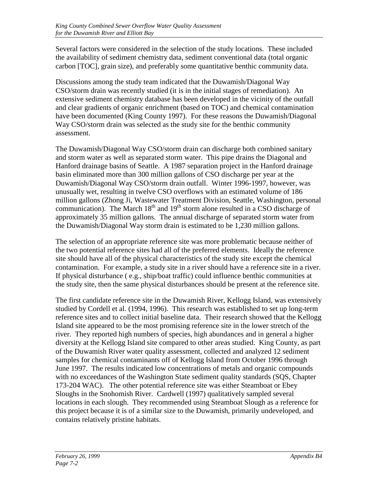Several factors were considered in the selection of the study locations. These included the availability of sediment chemistry data, sediment conventional data (total organic carbon [TOC], grain size), and preferably some quantitative benthic community data.

Discussions among the study team indicated that the Duwamish/Diagonal Way CSO/storm drain was recently studied (it is in the initial stages of remediation). An extensive sediment chemistry database has been developed in the vicinity of the outfall and clear gradients of organic enrichment (based on TOC) and chemical contamination have been documented (King County 1997). For these reasons the Duwamish/Diagonal Way CSO/storm drain was selected as the study site for the benthic community assessment.

The Duwamish/Diagonal Way CSO/storm drain can discharge both combined sanitary and storm water as well as separated storm water. This pipe drains the Diagonal and Hanford drainage basins of Seattle. A 1987 separation project in the Hanford drainage basin eliminated more than 300 million gallons of CSO discharge per year at the Duwamish/Diagonal Way CSO/storm drain outfall. Winter 1996-1997, however, was unusually wet, resulting in twelve CSO overflows with an estimated volume of 186 million gallons (Zhong Ji, Wastewater Treatment Division, Seattle, Washington, personal communication). The March  $18<sup>th</sup>$  and  $19<sup>th</sup>$  storm alone resulted in a CSO discharge of approximately 35 million gallons. The annual discharge of separated storm water from the Duwamish/Diagonal Way storm drain is estimated to be 1,230 million gallons.

The selection of an appropriate reference site was more problematic because neither of the two potential reference sites had all of the preferred elements. Ideally the reference site should have all of the physical characteristics of the study site except the chemical contamination. For example, a study site in a river should have a reference site in a river. If physical disturbance ( e.g., ship/boat traffic) could influence benthic communities at the study site, then the same physical disturbances should be present at the reference site.

The first candidate reference site in the Duwamish River, Kellogg Island, was extensively studied by Cordell et al. (1994, 1996). This research was established to set up long-term reference sites and to collect initial baseline data. Their research showed that the Kellogg Island site appeared to be the most promising reference site in the lower stretch of the river. They reported high numbers of species, high abundances and in general a higher diversity at the Kellogg Island site compared to other areas studied. King County, as part of the Duwamish River water quality assessment, collected and analyzed 12 sediment samples for chemical contaminants off of Kellogg Island from October 1996 through June 1997. The results indicated low concentrations of metals and organic compounds with no exceedances of the Washington State sediment quality standards (SQS, Chapter 173-204 WAC). The other potential reference site was either Steamboat or Ebey Sloughs in the Snohomish River. Cardwell (1997) qualitatively sampled several locations in each slough. They recommended using Steamboat Slough as a reference for this project because it is of a similar size to the Duwamish, primarily undeveloped, and contains relatively pristine habitats.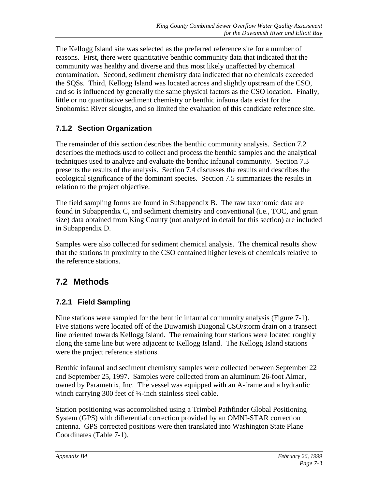The Kellogg Island site was selected as the preferred reference site for a number of reasons. First, there were quantitative benthic community data that indicated that the community was healthy and diverse and thus most likely unaffected by chemical contamination. Second, sediment chemistry data indicated that no chemicals exceeded the SQSs. Third, Kellogg Island was located across and slightly upstream of the CSO, and so is influenced by generally the same physical factors as the CSO location. Finally, little or no quantitative sediment chemistry or benthic infauna data exist for the Snohomish River sloughs, and so limited the evaluation of this candidate reference site.

## **7.1.2 Section Organization**

The remainder of this section describes the benthic community analysis. Section 7.2 describes the methods used to collect and process the benthic samples and the analytical techniques used to analyze and evaluate the benthic infaunal community. Section 7.3 presents the results of the analysis. Section 7.4 discusses the results and describes the ecological significance of the dominant species. Section 7.5 summarizes the results in relation to the project objective.

The field sampling forms are found in Subappendix B. The raw taxonomic data are found in Subappendix C, and sediment chemistry and conventional (i.e., TOC, and grain size) data obtained from King County (not analyzed in detail for this section) are included in Subappendix D.

Samples were also collected for sediment chemical analysis. The chemical results show that the stations in proximity to the CSO contained higher levels of chemicals relative to the reference stations.

## **7.2 Methods**

#### **7.2.1 Field Sampling**

Nine stations were sampled for the benthic infaunal community analysis (Figure 7-1). Five stations were located off of the Duwamish Diagonal CSO/storm drain on a transect line oriented towards Kellogg Island. The remaining four stations were located roughly along the same line but were adjacent to Kellogg Island. The Kellogg Island stations were the project reference stations.

Benthic infaunal and sediment chemistry samples were collected between September 22 and September 25, 1997. Samples were collected from an aluminum 26-foot Almar, owned by Parametrix, Inc. The vessel was equipped with an A-frame and a hydraulic winch carrying 300 feet of ¼-inch stainless steel cable.

Station positioning was accomplished using a Trimbel Pathfinder Global Positioning System (GPS) with differential correction provided by an OMNI-STAR correction antenna. GPS corrected positions were then translated into Washington State Plane Coordinates (Table 7-1).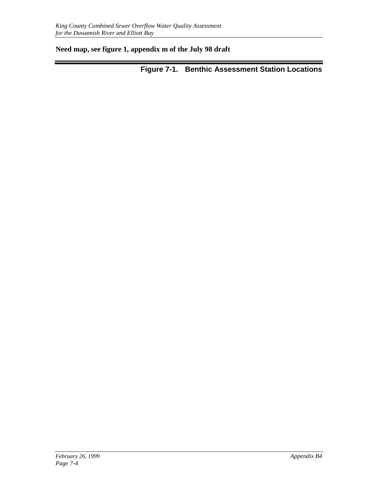#### **Need map, see figure 1, appendix m of the July 98 draft**

**Figure 7-1. Benthic Assessment Station Locations**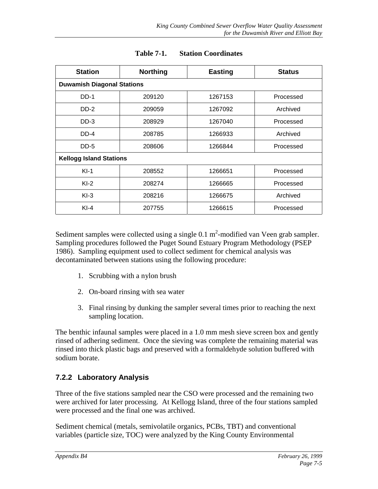| <b>Station</b>                    | <b>Northing</b> | <b>Easting</b>       | <b>Status</b> |  |
|-----------------------------------|-----------------|----------------------|---------------|--|
| <b>Duwamish Diagonal Stations</b> |                 |                      |               |  |
| $DD-1$                            | 209120          | 1267153              | Processed     |  |
| $DD-2$                            | 209059          | 1267092              |               |  |
| $DD-3$                            | 208929          | 1267040              | Processed     |  |
| $DD-4$                            | 208785          | 1266933              | Archived      |  |
| DD-5                              | 208606          | 1266844<br>Processed |               |  |
| <b>Kellogg Island Stations</b>    |                 |                      |               |  |
| $KI-1$                            | 208552          | 1266651              | Processed     |  |
| $KI-2$                            | 208274          | 1266665              | Processed     |  |
| $KI-3$                            | 208216          | 1266675              | Archived      |  |
| $KI-4$                            | 207755          | 1266615              | Processed     |  |

#### **Table 7-1. Station Coordinates**

Sediment samples were collected using a single  $0.1 \text{ m}^2$ -modified van Veen grab sampler. Sampling procedures followed the Puget Sound Estuary Program Methodology (PSEP 1986). Sampling equipment used to collect sediment for chemical analysis was decontaminated between stations using the following procedure:

- 1. Scrubbing with a nylon brush
- 2. On-board rinsing with sea water
- 3. Final rinsing by dunking the sampler several times prior to reaching the next sampling location.

The benthic infaunal samples were placed in a 1.0 mm mesh sieve screen box and gently rinsed of adhering sediment. Once the sieving was complete the remaining material was rinsed into thick plastic bags and preserved with a formaldehyde solution buffered with sodium borate.

#### **7.2.2 Laboratory Analysis**

Three of the five stations sampled near the CSO were processed and the remaining two were archived for later processing. At Kellogg Island, three of the four stations sampled were processed and the final one was archived.

Sediment chemical (metals, semivolatile organics, PCBs, TBT) and conventional variables (particle size, TOC) were analyzed by the King County Environmental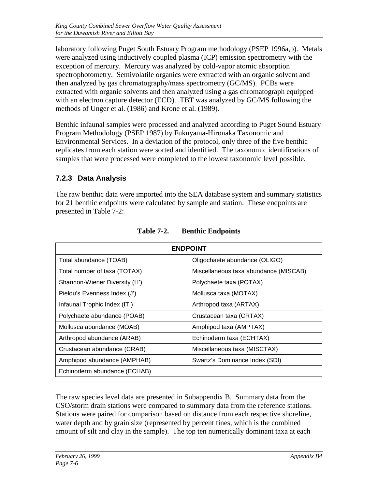laboratory following Puget South Estuary Program methodology (PSEP 1996a,b). Metals were analyzed using inductively coupled plasma (ICP) emission spectrometry with the exception of mercury. Mercury was analyzed by cold-vapor atomic absorption spectrophotometry. Semivolatile organics were extracted with an organic solvent and then analyzed by gas chromatography/mass spectrometry (GC/MS). PCBs were extracted with organic solvents and then analyzed using a gas chromatograph equipped with an electron capture detector (ECD). TBT was analyzed by GC/MS following the methods of Unger et al. (1986) and Krone et al. (1989).

Benthic infaunal samples were processed and analyzed according to Puget Sound Estuary Program Methodology (PSEP 1987) by Fukuyama-Hironaka Taxonomic and Environmental Services. In a deviation of the protocol, only three of the five benthic replicates from each station were sorted and identified. The taxonomic identifications of samples that were processed were completed to the lowest taxonomic level possible.

#### **7.2.3 Data Analysis**

The raw benthic data were imported into the SEA database system and summary statistics for 21 benthic endpoints were calculated by sample and station. These endpoints are presented in Table 7-2:

|                               | <b>ENDPOINT</b>                       |  |  |  |  |  |  |  |
|-------------------------------|---------------------------------------|--|--|--|--|--|--|--|
| Total abundance (TOAB)        | Oligochaete abundance (OLIGO)         |  |  |  |  |  |  |  |
| Total number of taxa (TOTAX)  | Miscellaneous taxa abundance (MISCAB) |  |  |  |  |  |  |  |
| Shannon-Wiener Diversity (H') | Polychaete taxa (POTAX)               |  |  |  |  |  |  |  |
| Pielou's Evenness Index (J')  | Mollusca taxa (MOTAX)                 |  |  |  |  |  |  |  |
| Infaunal Trophic Index (ITI)  | Arthropod taxa (ARTAX)                |  |  |  |  |  |  |  |
| Polychaete abundance (POAB)   | Crustacean taxa (CRTAX)               |  |  |  |  |  |  |  |
| Mollusca abundance (MOAB)     | Amphipod taxa (AMPTAX)                |  |  |  |  |  |  |  |
| Arthropod abundance (ARAB)    | Echinoderm taxa (ECHTAX)              |  |  |  |  |  |  |  |
| Crustacean abundance (CRAB)   | Miscellaneous taxa (MISCTAX)          |  |  |  |  |  |  |  |
| Amphipod abundance (AMPHAB)   | Swartz's Dominance Index (SDI)        |  |  |  |  |  |  |  |
| Echinoderm abundance (ECHAB)  |                                       |  |  |  |  |  |  |  |

The raw species level data are presented in Subappendix B. Summary data from the CSO/storm drain stations were compared to summary data from the reference stations. Stations were paired for comparison based on distance from each respective shoreline, water depth and by grain size (represented by percent fines, which is the combined amount of silt and clay in the sample). The top ten numerically dominant taxa at each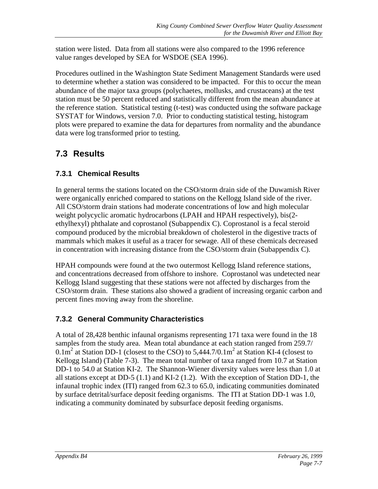station were listed. Data from all stations were also compared to the 1996 reference value ranges developed by SEA for WSDOE (SEA 1996).

Procedures outlined in the Washington State Sediment Management Standards were used to determine whether a station was considered to be impacted. For this to occur the mean abundance of the major taxa groups (polychaetes, mollusks, and crustaceans) at the test station must be 50 percent reduced and statistically different from the mean abundance at the reference station. Statistical testing (t-test) was conducted using the software package SYSTAT for Windows, version 7.0. Prior to conducting statistical testing, histogram plots were prepared to examine the data for departures from normality and the abundance data were log transformed prior to testing.

# **7.3 Results**

## **7.3.1 Chemical Results**

In general terms the stations located on the CSO/storm drain side of the Duwamish River were organically enriched compared to stations on the Kellogg Island side of the river. All CSO/storm drain stations had moderate concentrations of low and high molecular weight polycyclic aromatic hydrocarbons (LPAH and HPAH respectively), bis(2 ethylhexyl) phthalate and coprostanol (Subappendix C). Coprostanol is a fecal steroid compound produced by the microbial breakdown of cholesterol in the digestive tracts of mammals which makes it useful as a tracer for sewage. All of these chemicals decreased in concentration with increasing distance from the CSO/storm drain (Subappendix C).

HPAH compounds were found at the two outermost Kellogg Island reference stations, and concentrations decreased from offshore to inshore. Coprostanol was undetected near Kellogg Island suggesting that these stations were not affected by discharges from the CSO/storm drain. These stations also showed a gradient of increasing organic carbon and percent fines moving away from the shoreline.

## **7.3.2 General Community Characteristics**

A total of 28,428 benthic infaunal organisms representing 171 taxa were found in the 18 samples from the study area. Mean total abundance at each station ranged from 259.7/  $0.1\text{m}^2$  at Station DD-1 (closest to the CSO) to 5,444.7/0.1 $\text{m}^2$  at Station KI-4 (closest to Kellogg Island) (Table 7-3). The mean total number of taxa ranged from 10.7 at Station DD-1 to 54.0 at Station KI-2. The Shannon-Wiener diversity values were less than 1.0 at all stations except at DD-5 (1.1) and KI-2 (1.2). With the exception of Station DD-1, the infaunal trophic index (ITI) ranged from 62.3 to 65.0, indicating communities dominated by surface detrital/surface deposit feeding organisms. The ITI at Station DD-1 was 1.0, indicating a community dominated by subsurface deposit feeding organisms.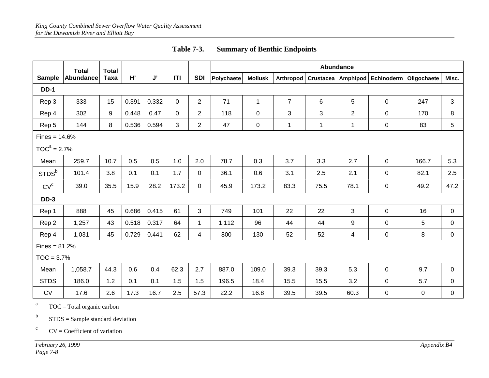|                   | <b>Total</b>     | <b>Total</b> |       |       |             |                | Abundance  |                |                |                      |                |             |             |             |
|-------------------|------------------|--------------|-------|-------|-------------|----------------|------------|----------------|----------------|----------------------|----------------|-------------|-------------|-------------|
| <b>Sample</b>     | <b>Abundance</b> | Taxa         | H'    | J'    | ITI         | <b>SDI</b>     | Polychaete | <b>Mollusk</b> | Arthropod      | Crustacea   Amphipod |                | Echinoderm  | Oligochaete | Misc.       |
| <b>DD-1</b>       |                  |              |       |       |             |                |            |                |                |                      |                |             |             |             |
| Rep 3             | 333              | 15           | 0.391 | 0.332 | $\mathbf 0$ | $\overline{2}$ | 71         | $\mathbf{1}$   | $\overline{7}$ | 6                    | 5              | $\pmb{0}$   | 247         | 3           |
| Rep 4             | 302              | 9            | 0.448 | 0.47  | $\Omega$    | 2              | 118        | $\mathbf 0$    | 3              | 3                    | $\overline{c}$ | 0           | 170         | 8           |
| Rep 5             | 144              | 8            | 0.536 | 0.594 | 3           | $\overline{2}$ | 47         | 0              | $\mathbf 1$    | 1                    | $\mathbf{1}$   | $\mathbf 0$ | 83          | 5           |
| $Fines = 14.6%$   |                  |              |       |       |             |                |            |                |                |                      |                |             |             |             |
| $TOCa = 2.7%$     |                  |              |       |       |             |                |            |                |                |                      |                |             |             |             |
| Mean              | 259.7            | 10.7         | 0.5   | 0.5   | 1.0         | 2.0            | 78.7       | 0.3            | 3.7            | 3.3                  | 2.7            | $\mathbf 0$ | 166.7       | 5.3         |
| STDS <sup>b</sup> | 101.4            | 3.8          | 0.1   | 0.1   | 1.7         | $\mathbf{0}$   | 36.1       | 0.6            | 3.1            | 2.5                  | 2.1            | 0           | 82.1        | 2.5         |
| CV <sup>c</sup>   | 39.0             | 35.5         | 15.9  | 28.2  | 173.2       | $\overline{0}$ | 45.9       | 173.2          | 83.3           | 75.5                 | 78.1           | $\pmb{0}$   | 49.2        | 47.2        |
| <b>DD-3</b>       |                  |              |       |       |             |                |            |                |                |                      |                |             |             |             |
| Rep 1             | 888              | 45           | 0.686 | 0.415 | 61          | $\mathbf{3}$   | 749        | 101            | 22             | 22                   | 3              | $\pmb{0}$   | 16          | $\pmb{0}$   |
| Rep 2             | 1,257            | 43           | 0.518 | 0.317 | 64          | $\mathbf{1}$   | 1,112      | 96             | 44             | 44                   | 9              | $\mathbf 0$ | 5           | 0           |
| Rep 4             | 1,031            | 45           | 0.729 | 0.441 | 62          | 4              | 800        | 130            | 52             | 52                   | 4              | $\pmb{0}$   | 8           | $\pmb{0}$   |
| $Fines = 81.2%$   |                  |              |       |       |             |                |            |                |                |                      |                |             |             |             |
| $TOC = 3.7%$      |                  |              |       |       |             |                |            |                |                |                      |                |             |             |             |
| Mean              | 1,058.7          | 44.3         | 0.6   | 0.4   | 62.3        | 2.7            | 887.0      | 109.0          | 39.3           | 39.3                 | 5.3            | $\mathsf 0$ | 9.7         | $\mathbf 0$ |
| <b>STDS</b>       | 186.0            | 1.2          | 0.1   | 0.1   | 1.5         | 1.5            | 196.5      | 18.4           | 15.5           | 15.5                 | 3.2            | $\mathbf 0$ | 5.7         | 0           |
| ${\sf CV}$        | 17.6             | 2.6          | 17.3  | 16.7  | 2.5         | 57.3           | 22.2       | 16.8           | 39.5           | 39.5                 | 60.3           | $\pmb{0}$   | $\pmb{0}$   | 0           |

aTOC – Total organic carbon

bSTDS = Sample standard deviation

CV = Coefficient of variation

 $\mathbf c$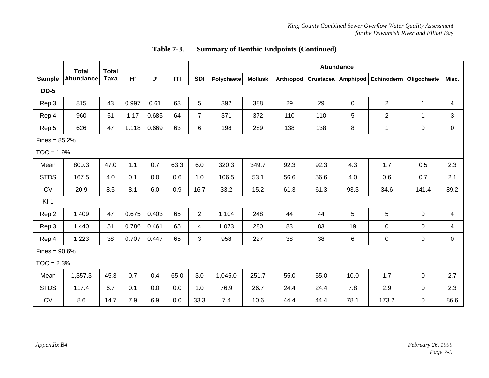|                 | <b>Total</b>    | <b>Total</b> |       |       |      |                | <b>Abundance</b> |                |           |                  |             |                |             |       |
|-----------------|-----------------|--------------|-------|-------|------|----------------|------------------|----------------|-----------|------------------|-------------|----------------|-------------|-------|
| <b>Sample</b>   | Abundance       | <b>Taxa</b>  | H'    | J'    | ITI  | <b>SDI</b>     | Polychaete       | <b>Mollusk</b> | Arthropod | <b>Crustacea</b> | Amphipod    | Echinoderm     | Oligochaete | Misc. |
| <b>DD-5</b>     |                 |              |       |       |      |                |                  |                |           |                  |             |                |             |       |
| Rep 3           | 815             | 43           | 0.997 | 0.61  | 63   | 5              | 392              | 388            | 29        | 29               | $\mathbf 0$ | $\overline{2}$ | 1           | 4     |
| Rep 4           | 960             | 51           | 1.17  | 0.685 | 64   | $\overline{7}$ | 371              | 372            | 110       | 110              | 5           | $\overline{2}$ | 1           | 3     |
| Rep 5           | 626             | 47           | 1.118 | 0.669 | 63   | 6              | 198              | 289            | 138       | 138              | 8           | 1              | $\pmb{0}$   | 0     |
|                 | $Fines = 85.2%$ |              |       |       |      |                |                  |                |           |                  |             |                |             |       |
| $TOC = 1.9%$    |                 |              |       |       |      |                |                  |                |           |                  |             |                |             |       |
| Mean            | 800.3           | 47.0         | 1.1   | 0.7   | 63.3 | 6.0            | 320.3            | 349.7          | 92.3      | 92.3             | 4.3         | 1.7            | 0.5         | 2.3   |
| <b>STDS</b>     | 167.5           | 4.0          | 0.1   | 0.0   | 0.6  | 1.0            | 106.5            | 53.1           | 56.6      | 56.6             | 4.0         | 0.6            | 0.7         | 2.1   |
| CV              | 20.9            | 8.5          | 8.1   | 6.0   | 0.9  | 16.7           | 33.2             | 15.2           | 61.3      | 61.3             | 93.3        | 34.6           | 141.4       | 89.2  |
| $KI-1$          |                 |              |       |       |      |                |                  |                |           |                  |             |                |             |       |
| Rep 2           | 1,409           | 47           | 0.675 | 0.403 | 65   | $\overline{2}$ | 1,104            | 248            | 44        | 44               | 5           | 5              | $\pmb{0}$   | 4     |
| Rep 3           | 1,440           | 51           | 0.786 | 0.461 | 65   | 4              | 1,073            | 280            | 83        | 83               | 19          | $\pmb{0}$      | $\pmb{0}$   | 4     |
| Rep 4           | 1,223           | 38           | 0.707 | 0.447 | 65   | 3              | 958              | 227            | 38        | 38               | 6           | 0              | 0           | 0     |
| Fines = $90.6%$ |                 |              |       |       |      |                |                  |                |           |                  |             |                |             |       |
| $TOC = 2.3%$    |                 |              |       |       |      |                |                  |                |           |                  |             |                |             |       |
| Mean            | 1,357.3         | 45.3         | 0.7   | 0.4   | 65.0 | 3.0            | 1,045.0          | 251.7          | 55.0      | 55.0             | 10.0        | 1.7            | $\pmb{0}$   | 2.7   |
| <b>STDS</b>     | 117.4           | 6.7          | 0.1   | 0.0   | 0.0  | 1.0            | 76.9             | 26.7           | 24.4      | 24.4             | 7.8         | 2.9            | 0           | 2.3   |
| CV              | 8.6             | 14.7         | 7.9   | 6.9   | 0.0  | 33.3           | 7.4              | 10.6           | 44.4      | 44.4             | 78.1        | 173.2          | $\pmb{0}$   | 86.6  |

**Table 7-3. Summary of Benthic Endpoints (Continued)**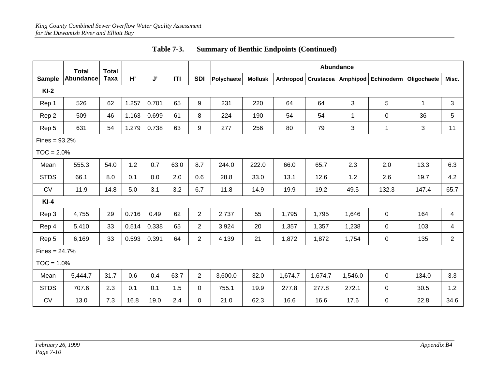|                 | <b>Total</b> | <b>Total</b> |       |       |      |                | Abundance  |                |           |                    |         |            |              |                |
|-----------------|--------------|--------------|-------|-------|------|----------------|------------|----------------|-----------|--------------------|---------|------------|--------------|----------------|
| <b>Sample</b>   | Abundance    | Taxa         | H'    | J'    | T    | <b>SDI</b>     | Polychaete | <b>Mollusk</b> | Arthropod | Crustacea Amphipod |         | Echinoderm | Oligochaete  | Misc.          |
| $KI-2$          |              |              |       |       |      |                |            |                |           |                    |         |            |              |                |
| Rep 1           | 526          | 62           | 1.257 | 0.701 | 65   | 9              | 231        | 220            | 64        | 64                 | 3       | 5          | $\mathbf{1}$ | 3              |
| Rep 2           | 509          | 46           | 1.163 | 0.699 | 61   | 8              | 224        | 190            | 54        | 54                 | 1       | $\pmb{0}$  | 36           | 5              |
| Rep 5           | 631          | 54           | 1.279 | 0.738 | 63   | 9              | 277        | 256            | 80        | 79                 | 3       | 1          | 3            | 11             |
| $Fines = 93.2%$ |              |              |       |       |      |                |            |                |           |                    |         |            |              |                |
| $TOC = 2.0%$    |              |              |       |       |      |                |            |                |           |                    |         |            |              |                |
| Mean            | 555.3        | 54.0         | 1.2   | 0.7   | 63.0 | 8.7            | 244.0      | 222.0          | 66.0      | 65.7               | 2.3     | 2.0        | 13.3         | 6.3            |
| <b>STDS</b>     | 66.1         | 8.0          | 0.1   | 0.0   | 2.0  | 0.6            | 28.8       | 33.0           | 13.1      | 12.6               | 1.2     | 2.6        | 19.7         | 4.2            |
| <b>CV</b>       | 11.9         | 14.8         | 5.0   | 3.1   | 3.2  | 6.7            | 11.8       | 14.9           | 19.9      | 19.2               | 49.5    | 132.3      | 147.4        | 65.7           |
| $KI-4$          |              |              |       |       |      |                |            |                |           |                    |         |            |              |                |
| Rep 3           | 4,755        | 29           | 0.716 | 0.49  | 62   | $\overline{2}$ | 2,737      | 55             | 1,795     | 1,795              | 1,646   | 0          | 164          | 4              |
| Rep 4           | 5,410        | 33           | 0.514 | 0.338 | 65   | $\overline{2}$ | 3,924      | 20             | 1,357     | 1,357              | 1,238   | 0          | 103          | 4              |
| Rep 5           | 6,169        | 33           | 0.593 | 0.391 | 64   | $\overline{2}$ | 4,139      | 21             | 1,872     | 1,872              | 1,754   | 0          | 135          | $\overline{2}$ |
| $Fines = 24.7%$ |              |              |       |       |      |                |            |                |           |                    |         |            |              |                |
| $TOC = 1.0%$    |              |              |       |       |      |                |            |                |           |                    |         |            |              |                |
| Mean            | 5,444.7      | 31.7         | 0.6   | 0.4   | 63.7 | $\overline{2}$ | 3,600.0    | 32.0           | 1,674.7   | 1,674.7            | 1,546.0 | 0          | 134.0        | 3.3            |
| <b>STDS</b>     | 707.6        | 2.3          | 0.1   | 0.1   | 1.5  | 0              | 755.1      | 19.9           | 277.8     | 277.8              | 272.1   | 0          | 30.5         | 1.2            |
| CV              | 13.0         | 7.3          | 16.8  | 19.0  | 2.4  | $\Omega$       | 21.0       | 62.3           | 16.6      | 16.6               | 17.6    | 0          | 22.8         | 34.6           |

**Table 7-3. Summary of Benthic Endpoints (Continued)**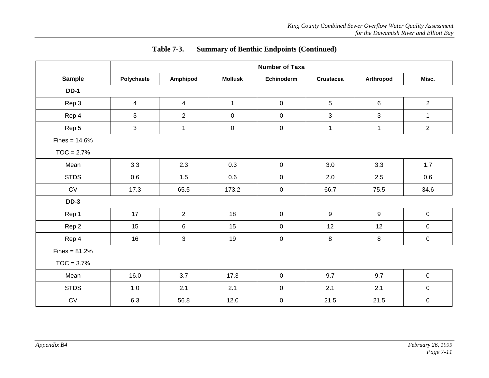|                     | <b>Number of Taxa</b> |                |                     |                     |                  |             |                  |  |  |
|---------------------|-----------------------|----------------|---------------------|---------------------|------------------|-------------|------------------|--|--|
| Sample              | Polychaete            | Amphipod       | <b>Mollusk</b>      | Echinoderm          | <b>Crustacea</b> | Arthropod   | Misc.            |  |  |
| <b>DD-1</b>         |                       |                |                     |                     |                  |             |                  |  |  |
| Rep 3               | 4                     | 4              | $\mathbf{1}$        | $\mathbf 0$         | 5                | 6           | $\overline{2}$   |  |  |
| Rep 4               | 3                     | $\overline{2}$ | $\mathbf 0$         | $\boldsymbol{0}$    | $\mathbf{3}$     | 3           | $\mathbf{1}$     |  |  |
| Rep 5               | 3                     | $\mathbf{1}$   | $\mathsf{O}\xspace$ | $\mathsf 0$         | $\mathbf{1}$     | $\mathbf 1$ | $\overline{2}$   |  |  |
| $Fines = 14.6%$     |                       |                |                     |                     |                  |             |                  |  |  |
| $TOC = 2.7%$        |                       |                |                     |                     |                  |             |                  |  |  |
| Mean                | 3.3                   | 2.3            | 0.3                 | $\mathbf 0$         | 3.0              | 3.3         | 1.7              |  |  |
| <b>STDS</b>         | 0.6                   | 1.5            | 0.6                 | $\mathbf 0$         | 2.0              | 2.5         | 0.6              |  |  |
| $\operatorname{CV}$ | 17.3                  | 65.5           | 173.2               | $\mathbf 0$         | 66.7             | 75.5        | 34.6             |  |  |
| <b>DD-3</b>         |                       |                |                     |                     |                  |             |                  |  |  |
| Rep 1               | 17                    | $\overline{2}$ | 18                  | $\overline{0}$      | 9                | 9           | $\mathbf 0$      |  |  |
| Rep 2               | 15                    | 6              | 15                  | $\mathbf 0$         | 12               | 12          | 0                |  |  |
| Rep 4               | 16                    | 3              | 19                  | $\mathbf 0$         | 8                | 8           | 0                |  |  |
| $Fines = 81.2%$     |                       |                |                     |                     |                  |             |                  |  |  |
| $TOC = 3.7%$        |                       |                |                     |                     |                  |             |                  |  |  |
| Mean                | 16.0                  | 3.7            | 17.3                | $\mathsf{O}\xspace$ | 9.7              | 9.7         | $\boldsymbol{0}$ |  |  |
| <b>STDS</b>         | 1.0                   | 2.1            | 2.1                 | $\mathbf 0$         | 2.1              | 2.1         | $\mathbf 0$      |  |  |
| $\operatorname{CV}$ | 6.3                   | 56.8           | 12.0                | $\pmb{0}$           | 21.5             | 21.5        | $\boldsymbol{0}$ |  |  |

## **Table 7-3. Summary of Benthic Endpoints (Continued)**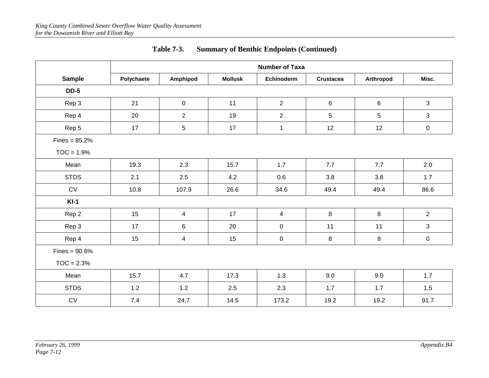|                     | <b>Number of Taxa</b> |                |                |                |                  |           |                |  |  |
|---------------------|-----------------------|----------------|----------------|----------------|------------------|-----------|----------------|--|--|
| <b>Sample</b>       | Polychaete            | Amphipod       | <b>Mollusk</b> | Echinoderm     | <b>Crustacea</b> | Arthropod | Misc.          |  |  |
| <b>DD-5</b>         |                       |                |                |                |                  |           |                |  |  |
| Rep 3               | 21                    | $\mathsf 0$    | 11             | $\overline{2}$ | 6                | 6         | 3              |  |  |
| Rep 4               | 20                    | $\overline{2}$ | 19             | $\overline{2}$ | 5                | 5         | $\mathfrak{S}$ |  |  |
| Rep 5               | 17                    | $\sqrt{5}$     | 17             | $\mathbf{1}$   | 12               | 12        | $\mathbf 0$    |  |  |
| $Fines = 85.2%$     |                       |                |                |                |                  |           |                |  |  |
| $TOC = 1.9%$        |                       |                |                |                |                  |           |                |  |  |
| Mean                | 19.3                  | 2.3            | 15.7           | 1.7            | 7.7              | 7.7       | 2.0            |  |  |
| <b>STDS</b>         | 2.1                   | 2.5            | 4.2            | 0.6            | 3.8              | 3.8       | 1.7            |  |  |
| $\operatorname{CV}$ | 10.8                  | 107.9          | 26.6           | 34.6           | 49.4             | 49.4      | 86.6           |  |  |
| $KI-1$              |                       |                |                |                |                  |           |                |  |  |
| Rep 2               | 15                    | 4              | 17             | $\overline{4}$ | 8                | 8         | $\overline{2}$ |  |  |
| Rep 3               | 17                    | $\,6\,$        | 20             | $\mathbf 0$    | 11               | 11        | 3              |  |  |
| Rep 4               | 15                    | 4              | 15             | 0              | 8                | 8         | $\mathsf 0$    |  |  |
| Fines = $90.6%$     |                       |                |                |                |                  |           |                |  |  |
| $TOC = 2.3%$        |                       |                |                |                |                  |           |                |  |  |
| Mean                | 15.7                  | 4.7            | 17.3           | 1.3            | 9.0              | 9.0       | 1.7            |  |  |
| <b>STDS</b>         | 1.2                   | 1.2            | 2.5            | 2.3            | 1.7              | 1.7       | 1.5            |  |  |
| $\mathrm{CV}$       | 7.4                   | 24.7           | 14.5           | 173.2          | 19.2             | 19.2      | 91.7           |  |  |

## **Table 7-3. Summary of Benthic Endpoints (Continued)**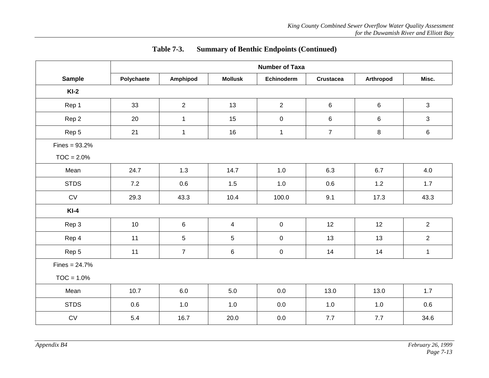|                 | <b>Number of Taxa</b> |                  |                          |                  |                  |           |                |  |  |
|-----------------|-----------------------|------------------|--------------------------|------------------|------------------|-----------|----------------|--|--|
| <b>Sample</b>   | Polychaete            | Amphipod         | <b>Mollusk</b>           | Echinoderm       | <b>Crustacea</b> | Arthropod | Misc.          |  |  |
| $KI-2$          |                       |                  |                          |                  |                  |           |                |  |  |
| Rep 1           | 33                    | $\overline{2}$   | 13                       | $\overline{2}$   | $\,6\,$          | $\,6\,$   | 3              |  |  |
| Rep 2           | 20                    | $\mathbf{1}$     | 15                       | $\mathsf 0$      | 6                | 6         | 3              |  |  |
| Rep 5           | 21                    | $\mathbf{1}$     | 16                       | $\mathbf{1}$     | $\overline{7}$   | 8         | $\,6\,$        |  |  |
| Fines = $93.2%$ |                       |                  |                          |                  |                  |           |                |  |  |
| $TOC = 2.0%$    |                       |                  |                          |                  |                  |           |                |  |  |
| Mean            | 24.7                  | 1.3              | 14.7                     | 1.0              | 6.3              | 6.7       | 4.0            |  |  |
| <b>STDS</b>     | 7.2                   | 0.6              | 1.5                      | $1.0$            | 0.6              | 1.2       | 1.7            |  |  |
| CV              | 29.3                  | 43.3             | 10.4                     | 100.0            | 9.1              | 17.3      | 43.3           |  |  |
| $KI-4$          |                       |                  |                          |                  |                  |           |                |  |  |
| Rep 3           | 10                    | $\,6$            | $\overline{\mathcal{A}}$ | $\mathbf 0$      | 12               | 12        | $\overline{2}$ |  |  |
| Rep 4           | 11                    | $\overline{5}$   | 5                        | $\mathbf 0$      | 13               | 13        | $\overline{c}$ |  |  |
| Rep 5           | 11                    | $\boldsymbol{7}$ | 6                        | $\boldsymbol{0}$ | 14               | 14        | $\mathbf{1}$   |  |  |
| $Fines = 24.7%$ |                       |                  |                          |                  |                  |           |                |  |  |
| $TOC = 1.0%$    |                       |                  |                          |                  |                  |           |                |  |  |
| Mean            | 10.7                  | 6.0              | 5.0                      | 0.0              | 13.0             | 13.0      | 1.7            |  |  |
| <b>STDS</b>     | 0.6                   | 1.0              | 1.0                      | 0.0              | 1.0              | 1.0       | 0.6            |  |  |
| CV              | 5.4                   | 16.7             | 20.0                     | $0.0\,$          | 7.7              | 7.7       | 34.6           |  |  |

## **Table 7-3. Summary of Benthic Endpoints (Continued)**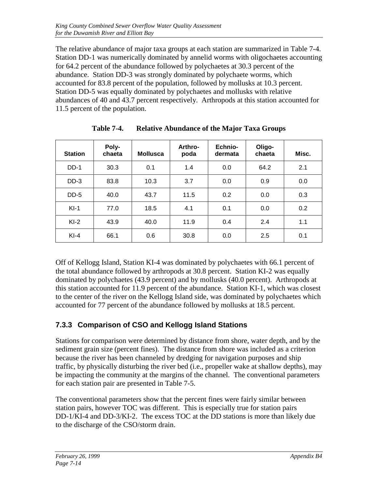The relative abundance of major taxa groups at each station are summarized in Table 7-4. Station DD-1 was numerically dominated by annelid worms with oligochaetes accounting for 64.2 percent of the abundance followed by polychaetes at 30.3 percent of the abundance. Station DD-3 was strongly dominated by polychaete worms, which accounted for 83.8 percent of the population, followed by mollusks at 10.3 percent. Station DD-5 was equally dominated by polychaetes and mollusks with relative abundances of 40 and 43.7 percent respectively. Arthropods at this station accounted for 11.5 percent of the population.

| <b>Station</b> | Poly-<br>chaeta | <b>Mollusca</b> | Arthro-<br>poda | Echnio-<br>dermata | Oligo-<br>chaeta | Misc. |
|----------------|-----------------|-----------------|-----------------|--------------------|------------------|-------|
| $DD-1$         | 30.3            | 0.1             | 1.4             | 0.0                | 64.2             | 2.1   |
| $DD-3$         | 83.8            | 10.3            | 3.7             | 0.0                | 0.9              | 0.0   |
| $DD-5$         | 40.0            | 43.7            | 11.5            | 0.2                | 0.0              | 0.3   |
| $KI-1$         | 77.0            | 18.5            | 4.1             | 0.1                | 0.0              | 0.2   |
| $KI-2$         | 43.9            | 40.0            | 11.9            | 0.4                | 2.4              | 1.1   |
| $KI-4$         | 66.1            | 0.6             | 30.8            | 0.0                | 2.5              | 0.1   |

**Table 7-4. Relative Abundance of the Major Taxa Groups**

Off of Kellogg Island, Station KI-4 was dominated by polychaetes with 66.1 percent of the total abundance followed by arthropods at 30.8 percent. Station KI-2 was equally dominated by polychaetes (43.9 percent) and by mollusks (40.0 percent). Arthropods at this station accounted for 11.9 percent of the abundance. Station KI-1, which was closest to the center of the river on the Kellogg Island side, was dominated by polychaetes which accounted for 77 percent of the abundance followed by mollusks at 18.5 percent.

## **7.3.3 Comparison of CSO and Kellogg Island Stations**

Stations for comparison were determined by distance from shore, water depth, and by the sediment grain size (percent fines). The distance from shore was included as a criterion because the river has been channeled by dredging for navigation purposes and ship traffic, by physically disturbing the river bed (i.e., propeller wake at shallow depths), may be impacting the community at the margins of the channel. The conventional parameters for each station pair are presented in Table 7-5.

The conventional parameters show that the percent fines were fairly similar between station pairs, however TOC was different. This is especially true for station pairs DD-1/KI-4 and DD-3/KI-2. The excess TOC at the DD stations is more than likely due to the discharge of the CSO/storm drain.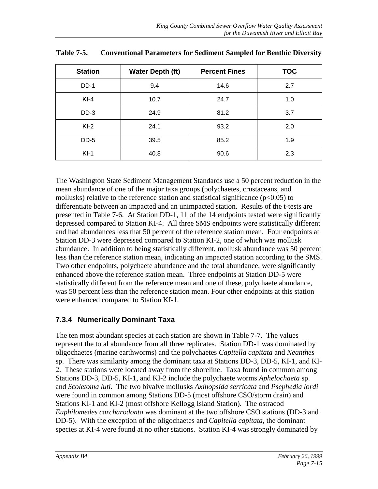| <b>Station</b> | <b>Water Depth (ft)</b> | <b>Percent Fines</b> | <b>TOC</b> |
|----------------|-------------------------|----------------------|------------|
| DD-1           | 9.4                     | 14.6                 | 2.7        |
| $KI-4$         | 24.7<br>10.7            |                      | 1.0        |
| $DD-3$         | 24.9                    | 81.2                 | 3.7        |
| $KI-2$         | 24.1<br>93.2            |                      | 2.0        |
| DD-5           | 39.5                    | 85.2                 | 1.9        |
| $KI-1$         | 40.8                    | 90.6                 | 2.3        |

| <b>Table 7-5.</b> | <b>Conventional Parameters for Sediment Sampled for Benthic Diversity</b> |  |  |  |  |
|-------------------|---------------------------------------------------------------------------|--|--|--|--|

The Washington State Sediment Management Standards use a 50 percent reduction in the mean abundance of one of the major taxa groups (polychaetes, crustaceans, and mollusks) relative to the reference station and statistical significance ( $p<0.05$ ) to differentiate between an impacted and an unimpacted station. Results of the t-tests are presented in Table 7-6. At Station DD-1, 11 of the 14 endpoints tested were significantly depressed compared to Station KI-4. All three SMS endpoints were statistically different and had abundances less that 50 percent of the reference station mean. Four endpoints at Station DD-3 were depressed compared to Station KI-2, one of which was mollusk abundance. In addition to being statistically different, mollusk abundance was 50 percent less than the reference station mean, indicating an impacted station according to the SMS. Two other endpoints, polychaete abundance and the total abundance, were significantly enhanced above the reference station mean. Three endpoints at Station DD-5 were statistically different from the reference mean and one of these, polychaete abundance, was 50 percent less than the reference station mean. Four other endpoints at this station were enhanced compared to Station KI-1.

#### **7.3.4 Numerically Dominant Taxa**

The ten most abundant species at each station are shown in Table 7-7. The values represent the total abundance from all three replicates. Station DD-1 was dominated by oligochaetes (marine earthworms) and the polychaetes *Capitella capitata* and *Neanthes* sp. There was similarity among the dominant taxa at Stations DD-3, DD-5, KI-1, and KI-2. These stations were located away from the shoreline. Taxa found in common among Stations DD-3, DD-5, KI-1, and KI-2 include the polychaete worms *Aphelochaeta* sp. and *Scoletoma luti*. The two bivalve mollusks *Axinopsida serricata* and *Psephedia lordi* were found in common among Stations DD-5 (most offshore CSO/storm drain) and Stations KI-1 and KI-2 (most offshore Kellogg Island Station). The ostracod *Euphilomedes carcharodonta* was dominant at the two offshore CSO stations (DD-3 and DD-5). With the exception of the oligochaetes and *Capitella capitata*, the dominant species at KI-4 were found at no other stations. Station KI-4 was strongly dominated by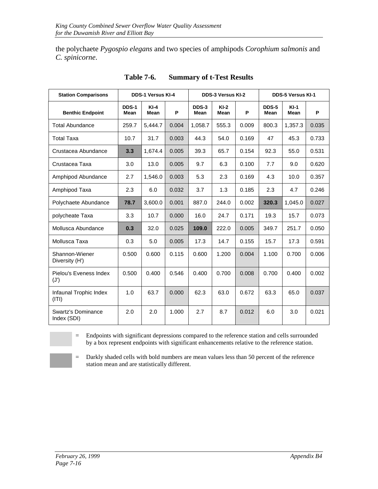the polychaete *Pygospio elegans* and two species of amphipods *Corophium salmonis* and *C. spinicorne*.

| <b>Station Comparisons</b>               |               | <b>DDS-1 Versus KI-4</b> |       |                      | <b>DDS-3 Versus KI-2</b> |       | <b>DDS-5 Versus KI-1</b> |                       |       |  |
|------------------------------------------|---------------|--------------------------|-------|----------------------|--------------------------|-------|--------------------------|-----------------------|-------|--|
| <b>Benthic Endpoint</b>                  | DDS-1<br>Mean | $KI-4$<br>Mean           | P     | DDS-3<br><b>Mean</b> | $KI-2$<br>Mean           | P     | <b>DDS-5</b><br>Mean     | $KI-1$<br><b>Mean</b> | P     |  |
| <b>Total Abundance</b>                   | 259.7         | 5,444.7                  | 0.004 | 1,058.7              | 555.3                    | 0.009 | 800.3                    | 1,357.3               | 0.035 |  |
| <b>Total Taxa</b>                        | 10.7          | 31.7                     | 0.003 | 44.3                 | 54.0                     | 0.169 | 47                       | 45.3                  | 0.733 |  |
| Crustacea Abundance                      | 3.3           | 1,674.4                  | 0.005 | 39.3                 | 65.7                     | 0.154 | 92.3                     | 55.0                  | 0.531 |  |
| Crustacea Taxa                           | 3.0           | 13.0                     | 0.005 | 9.7                  | 6.3                      | 0.100 | 7.7                      | 9.0                   | 0.620 |  |
| Amphipod Abundance                       | 2.7           | 1,546.0                  | 0.003 | 5.3                  | 2.3                      | 0.169 | 4.3                      | 10.0                  | 0.357 |  |
| Amphipod Taxa                            | 2.3           | 6.0                      | 0.032 | 3.7                  | 1.3                      | 0.185 | 2.3                      | 4.7                   | 0.246 |  |
| Polychaete Abundance                     | 78.7          | 3,600.0                  | 0.001 | 887.0                | 244.0                    | 0.002 | 320.3                    | 1,045.0               | 0.027 |  |
| polycheate Taxa                          | 3.3           | 10.7                     | 0.000 | 16.0                 | 24.7                     | 0.171 | 19.3                     | 15.7                  | 0.073 |  |
| Mollusca Abundance                       | 0.3           | 32.0                     | 0.025 | 109.0                | 222.0                    | 0.005 | 349.7                    | 251.7                 | 0.050 |  |
| Mollusca Taxa                            | 0.3           | 5.0                      | 0.005 | 17.3                 | 14.7                     | 0.155 | 15.7                     | 17.3                  | 0.591 |  |
| Shannon-Wiener<br>Diversity (H')         | 0.500         | 0.600                    | 0.115 | 0.600                | 1.200                    | 0.004 | 1.100                    | 0.700                 | 0.006 |  |
| Pielou's Eveness Index<br>(J')           | 0.500         | 0.400                    | 0.546 | 0.400                | 0.700                    | 0.008 | 0.700                    | 0.400                 | 0.002 |  |
| Infaunal Trophic Index<br>$($ ITI)       | 1.0           | 63.7                     | 0.000 | 62.3                 | 63.0                     | 0.672 | 63.3                     | 65.0                  | 0.037 |  |
| <b>Swartz's Dominance</b><br>Index (SDI) | 2.0           | 2.0                      | 1.000 | 2.7                  | 8.7                      | 0.012 | 6.0                      | 3.0                   | 0.021 |  |

**Table 7-6. Summary of t-Test Results**

= Endpoints with significant depressions compared to the reference station and cells surrounded by a box represent endpoints with significant enhancements relative to the reference station.

= Darkly shaded cells with bold numbers are mean values less than 50 percent of the reference station mean and are statistically different.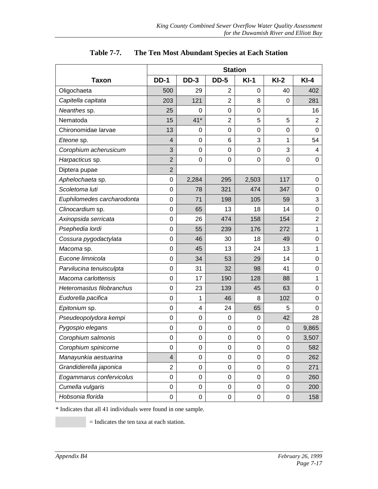|                            |                         |                  |                | <b>Station</b>   |             |                |
|----------------------------|-------------------------|------------------|----------------|------------------|-------------|----------------|
| <b>Taxon</b>               | <b>DD-1</b>             | $DD-3$           | <b>DD-5</b>    | $KI-1$           | $Kl-2$      | $KI-4$         |
| Oligochaeta                | 500                     | 29               | 2              | 0                | 40          | 402            |
| Capitella capitata         | 203                     | 121              | $\overline{2}$ | 8                | 0           | 281            |
| Neanthes sp.               | 25                      | 0                | 0              | 0                |             | 16             |
| Nematoda                   | 15                      | $41*$            | $\overline{2}$ | 5                | 5           | 2              |
| Chironomidae larvae        | 13                      | 0                | 0              | 0                | $\mathbf 0$ | 0              |
| Eteone sp.                 | 4                       | 0                | 6              | 3                | 1           | 54             |
| Corophium acherusicum      | 3                       | $\mathbf 0$      | 0              | 0                | 3           | 4              |
| Harpacticus sp.            | $\overline{2}$          | $\boldsymbol{0}$ | 0              | $\boldsymbol{0}$ | 0           | 0              |
| Diptera pupae              | $\overline{2}$          |                  |                |                  |             |                |
| Aphelochaeta sp.           | $\mathbf 0$             | 2,284            | 295            | 2,503            | 117         | 0              |
| Scoletoma luti             | $\boldsymbol{0}$        | 78               | 321            | 474              | 347         | 0              |
| Euphilomedes carcharodonta | 0                       | 71               | 198            | 105              | 59          | 3              |
| Clinocardium sp.           | $\mathbf 0$             | 65               | 13             | 18               | 14          | 0              |
| Axinopsida serricata       | $\mathbf 0$             | 26               | 474            | 158              | 154         | $\overline{c}$ |
| Psephedia lordi            | $\mathbf 0$             | 55               | 239            | 176              | 272         | 1              |
| Cossura pygodactylata      | $\mathbf 0$             | 46               | 30             | 18               | 49          | 0              |
| Macoma sp.                 | $\boldsymbol{0}$        | 45               | 13             | 24               | 13          | $\mathbf 1$    |
| Eucone limnicola           | $\mathbf 0$             | 34               | 53             | 29               | 14          | 0              |
| Parvilucina tenuisculpta   | $\mathbf 0$             | 31               | 32             | 98               | 41          | 0              |
| Macoma carlottensis        | $\boldsymbol{0}$        | 17               | 190            | 128              | 88          | 1              |
| Heteromastus filobranchus  | $\mathbf 0$             | 23               | 139            | 45               | 63          | 0              |
| Eudorella pacifica         | $\mathbf 0$             | 1                | 46             | 8                | 102         | 0              |
| Epitonium sp.              | $\boldsymbol{0}$        | 4                | 24             | 65               | 5           | 0              |
| Pseudeopolydora kempi      | $\mathbf 0$             | $\mathbf 0$      | $\mathbf 0$    | $\mathbf 0$      | 42          | 28             |
| Pygospio elegans           | $\mathbf 0$             | $\mathbf 0$      | 0              | 0                | 0           | 9,865          |
| Corophium salmonis         | $\mathbf 0$             | $\boldsymbol{0}$ | 0              | 0                | 0           | 3,507          |
| Corophium spinicorne       | $\mathbf 0$             | $\boldsymbol{0}$ | $\mathbf 0$    | 0                | $\pmb{0}$   | 582            |
| Manayunkia aestuarina      | $\overline{\mathbf{4}}$ | $\pmb{0}$        | 0              | 0                | 0           | 262            |
| Grandidierella japonica    | $\overline{c}$          | $\pmb{0}$        | 0              | 0                | $\mathbf 0$ | 271            |
| Eogammarus confervicolus   | 0                       | $\boldsymbol{0}$ | 0              | 0                | $\mathbf 0$ | 260            |
| Cumella vulgaris           | $\boldsymbol{0}$        | $\boldsymbol{0}$ | 0              | 0                | 0           | 200            |
| Hobsonia florida           | $\boldsymbol{0}$        | $\pmb{0}$        | 0              | $\boldsymbol{0}$ | $\pmb{0}$   | 158            |

#### **Table 7-7. The Ten Most Abundant Species at Each Station**

\* Indicates that all 41 individuals were found in one sample.

= Indicates the ten taxa at each station.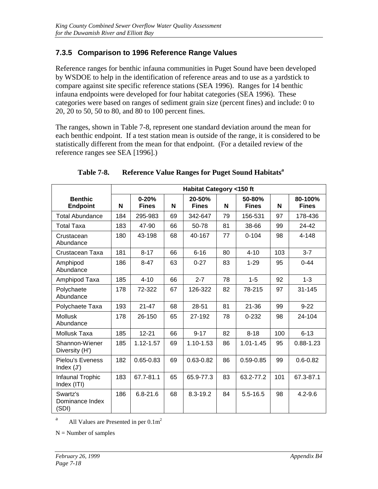## **7.3.5 Comparison to 1996 Reference Range Values**

Reference ranges for benthic infauna communities in Puget Sound have been developed by WSDOE to help in the identification of reference areas and to use as a yardstick to compare against site specific reference stations (SEA 1996). Ranges for 14 benthic infauna endpoints were developed for four habitat categories (SEA 1996). These categories were based on ranges of sediment grain size (percent fines) and include: 0 to 20, 20 to 50, 50 to 80, and 80 to 100 percent fines.

The ranges, shown in Table 7-8, represent one standard deviation around the mean for each benthic endpoint. If a test station mean is outside of the range, it is considered to be statistically different from the mean for that endpoint. (For a detailed review of the reference ranges see SEA [1996].)

|                                         |     |                           |    | <b>Habitat Category &lt;150 ft</b> |    |                        |     |                         |
|-----------------------------------------|-----|---------------------------|----|------------------------------------|----|------------------------|-----|-------------------------|
| <b>Benthic</b><br><b>Endpoint</b>       | N   | $0 - 20%$<br><b>Fines</b> | N  | 20-50%<br><b>Fines</b>             | N  | 50-80%<br><b>Fines</b> | N   | 80-100%<br><b>Fines</b> |
| <b>Total Abundance</b>                  | 184 | 295-983                   | 69 | 342-647                            | 79 | 156-531                | 97  | 178-436                 |
| <b>Total Taxa</b>                       | 183 | 47-90                     | 66 | 50-78                              | 81 | 38-66                  | 99  | 24-42                   |
| Crustacean<br>Abundance                 | 180 | 43-198                    | 68 | 40-167                             | 77 | $0 - 104$              | 98  | 4-148                   |
| Crustacean Taxa                         | 181 | $8 - 17$                  | 66 | $6 - 16$                           | 80 | $4 - 10$               | 103 | $3 - 7$                 |
| Amphipod<br>Abundance                   | 186 | $8 - 47$                  | 63 | $0 - 27$                           | 83 | $1 - 29$               | 95  | $0 - 44$                |
| Amphipod Taxa                           | 185 | $4 - 10$                  | 66 | $2 - 7$                            | 78 | $1-5$                  | 92  | $1 - 3$                 |
| Polychaete<br>Abundance                 | 178 | 72-322                    | 67 | 126-322                            | 82 | 78-215                 | 97  | 31-145                  |
| Polychaete Taxa                         | 193 | $21 - 47$                 | 68 | 28-51                              | 81 | $21 - 36$              | 99  | $9 - 22$                |
| <b>Mollusk</b><br>Abundance             | 178 | 26-150                    | 65 | 27-192                             | 78 | $0 - 232$              | 98  | 24-104                  |
| Mollusk Taxa                            | 185 | $12 - 21$                 | 66 | $9 - 17$                           | 82 | $8 - 18$               | 100 | $6 - 13$                |
| Shannon-Wiener<br>Diversity (H')        | 185 | 1.12-1.57                 | 69 | 1.10-1.53                          | 86 | $1.01 - 1.45$          | 95  | $0.88 - 1.23$           |
| <b>Pielou's Eveness</b><br>Index $(J')$ | 182 | $0.65 - 0.83$             | 69 | $0.63 - 0.82$                      | 86 | $0.59 - 0.85$          | 99  | $0.6 - 0.82$            |
| Infaunal Trophic<br>Index (ITI)         | 183 | 67.7-81.1                 | 65 | 65.9-77.3                          | 83 | 63.2-77.2              | 101 | 67.3-87.1               |
| Swartz's<br>Dominance Index<br>(SDI)    | 186 | $6.8 - 21.6$              | 68 | 8.3-19.2                           | 84 | $5.5 - 16.5$           | 98  | $4.2 - 9.6$             |

#### **Table 7-8. Reference Value Ranges for Puget Sound Habitats<sup>a</sup>**

<sup>a</sup> All Values are Presented in per  $0.1\text{m}^2$ 

 $N =$  Number of samples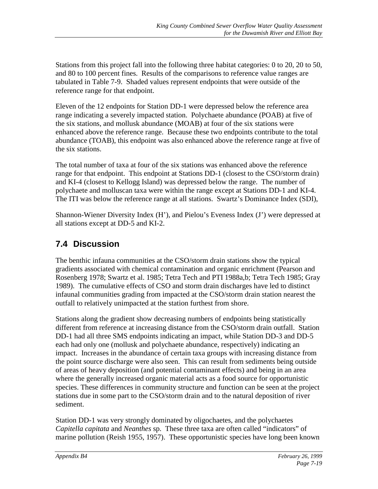Stations from this project fall into the following three habitat categories: 0 to 20, 20 to 50, and 80 to 100 percent fines. Results of the comparisons to reference value ranges are tabulated in Table 7-9. Shaded values represent endpoints that were outside of the reference range for that endpoint.

Eleven of the 12 endpoints for Station DD-1 were depressed below the reference area range indicating a severely impacted station. Polychaete abundance (POAB) at five of the six stations, and mollusk abundance (MOAB) at four of the six stations were enhanced above the reference range. Because these two endpoints contribute to the total abundance (TOAB), this endpoint was also enhanced above the reference range at five of the six stations.

The total number of taxa at four of the six stations was enhanced above the reference range for that endpoint. This endpoint at Stations DD-1 (closest to the CSO/storm drain) and KI-4 (closest to Kellogg Island) was depressed below the range. The number of polychaete and molluscan taxa were within the range except at Stations DD-1 and KI-4. The ITI was below the reference range at all stations. Swartz's Dominance Index (SDI),

Shannon-Wiener Diversity Index (H'), and Pielou's Eveness Index (J') were depressed at all stations except at DD-5 and KI-2.

# **7.4 Discussion**

The benthic infauna communities at the CSO/storm drain stations show the typical gradients associated with chemical contamination and organic enrichment (Pearson and Rosenberg 1978; Swartz et al. 1985; Tetra Tech and PTI 1988a,b; Tetra Tech 1985; Gray 1989). The cumulative effects of CSO and storm drain discharges have led to distinct infaunal communities grading from impacted at the CSO/storm drain station nearest the outfall to relatively unimpacted at the station furthest from shore.

Stations along the gradient show decreasing numbers of endpoints being statistically different from reference at increasing distance from the CSO/storm drain outfall. Station DD-1 had all three SMS endpoints indicating an impact, while Station DD-3 and DD-5 each had only one (mollusk and polychaete abundance, respectively) indicating an impact. Increases in the abundance of certain taxa groups with increasing distance from the point source discharge were also seen. This can result from sediments being outside of areas of heavy deposition (and potential contaminant effects) and being in an area where the generally increased organic material acts as a food source for opportunistic species. These differences in community structure and function can be seen at the project stations due in some part to the CSO/storm drain and to the natural deposition of river sediment.

Station DD-1 was very strongly dominated by oligochaetes, and the polychaetes *Capitella capitata* and *Neanthes* sp. These three taxa are often called "indicators" of marine pollution (Reish 1955, 1957). These opportunistic species have long been known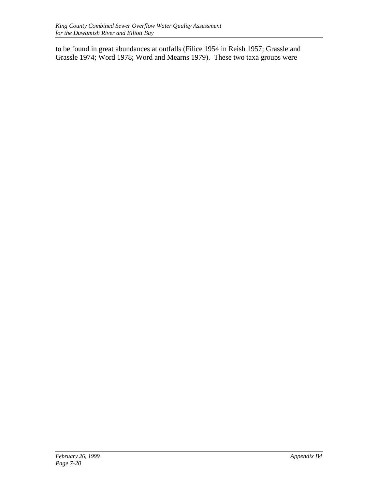to be found in great abundances at outfalls (Filice 1954 in Reish 1957; Grassle and Grassle 1974; Word 1978; Word and Mearns 1979). These two taxa groups were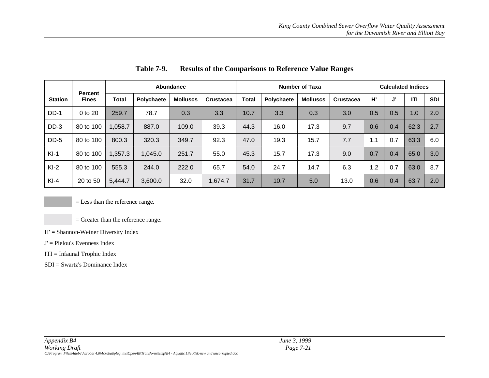|                |                         | Abundance    |                   |                 |                  | <b>Number of Taxa</b> |                   |                 |                  |     | <b>Calculated Indices</b> |      |            |  |
|----------------|-------------------------|--------------|-------------------|-----------------|------------------|-----------------------|-------------------|-----------------|------------------|-----|---------------------------|------|------------|--|
| <b>Station</b> | Percent<br><b>Fines</b> | <b>Total</b> | <b>Polychaete</b> | <b>Molluscs</b> | <b>Crustacea</b> | <b>Total</b>          | <b>Polychaete</b> | <b>Molluscs</b> | <b>Crustacea</b> | H'  | J'                        | ITI  | <b>SDI</b> |  |
| $DD-1$         | 0 to 20                 | 259.7        | 78.7              | 0.3             | 3.3              | 10.7                  | 3.3               | 0.3             | 3.0              | 0.5 | 0.5                       | 1.0  | 2.0        |  |
| $DD-3$         | 80 to 100               | 1,058.7      | 887.0             | 109.0           | 39.3             | 44.3                  | 16.0              | 17.3            | 9.7              | 0.6 | 0.4                       | 62.3 | 2.7        |  |
| DD-5           | 80 to 100               | 800.3        | 320.3             | 349.7           | 92.3             | 47.0                  | 19.3              | 15.7            | 7.7              | 1.1 | 0.7                       | 63.3 | 6.0        |  |
| $KI-1$         | 80 to 100               | 1,357.3      | 1,045.0           | 251.7           | 55.0             | 45.3                  | 15.7              | 17.3            | 9.0              | 0.7 | 0.4                       | 65.0 | 3.0        |  |
| $KI-2$         | 80 to 100               | 555.3        | 244.0             | 222.0           | 65.7             | 54.0                  | 24.7              | 14.7            | 6.3              | 1.2 | 0.7                       | 63.0 | 8.7        |  |
| $KI-4$         | 20 to 50                | 5,444.7      | 3,600.0           | 32.0            | 1.674.7          | 31.7                  | 10.7              | 5.0             | 13.0             | 0.6 | 0.4                       | 63.7 | 2.0        |  |

**Table 7-9. Results of the Comparisons to Reference Value Ranges**

= Less than the reference range.

= Greater than the reference range.

- H' = Shannon-Weiner Diversity Index
- $J' =$  Pielou's Evenness Index
- ITI = Infaunal Trophic Index
- SDI = Swartz's Dominance Index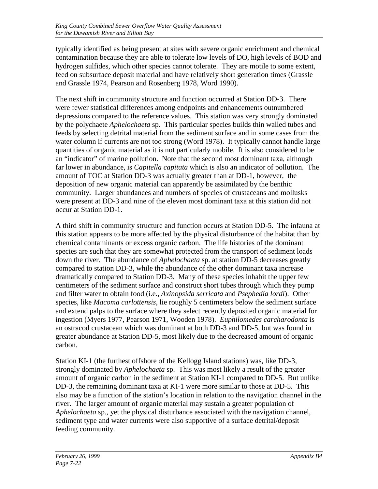typically identified as being present at sites with severe organic enrichment and chemical contamination because they are able to tolerate low levels of DO, high levels of BOD and hydrogen sulfides, which other species cannot tolerate. They are motile to some extent, feed on subsurface deposit material and have relatively short generation times (Grassle and Grassle 1974, Pearson and Rosenberg 1978, Word 1990).

The next shift in community structure and function occurred at Station DD-3. There were fewer statistical differences among endpoints and enhancements outnumbered depressions compared to the reference values. This station was very strongly dominated by the polychaete *Aphelochaeta* sp. This particular species builds thin walled tubes and feeds by selecting detrital material from the sediment surface and in some cases from the water column if currents are not too strong (Word 1978). It typically cannot handle large quantities of organic material as it is not particularly mobile. It is also considered to be an "indicator" of marine pollution. Note that the second most dominant taxa, although far lower in abundance, is *Capitella capitata* which is also an indicator of pollution. The amount of TOC at Station DD-3 was actually greater than at DD-1, however, the deposition of new organic material can apparently be assimilated by the benthic community. Larger abundances and numbers of species of crustaceans and mollusks were present at DD-3 and nine of the eleven most dominant taxa at this station did not occur at Station DD-1.

A third shift in community structure and function occurs at Station DD-5. The infauna at this station appears to be more affected by the physical disturbance of the habitat than by chemical contaminants or excess organic carbon. The life histories of the dominant species are such that they are somewhat protected from the transport of sediment loads down the river. The abundance of *Aphelochaeta* sp. at station DD-5 decreases greatly compared to station DD-3, while the abundance of the other dominant taxa increase dramatically compared to Station DD-3. Many of these species inhabit the upper few centimeters of the sediment surface and construct short tubes through which they pump and filter water to obtain food (i.e., *Axinopsida serricata* and *Psephedia lordi*). Other species, like *Macoma carlottensis*, lie roughly 5 centimeters below the sediment surface and extend palps to the surface where they select recently deposited organic material for ingestion (Myers 1977, Pearson 1971, Wooden 1978). *Euphilomedes carcharodonta* is an ostracod crustacean which was dominant at both DD-3 and DD-5, but was found in greater abundance at Station DD-5, most likely due to the decreased amount of organic carbon.

Station KI-1 (the furthest offshore of the Kellogg Island stations) was, like DD-3, strongly dominated by *Aphelochaeta* sp. This was most likely a result of the greater amount of organic carbon in the sediment at Station KI-1 compared to DD-5. But unlike DD-3, the remaining dominant taxa at KI-1 were more similar to those at DD-5. This also may be a function of the station's location in relation to the navigation channel in the river. The larger amount of organic material may sustain a greater population of *Aphelochaeta* sp., yet the physical disturbance associated with the navigation channel, sediment type and water currents were also supportive of a surface detrital/deposit feeding community.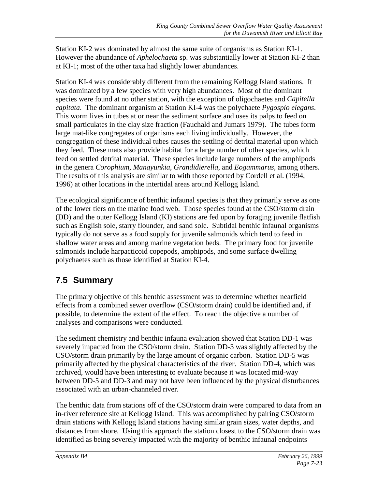Station KI-2 was dominated by almost the same suite of organisms as Station KI-1. However the abundance of *Aphelochaeta* sp. was substantially lower at Station KI-2 than at KI-1; most of the other taxa had slightly lower abundances.

Station KI-4 was considerably different from the remaining Kellogg Island stations. It was dominated by a few species with very high abundances. Most of the dominant species were found at no other station, with the exception of oligochaetes and *Capitella capitata*. The dominant organism at Station KI-4 was the polychaete *Pygospio elegans*. This worm lives in tubes at or near the sediment surface and uses its palps to feed on small particulates in the clay size fraction (Fauchald and Jumars 1979). The tubes form large mat-like congregates of organisms each living individually. However, the congregation of these individual tubes causes the settling of detrital material upon which they feed. These mats also provide habitat for a large number of other species, which feed on settled detrital material. These species include large numbers of the amphipods in the genera *Corophium*, *Manayunkia*, *Grandidierella*, and *Eogammarus*, among others. The results of this analysis are similar to with those reported by Cordell et al. (1994, 1996) at other locations in the intertidal areas around Kellogg Island.

The ecological significance of benthic infaunal species is that they primarily serve as one of the lower tiers on the marine food web. Those species found at the CSO/storm drain (DD) and the outer Kellogg Island (KI) stations are fed upon by foraging juvenile flatfish such as English sole, starry flounder, and sand sole. Subtidal benthic infaunal organisms typically do not serve as a food supply for juvenile salmonids which tend to feed in shallow water areas and among marine vegetation beds. The primary food for juvenile salmonids include harpacticoid copepods, amphipods, and some surface dwelling polychaetes such as those identified at Station KI-4.

# **7.5 Summary**

The primary objective of this benthic assessment was to determine whether nearfield effects from a combined sewer overflow (CSO/storm drain) could be identified and, if possible, to determine the extent of the effect. To reach the objective a number of analyses and comparisons were conducted.

The sediment chemistry and benthic infauna evaluation showed that Station DD-1 was severely impacted from the CSO/storm drain. Station DD-3 was slightly affected by the CSO/storm drain primarily by the large amount of organic carbon. Station DD-5 was primarily affected by the physical characteristics of the river. Station DD-4, which was archived, would have been interesting to evaluate because it was located mid-way between DD-5 and DD-3 and may not have been influenced by the physical disturbances associated with an urban-channeled river.

The benthic data from stations off of the CSO/storm drain were compared to data from an in-river reference site at Kellogg Island. This was accomplished by pairing CSO/storm drain stations with Kellogg Island stations having similar grain sizes, water depths, and distances from shore. Using this approach the station closest to the CSO/storm drain was identified as being severely impacted with the majority of benthic infaunal endpoints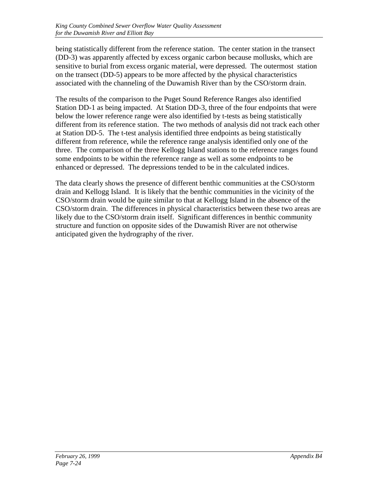being statistically different from the reference station. The center station in the transect (DD-3) was apparently affected by excess organic carbon because mollusks, which are sensitive to burial from excess organic material, were depressed. The outermost station on the transect (DD-5) appears to be more affected by the physical characteristics associated with the channeling of the Duwamish River than by the CSO/storm drain.

The results of the comparison to the Puget Sound Reference Ranges also identified Station DD-1 as being impacted. At Station DD-3, three of the four endpoints that were below the lower reference range were also identified by t-tests as being statistically different from its reference station. The two methods of analysis did not track each other at Station DD-5. The t-test analysis identified three endpoints as being statistically different from reference, while the reference range analysis identified only one of the three. The comparison of the three Kellogg Island stations to the reference ranges found some endpoints to be within the reference range as well as some endpoints to be enhanced or depressed. The depressions tended to be in the calculated indices.

The data clearly shows the presence of different benthic communities at the CSO/storm drain and Kellogg Island. It is likely that the benthic communities in the vicinity of the CSO/storm drain would be quite similar to that at Kellogg Island in the absence of the CSO/storm drain. The differences in physical characteristics between these two areas are likely due to the CSO/storm drain itself. Significant differences in benthic community structure and function on opposite sides of the Duwamish River are not otherwise anticipated given the hydrography of the river.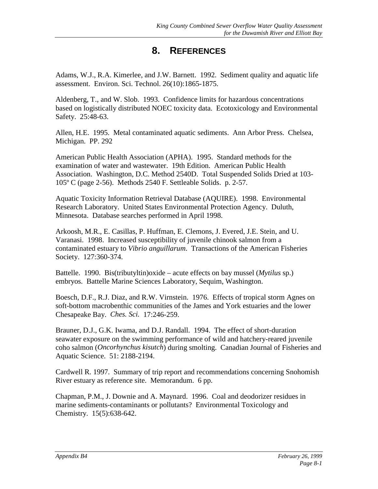## **8. REFERENCES**

Adams, W.J., R.A. Kimerlee, and J.W. Barnett. 1992. Sediment quality and aquatic life assessment. Environ. Sci. Technol. 26(10):1865-1875.

Aldenberg, T., and W. Slob. 1993. Confidence limits for hazardous concentrations based on logistically distributed NOEC toxicity data. Ecotoxicology and Environmental Safety. 25:48-63.

Allen, H.E. 1995. Metal contaminated aquatic sediments. Ann Arbor Press. Chelsea, Michigan. PP. 292

American Public Health Association (APHA). 1995. Standard methods for the examination of water and wastewater. 19th Edition. American Public Health Association. Washington, D.C. Method 2540D. Total Suspended Solids Dried at 103- 105º C (page 2-56). Methods 2540 F. Settleable Solids. p. 2-57.

Aquatic Toxicity Information Retrieval Database (AQUIRE). 1998. Environmental Research Laboratory. United States Environmental Protection Agency. Duluth, Minnesota. Database searches performed in April 1998.

Arkoosh, M.R., E. Casillas, P. Huffman, E. Clemons, J. Evered, J.E. Stein, and U. Varanasi. 1998. Increased susceptibility of juvenile chinook salmon from a contaminated estuary to *Vibrio anguillarum*. Transactions of the American Fisheries Society. 127:360-374.

Battelle. 1990. Bis(tributyltin)oxide – acute effects on bay mussel (*Mytilus* sp.) embryos. Battelle Marine Sciences Laboratory, Sequim, Washington.

Boesch, D.F., R.J. Diaz, and R.W. Virnstein. 1976. Effects of tropical storm Agnes on soft-bottom macrobenthic communities of the James and York estuaries and the lower Chesapeake Bay. *Ches. Sci.* 17:246-259.

Brauner, D.J., G.K. Iwama, and D.J. Randall. 1994. The effect of short-duration seawater exposure on the swimming performance of wild and hatchery-reared juvenile coho salmon (*Oncorhynchus kisutch*) during smolting. Canadian Journal of Fisheries and Aquatic Science. 51: 2188-2194.

Cardwell R. 1997. Summary of trip report and recommendations concerning Snohomish River estuary as reference site. Memorandum. 6 pp.

Chapman, P.M., J. Downie and A. Maynard. 1996. Coal and deodorizer residues in marine sediments-contaminants or pollutants? Environmental Toxicology and Chemistry. 15(5):638-642.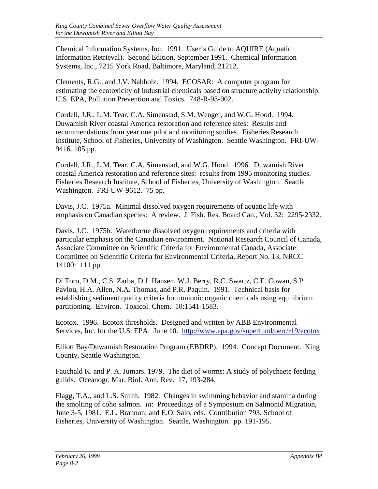Chemical Information Systems, Inc. 1991. User's Guide to AQUIRE (Aquatic Information Retrieval). Second Edition, September 1991. Chemical Information Systems, Inc., 7215 York Road, Baltimore, Maryland, 21212.

Clements, R.G., and J.V. Nabholz. 1994. ECOSAR: A computer program for estimating the ecotoxicity of industrial chemicals based on structure activity relationship. U.S. EPA, Pollution Prevention and Toxics. 748-R-93-002.

Cordell, J.R., L.M. Tear, C.A. Simenstad, S.M. Wenger, and W.G. Hood. 1994. Duwamish River coastal America restoration and reference sites: Results and recommendations from year one pilot and monitoring studies. Fisheries Research Institute, School of Fisheries, University of Washington. Seattle Washington. FRI-UW-9416. 105 pp.

Cordell, J.R., L.M. Tear, C.A. Simenstad, and W.G. Hood. 1996. Duwamish River coastal America restoration and reference sites: results from 1995 monitoring studies. Fisheries Research Institute, School of Fisheries, University of Washington. Seattle Washington. FRI-UW-9612. 75 pp.

Davis, J.C. 1975a. Minimal dissolved oxygen requirements of aquatic life with emphasis on Canadian species: A review. J. Fish. Res. Board Can., Vol. 32: 2295-2332.

Davis, J.C. 1975b. Waterborne dissolved oxygen requirements and criteria with particular emphasis on the Canadian environment. National Research Council of Canada, Associate Committee on Scientific Criteria for Environmental Canada, Associate Committee on Scientific Criteria for Environmental Criteria, Report No. 13, NRCC 14100: 111 pp.

Di Toro, D.M., C.S. Zarba, D.J. Hansen, W.J. Berry, R.C. Swartz, C.E. Cowan, S.P. Pavlou, H.A. Allen, N.A. Thomas, and P.R. Paquin. 1991. Technical basis for establishing sediment quality criteria for nonionic organic chemicals using equilibrium partitioning. Environ. Toxicol. Chem. 10:1541-1583.

Ecotox. 1996. Ecotox thresholds. Designed and written by ABB Environmental Services, Inc. for the U.S. EPA. June 10. <http://www.epa.gov/superfund/oerr/r19/ecotox>

Elliott Bay/Duwamish Restoration Program (EBDRP). 1994. Concept Document. King County, Seattle Washington.

Fauchald K. and P. A. Jumars. 1979. The diet of worms: A study of polychaete feeding guilds. Oceanogr. Mar. Biol. Ann. Rev. 17, 193-284.

Flagg, T.A., and L.S. Smith. 1982. Changes in swimming behavior and stamina during the smolting of coho salmon. *In*: Proceedings of a Symposium on Salmonid Migration, June 3-5, 1981. E.L. Brannon, and E.O. Salo, eds. Contribution 793, School of Fisheries, University of Washington. Seattle, Washington. pp. 191-195.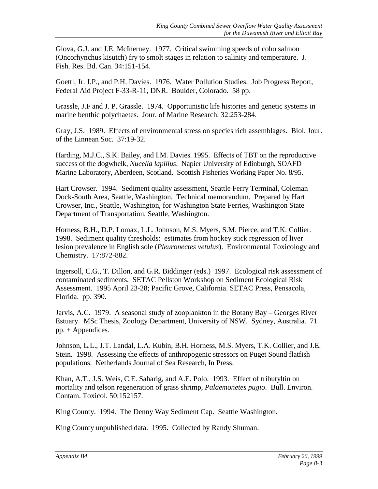Glova, G.J. and J.E. McInerney. 1977. Critical swimming speeds of coho salmon (Oncorhynchus kisutch) fry to smolt stages in relation to salinity and temperature. J. Fish. Res. Bd. Can. 34:151-154.

Goettl, Jr. J.P., and P.H. Davies. 1976. Water Pollution Studies. Job Progress Report, Federal Aid Project F-33-R-11, DNR. Boulder, Colorado. 58 pp.

Grassle, J.F and J. P. Grassle. 1974. Opportunistic life histories and genetic systems in marine benthic polychaetes. Jour. of Marine Research. 32:253-284.

Gray, J.S. 1989. Effects of environmental stress on species rich assemblages. Biol. Jour. of the Linnean Soc. 37:19-32.

Harding, M.J.C., S.K. Bailey, and I.M. Davies. 1995. Effects of TBT on the reproductive success of the dogwhelk, *Nucella lapillus*. Napier University of Edinburgh, SOAFD Marine Laboratory, Aberdeen, Scotland. Scottish Fisheries Working Paper No. 8/95.

Hart Crowser. 1994. Sediment quality assessment, Seattle Ferry Terminal, Coleman Dock-South Area, Seattle, Washington. Technical memorandum. Prepared by Hart Crowser, Inc., Seattle, Washington, for Washington State Ferries, Washington State Department of Transportation, Seattle, Washington.

Horness, B.H., D.P. Lomax, L.L. Johnson, M.S. Myers, S.M. Pierce, and T.K. Collier. 1998. Sediment quality thresholds: estimates from hockey stick regression of liver lesion prevalence in English sole (*Pleuronectes vetulus*). Environmental Toxicology and Chemistry. 17:872-882.

Ingersoll, C.G., T. Dillon, and G.R. Biddinger (eds.) 1997. Ecological risk assessment of contaminated sediments. SETAC Pellston Workshop on Sediment Ecological Risk Assessment. 1995 April 23-28; Pacific Grove, California. SETAC Press, Pensacola, Florida. pp. 390.

Jarvis, A.C. 1979. A seasonal study of zooplankton in the Botany Bay – Georges River Estuary. MSc Thesis, Zoology Department, University of NSW. Sydney, Australia. 71 pp. + Appendices.

Johnson, L.L., J.T. Landal, L.A. Kubin, B.H. Horness, M.S. Myers, T.K. Collier, and J.E. Stein. 1998. Assessing the effects of anthropogenic stressors on Puget Sound flatfish populations. Netherlands Journal of Sea Research, In Press.

Khan, A.T., J.S. Weis, C.E. Saharig, and A.E. Polo. 1993. Effect of tributyltin on mortality and telson regeneration of grass shrimp, *Palaemonetes pugio*. Bull. Environ. Contam. Toxicol. 50:152157.

King County. 1994. The Denny Way Sediment Cap. Seattle Washington.

King County unpublished data. 1995. Collected by Randy Shuman.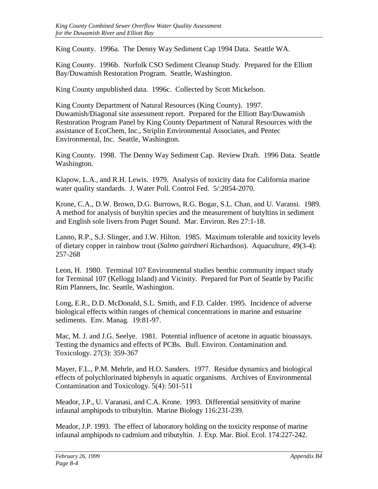King County. 1996a. The Denny Way Sediment Cap 1994 Data. Seattle WA.

King County. 1996b. Norfolk CSO Sediment Cleanup Study. Prepared for the Elliott Bay/Duwamish Restoration Program. Seattle, Washington.

King County unpublished data. 1996c. Collected by Scott Mickelson.

King County Department of Natural Resources (King County). 1997. Duwamish/Diagonal site assessment report. Prepared for the Elliott Bay/Duwamish Restoration Program Panel by King County Department of Natural Resources with the assistance of EcoChem, Inc., Striplin Environmental Associates, and Pentec Environmental, Inc. Seattle, Washington.

King County. 1998. The Denny Way Sediment Cap. Review Draft. 1996 Data. Seattle Washington.

Klapow, L.A., and R.H. Lewis. 1979. Analysis of toxicity data for California marine water quality standards. J. Water Poll. Control Fed. 5/:2054-2070.

Krone, C.A., D.W. Brown, D.G. Burrows, R.G. Bogar, S.L. Chan, and U. Varansi. 1989. A method for analysis of butyltin species and the measurement of butyltins in sediment and English sole livers from Puget Sound. Mar. Environ. Res 27:1-18.

Lanno, R.P., S.J. Slinger, and J.W. Hilton. 1985. Maximum tolerable and toxicity levels of dietary copper in rainbow trout (*Salmo gairdneri* Richardson). Aquaculture, 49(3-4): 257-268

Leon, H. 1980. Terminal 107 Environmental studies benthic community impact study for Terminal 107 (Kellogg Island) and Vicinity. Prepared for Port of Seattle by Pacific Rim Planners, Inc. Seattle, Washington.

Long, E.R., D.D. McDonald, S.L. Smith, and F.D. Calder. 1995. Incidence of adverse biological effects within ranges of chemical concentrations in marine and estuarine sediments. Env. Manag. 19:81-97.

Mac, M. J. and J.G. Seelye. 1981. Potential influence of acetone in aquatic bioassays. Testing the dynamics and effects of PCBs. Bull. Environ. Contamination and. Toxicology. 27(3): 359-367

Mayer, F.L., P.M. Mehrle, and H.O. Sanders. 1977. Residue dynamics and biological effects of polychlorinated biphenyls in aquatic organisms. Archives of Environmental Contamination and Toxicology. 5(4): 501-511

Meador, J.P., U. Varanasi, and C.A. Krone. 1993. Differential sensitivity of marine infaunal amphipods to tributyltin. Marine Biology 116:231-239.

Meador, J.P. 1993. The effect of laboratory holding on the toxicity response of marine infaunal amphipods to cadmium and tributyltin. J. Exp. Mar. Biol. Ecol. 174:227-242.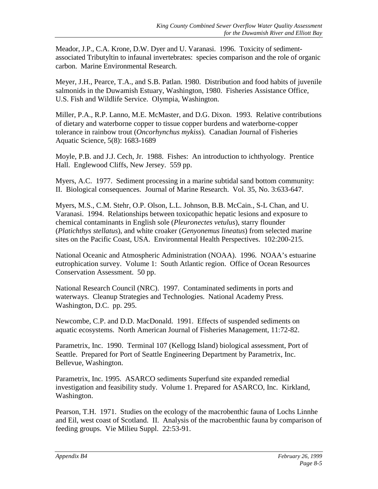Meador, J.P., C.A. Krone, D.W. Dyer and U. Varanasi. 1996. Toxicity of sedimentassociated Tributyltin to infaunal invertebrates: species comparison and the role of organic carbon. Marine Environmental Research.

Meyer, J.H., Pearce, T.A., and S.B. Patlan. 1980. Distribution and food habits of juvenile salmonids in the Duwamish Estuary, Washington, 1980. Fisheries Assistance Office, U.S. Fish and Wildlife Service. Olympia, Washington.

Miller, P.A., R.P. Lanno, M.E. McMaster, and D.G. Dixon. 1993. Relative contributions of dietary and waterborne copper to tissue copper burdens and waterborne-copper tolerance in rainbow trout (*Oncorhynchus mykiss*). Canadian Journal of Fisheries Aquatic Science, 5(8): 1683-1689

Moyle, P.B. and J.J. Cech, Jr. 1988. Fishes: An introduction to ichthyology. Prentice Hall. Englewood Cliffs, New Jersey. 559 pp.

Myers, A.C. 1977. Sediment processing in a marine subtidal sand bottom community: II. Biological consequences. Journal of Marine Research. Vol. 35, No. 3:633-647.

Myers, M.S., C.M. Stehr, O.P. Olson, L.L. Johnson, B.B. McCain., S-L Chan, and U. Varanasi. 1994. Relationships between toxicopathic hepatic lesions and exposure to chemical contaminants in English sole (*Pleuronectes vetulus*), starry flounder (*Platichthys stellatus*), and white croaker (*Genyonemus lineatus*) from selected marine sites on the Pacific Coast, USA. Environmental Health Perspectives. 102:200-215.

National Oceanic and Atmospheric Administration (NOAA). 1996. NOAA's estuarine eutrophication survey. Volume 1: South Atlantic region. Office of Ocean Resources Conservation Assessment. 50 pp.

National Research Council (NRC). 1997. Contaminated sediments in ports and waterways. Cleanup Strategies and Technologies. National Academy Press. Washington, D.C. pp. 295.

Newcombe, C.P. and D.D. MacDonald. 1991. Effects of suspended sediments on aquatic ecosystems. North American Journal of Fisheries Management, 11:72-82.

Parametrix, Inc. 1990. Terminal 107 (Kellogg Island) biological assessment, Port of Seattle. Prepared for Port of Seattle Engineering Department by Parametrix, Inc. Bellevue, Washington.

Parametrix, Inc. 1995. ASARCO sediments Superfund site expanded remedial investigation and feasibility study. Volume 1. Prepared for ASARCO, Inc. Kirkland, Washington.

Pearson, T.H. 1971. Studies on the ecology of the macrobenthic fauna of Lochs Linnhe and Eil, west coast of Scotland. II. Analysis of the macrobenthic fauna by comparison of feeding groups. Vie Milieu Suppl. 22:53-91.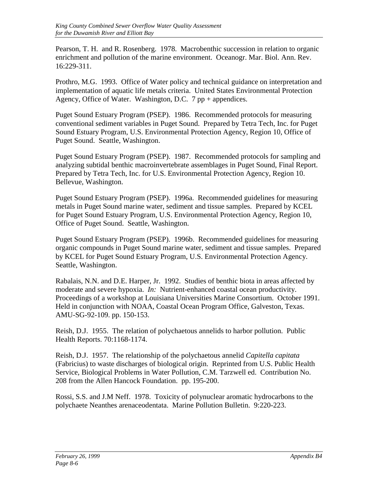Pearson, T. H. and R. Rosenberg. 1978. Macrobenthic succession in relation to organic enrichment and pollution of the marine environment. Oceanogr. Mar. Biol. Ann. Rev. 16:229-311.

Prothro, M.G. 1993. Office of Water policy and technical guidance on interpretation and implementation of aquatic life metals criteria. United States Environmental Protection Agency, Office of Water. Washington, D.C. 7 pp + appendices.

Puget Sound Estuary Program (PSEP). 1986. Recommended protocols for measuring conventional sediment variables in Puget Sound. Prepared by Tetra Tech, Inc. for Puget Sound Estuary Program, U.S. Environmental Protection Agency, Region 10, Office of Puget Sound. Seattle, Washington.

Puget Sound Estuary Program (PSEP). 1987. Recommended protocols for sampling and analyzing subtidal benthic macroinvertebrate assemblages in Puget Sound, Final Report. Prepared by Tetra Tech, Inc. for U.S. Environmental Protection Agency, Region 10. Bellevue, Washington.

Puget Sound Estuary Program (PSEP). 1996a. Recommended guidelines for measuring metals in Puget Sound marine water, sediment and tissue samples. Prepared by KCEL for Puget Sound Estuary Program, U.S. Environmental Protection Agency, Region 10, Office of Puget Sound. Seattle, Washington.

Puget Sound Estuary Program (PSEP). 1996b. Recommended guidelines for measuring organic compounds in Puget Sound marine water, sediment and tissue samples. Prepared by KCEL for Puget Sound Estuary Program, U.S. Environmental Protection Agency. Seattle, Washington.

Rabalais, N.N. and D.E. Harper, Jr. 1992. Studies of benthic biota in areas affected by moderate and severe hypoxia. *In:* Nutrient-enhanced coastal ocean productivity. Proceedings of a workshop at Louisiana Universities Marine Consortium. October 1991. Held in conjunction with NOAA, Coastal Ocean Program Office, Galveston, Texas. AMU-SG-92-109. pp. 150-153.

Reish, D.J. 1955. The relation of polychaetous annelids to harbor pollution. Public Health Reports. 70:1168-1174.

Reish, D.J. 1957. The relationship of the polychaetous annelid *Capitella capitata* (Fabricius) to waste discharges of biological origin. Reprinted from U.S. Public Health Service, Biological Problems in Water Pollution, C.M. Tarzwell ed. Contribution No. 208 from the Allen Hancock Foundation. pp. 195-200.

Rossi, S.S. and J.M Neff. 1978. Toxicity of polynuclear aromatic hydrocarbons to the polychaete Neanthes arenaceodentata. Marine Pollution Bulletin. 9:220-223.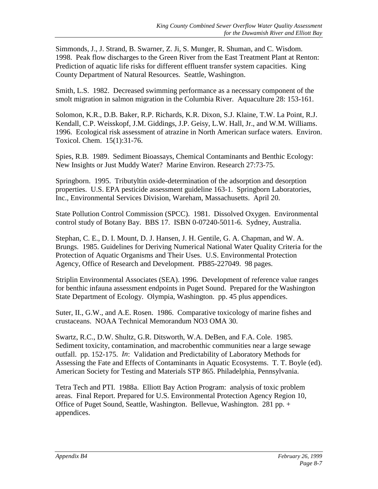Simmonds, J., J. Strand, B. Swarner, Z. Ji, S. Munger, R. Shuman, and C. Wisdom. 1998. Peak flow discharges to the Green River from the East Treatment Plant at Renton: Prediction of aquatic life risks for different effluent transfer system capacities. King County Department of Natural Resources. Seattle, Washington.

Smith, L.S. 1982. Decreased swimming performance as a necessary component of the smolt migration in salmon migration in the Columbia River. Aquaculture 28: 153-161.

Solomon, K.R., D.B. Baker, R.P. Richards, K.R. Dixon, S.J. Klaine, T.W. La Point, R.J. Kendall, C.P. Weisskopf, J.M. Giddings, J.P. Geisy, L.W. Hall, Jr., and W.M. Williams. 1996. Ecological risk assessment of atrazine in North American surface waters. Environ. Toxicol. Chem. 15(1):31-76.

Spies, R.B. 1989. Sediment Bioassays, Chemical Contaminants and Benthic Ecology: New Insights or Just Muddy Water? Marine Environ. Research 27:73-75.

Springborn. 1995. Tributyltin oxide-determination of the adsorption and desorption properties. U.S. EPA pesticide assessment guideline 163-1. Springborn Laboratories, Inc., Environmental Services Division, Wareham, Massachusetts. April 20.

State Pollution Control Commission (SPCC). 1981. Dissolved Oxygen. Environmental control study of Botany Bay. BBS 17. ISBN 0-07240-5011-6. Sydney, Australia.

Stephan, C. E., D. I. Mount, D. J. Hansen, J. H. Gentile, G. A. Chapman, and W. A. Brungs. 1985. Guidelines for Deriving Numerical National Water Quality Criteria for the Protection of Aquatic Organisms and Their Uses. U.S. Environmental Protection Agency, Office of Research and Development. PB85-227049. 98 pages.

Striplin Environmental Associates (SEA). 1996. Development of reference value ranges for benthic infauna assessment endpoints in Puget Sound. Prepared for the Washington State Department of Ecology. Olympia, Washington. pp. 45 plus appendices.

Suter, II., G.W., and A.E. Rosen. 1986. Comparative toxicology of marine fishes and crustaceans. NOAA Technical Memorandum NO3 OMA 30.

Swartz, R.C., D.W. Shultz, G.R. Ditsworth, W.A. DeBen, and F.A. Cole. 1985. Sediment toxicity, contamination, and macrobenthic communities near a large sewage outfall. pp. 152-175. *In*: Validation and Predictability of Laboratory Methods for Assessing the Fate and Effects of Contaminants in Aquatic Ecosystems. T. T. Boyle (ed). American Society for Testing and Materials STP 865. Philadelphia, Pennsylvania.

Tetra Tech and PTI. 1988a. Elliott Bay Action Program: analysis of toxic problem areas. Final Report. Prepared for U.S. Environmental Protection Agency Region 10, Office of Puget Sound, Seattle, Washington. Bellevue, Washington. 281 pp. + appendices.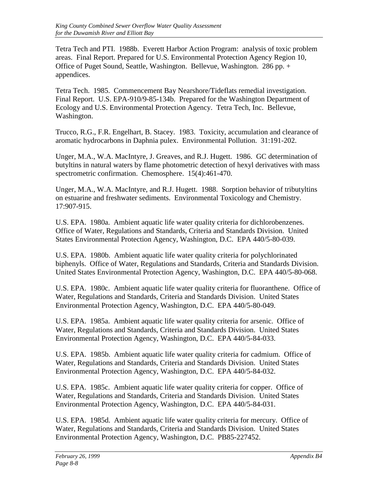Tetra Tech and PTI. 1988b. Everett Harbor Action Program: analysis of toxic problem areas. Final Report. Prepared for U.S. Environmental Protection Agency Region 10, Office of Puget Sound, Seattle, Washington. Bellevue, Washington. 286 pp. + appendices.

Tetra Tech. 1985. Commencement Bay Nearshore/Tideflats remedial investigation. Final Report. U.S. EPA-910/9-85-134b. Prepared for the Washington Department of Ecology and U.S. Environmental Protection Agency. Tetra Tech, Inc. Bellevue, Washington.

Trucco, R.G., F.R. Engelhart, B. Stacey. 1983. Toxicity, accumulation and clearance of aromatic hydrocarbons in Daphnia pulex. Environmental Pollution. 31:191-202.

Unger, M.A., W.A. MacIntyre, J. Greaves, and R.J. Hugett. 1986. GC determination of butyltins in natural waters by flame photometric detection of hexyl derivatives with mass spectrometric confirmation. Chemosphere. 15(4):461-470.

Unger, M.A., W.A. MacIntyre, and R.J. Hugett. 1988. Sorption behavior of tributyltins on estuarine and freshwater sediments. Environmental Toxicology and Chemistry. 17:907-915.

U.S. EPA. 1980a. Ambient aquatic life water quality criteria for dichlorobenzenes. Office of Water, Regulations and Standards, Criteria and Standards Division. United States Environmental Protection Agency, Washington, D.C. EPA 440/5-80-039.

U.S. EPA. 1980b. Ambient aquatic life water quality criteria for polychlorinated biphenyls. Office of Water, Regulations and Standards, Criteria and Standards Division. United States Environmental Protection Agency, Washington, D.C. EPA 440/5-80-068.

U.S. EPA. 1980c. Ambient aquatic life water quality criteria for fluoranthene. Office of Water, Regulations and Standards, Criteria and Standards Division. United States Environmental Protection Agency, Washington, D.C. EPA 440/5-80-049.

U.S. EPA. 1985a. Ambient aquatic life water quality criteria for arsenic. Office of Water, Regulations and Standards, Criteria and Standards Division. United States Environmental Protection Agency, Washington, D.C. EPA 440/5-84-033.

U.S. EPA. 1985b. Ambient aquatic life water quality criteria for cadmium. Office of Water, Regulations and Standards, Criteria and Standards Division. United States Environmental Protection Agency, Washington, D.C. EPA 440/5-84-032.

U.S. EPA. 1985c. Ambient aquatic life water quality criteria for copper. Office of Water, Regulations and Standards, Criteria and Standards Division. United States Environmental Protection Agency, Washington, D.C. EPA 440/5-84-031.

U.S. EPA. 1985d. Ambient aquatic life water quality criteria for mercury. Office of Water, Regulations and Standards, Criteria and Standards Division. United States Environmental Protection Agency, Washington, D.C. PB85-227452.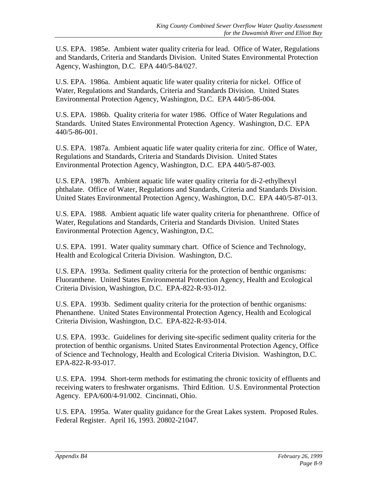U.S. EPA. 1985e. Ambient water quality criteria for lead. Office of Water, Regulations and Standards, Criteria and Standards Division. United States Environmental Protection Agency, Washington, D.C. EPA 440/5-84/027.

U.S. EPA. 1986a. Ambient aquatic life water quality criteria for nickel. Office of Water, Regulations and Standards, Criteria and Standards Division. United States Environmental Protection Agency, Washington, D.C. EPA 440/5-86-004.

U.S. EPA. 1986b. Quality criteria for water 1986. Office of Water Regulations and Standards. United States Environmental Protection Agency. Washington, D.C. EPA 440/5-86-001.

U.S. EPA. 1987a. Ambient aquatic life water quality criteria for zinc. Office of Water, Regulations and Standards, Criteria and Standards Division. United States Environmental Protection Agency, Washington, D.C. EPA 440/5-87-003.

U.S. EPA. 1987b. Ambient aquatic life water quality criteria for di-2-ethylhexyl phthalate. Office of Water, Regulations and Standards, Criteria and Standards Division. United States Environmental Protection Agency, Washington, D.C. EPA 440/5-87-013.

U.S. EPA. 1988. Ambient aquatic life water quality criteria for phenanthrene. Office of Water, Regulations and Standards, Criteria and Standards Division. United States Environmental Protection Agency, Washington, D.C.

U.S. EPA. 1991. Water quality summary chart. Office of Science and Technology, Health and Ecological Criteria Division. Washington, D.C.

U.S. EPA. 1993a. Sediment quality criteria for the protection of benthic organisms: Fluoranthene. United States Environmental Protection Agency, Health and Ecological Criteria Division, Washington, D.C. EPA-822-R-93-012.

U.S. EPA. 1993b. Sediment quality criteria for the protection of benthic organisms: Phenanthene. United States Environmental Protection Agency, Health and Ecological Criteria Division, Washington, D.C. EPA-822-R-93-014.

U.S. EPA. 1993c. Guidelines for deriving site-specific sediment quality criteria for the protection of benthic organisms. United States Environmental Protection Agency, Office of Science and Technology, Health and Ecological Criteria Division. Washington, D.C. EPA-822-R-93-017.

U.S. EPA. 1994. Short-term methods for estimating the chronic toxicity of effluents and receiving waters to freshwater organisms. Third Edition. U.S. Environmental Protection Agency. EPA/600/4-91/002. Cincinnati, Ohio.

U.S. EPA. 1995a. Water quality guidance for the Great Lakes system. Proposed Rules. Federal Register. April 16, 1993. 20802-21047.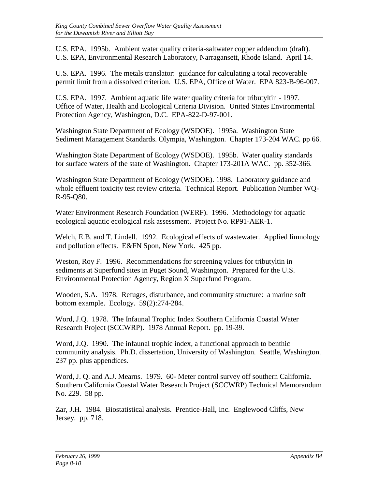U.S. EPA. 1995b. Ambient water quality criteria-saltwater copper addendum (draft). U.S. EPA, Environmental Research Laboratory, Narragansett, Rhode Island. April 14.

U.S. EPA. 1996. The metals translator: guidance for calculating a total recoverable permit limit from a dissolved criterion. U.S. EPA, Office of Water. EPA 823-B-96-007.

U.S. EPA. 1997. Ambient aquatic life water quality criteria for tributyltin - 1997. Office of Water, Health and Ecological Criteria Division. United States Environmental Protection Agency, Washington, D.C. EPA-822-D-97-001.

Washington State Department of Ecology (WSDOE). 1995a. Washington State Sediment Management Standards. Olympia, Washington. Chapter 173-204 WAC. pp 66.

Washington State Department of Ecology (WSDOE). 1995b. Water quality standards for surface waters of the state of Washington. Chapter 173-201A WAC. pp. 352-366.

Washington State Department of Ecology (WSDOE). 1998. Laboratory guidance and whole effluent toxicity test review criteria. Technical Report. Publication Number WQ-R-95-Q80.

Water Environment Research Foundation (WERF). 1996. Methodology for aquatic ecological aquatic ecological risk assessment. Project No. RP91-AER-1.

Welch, E.B. and T. Lindell. 1992. Ecological effects of wastewater. Applied limnology and pollution effects. E&FN Spon, New York. 425 pp.

Weston, Roy F. 1996. Recommendations for screening values for tributyltin in sediments at Superfund sites in Puget Sound, Washington. Prepared for the U.S. Environmental Protection Agency, Region X Superfund Program.

Wooden, S.A. 1978. Refuges, disturbance, and community structure: a marine soft bottom example. Ecology. 59(2):274-284.

Word, J.Q. 1978. The Infaunal Trophic Index Southern California Coastal Water Research Project (SCCWRP). 1978 Annual Report. pp. 19-39.

Word, J.Q. 1990. The infaunal trophic index, a functional approach to benthic community analysis. Ph.D. dissertation, University of Washington. Seattle, Washington. 237 pp. plus appendices.

Word, J. Q. and A.J. Mearns. 1979. 60- Meter control survey off southern California. Southern California Coastal Water Research Project (SCCWRP) Technical Memorandum No. 229. 58 pp.

Zar, J.H. 1984. Biostatistical analysis. Prentice-Hall, Inc. Englewood Cliffs, New Jersey. pp. 718.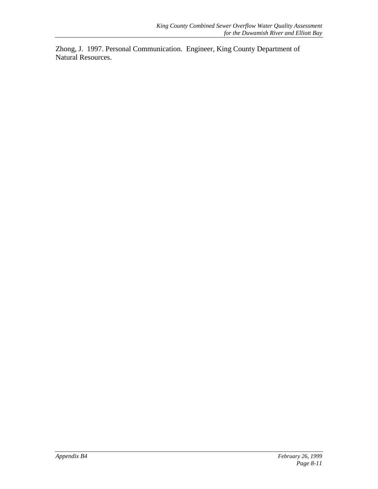Zhong, J. 1997. Personal Communication. Engineer, King County Department of Natural Resources.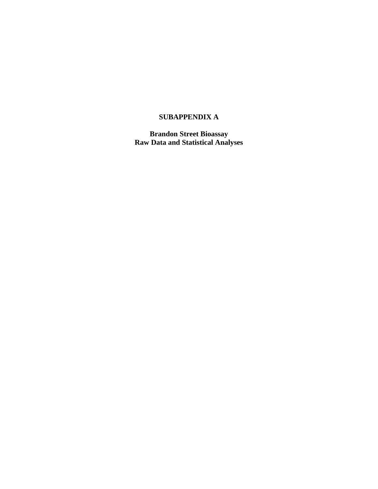#### **SUBAPPENDIX A**

**Brandon Street Bioassay Raw Data and Statistical Analyses**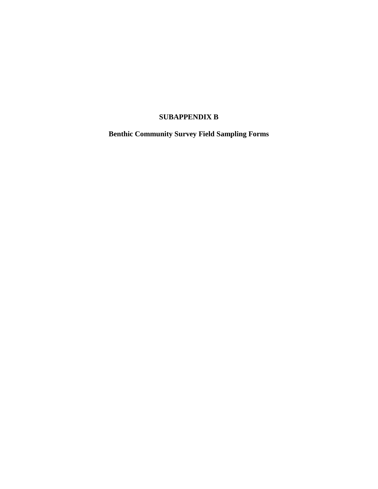## **SUBAPPENDIX B**

**Benthic Community Survey Field Sampling Forms**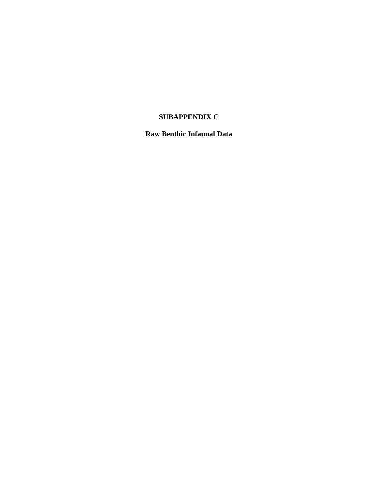## **SUBAPPENDIX C**

## **Raw Benthic Infaunal Data**